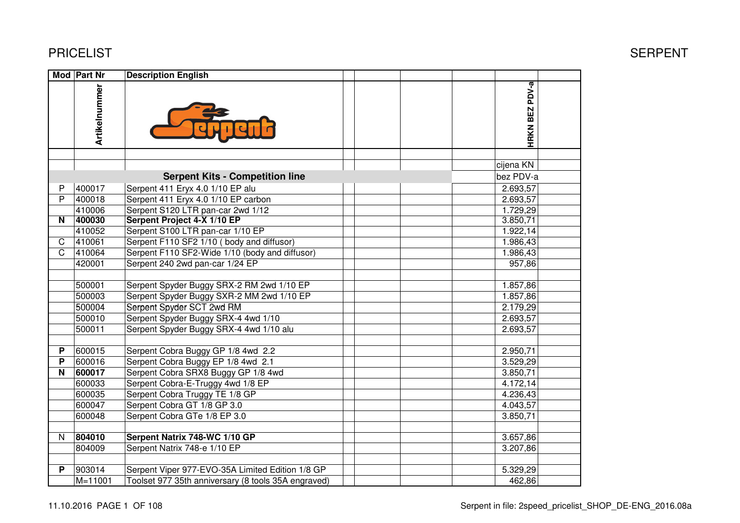|                         | Mod Part Nr   | <b>Description English</b>                          |                       |  |
|-------------------------|---------------|-----------------------------------------------------|-----------------------|--|
|                         | Artikelnummer |                                                     | HRKN BEZ PDV-a        |  |
|                         |               |                                                     |                       |  |
|                         |               |                                                     | cijena KN             |  |
|                         |               | <b>Serpent Kits - Competition line</b>              | bez PDV-a             |  |
| P                       | 400017        | Serpent 411 Eryx 4.0 1/10 EP alu                    | 2.693,57              |  |
| P                       | 400018        | Serpent 411 Eryx 4.0 1/10 EP carbon                 | 2.693,57              |  |
|                         | 410006        | Serpent S120 LTR pan-car 2wd 1/12                   | 1.729,29              |  |
| $\overline{\mathsf{N}}$ | 400030        | Serpent Project 4-X 1/10 EP                         | 3.850,71              |  |
|                         | 410052        | Serpent S100 LTR pan-car 1/10 EP                    | 1.922,14              |  |
| $\mathsf C$             | 410061        | Serpent F110 SF2 1/10 (body and diffusor)           | 1.986,43              |  |
| $\mathsf{C}$            | 410064        | Serpent F110 SF2-Wide 1/10 (body and diffusor)      | 1.986,43              |  |
|                         | 420001        | Serpent 240 2wd pan-car 1/24 EP                     | 957,86                |  |
|                         |               |                                                     |                       |  |
|                         | 500001        | Serpent Spyder Buggy SRX-2 RM 2wd 1/10 EP           | 1.857,86              |  |
|                         | 500003        | Serpent Spyder Buggy SXR-2 MM 2wd 1/10 EP           | $\overline{1.857,86}$ |  |
|                         | 500004        | Serpent Spyder SCT 2wd RM                           | 2.179,29              |  |
|                         | 500010        | Serpent Spyder Buggy SRX-4 4wd 1/10                 | 2.693,57              |  |
|                         | 500011        | Serpent Spyder Buggy SRX-4 4wd 1/10 alu             | 2.693,57              |  |
|                         |               |                                                     |                       |  |
| P                       | 600015        | Serpent Cobra Buggy GP 1/8 4wd 2.2                  | 2.950,71              |  |
| P                       | 600016        | Serpent Cobra Buggy EP 1/8 4wd 2.1                  | 3.529,29              |  |
| N                       | 600017        | Serpent Cobra SRX8 Buggy GP 1/8 4wd                 | 3.850,71              |  |
|                         | 600033        | Serpent Cobra-E-Truggy 4wd 1/8 EP                   | 4.172,14              |  |
|                         | 600035        | Serpent Cobra Truggy TE 1/8 GP                      | 4.236,43              |  |
|                         | 600047        | Serpent Cobra GT 1/8 GP 3.0                         | 4.043,57              |  |
|                         | 600048        | Serpent Cobra GTe 1/8 EP 3.0                        | 3.850,71              |  |
|                         |               |                                                     |                       |  |
| N                       | 804010        | Serpent Natrix 748-WC 1/10 GP                       | 3.657,86              |  |
|                         | 804009        | Serpent Natrix 748-e 1/10 EP                        | 3.207,86              |  |
|                         |               |                                                     |                       |  |
| P                       | 903014        | Serpent Viper 977-EVO-35A Limited Edition 1/8 GP    | 5.329,29              |  |
|                         | $M = 11001$   | Toolset 977 35th anniversary (8 tools 35A engraved) | 462,86                |  |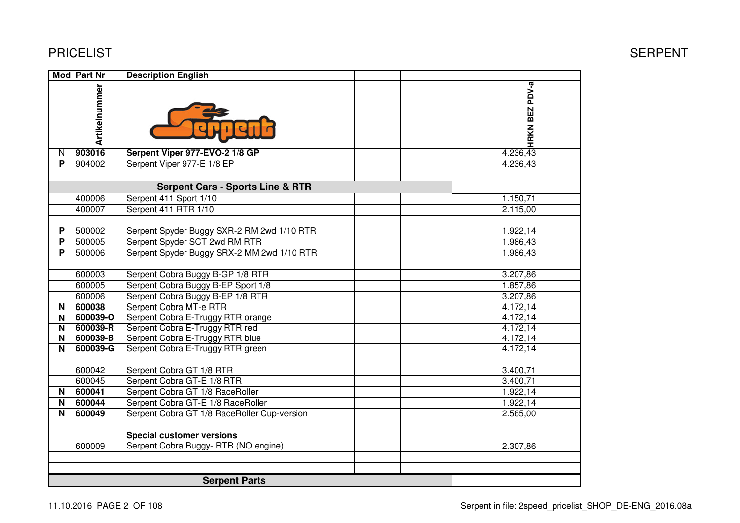| <b>PRICELIST</b> |
|------------------|
|------------------|

|          | Mod   Part Nr | <b>Description English</b>                  |                          |  |
|----------|---------------|---------------------------------------------|--------------------------|--|
|          | Artikelnummer |                                             | PDV-a<br><b>HRKN BEZ</b> |  |
| N        | 903016        | Serpent Viper 977-EVO-2 1/8 GP              | 4.236,43                 |  |
| P        | 904002        | Serpent Viper 977-E 1/8 EP                  | 4.236,43                 |  |
|          |               |                                             |                          |  |
|          |               | <b>Serpent Cars - Sports Line &amp; RTR</b> |                          |  |
|          | 400006        | Serpent 411 Sport 1/10                      | 1.150,71                 |  |
|          | 400007        | Serpent 411 RTR 1/10                        | 2.115,00                 |  |
|          |               |                                             |                          |  |
| P        | 500002        | Serpent Spyder Buggy SXR-2 RM 2wd 1/10 RTR  | 1.922,14                 |  |
| P        | 500005        | Serpent Spyder SCT 2wd RM RTR               | 1.986,43                 |  |
| P        | 500006        | Serpent Spyder Buggy SRX-2 MM 2wd 1/10 RTR  | 1.986,43                 |  |
|          |               |                                             |                          |  |
|          | 600003        | Serpent Cobra Buggy B-GP 1/8 RTR            | 3.207,86                 |  |
|          | 600005        | Serpent Cobra Buggy B-EP Sport 1/8          | 1.857,86                 |  |
|          | 600006        | Serpent Cobra Buggy B-EP 1/8 RTR            | 3.207,86                 |  |
| N        | 600038        | Serpent Cobra MT-e RTR                      | 4.172,14                 |  |
| <b>N</b> | 600039-O      | Serpent Cobra E-Truggy RTR orange           | 4.172,14                 |  |
| N        | 600039-R      | Serpent Cobra E-Truggy RTR red              | 4.172,14                 |  |
| N        | 600039-B      | Serpent Cobra E-Truggy RTR blue             | 4.172,14                 |  |
| N        | 600039-G      | Serpent Cobra E-Truggy RTR green            | 4.172,14                 |  |
|          |               |                                             |                          |  |
|          | 600042        | Serpent Cobra GT 1/8 RTR                    | 3.400,71                 |  |
|          | 600045        | Serpent Cobra GT-E 1/8 RTR                  | 3.400,71                 |  |
| N        | 600041        | Serpent Cobra GT 1/8 RaceRoller             | 1.922,14                 |  |
| N        | 600044        | Serpent Cobra GT-E 1/8 RaceRoller           | 1.922,14                 |  |
| N        | 600049        | Serpent Cobra GT 1/8 RaceRoller Cup-version | 2.565,00                 |  |
|          |               |                                             |                          |  |
|          |               | <b>Special customer versions</b>            |                          |  |
|          | 600009        | Serpent Cobra Buggy- RTR (NO engine)        | 2.307,86                 |  |
|          |               |                                             |                          |  |
|          |               |                                             |                          |  |
|          |               | <b>Serpent Parts</b>                        |                          |  |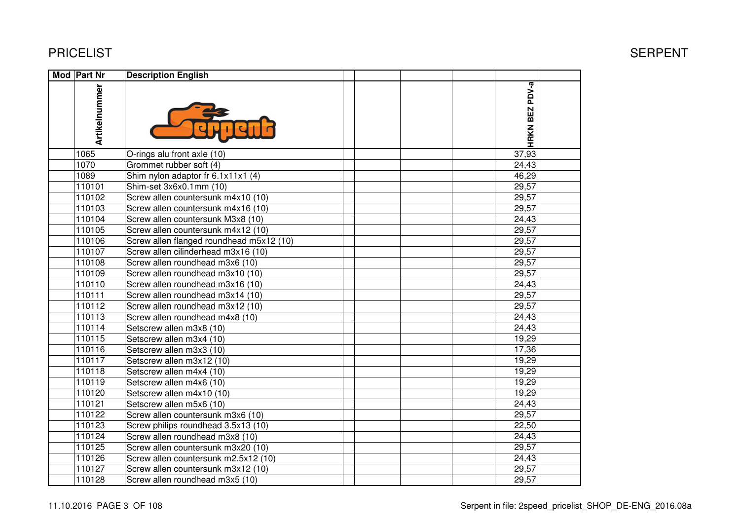| <b>Mod Part Nr</b> | <b>Description English</b>               |                |  |
|--------------------|------------------------------------------|----------------|--|
| Artikelnummer      |                                          | HRKN BEZ PDV-a |  |
| 1065               | O-rings alu front axle (10)              | 37,93          |  |
| 1070               | Grommet rubber soft (4)                  | 24,43          |  |
| 1089               | Shim nylon adaptor fr 6.1x11x1 (4)       | 46,29          |  |
| 110101             | Shim-set 3x6x0.1mm (10)                  | 29,57          |  |
| 110102             | Screw allen countersunk m4x10 (10)       | 29,57          |  |
| 110103             | Screw allen countersunk m4x16 (10)       | 29,57          |  |
| 110104             | Screw allen countersunk M3x8 (10)        | 24,43          |  |
| 110105             | Screw allen countersunk m4x12 (10)       | 29,57          |  |
| 110106             | Screw allen flanged roundhead m5x12 (10) | 29,57          |  |
| 110107             | Screw allen cilinderhead m3x16 (10)      | 29,57          |  |
| 110108             | Screw allen roundhead m3x6 (10)          | 29,57          |  |
| 110109             | Screw allen roundhead m3x10 (10)         | 29,57          |  |
| 110110             | Screw allen roundhead m3x16 (10)         | 24,43          |  |
| 110111             | Screw allen roundhead m3x14 (10)         | 29,57          |  |
| 110112             | Screw allen roundhead m3x12 (10)         | 29,57          |  |
| 110113             | Screw allen roundhead m4x8 (10)          | 24,43          |  |
| 110114             | Setscrew allen m3x8 (10)                 | 24,43          |  |
| 110115             | Setscrew allen m3x4 (10)                 | 19,29          |  |
| 110116             | Setscrew allen m3x3 (10)                 | 17,36          |  |
| 110117             | Setscrew allen m3x12 (10)                | 19,29          |  |
| 110118             | Setscrew allen m4x4 (10)                 | 19,29          |  |
| 110119             | Setscrew allen m4x6 (10)                 | 19,29          |  |
| 110120             | Setscrew allen m4x10 (10)                | 19,29          |  |
| 110121             | Setscrew allen m5x6 (10)                 | 24,43          |  |
| 110122             | Screw allen countersunk m3x6 (10)        | 29,57          |  |
| 110123             | Screw philips roundhead 3.5x13 (10)      | 22,50          |  |
| 110124             | Screw allen roundhead m3x8 (10)          | 24,43          |  |
| 110125             | Screw allen countersunk m3x20 (10)       | 29,57          |  |
| 110126             | Screw allen countersunk m2.5x12 (10)     | 24,43          |  |
| 110127             | Screw allen countersunk m3x12 (10)       | 29,57          |  |
| 110128             | Screw allen roundhead m3x5 (10)          | 29,57          |  |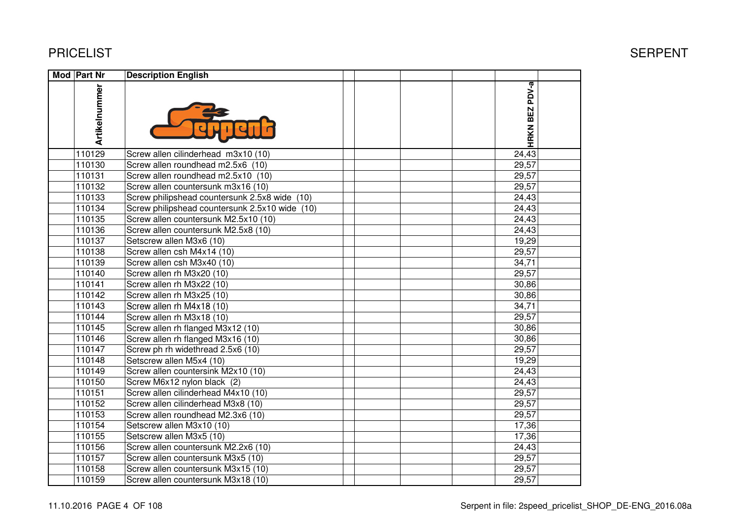| <b>Mod Part Nr</b> | <b>Description English</b>                     |                |  |
|--------------------|------------------------------------------------|----------------|--|
| Artikelnummer      |                                                | HRKN BEZ PDV-a |  |
| 110129             | Screw allen cilinderhead m3x10 (10)            | 24,43          |  |
| 110130             | Screw allen roundhead m2.5x6 (10)              | 29,57          |  |
| 110131             | Screw allen roundhead m2.5x10 (10)             | 29,57          |  |
| 110132             | Screw allen countersunk m3x16 (10)             | 29,57          |  |
| 110133             | Screw philipshead countersunk 2.5x8 wide (10)  | 24,43          |  |
| 110134             | Screw philipshead countersunk 2.5x10 wide (10) | 24,43          |  |
| 110135             | Screw allen countersunk M2.5x10 (10)           | 24,43          |  |
| 110136             | Screw allen countersunk M2.5x8 (10)            | 24,43          |  |
| 110137             | Setscrew allen M3x6 (10)                       | 19,29          |  |
| 110138             | Screw allen csh M4x14 (10)                     | 29,57          |  |
| 110139             | Screw allen csh M3x40 (10)                     | 34,71          |  |
| 110140             | Screw allen rh M3x20 (10)                      | 29,57          |  |
| 110141             | Screw allen rh M3x22 (10)                      | 30,86          |  |
| 110142             | Screw allen rh M3x25 (10)                      | 30,86          |  |
| 110143             | Screw allen rh M4x18 (10)                      | 34,71          |  |
| 110144             | Screw allen rh M3x18 (10)                      | 29,57          |  |
| 110145             | Screw allen rh flanged M3x12 (10)              | 30,86          |  |
| 110146             | Screw allen rh flanged M3x16 (10)              | 30,86          |  |
| 110147             | Screw ph rh widethread 2.5x6 (10)              | 29,57          |  |
| 110148             | Setscrew allen M5x4 (10)                       | 19,29          |  |
| 110149             | Screw allen countersink M2x10 (10)             | 24,43          |  |
| 110150             | Screw M6x12 nylon black (2)                    | 24,43          |  |
| 110151             | Screw allen cilinderhead M4x10 (10)            | 29,57          |  |
| 110152             | Screw allen cilinderhead M3x8 (10)             | 29,57          |  |
| 110153             | Screw allen roundhead M2.3x6 (10)              | 29,57          |  |
| 110154             | Setscrew allen M3x10 (10)                      | 17,36          |  |
| 110155             | Setscrew allen M3x5 (10)                       | 17,36          |  |
| 110156             | Screw allen countersunk M2.2x6 (10)            | 24,43          |  |
| 110157             | Screw allen countersunk M3x5 (10)              | 29,57          |  |
| 110158             | Screw allen countersunk M3x15 (10)             | 29,57          |  |
| 110159             | Screw allen countersunk M3x18 (10)             | 29,57          |  |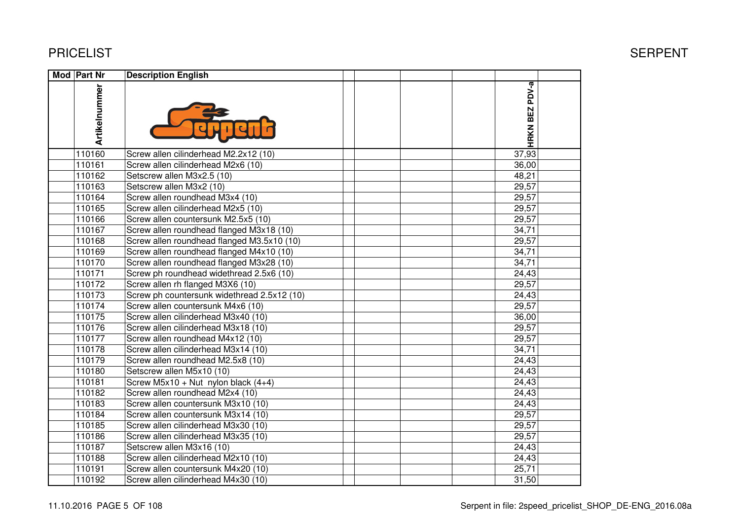| <b>Mod Part Nr</b> | <b>Description English</b>                  |                |  |
|--------------------|---------------------------------------------|----------------|--|
| Artikelnummer      |                                             | HRKN BEZ PDV-a |  |
| 110160             | Screw allen cilinderhead M2.2x12 (10)       | 37,93          |  |
| 110161             | Screw allen cilinderhead M2x6 (10)          | 36,00          |  |
| 110162             | Setscrew allen M3x2.5 (10)                  | 48,21          |  |
| 110163             | Setscrew allen M3x2 (10)                    | 29,57          |  |
| 110164             | Screw allen roundhead M3x4 (10)             | 29,57          |  |
| 110165             | Screw allen cilinderhead M2x5 (10)          | 29,57          |  |
| 110166             | Screw allen countersunk M2.5x5 (10)         | 29,57          |  |
| 110167             | Screw allen roundhead flanged M3x18 (10)    | 34,71          |  |
| 110168             | Screw allen roundhead flanged M3.5x10 (10)  | 29,57          |  |
| 110169             | Screw allen roundhead flanged M4x10 (10)    | 34,71          |  |
| 110170             | Screw allen roundhead flanged M3x28 (10)    | 34,71          |  |
| 110171             | Screw ph roundhead widethread 2.5x6 (10)    | 24,43          |  |
| 110172             | Screw allen rh flanged M3X6 (10)            | 29,57          |  |
| 110173             | Screw ph countersunk widethread 2.5x12 (10) | 24,43          |  |
| 110174             | Screw allen countersunk M4x6 (10)           | 29,57          |  |
| 110175             | Screw allen cilinderhead M3x40 (10)         | 36,00          |  |
| 110176             | Screw allen cilinderhead M3x18 (10)         | 29,57          |  |
| 110177             | Screw allen roundhead M4x12 (10)            | 29,57          |  |
| 110178             | Screw allen cilinderhead M3x14 (10)         | 34,71          |  |
| 110179             | Screw allen roundhead M2.5x8 (10)           | 24,43          |  |
| 110180             | Setscrew allen M5x10 (10)                   | 24,43          |  |
| 110181             | Screw M5x10 + Nut nylon black $(4+4)$       | 24,43          |  |
| 110182             | Screw allen roundhead M2x4 (10)             | 24,43          |  |
| 110183             | Screw allen countersunk M3x10 (10)          | 24,43          |  |
| 110184             | Screw allen countersunk M3x14 (10)          | 29,57          |  |
| 110185             | Screw allen cilinderhead M3x30 (10)         | 29,57          |  |
| 110186             | Screw allen cilinderhead M3x35 (10)         | 29,57          |  |
| 110187             | Setscrew allen M3x16 (10)                   | 24,43          |  |
| 110188             | Screw allen cilinderhead M2x10 (10)         | 24,43          |  |
| 110191             | Screw allen countersunk M4x20 (10)          | 25,71          |  |
| 110192             | Screw allen cilinderhead M4x30 (10)         | 31,50          |  |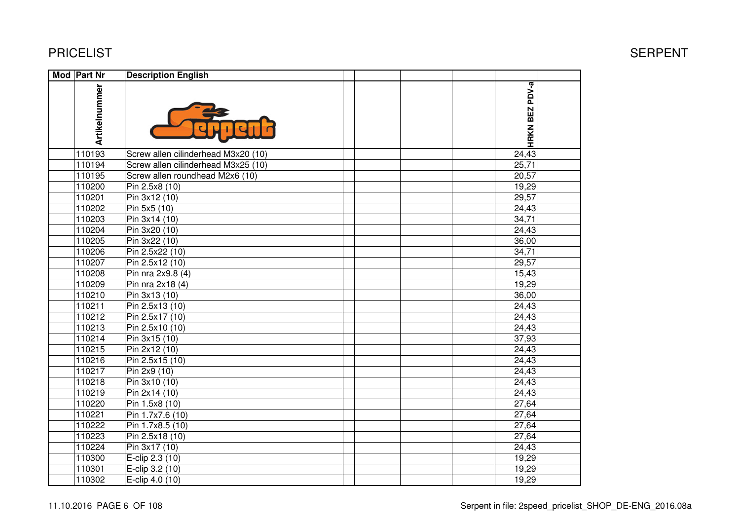| Mod Part Nr   | <b>Description English</b>          |                |  |
|---------------|-------------------------------------|----------------|--|
| Artikelnummer |                                     | HRKN BEZ PDV-a |  |
| 110193        | Screw allen cilinderhead M3x20 (10) | 24,43          |  |
| 110194        | Screw allen cilinderhead M3x25 (10) | 25,71          |  |
| 110195        | Screw allen roundhead M2x6 (10)     | 20,57          |  |
| 110200        | Pin 2.5x8 (10)                      | 19,29          |  |
| 110201        | Pin 3x12 (10)                       | 29,57          |  |
| 110202        | Pin 5x5 (10)                        | 24,43          |  |
| 110203        | Pin 3x14 (10)                       | 34,71          |  |
| 110204        | Pin 3x20 (10)                       | 24,43          |  |
| 110205        | Pin 3x22 (10)                       | 36,00          |  |
| 110206        | Pin 2.5x22 (10)                     | 34,71          |  |
| 110207        | Pin 2.5x12 (10)                     | 29,57          |  |
| 110208        | Pin nra $2x9.8(4)$                  | 15,43          |  |
| 110209        | Pin nra 2x18 (4)                    | 19,29          |  |
| 110210        | Pin 3x13 (10)                       | 36,00          |  |
| 110211        | Pin 2.5x13 (10)                     | 24,43          |  |
| 110212        | Pin 2.5x17 (10)                     | 24,43          |  |
| 110213        | Pin 2.5x10 (10)                     | 24,43          |  |
| 110214        | $\overline{Pin}$ 3x15 (10)          | 37,93          |  |
| 110215        | Pin 2x12 (10)                       | 24,43          |  |
| 110216        | Pin 2.5x15 (10)                     | 24,43          |  |
| 110217        | Pin 2x9 (10)                        | 24,43          |  |
| 110218        | Pin 3x10 (10)                       | 24,43          |  |
| 110219        | Pin 2x14 (10)                       | 24,43          |  |
| 110220        | Pin 1.5x8 (10)                      | 27,64          |  |
| 110221        | Pin 1.7x7.6 (10)                    | 27,64          |  |
| 110222        | Pin 1.7x8.5 (10)                    | 27,64          |  |
| 110223        | Pin 2.5x18 (10)                     | 27,64          |  |
| 110224        | Pin 3x17 (10)                       | 24,43          |  |
| 110300        | E-clip 2.3 (10)                     | 19,29          |  |
| 110301        | E-clip 3.2 (10)                     | 19,29          |  |
| 110302        | E-clip 4.0 (10)                     | 19,29          |  |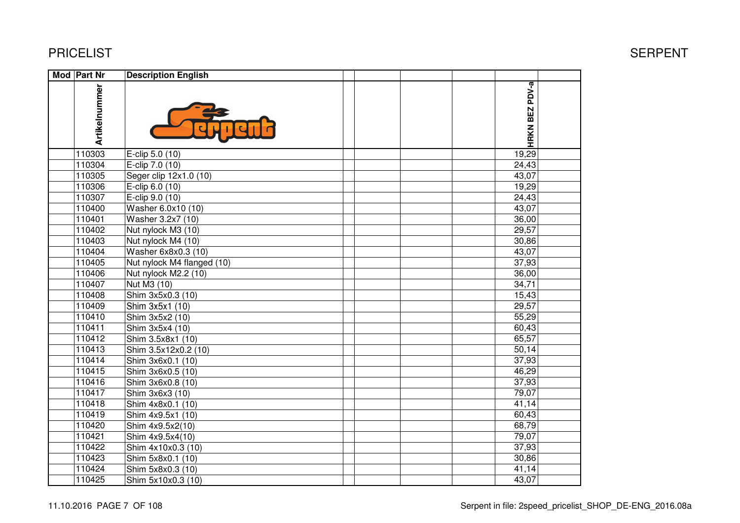#### PRICELIST

| Mod Part Nr   | <b>Description English</b> |                |  |
|---------------|----------------------------|----------------|--|
| Artikelnummer |                            | HRKN BEZ PDV-a |  |
| 110303        | E-clip 5.0 (10)            | 19,29          |  |
| 110304        | E-clip 7.0 (10)            | 24,43          |  |
| 110305        | Seger clip 12x1.0 (10)     | 43,07          |  |
| 110306        | E-clip 6.0 (10)            | 19,29          |  |
| 110307        | E-clip 9.0 (10)            | 24,43          |  |
| 110400        | Washer 6.0x10 (10)         | 43,07          |  |
| 110401        | Washer 3.2x7 (10)          | 36,00          |  |
| 110402        | Nut nylock M3 (10)         | 29,57          |  |
| 110403        | Nut nylock M4 (10)         | 30,86          |  |
| 110404        | Washer 6x8x0.3 (10)        | 43,07          |  |
| 110405        | Nut nylock M4 flanged (10) | 37,93          |  |
| 110406        | Nut nylock M2.2 (10)       | 36,00          |  |
| 110407        | Nut M3 (10)                | 34,71          |  |
| 110408        | Shim 3x5x0.3 (10)          | 15,43          |  |
| 110409        | Shim 3x5x1 (10)            | 29,57          |  |
| 110410        | Shim 3x5x2 (10)            | 55,29          |  |
| 110411        | Shim 3x5x4 (10)            | 60,43          |  |
| 110412        | Shim 3.5x8x1 (10)          | 65,57          |  |
| 110413        | Shim 3.5x12x0.2 (10)       | 50,14          |  |
| 110414        | Shim 3x6x0.1 (10)          | 37,93          |  |
| 110415        | Shim 3x6x0.5 (10)          | 46,29          |  |
| 110416        | Shim 3x6x0.8 (10)          | 37,93          |  |
| 110417        | Shim 3x6x3 (10)            | 79,07          |  |
| 110418        | Shim 4x8x0.1 (10)          | 41,14          |  |
| 110419        | Shim 4x9.5x1 (10)          | 60,43          |  |
| 110420        | Shim 4x9.5x2(10)           | 68,79          |  |
| 110421        | Shim 4x9.5x4(10)           | 79,07          |  |
| 110422        | Shim 4x10x0.3 (10)         | 37,93          |  |
| 110423        | Shim 5x8x0.1 (10)          | 30,86          |  |
| 110424        | Shim 5x8x0.3 (10)          | 41,14          |  |
| 110425        | Shim 5x10x0.3 (10)         | 43,07          |  |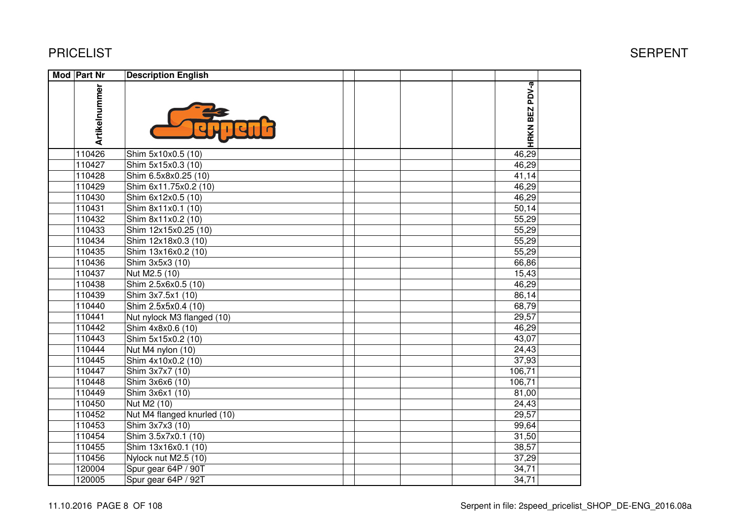| <b>Mod Part Nr</b> | <b>Description English</b>  |                |
|--------------------|-----------------------------|----------------|
| Artikelnummer      |                             | HRKN BEZ PDV-a |
| 110426             | Shim 5x10x0.5 (10)          | 46,29          |
| 110427             | Shim 5x15x0.3 (10)          | 46,29          |
| 110428             | Shim 6.5x8x0.25 (10)        | 41,14          |
| 110429             | Shim 6x11.75x0.2 (10)       | 46,29          |
| 110430             | Shim 6x12x0.5 (10)          | 46,29          |
| 110431             | Shim 8x11x0.1 (10)          | 50,14          |
| 110432             | Shim 8x11x0.2 (10)          | 55,29          |
| 110433             | Shim 12x15x0.25 (10)        | 55,29          |
| 110434             | Shim 12x18x0.3 (10)         | 55,29          |
| 110435             | Shim 13x16x0.2 (10)         | 55,29          |
| 110436             | Shim 3x5x3 (10)             | 66,86          |
| 110437             | Nut M2.5 (10)               | 15,43          |
| 110438             | Shim 2.5x6x0.5 (10)         | 46,29          |
| 110439             | Shim 3x7.5x1 (10)           | 86,14          |
| 110440             | Shim 2.5x5x0.4 (10)         | 68,79          |
| 110441             | Nut nylock M3 flanged (10)  | 29,57          |
| 110442             | Shim 4x8x0.6 (10)           | 46,29          |
| 110443             | Shim 5x15x0.2 (10)          | 43,07          |
| 110444             | Nut M4 nylon (10)           | 24,43          |
| 110445             | Shim 4x10x0.2 (10)          | 37,93          |
| 110447             | Shim 3x7x7 (10)             | 106,71         |
| 110448             | Shim 3x6x6 (10)             | 106,71         |
| 110449             | Shim 3x6x1 (10)             | 81,00          |
| 110450             | Nut M2 (10)                 | 24,43          |
| 110452             | Nut M4 flanged knurled (10) | 29,57          |
| 110453             | Shim 3x7x3 (10)             | 99,64          |
| 110454             | Shim 3.5x7x0.1 (10)         | 31,50          |
| 110455             | Shim 13x16x0.1 (10)         | 38,57          |
| 110456             | Nylock nut M2.5 (10)        | 37,29          |
| 120004             | Spur gear 64P / 90T         | 34,71          |
| 120005             | Spur gear 64P / 92T         | 34,71          |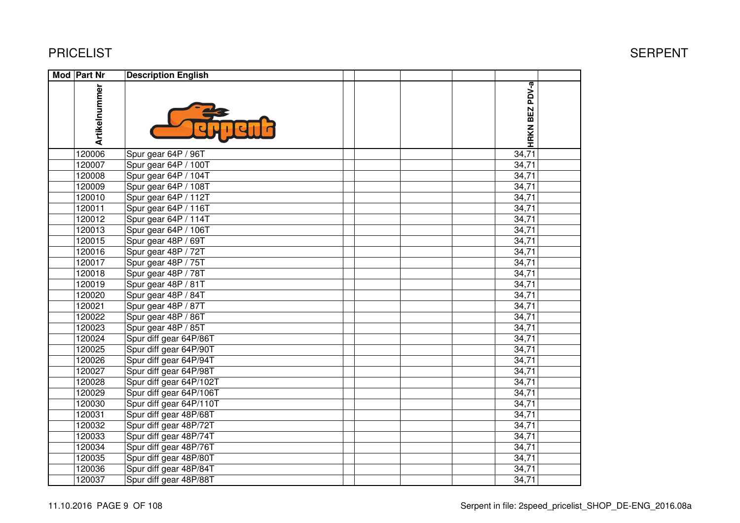#### PRICELIST

| Mod   Part Nr | <b>Description English</b> |  |                |  |
|---------------|----------------------------|--|----------------|--|
| Artikelnummer |                            |  | HRKN BEZ PDV-a |  |
| 120006        | Spur gear 64P / 96T        |  | 34,71          |  |
| 120007        | Spur gear 64P / 100T       |  | 34,71          |  |
| 120008        | Spur gear 64P / 104T       |  | 34,71          |  |
| 120009        | Spur gear 64P / 108T       |  | 34,71          |  |
| 120010        | Spur gear 64P / 112T       |  | 34,71          |  |
| 120011        | Spur gear 64P / 116T       |  | 34,71          |  |
| 120012        | Spur gear 64P / 114T       |  | 34,71          |  |
| 120013        | Spur gear 64P / 106T       |  | 34,71          |  |
| 120015        | Spur gear 48P / 69T        |  | 34,71          |  |
| 120016        | Spur gear 48P / 72T        |  | 34,71          |  |
| 120017        | Spur gear 48P / 75T        |  | 34,71          |  |
| 120018        | Spur gear 48P / 78T        |  | 34,71          |  |
| 120019        | Spur gear 48P / 81T        |  | 34,71          |  |
| 120020        | Spur gear 48P / 84T        |  | 34,71          |  |
| 120021        | Spur gear 48P / 87T        |  | 34,71          |  |
| 120022        | Spur gear 48P / 86T        |  | 34,71          |  |
| 120023        | Spur gear 48P / 85T        |  | 34,71          |  |
| 120024        | Spur diff gear 64P/86T     |  | 34,71          |  |
| 120025        | Spur diff gear 64P/90T     |  | 34,71          |  |
| 120026        | Spur diff gear 64P/94T     |  | 34,71          |  |
| 120027        | Spur diff gear 64P/98T     |  | 34,71          |  |
| 120028        | Spur diff gear 64P/102T    |  | 34,71          |  |
| 120029        | Spur diff gear 64P/106T    |  | 34,71          |  |
| 120030        | Spur diff gear 64P/110T    |  | 34,71          |  |
| 120031        | Spur diff gear 48P/68T     |  | 34,71          |  |
| 120032        | Spur diff gear 48P/72T     |  | 34,71          |  |
| 120033        | Spur diff gear 48P/74T     |  | 34,71          |  |
| 120034        | Spur diff gear 48P/76T     |  | 34,71          |  |
| 120035        | Spur diff gear 48P/80T     |  | 34,71          |  |
| 120036        | Spur diff gear 48P/84T     |  | 34,71          |  |
| 120037        | Spur diff gear 48P/88T     |  | 34,71          |  |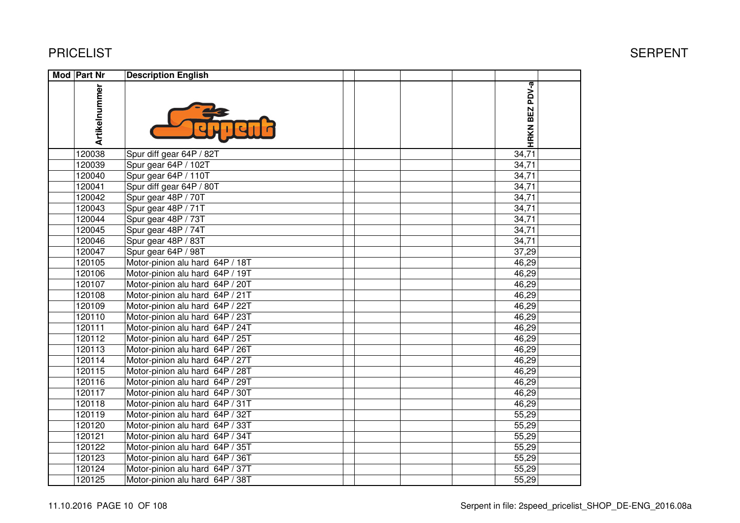#### PRICELIST

| Mod Part Nr   | <b>Description English</b>      |  |  |                |  |
|---------------|---------------------------------|--|--|----------------|--|
| Artikelnummer |                                 |  |  | HRKN BEZ PDV-a |  |
| 120038        | Spur diff gear 64P / 82T        |  |  | 34,71          |  |
| 120039        | Spur gear 64P / 102T            |  |  | 34,71          |  |
| 120040        | Spur gear 64P / 110T            |  |  | 34,71          |  |
| 120041        | Spur diff gear 64P / 80T        |  |  | 34,71          |  |
| 120042        | Spur gear 48P / 70T             |  |  | 34,71          |  |
| 120043        | Spur gear 48P / 71T             |  |  | 34,71          |  |
| 120044        | Spur gear 48P / 73T             |  |  | 34,71          |  |
| 120045        | Spur gear 48P / 74T             |  |  | 34,71          |  |
| 120046        | Spur gear 48P / 83T             |  |  | 34,71          |  |
| 120047        | Spur gear 64P / 98T             |  |  | 37,29          |  |
| 120105        | Motor-pinion alu hard 64P / 18T |  |  | 46,29          |  |
| 120106        | Motor-pinion alu hard 64P / 19T |  |  | 46,29          |  |
| 120107        | Motor-pinion alu hard 64P / 20T |  |  | 46,29          |  |
| 120108        | Motor-pinion alu hard 64P / 21T |  |  | 46,29          |  |
| 120109        | Motor-pinion alu hard 64P / 22T |  |  | 46,29          |  |
| 120110        | Motor-pinion alu hard 64P / 23T |  |  | 46,29          |  |
| 120111        | Motor-pinion alu hard 64P / 24T |  |  | 46,29          |  |
| 120112        | Motor-pinion alu hard 64P / 25T |  |  | 46,29          |  |
| 120113        | Motor-pinion alu hard 64P / 26T |  |  | 46,29          |  |
| 120114        | Motor-pinion alu hard 64P / 27T |  |  | 46,29          |  |
| 120115        | Motor-pinion alu hard 64P / 28T |  |  | 46,29          |  |
| 120116        | Motor-pinion alu hard 64P / 29T |  |  | 46,29          |  |
| 120117        | Motor-pinion alu hard 64P / 30T |  |  | 46,29          |  |
| 120118        | Motor-pinion alu hard 64P / 31T |  |  | 46,29          |  |
| 120119        | Motor-pinion alu hard 64P / 32T |  |  | 55,29          |  |
| 120120        | Motor-pinion alu hard 64P / 33T |  |  | 55,29          |  |
| 120121        | Motor-pinion alu hard 64P / 34T |  |  | 55,29          |  |
| 120122        | Motor-pinion alu hard 64P / 35T |  |  | 55,29          |  |
| 120123        | Motor-pinion alu hard 64P / 36T |  |  | 55,29          |  |
| 120124        | Motor-pinion alu hard 64P / 37T |  |  | 55,29          |  |
| 120125        | Motor-pinion alu hard 64P / 38T |  |  | 55,29          |  |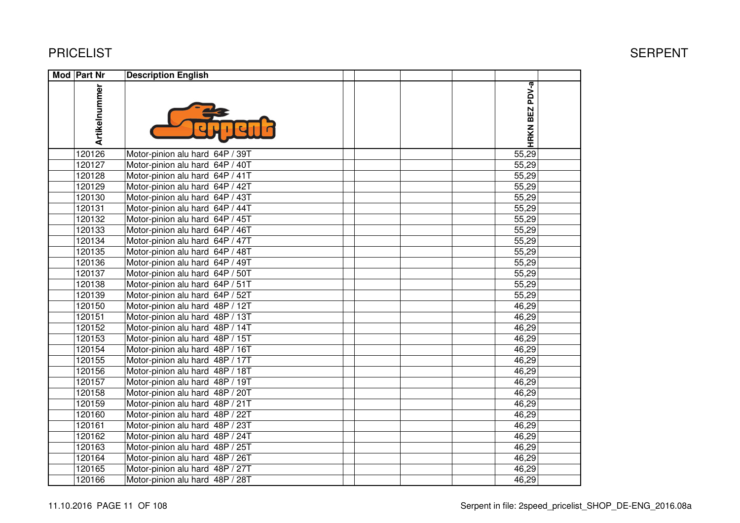| Mod Part Nr   | <b>Description English</b>      |                |  |
|---------------|---------------------------------|----------------|--|
| Artikelnummer |                                 | HRKN BEZ PDV-a |  |
| 120126        | Motor-pinion alu hard 64P / 39T | 55,29          |  |
| 120127        | Motor-pinion alu hard 64P / 40T | 55,29          |  |
| 120128        | Motor-pinion alu hard 64P / 41T | 55,29          |  |
| 120129        | Motor-pinion alu hard 64P / 42T | 55,29          |  |
| 120130        | Motor-pinion alu hard 64P / 43T | 55,29          |  |
| 120131        | Motor-pinion alu hard 64P / 44T | 55,29          |  |
| 120132        | Motor-pinion alu hard 64P / 45T | 55,29          |  |
| 120133        | Motor-pinion alu hard 64P / 46T | 55,29          |  |
| 120134        | Motor-pinion alu hard 64P / 47T | 55,29          |  |
| 120135        | Motor-pinion alu hard 64P / 48T | 55,29          |  |
| 120136        | Motor-pinion alu hard 64P / 49T | 55,29          |  |
| 120137        | Motor-pinion alu hard 64P / 50T | 55,29          |  |
| 120138        | Motor-pinion alu hard 64P / 51T | 55,29          |  |
| 120139        | Motor-pinion alu hard 64P / 52T | 55,29          |  |
| 120150        | Motor-pinion alu hard 48P / 12T | 46,29          |  |
| 120151        | Motor-pinion alu hard 48P / 13T | 46,29          |  |
| 120152        | Motor-pinion alu hard 48P / 14T | 46,29          |  |
| 120153        | Motor-pinion alu hard 48P / 15T | 46,29          |  |
| 120154        | Motor-pinion alu hard 48P / 16T | 46,29          |  |
| 120155        | Motor-pinion alu hard 48P / 17T | 46,29          |  |
| 120156        | Motor-pinion alu hard 48P / 18T | 46,29          |  |
| 120157        | Motor-pinion alu hard 48P / 19T | 46,29          |  |
| 120158        | Motor-pinion alu hard 48P / 20T | 46,29          |  |
| 120159        | Motor-pinion alu hard 48P / 21T | 46,29          |  |
| 120160        | Motor-pinion alu hard 48P / 22T | 46,29          |  |
| 120161        | Motor-pinion alu hard 48P / 23T | 46,29          |  |
| 120162        | Motor-pinion alu hard 48P / 24T | 46,29          |  |
| 120163        | Motor-pinion alu hard 48P / 25T | 46,29          |  |
| 120164        | Motor-pinion alu hard 48P / 26T | 46,29          |  |
| 120165        | Motor-pinion alu hard 48P / 27T | 46,29          |  |
| 120166        | Motor-pinion alu hard 48P / 28T | 46,29          |  |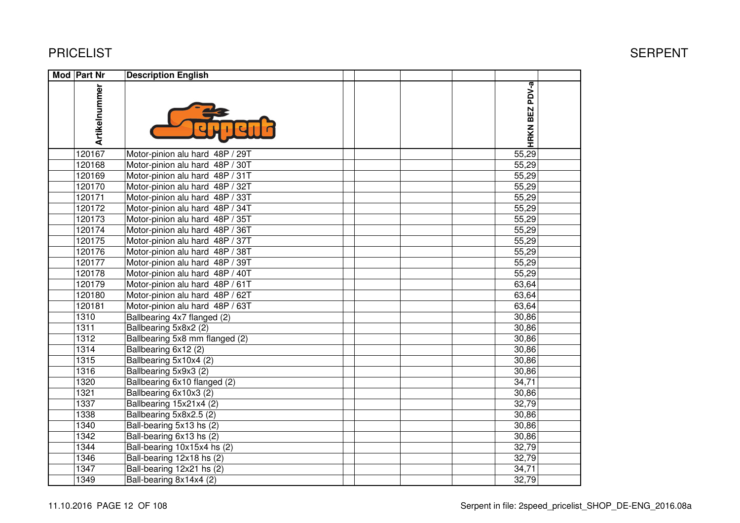| Mod Part Nr   | <b>Description English</b>      |                       |  |
|---------------|---------------------------------|-----------------------|--|
| Artikelnummer |                                 | <b>HRKN BEZ PDV-a</b> |  |
| 120167        | Motor-pinion alu hard 48P / 29T | 55,29                 |  |
| 120168        | Motor-pinion alu hard 48P / 30T | 55,29                 |  |
| 120169        | Motor-pinion alu hard 48P / 31T | 55,29                 |  |
| 120170        | Motor-pinion alu hard 48P / 32T | 55,29                 |  |
| 120171        | Motor-pinion alu hard 48P / 33T | 55,29                 |  |
| 120172        | Motor-pinion alu hard 48P / 34T | 55,29                 |  |
| 120173        | Motor-pinion alu hard 48P / 35T | 55,29                 |  |
| 120174        | Motor-pinion alu hard 48P / 36T | 55,29                 |  |
| 120175        | Motor-pinion alu hard 48P / 37T | 55,29                 |  |
| 120176        | Motor-pinion alu hard 48P / 38T | 55,29                 |  |
| 120177        | Motor-pinion alu hard 48P / 39T | 55,29                 |  |
| 120178        | Motor-pinion alu hard 48P / 40T | 55,29                 |  |
| 120179        | Motor-pinion alu hard 48P / 61T | 63,64                 |  |
| 120180        | Motor-pinion alu hard 48P / 62T | 63,64                 |  |
| 120181        | Motor-pinion alu hard 48P / 63T | 63,64                 |  |
| 1310          | Ballbearing 4x7 flanged (2)     | 30,86                 |  |
| 1311          | Ballbearing 5x8x2 (2)           | 30,86                 |  |
| 1312          | Ballbearing 5x8 mm flanged (2)  | 30,86                 |  |
| 1314          | Ballbearing 6x12 (2)            | 30,86                 |  |
| 1315          | Ballbearing 5x10x4 (2)          | 30,86                 |  |
| 1316          | Ballbearing 5x9x3 (2)           | 30,86                 |  |
| 1320          | Ballbearing 6x10 flanged (2)    | 34,71                 |  |
| 1321          | Ballbearing 6x10x3 (2)          | 30,86                 |  |
| 1337          | Ballbearing 15x21x4 (2)         | 32,79                 |  |
| 1338          | Ballbearing 5x8x2.5 (2)         | 30,86                 |  |
| 1340          | Ball-bearing 5x13 hs (2)        | 30,86                 |  |
| 1342          | Ball-bearing 6x13 hs (2)        | 30,86                 |  |
| 1344          | Ball-bearing 10x15x4 hs (2)     | 32,79                 |  |
| 1346          | Ball-bearing 12x18 hs (2)       | 32,79                 |  |
| 1347          | Ball-bearing 12x21 hs (2)       | 34,71                 |  |
| 1349          | Ball-bearing 8x14x4 (2)         | 32,79                 |  |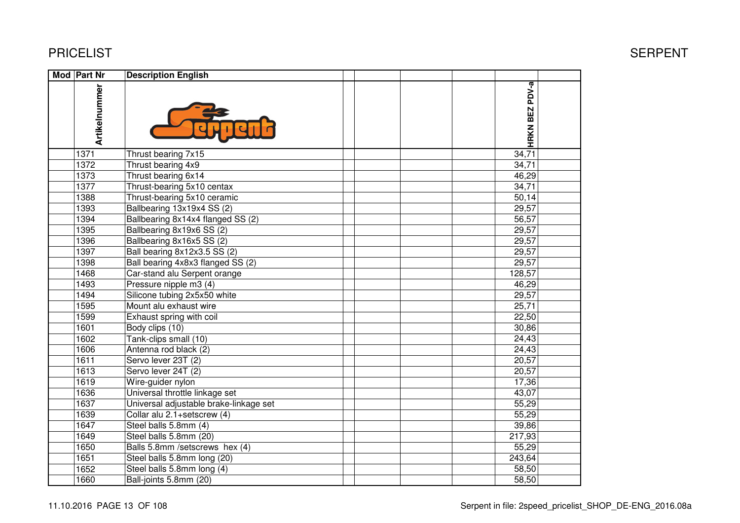| Mod Part Nr   | <b>Description English</b>             |  |  |                |  |
|---------------|----------------------------------------|--|--|----------------|--|
| Artikelnummer |                                        |  |  | HRKN BEZ PDV-a |  |
| 1371          | Thrust bearing 7x15                    |  |  | 34,71          |  |
| 1372          | Thrust bearing 4x9                     |  |  | 34,71          |  |
| 1373          | Thrust bearing 6x14                    |  |  | 46,29          |  |
| 1377          | Thrust-bearing 5x10 centax             |  |  | 34,71          |  |
| 1388          | Thrust-bearing 5x10 ceramic            |  |  | 50,14          |  |
| 1393          | Ballbearing 13x19x4 SS (2)             |  |  | 29,57          |  |
| 1394          | Ballbearing 8x14x4 flanged SS (2)      |  |  | 56,57          |  |
| 1395          | Ballbearing 8x19x6 SS (2)              |  |  | 29,57          |  |
| 1396          | Ballbearing 8x16x5 SS (2)              |  |  | 29,57          |  |
| 1397          | Ball bearing 8x12x3.5 SS (2)           |  |  | 29,57          |  |
| 1398          | Ball bearing 4x8x3 flanged SS (2)      |  |  | 29,57          |  |
| 1468          | Car-stand alu Serpent orange           |  |  | 128,57         |  |
| 1493          | Pressure nipple m3 (4)                 |  |  | 46,29          |  |
| 1494          | Silicone tubing 2x5x50 white           |  |  | 29,57          |  |
| 1595          | Mount alu exhaust wire                 |  |  | 25,71          |  |
| 1599          | Exhaust spring with coil               |  |  | 22,50          |  |
| 1601          | Body clips (10)                        |  |  | 30,86          |  |
| 1602          | Tank-clips small (10)                  |  |  | 24,43          |  |
| 1606          | Antenna rod black (2)                  |  |  | 24,43          |  |
| 1611          | Servo lever 23T (2)                    |  |  | 20,57          |  |
| 1613          | Servo lever 24T (2)                    |  |  | 20,57          |  |
| 1619          | Wire-guider nylon                      |  |  | 17,36          |  |
| 1636          | Universal throttle linkage set         |  |  | 43,07          |  |
| 1637          | Universal adjustable brake-linkage set |  |  | 55,29          |  |
| 1639          | Collar alu 2.1+setscrew (4)            |  |  | 55,29          |  |
| 1647          | Steel balls 5.8mm (4)                  |  |  | 39,86          |  |
| 1649          | Steel balls 5.8mm (20)                 |  |  | 217,93         |  |
| 1650          | Balls 5.8mm /setscrews hex (4)         |  |  | 55,29          |  |
| 1651          | Steel balls 5.8mm long (20)            |  |  | 243,64         |  |
| 1652          | Steel balls 5.8mm long (4)             |  |  | 58,50          |  |
| 1660          | Ball-joints 5.8mm (20)                 |  |  | 58,50          |  |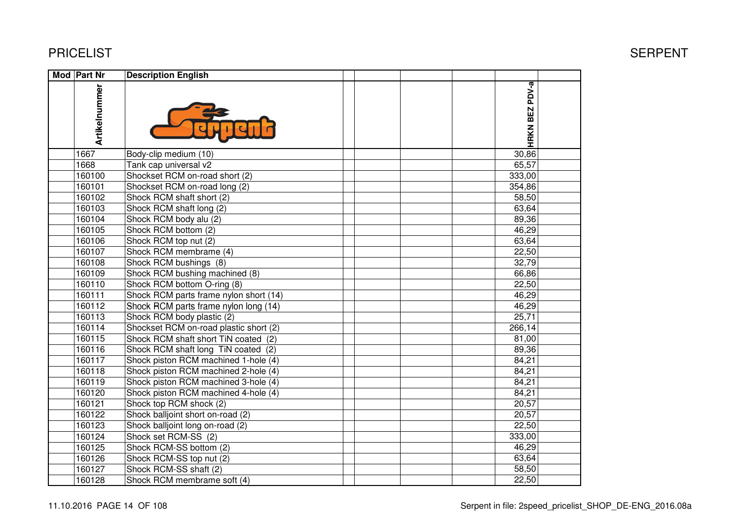| <b>Mod Part Nr</b> | <b>Description English</b>             |                |  |
|--------------------|----------------------------------------|----------------|--|
| Artikelnummer      |                                        | HRKN BEZ PDV-a |  |
| 1667               | Body-clip medium (10)                  | 30,86          |  |
| 1668               | Tank cap universal v2                  | 65,57          |  |
| 160100             | Shockset RCM on-road short (2)         | 333,00         |  |
| 160101             | Shockset RCM on-road long (2)          | 354,86         |  |
| 160102             | Shock RCM shaft short (2)              | 58,50          |  |
| 160103             | Shock RCM shaft long (2)               | 63,64          |  |
| 160104             | Shock RCM body alu (2)                 | 89,36          |  |
| 160105             | Shock RCM bottom (2)                   | 46,29          |  |
| 160106             | Shock RCM top nut (2)                  | 63,64          |  |
| 160107             | Shock RCM membrame (4)                 | 22,50          |  |
| 160108             | Shock RCM bushings (8)                 | 32,79          |  |
| 160109             | Shock RCM bushing machined (8)         | 66,86          |  |
| 160110             | Shock RCM bottom O-ring (8)            | 22,50          |  |
| 160111             | Shock RCM parts frame nylon short (14) | 46,29          |  |
| 160112             | Shock RCM parts frame nylon long (14)  | 46,29          |  |
| 160113             | Shock RCM body plastic (2)             | 25,71          |  |
| 160114             | Shockset RCM on-road plastic short (2) | 266,14         |  |
| 160115             | Shock RCM shaft short TiN coated (2)   | 81,00          |  |
| 160116             | Shock RCM shaft long TiN coated (2)    | 89,36          |  |
| 160117             | Shock piston RCM machined 1-hole (4)   | 84,21          |  |
| 160118             | Shock piston RCM machined 2-hole (4)   | 84,21          |  |
| 160119             | Shock piston RCM machined 3-hole (4)   | 84,21          |  |
| 160120             | Shock piston RCM machined 4-hole (4)   | 84,21          |  |
| 160121             | Shock top RCM shock (2)                | 20,57          |  |
| 160122             | Shock balljoint short on-road (2)      | 20,57          |  |
| 160123             | Shock balljoint long on-road (2)       | 22,50          |  |
| 160124             | Shock set RCM-SS (2)                   | 333,00         |  |
| 160125             | Shock RCM-SS bottom (2)                | 46,29          |  |
| 160126             | Shock RCM-SS top nut (2)               | 63,64          |  |
| 160127             | Shock RCM-SS shaft (2)                 | 58,50          |  |
| 160128             | Shock RCM membrame soft (4)            | 22,50          |  |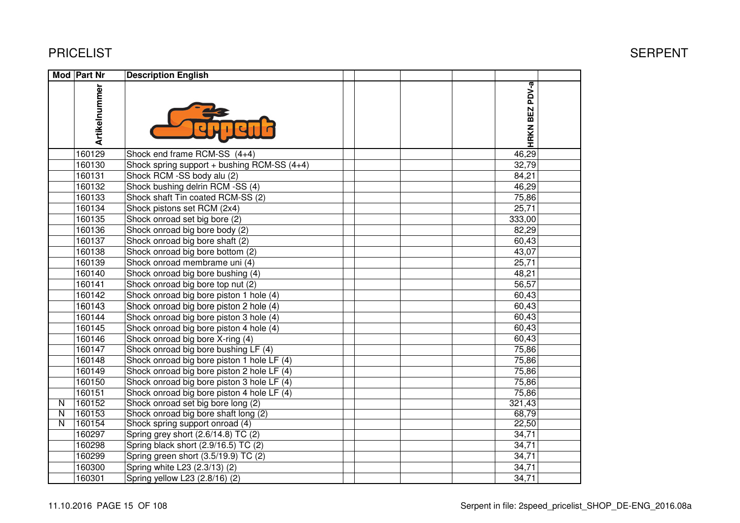|   | <b>Mod Part Nr</b> | <b>Description English</b>                  |                |  |
|---|--------------------|---------------------------------------------|----------------|--|
|   | Artikelnummer      |                                             | HRKN BEZ PDV-a |  |
|   | 160129             | Shock end frame RCM-SS (4+4)                | 46,29          |  |
|   | 160130             | Shock spring support + bushing RCM-SS (4+4) | 32,79          |  |
|   | 160131             | Shock RCM -SS body alu (2)                  | 84,21          |  |
|   | 160132             | Shock bushing delrin RCM -SS (4)            | 46,29          |  |
|   | 160133             | Shock shaft Tin coated RCM-SS (2)           | 75,86          |  |
|   | 160134             | Shock pistons set RCM (2x4)                 | 25,71          |  |
|   | 160135             | Shock onroad set big bore (2)               | 333,00         |  |
|   | 160136             | Shock onroad big bore body (2)              | 82,29          |  |
|   | 160137             | Shock onroad big bore shaft (2)             | 60,43          |  |
|   | 160138             | Shock onroad big bore bottom (2)            | 43,07          |  |
|   | 160139             | Shock onroad membrame uni (4)               | 25,71          |  |
|   | 160140             | Shock onroad big bore bushing (4)           | 48,21          |  |
|   | 160141             | Shock onroad big bore top nut (2)           | 56,57          |  |
|   | 160142             | Shock onroad big bore piston 1 hole (4)     | 60,43          |  |
|   | 160143             | Shock onroad big bore piston 2 hole (4)     | 60,43          |  |
|   | 160144             | Shock onroad big bore piston 3 hole (4)     | 60,43          |  |
|   | 160145             | Shock onroad big bore piston 4 hole (4)     | 60,43          |  |
|   | 160146             | Shock onroad big bore X-ring (4)            | 60,43          |  |
|   | 160147             | Shock onroad big bore bushing LF (4)        | 75,86          |  |
|   | 160148             | Shock onroad big bore piston 1 hole LF (4)  | 75,86          |  |
|   | 160149             | Shock onroad big bore piston 2 hole LF (4)  | 75,86          |  |
|   | 160150             | Shock onroad big bore piston 3 hole LF (4)  | 75,86          |  |
|   | 160151             | Shock onroad big bore piston 4 hole LF (4)  | 75,86          |  |
| N | 160152             | Shock onroad set big bore long (2)          | 321,43         |  |
| N | 160153             | Shock onroad big bore shaft long (2)        | 68,79          |  |
| N | 160154             | Shock spring support onroad (4)             | 22,50          |  |
|   | 160297             | Spring grey short (2.6/14.8) TC (2)         | 34,71          |  |
|   | 160298             | Spring black short (2.9/16.5) TC (2)        | 34,71          |  |
|   | 160299             | Spring green short (3.5/19.9) TC (2)        | 34,71          |  |
|   | 160300             | Spring white L23 (2.3/13) (2)               | 34,71          |  |
|   | 160301             | Spring yellow L23 (2.8/16) (2)              | 34,71          |  |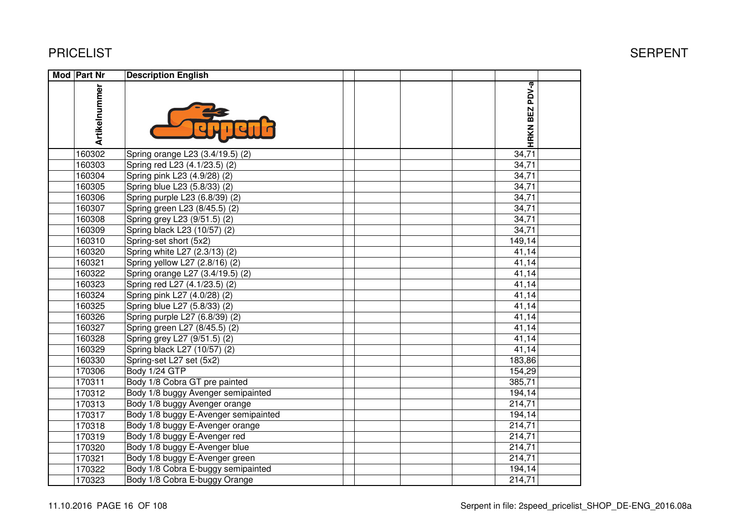| Mod Part Nr   | <b>Description English</b>           |  |  |                |  |
|---------------|--------------------------------------|--|--|----------------|--|
| Artikelnummer |                                      |  |  | HRKN BEZ PDV-a |  |
| 160302        | Spring orange L23 (3.4/19.5) (2)     |  |  | 34,71          |  |
| 160303        | Spring red L23 (4.1/23.5) (2)        |  |  | 34,71          |  |
| 160304        | Spring pink L23 (4.9/28) (2)         |  |  | 34,71          |  |
| 160305        | Spring blue L23 (5.8/33) (2)         |  |  | 34,71          |  |
| 160306        | Spring purple L23 (6.8/39) (2)       |  |  | 34,71          |  |
| 160307        | Spring green L23 (8/45.5) (2)        |  |  | 34,71          |  |
| 160308        | Spring grey L23 (9/51.5) (2)         |  |  | 34,71          |  |
| 160309        | Spring black L23 (10/57) (2)         |  |  | 34,71          |  |
| 160310        | Spring-set short (5x2)               |  |  | 149,14         |  |
| 160320        | Spring white L27 (2.3/13) (2)        |  |  | 41,14          |  |
| 160321        | Spring yellow L27 (2.8/16) (2)       |  |  | 41,14          |  |
| 160322        | Spring orange L27 (3.4/19.5) (2)     |  |  | 41,14          |  |
| 160323        | Spring red L27 (4.1/23.5) (2)        |  |  | 41,14          |  |
| 160324        | Spring pink L27 (4.0/28) (2)         |  |  | 41,14          |  |
| 160325        | Spring blue L27 (5.8/33) (2)         |  |  | 41,14          |  |
| 160326        | Spring purple L27 (6.8/39) (2)       |  |  | 41,14          |  |
| 160327        | Spring green L27 (8/45.5) (2)        |  |  | 41,14          |  |
| 160328        | Spring grey L27 (9/51.5) (2)         |  |  | 41,14          |  |
| 160329        | Spring black L27 (10/57) (2)         |  |  | 41,14          |  |
| 160330        | Spring-set L27 set (5x2)             |  |  | 183,86         |  |
| 170306        | Body 1/24 GTP                        |  |  | 154,29         |  |
| 170311        | Body 1/8 Cobra GT pre painted        |  |  | 385,71         |  |
| 170312        | Body 1/8 buggy Avenger semipainted   |  |  | 194,14         |  |
| 170313        | Body 1/8 buggy Avenger orange        |  |  | 214,71         |  |
| 170317        | Body 1/8 buggy E-Avenger semipainted |  |  | 194,14         |  |
| 170318        | Body 1/8 buggy E-Avenger orange      |  |  | 214,71         |  |
| 170319        | Body 1/8 buggy E-Avenger red         |  |  | 214,71         |  |
| 170320        | Body 1/8 buggy E-Avenger blue        |  |  | 214,71         |  |
| 170321        | Body 1/8 buggy E-Avenger green       |  |  | 214,71         |  |
| 170322        | Body 1/8 Cobra E-buggy semipainted   |  |  | 194,14         |  |
| 170323        | Body 1/8 Cobra E-buggy Orange        |  |  | 214,71         |  |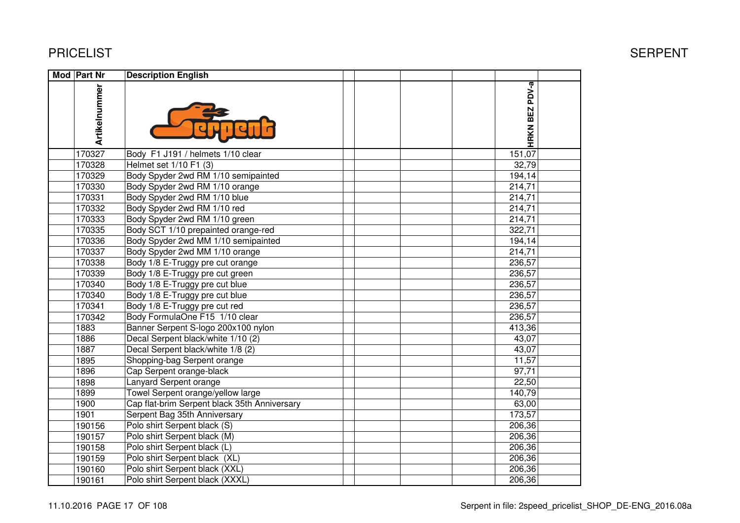| Mod Part Nr   | <b>Description English</b>                   |  |  |                |  |
|---------------|----------------------------------------------|--|--|----------------|--|
| Artikelnummer |                                              |  |  | HRKN BEZ PDV-a |  |
| 170327        | Body F1 J191 / helmets 1/10 clear            |  |  | 151,07         |  |
| 170328        | Helmet set 1/10 F1 (3)                       |  |  | 32,79          |  |
| 170329        | Body Spyder 2wd RM 1/10 semipainted          |  |  | 194,14         |  |
| 170330        | Body Spyder 2wd RM 1/10 orange               |  |  | 214,71         |  |
| 170331        | Body Spyder 2wd RM 1/10 blue                 |  |  | 214,71         |  |
| 170332        | Body Spyder 2wd RM 1/10 red                  |  |  | 214,71         |  |
| 170333        | Body Spyder 2wd RM 1/10 green                |  |  | 214,71         |  |
| 170335        | Body SCT 1/10 prepainted orange-red          |  |  | 322,71         |  |
| 170336        | Body Spyder 2wd MM 1/10 semipainted          |  |  | 194,14         |  |
| 170337        | Body Spyder 2wd MM 1/10 orange               |  |  | 214,71         |  |
| 170338        | Body 1/8 E-Truggy pre cut orange             |  |  | 236,57         |  |
| 170339        | Body 1/8 E-Truggy pre cut green              |  |  | 236,57         |  |
| 170340        | Body 1/8 E-Truggy pre cut blue               |  |  | 236,57         |  |
| 170340        | Body 1/8 E-Truggy pre cut blue               |  |  | 236,57         |  |
| 170341        | Body 1/8 E-Truggy pre cut red                |  |  | 236,57         |  |
| 170342        | Body FormulaOne F15 1/10 clear               |  |  | 236,57         |  |
| 1883          | Banner Serpent S-logo 200x100 nylon          |  |  | 413,36         |  |
| 1886          | Decal Serpent black/white 1/10 (2)           |  |  | 43,07          |  |
| 1887          | Decal Serpent black/white 1/8 (2)            |  |  | 43,07          |  |
| 1895          | Shopping-bag Serpent orange                  |  |  | 11,57          |  |
| 1896          | Cap Serpent orange-black                     |  |  | 97,71          |  |
| 1898          | Lanyard Serpent orange                       |  |  | 22,50          |  |
| 1899          | Towel Serpent orange/yellow large            |  |  | 140,79         |  |
| 1900          | Cap flat-brim Serpent black 35th Anniversary |  |  | 63,00          |  |
| 1901          | Serpent Bag 35th Anniversary                 |  |  | 173,57         |  |
| 190156        | Polo shirt Serpent black (S)                 |  |  | 206,36         |  |
| 190157        | Polo shirt Serpent black (M)                 |  |  | 206,36         |  |
| 190158        | Polo shirt Serpent black (L)                 |  |  | 206,36         |  |
| 190159        | Polo shirt Serpent black (XL)                |  |  | 206,36         |  |
| 190160        | Polo shirt Serpent black (XXL)               |  |  | 206,36         |  |
| 190161        | Polo shirt Serpent black (XXXL)              |  |  | 206,36         |  |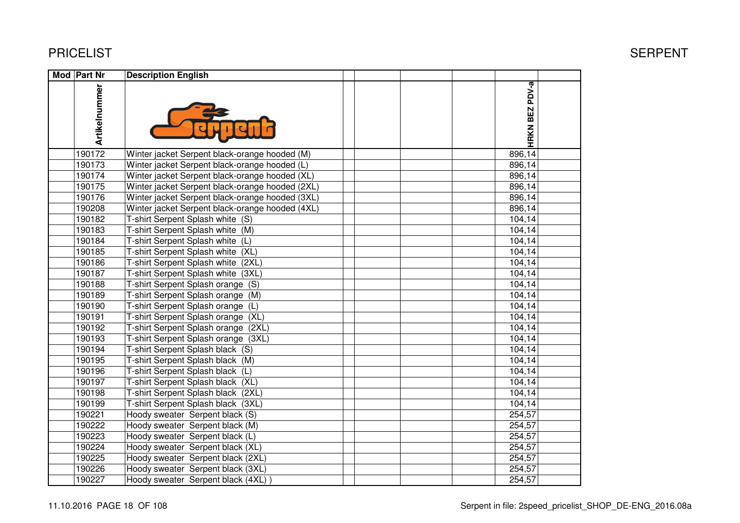| Mod Part Nr   | <b>Description English</b>                      |                |  |
|---------------|-------------------------------------------------|----------------|--|
| Artikelnummer |                                                 | HRKN BEZ PDV-a |  |
| 190172        | Winter jacket Serpent black-orange hooded (M)   | 896,14         |  |
| 190173        | Winter jacket Serpent black-orange hooded (L)   | 896,14         |  |
| 190174        | Winter jacket Serpent black-orange hooded (XL)  | 896,14         |  |
| 190175        | Winter jacket Serpent black-orange hooded (2XL) | 896,14         |  |
| 190176        | Winter jacket Serpent black-orange hooded (3XL) | 896,14         |  |
| 190208        | Winter jacket Serpent black-orange hooded (4XL) | 896,14         |  |
| 190182        | T-shirt Serpent Splash white (S)                | 104,14         |  |
| 190183        | T-shirt Serpent Splash white (M)                | 104,14         |  |
| 190184        | T-shirt Serpent Splash white (L)                | 104,14         |  |
| 190185        | T-shirt Serpent Splash white (XL)               | 104,14         |  |
| 190186        | T-shirt Serpent Splash white (2XL)              | 104,14         |  |
| 190187        | T-shirt Serpent Splash white (3XL)              | 104,14         |  |
| 190188        | T-shirt Serpent Splash orange (S)               | 104,14         |  |
| 190189        | T-shirt Serpent Splash orange (M)               | 104,14         |  |
| 190190        | T-shirt Serpent Splash orange (L)               | 104,14         |  |
| 190191        | T-shirt Serpent Splash orange (XL)              | 104,14         |  |
| 190192        | T-shirt Serpent Splash orange (2XL)             | 104,14         |  |
| 190193        | T-shirt Serpent Splash orange (3XL)             | 104,14         |  |
| 190194        | T-shirt Serpent Splash black (S)                | 104,14         |  |
| 190195        | T-shirt Serpent Splash black (M)                | 104,14         |  |
| 190196        | T-shirt Serpent Splash black (L)                | 104,14         |  |
| 190197        | T-shirt Serpent Splash black (XL)               | 104,14         |  |
| 190198        | T-shirt Serpent Splash black (2XL)              | 104,14         |  |
| 190199        | T-shirt Serpent Splash black (3XL)              | 104,14         |  |
| 190221        | Hoody sweater Serpent black (S)                 | 254,57         |  |
| 190222        | Hoody sweater Serpent black (M)                 | 254,57         |  |
| 190223        | Hoody sweater Serpent black (L)                 | 254,57         |  |
| 190224        | Hoody sweater Serpent black (XL)                | 254,57         |  |
| 190225        | Hoody sweater Serpent black (2XL)               | 254,57         |  |
| 190226        | Hoody sweater Serpent black (3XL)               | 254,57         |  |
| 190227        | Hoody sweater Serpent black (4XL)               | 254,57         |  |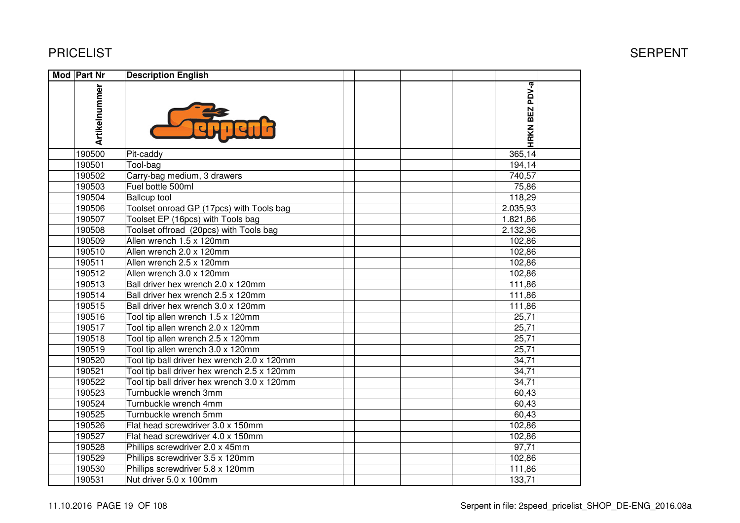#### **Mod** Part Nr **Part | Description English<br>
Beginning and <b>Retail**<br>
Beginning and **Retail**<br>
Beginning and **Retail**<br>
Beginning and **Retail**<br>
Beginning and **Retail**<br>
Beginning and **Retail**<br>
Beginning and **Retail**<br>
Beginning and **Retail**<br>
B HRKN BEZ PDV-a **HRKN BEZ PDV-a Artikelnummer** 190500 Pit-caddy 35,79 56,80 456,43 365,14 190501 Tool-bag 18,99 30,20 242,68 194,14 190502 Carry-bag medium, 3 drawers 740,57 8 12, 20 926, 20 926, 20 926, 20 926, 20 926, 20 926, 20 927, 20 927, 20 927, 20 927, 20 927, 20 927, 20 927, <br>20 926, 20 926, 20 927, 20 927, 20 927, 20 927, 20 927, 20 927, 20 927, 20 927, 20 927, 20 927, 20 927, 20 92<br>2 190503 Fuel bottle 500ml<br>190504 Ballcup tool 75,86 118,29 190504 |Ballcup tool 11,60 18,40 18,40 18,40 18,40 18,40 18,40 18,40 18,40 18,40 18,40 18,40 18,40 18,40 18, 190506 Toolset onroad GP (17pcs) with Tools bag<u>9</u> 2.035,93 190507 Toolset EP (16pcs) with Tools bag 178,59 283,40 2.277,32 1.821,86 190508 Toolset offroad (20pcs) with Tools bag 209,00 331,70 2.665,45 2.132,36 190509 Allen wrench 1.5 x 120mm102,86 براء المسافر المسافر المسافر المسافر المسافر المسافر المسافر المسافر المسافر المسافر المسافر المسافر ال<br>المسافر المسافر المسافر المسافر المسافر المسافر المسافر المسافر المسافر المسافر المسافر المسافر المسافر المساف 190510 Allen wrench 2.0 x 120mm102,86 براء المسافر المسافر المسافر المسافر المسافر المسافر المسافر المسافر المسافر المسافر المسافر المسافر ال<br>المسافر المسافر المسافر المسافر المسافر المسافر المسافر المسافر المسافر المسافر المسافر المسافر المسافر المساف 190511 Allen wrench 2.5 x 120mm102,86 براء المسافر المسافر المسافر المسافر المسافر المسافر المسافر المسافر المسافر المسافر المسافر المسافر ال<br>المسافر المسافر المسافر المسافر المسافر المسافر المسافر المسافر المسافر المسافر المسافر المسافر المسافر المساف 190512 Allen wrench 3.0 x 120mmm 102,86<br>0.v.129mm 111.06 190513 Ball driver hex wrench 2.0 x 120mm111,86 بي المساحة المساحة المساحة المساحة المساحة المساحة المساحة المساحة المساحة المساحة المساحة المساحة المس<br>المساحة المساحة المساحة المساحة المساحة المساحة المساحة المساحة المساحة المساحة المساحة المساحة المساحة المساح 190514 Ball driver hex wrench 2.5 x 120mm111,86 بي المسلم المسلم المسلم المسلم المسلم المسلم المسلم المسلم المسلم المسلم المسلم المسلم المسلم المسلم ال<br>المسلم المسلم المسلم المسلم المسلم المسلم المسلم المسلم المسلم المسلم المسلم المسلم المسلم المسلم المسلم المسل 190515190515 Ball driver hex wrench 3.0 x 120mm<br>190516 Tool tip allen wrench 1.5 x 120mm  $x$  120mm 111,86<br>190mm 1200mm 1200mm 1200mm 1200mm 130,82 111,86 190516 Tool tip allen wrench 1.5 x 120mm<br>190517 Tool tip allen wrench 2.0 x 120mm m 25,71<br>m 25,71 190517 Tool tip allen wrench 2.0 x 120mm<br>190518 Tool tip allen wrench 2.5 x 120mm m 25,71<br>m 25,71 190518 Tool tip allen wrench 2.5 x 120mm<br>190519 Tool tip allen wrench 3.0 x 120mm m 25,71<br>m 25,71 190519 Tool tip allen wrench 3.0 x 120mm<br>190520 Tool tip ball driver hex wrench 2.0 m 25,71 20 325,71 200 325,71 200 325,71 200 325,71 200 325,71 200 325,71 200 325,71 200 325,71 200 325,71 200 325,71 200 325,71 200 325,71 200 325,71 200 325,71 200 325,71 200 325,71 200 325,71 200 325,71 200 325,71 200 3 190520 Tool tip ball driver hex wrench 2.0 x 120mmm 34,71 34,71 34,71 34,71 34,71 34,71 34,71 34,71 34,71  $\frac{34}{12}$ Tool tip ball driver hex wrench  $2.5 \times 120$ mm m 34,71 34,71 34,71 34,71 34,71 34,71 34,71 34,71 34,71  $\frac{34}{12}$ 190522 Tool tip ball driver hex wrench 3.0 x 120mmm 34,71 190523 Turnbuckle wrench 3mmm 60,43 190524 Turnbuckle wrench 4mmm 60,43 190525 Turnbuckle wrench 5mmm 60,43 190526 Flat head screwdriver 3.0 x 150mm<br>190527 Flat head screwdriver 4.0 x 150mm 102,86 102,86 102,86 102,886 102,886 102,886 102,886 102,886 102,886 102,886 102, Flat head screwdriver  $4.0 \times 150$ mm m 102,86<br>27.71 102,86 190528 Phillips screwdriver 2.0 x 45mm 9,58 15,20 122,14 97,71 190529 Phillips screwdriver 3.5 x 120mm102,86 102,86 102,86 102,886 102,886 102,886 102,886 102,886 102,886 102,886 102, 190530 Phillips screwdriver 5.8 x 120mm<br>190531 Nut driver 5.0 x 100mm

10,92 17,40 139,82 111,86

m 133,71

#### T Example of the state of the state of the state of the state of the SERPENT SERPENT

Nut driver 5.0 x 100mm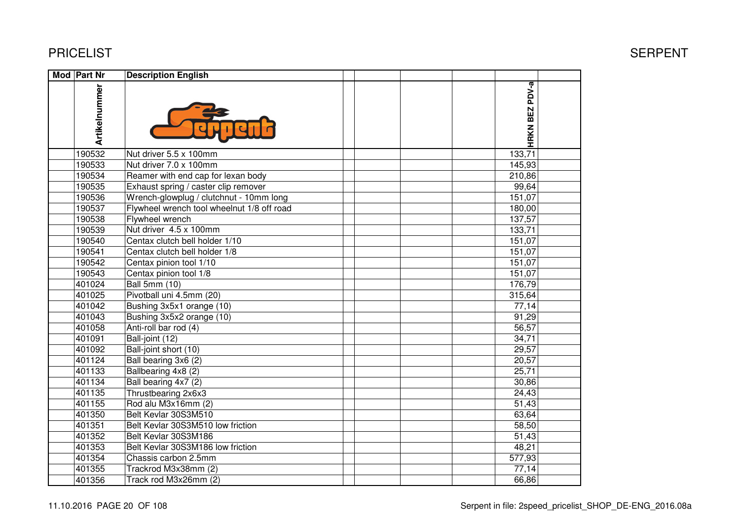| <b>Mod Part Nr</b> | <b>Description English</b>                 |                |
|--------------------|--------------------------------------------|----------------|
| Artikelnummer      |                                            | HRKN BEZ PDV-a |
| 190532             | Nut driver 5.5 x 100mm                     | 133,71         |
| 190533             | Nut driver 7.0 x 100mm                     | 145,93         |
| 190534             | Reamer with end cap for lexan body         | 210,86         |
| 190535             | Exhaust spring / caster clip remover       | 99,64          |
| 190536             | Wrench-glowplug / clutchnut - 10mm long    | 151,07         |
| 190537             | Flywheel wrench tool wheelnut 1/8 off road | 180,00         |
| 190538             | Flywheel wrench                            | 137,57         |
| 190539             | Nut driver 4.5 x 100mm                     | 133,71         |
| 190540             | Centax clutch bell holder 1/10             | 151,07         |
| 190541             | Centax clutch bell holder 1/8              | 151,07         |
| 190542             | Centax pinion tool 1/10                    | 151,07         |
| 190543             | Centax pinion tool 1/8                     | 151,07         |
| 401024             | <b>Ball 5mm (10)</b>                       | 176,79         |
| 401025             | Pivotball uni 4.5mm (20)                   | 315,64         |
| 401042             | Bushing 3x5x1 orange (10)                  | 77,14          |
| 401043             | Bushing 3x5x2 orange (10)                  | 91,29          |
| 401058             | Anti-roll bar rod (4)                      | 56,57          |
| 401091             | Ball-joint (12)                            | 34,71          |
| 401092             | Ball-joint short (10)                      | 29,57          |
| 401124             | Ball bearing 3x6 (2)                       | 20,57          |
| 401133             | Ballbearing 4x8 (2)                        | 25,71          |
| 401134             | Ball bearing 4x7 (2)                       | 30,86          |
| 401135             | Thrustbearing 2x6x3                        | 24,43          |
| 401155             | Rod alu M3x16mm (2)                        | 51,43          |
| 401350             | Belt Kevlar 30S3M510                       | 63,64          |
| 401351             | Belt Kevlar 30S3M510 low friction          | 58,50          |
| 401352             | Belt Kevlar 30S3M186                       | 51,43          |
| 401353             | Belt Kevlar 30S3M186 low friction          | 48,21          |
| 401354             | Chassis carbon 2.5mm                       | 577,93         |
| 401355             | Trackrod M3x38mm (2)                       | 77,14          |
| 401356             | Track rod M3x26mm (2)                      | 66,86          |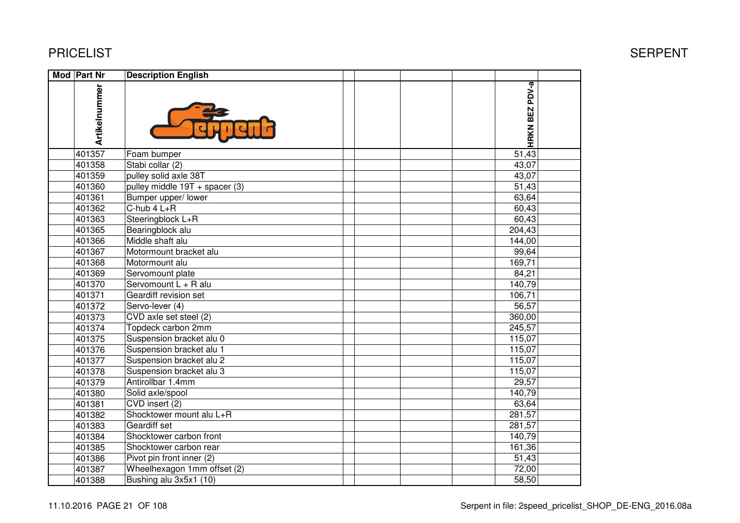| Mod Part Nr   | <b>Description English</b>       |                |  |
|---------------|----------------------------------|----------------|--|
| Artikelnummer |                                  | HRKN BEZ PDV-a |  |
| 401357        | Foam bumper                      | 51,43          |  |
| 401358        | Stabi collar (2)                 | 43,07          |  |
| 401359        | pulley solid axle 38T            | 43,07          |  |
| 401360        | pulley middle $19T +$ spacer (3) | 51,43          |  |
| 401361        | Bumper upper/ lower              | 63,64          |  |
| 401362        | $C$ -hub 4 $L+R$                 | 60,43          |  |
| 401363        | Steeringblock L+R                | 60,43          |  |
| 401365        | Bearingblock alu                 | 204,43         |  |
| 401366        | Middle shaft alu                 | 144,00         |  |
| 401367        | Motormount bracket alu           | 99,64          |  |
| 401368        | Motormount alu                   | 169,71         |  |
| 401369        | Servomount plate                 | 84,21          |  |
| 401370        | Servomount L + R alu             | 140,79         |  |
| 401371        | Geardiff revision set            | 106,71         |  |
| 401372        | Servo-lever (4)                  | 56,57          |  |
| 401373        | CVD axle set steel (2)           | 360,00         |  |
| 401374        | Topdeck carbon 2mm               | 245,57         |  |
| 401375        | Suspension bracket alu 0         | 115,07         |  |
| 401376        | Suspension bracket alu 1         | 115,07         |  |
| 401377        | Suspension bracket alu 2         | 115,07         |  |
| 401378        | Suspension bracket alu 3         | 115,07         |  |
| 401379        | Antirollbar 1.4mm                | 29,57          |  |
| 401380        | Solid axle/spool                 | 140,79         |  |
| 401381        | CVD insert (2)                   | 63,64          |  |
| 401382        | Shocktower mount alu L+R         | 281,57         |  |
| 401383        | Geardiff set                     | 281,57         |  |
| 401384        | Shocktower carbon front          | 140,79         |  |
| 401385        | Shocktower carbon rear           | 161,36         |  |
| 401386        | Pivot pin front inner (2)        | 51,43          |  |
| 401387        | Wheelhexagon 1mm offset (2)      | 72,00          |  |
| 401388        | Bushing alu 3x5x1 (10)           | 58,50          |  |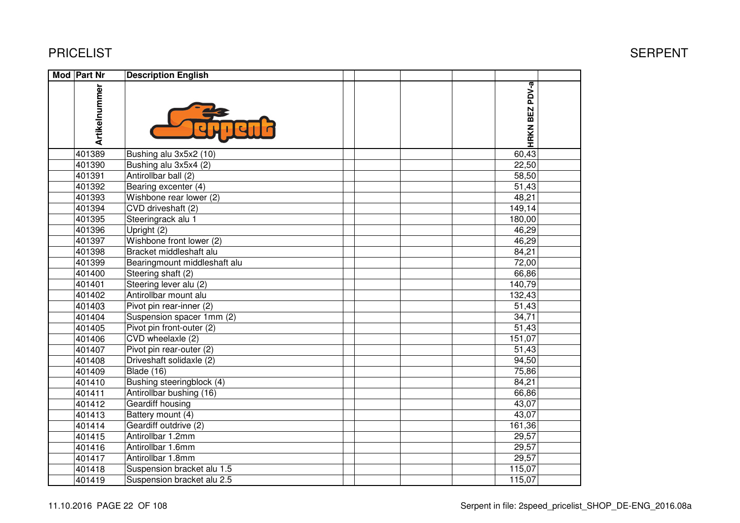| Mod Part Nr   | <b>Description English</b>   |  |  |                     |  |
|---------------|------------------------------|--|--|---------------------|--|
| Artikelnummer |                              |  |  | HRKN BEZ PDV-a      |  |
| 401389        | Bushing alu 3x5x2 (10)       |  |  | 60,43               |  |
| 401390        | Bushing alu 3x5x4 (2)        |  |  | 22,50               |  |
| 401391        | Antirollbar ball (2)         |  |  | 58,50               |  |
| 401392        | Bearing excenter (4)         |  |  | 51,43               |  |
| 401393        | Wishbone rear lower (2)      |  |  | 48,21               |  |
| 401394        | CVD driveshaft (2)           |  |  | 149,14              |  |
| 401395        | Steeringrack alu 1           |  |  | 180,00              |  |
| 401396        | Upright (2)                  |  |  | 46,29               |  |
| 401397        | Wishbone front lower (2)     |  |  | 46,29               |  |
| 401398        | Bracket middleshaft alu      |  |  | 84,21               |  |
| 401399        | Bearingmount middleshaft alu |  |  | 72,00               |  |
| 401400        | Steering shaft (2)           |  |  | 66,86               |  |
| 401401        | Steering lever alu (2)       |  |  | 140,79              |  |
| 401402        | Antirollbar mount alu        |  |  | $\overline{132,43}$ |  |
| 401403        | Pivot pin rear-inner (2)     |  |  | 51,43               |  |
| 401404        | Suspension spacer 1mm (2)    |  |  | 34,71               |  |
| 401405        | Pivot pin front-outer (2)    |  |  | 51,43               |  |
| 401406        | CVD wheelaxle (2)            |  |  | 151,07              |  |
| 401407        | Pivot pin rear-outer (2)     |  |  | 51,43               |  |
| 401408        | Driveshaft solidaxle (2)     |  |  | 94,50               |  |
| 401409        | Blade (16)                   |  |  | 75,86               |  |
| 401410        | Bushing steeringblock (4)    |  |  | 84,21               |  |
| 401411        | Antirollbar bushing (16)     |  |  | 66,86               |  |
| 401412        | Geardiff housing             |  |  | 43,07               |  |
| 401413        | Battery mount (4)            |  |  | 43,07               |  |
| 401414        | Geardiff outdrive (2)        |  |  | 161,36              |  |
| 401415        | Antirollbar 1.2mm            |  |  | 29,57               |  |
| 401416        | Antirollbar 1.6mm            |  |  | 29,57               |  |
| 401417        | Antirollbar 1.8mm            |  |  | 29,57               |  |
| 401418        | Suspension bracket alu 1.5   |  |  | 115,07              |  |
| 401419        | Suspension bracket alu 2.5   |  |  | 115,07              |  |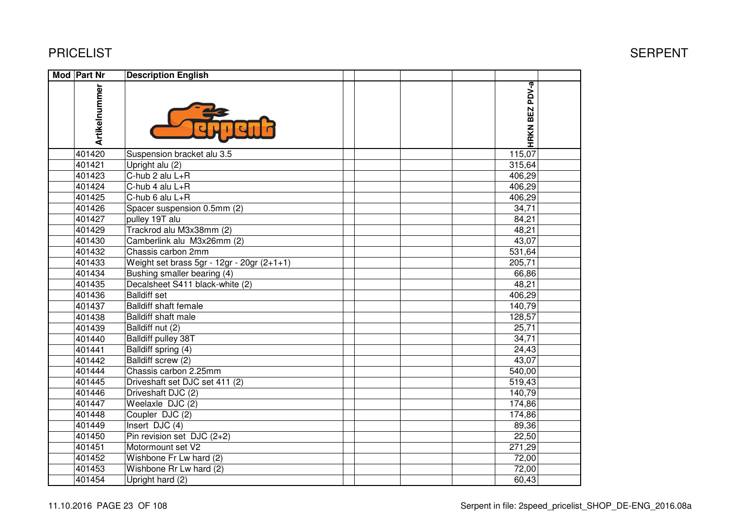| Mod Part Nr   | <b>Description English</b>                   |                     |  |
|---------------|----------------------------------------------|---------------------|--|
| Artikelnummer |                                              | HRKN BEZ PDV-a      |  |
| 401420        | Suspension bracket alu 3.5                   | 115,07              |  |
| 401421        | Upright alu (2)                              | 315,64              |  |
| 401423        | C-hub 2 alu L+R                              | 406,29              |  |
| 401424        | $\overline{C}$ -hub 4 alu L+R                | 406,29              |  |
| 401425        | C-hub 6 alu L+R                              | 406,29              |  |
| 401426        | Spacer suspension 0.5mm (2)                  | 34,71               |  |
| 401427        | pulley 19T alu                               | 84,21               |  |
| 401429        | Trackrod alu M3x38mm (2)                     | 48,21               |  |
| 401430        | Camberlink alu M3x26mm (2)                   | 43,07               |  |
| 401432        | Chassis carbon 2mm                           | 531,64              |  |
| 401433        | Weight set brass 5gr - 12gr - 20gr $(2+1+1)$ | 205,71              |  |
| 401434        | Bushing smaller bearing (4)                  | 66,86               |  |
| 401435        | Decalsheet S411 black-white (2)              | 48,21               |  |
| 401436        | <b>Balldiff set</b>                          | 406,29              |  |
| 401437        | <b>Balldiff shaft female</b>                 | 140,79              |  |
| 401438        | Balldiff shaft male                          | 128,57              |  |
| 401439        | Balldiff nut (2)                             | 25,71               |  |
| 401440        | <b>Balldiff pulley 38T</b>                   | 34,71               |  |
| 401441        | Balldiff spring (4)                          | 24,43               |  |
| 401442        | Balldiff screw (2)                           | 43,07               |  |
| 401444        | Chassis carbon 2.25mm                        | 540,00              |  |
| 401445        | Driveshaft set DJC set 411 (2)               | 519,43              |  |
| 401446        | Driveshaft DJC (2)                           | 140,79              |  |
| 401447        | Weelaxle DJC (2)                             | 174,86              |  |
| 401448        | Coupler DJC (2)                              | 174,86              |  |
| 401449        | Insert DJC (4)                               | 89,36               |  |
| 401450        | Pin revision set $DJC(2+2)$                  | 22,50               |  |
| 401451        | Motormount set V2                            | $\overline{271,29}$ |  |
| 401452        | Wishbone Fr Lw hard (2)                      | 72,00               |  |
| 401453        | Wishbone Rr Lw hard (2)                      | 72,00               |  |
| 401454        | Upright hard (2)                             | 60,43               |  |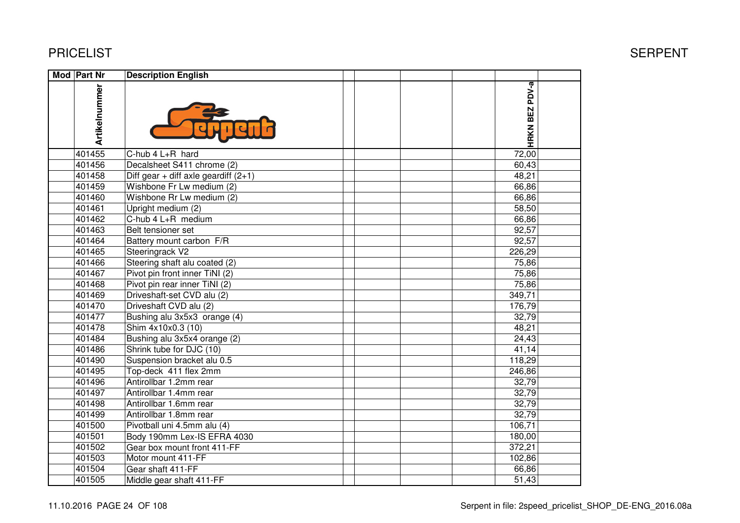| Mod Part Nr   | <b>Description English</b>             |                |  |
|---------------|----------------------------------------|----------------|--|
| Artikelnummer |                                        | HRKN BEZ PDV-a |  |
| 401455        | C-hub 4 L+R hard                       | 72,00          |  |
| 401456        | Decalsheet S411 chrome (2)             | 60,43          |  |
| 401458        | Diff gear + diff axle geardiff $(2+1)$ | 48,21          |  |
| 401459        | Wishbone Fr Lw medium (2)              | 66,86          |  |
| 401460        | Wishbone Rr Lw medium (2)              | 66,86          |  |
| 401461        | Upright medium (2)                     | 58,50          |  |
| 401462        | C-hub 4 L+R medium                     | 66,86          |  |
| 401463        | Belt tensioner set                     | 92,57          |  |
| 401464        | Battery mount carbon F/R               | 92,57          |  |
| 401465        | Steeringrack V2                        | 226,29         |  |
| 401466        | Steering shaft alu coated (2)          | 75,86          |  |
| 401467        | Pivot pin front inner TiNI (2)         | 75,86          |  |
| 401468        | Pivot pin rear inner TiNI (2)          | 75,86          |  |
| 401469        | Driveshaft-set CVD alu (2)             | 349,71         |  |
| 401470        | Driveshaft CVD alu (2)                 | 176,79         |  |
| 401477        | Bushing alu 3x5x3 orange (4)           | 32,79          |  |
| 401478        | Shim 4x10x0.3 (10)                     | 48,21          |  |
| 401484        | Bushing alu 3x5x4 orange (2)           | 24,43          |  |
| 401486        | Shrink tube for DJC (10)               | 41,14          |  |
| 401490        | Suspension bracket alu 0.5             | 118,29         |  |
| 401495        | Top-deck 411 flex 2mm                  | 246,86         |  |
| 401496        | Antirollbar 1.2mm rear                 | 32,79          |  |
| 401497        | Antirollbar 1.4mm rear                 | 32,79          |  |
| 401498        | Antirollbar 1.6mm rear                 | 32,79          |  |
| 401499        | Antirollbar 1.8mm rear                 | 32,79          |  |
| 401500        | Pivotball uni 4.5mm alu (4)            | 106,71         |  |
| 401501        | Body 190mm Lex-IS EFRA 4030            | 180,00         |  |
| 401502        | Gear box mount front 411-FF            | 372,21         |  |
| 401503        | Motor mount 411-FF                     | 102,86         |  |
| 401504        | Gear shaft 411-FF                      | 66,86          |  |
| 401505        | Middle gear shaft 411-FF               | 51,43          |  |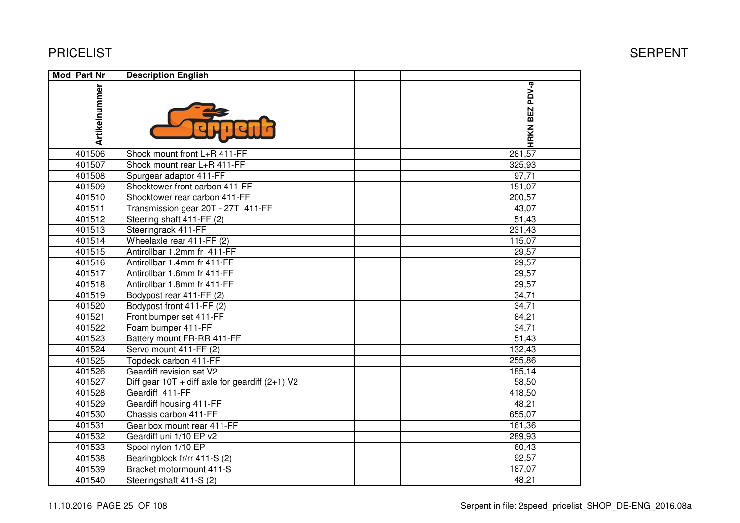| <b>Mod Part Nr</b> | <b>Description English</b>                        |                |  |
|--------------------|---------------------------------------------------|----------------|--|
| Artikelnummer      |                                                   | HRKN BEZ PDV-a |  |
| 401506             | Shock mount front L+R 411-FF                      | 281,57         |  |
| 401507             | Shock mount rear L+R 411-FF                       | 325,93         |  |
| 401508             | Spurgear adaptor 411-FF                           | 97,71          |  |
| 401509             | Shocktower front carbon 411-FF                    | 151,07         |  |
| 401510             | Shocktower rear carbon 411-FF                     | 200,57         |  |
| 401511             | Transmission gear 20T - 27T 411-FF                | 43,07          |  |
| 401512             | Steering shaft 411-FF (2)                         | 51,43          |  |
| 401513             | Steeringrack 411-FF                               | 231,43         |  |
| 401514             | Wheelaxle rear 411-FF (2)                         | 115,07         |  |
| 401515             | Antirollbar 1.2mm fr 411-FF                       | 29,57          |  |
| 401516             | Antirollbar 1.4mm fr 411-FF                       | 29,57          |  |
| 401517             | Antirollbar 1.6mm fr 411-FF                       | 29,57          |  |
| 401518             | Antirollbar 1.8mm fr 411-FF                       | 29,57          |  |
| 401519             | Bodypost rear 411-FF (2)                          | 34,71          |  |
| 401520             | Bodypost front 411-FF (2)                         | 34,71          |  |
| 401521             | Front bumper set 411-FF                           | 84,21          |  |
| 401522             | Foam bumper 411-FF                                | 34,71          |  |
| 401523             | Battery mount FR-RR 411-FF                        | 51,43          |  |
| 401524             | Servo mount 411-FF (2)                            | 132,43         |  |
| 401525             | Topdeck carbon 411-FF                             | 255,86         |  |
| 401526             | Geardiff revision set V2                          | 185,14         |  |
| 401527             | Diff gear 10T + diff axle for geardiff $(2+1)$ V2 | 58,50          |  |
| 401528             | Geardiff 411-FF                                   | 418,50         |  |
| 401529             | Geardiff housing 411-FF                           | 48,21          |  |
| 401530             | Chassis carbon 411-FF                             | 655,07         |  |
| 401531             | Gear box mount rear 411-FF                        | 161,36         |  |
| 401532             | Geardiff uni 1/10 EP v2                           | 289,93         |  |
| 401533             | Spool nylon 1/10 EP                               | 60,43          |  |
| 401538             | Bearingblock fr/rr 411-S (2)                      | 92,57          |  |
| 401539             | Bracket motormount 411-S                          | 187,07         |  |
| 401540             | Steeringshaft 411-S (2)                           | 48,21          |  |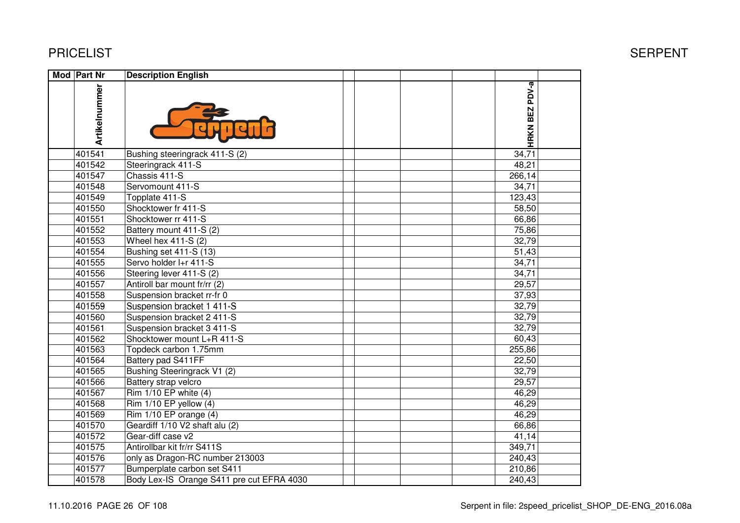| Mod Part Nr   | <b>Description English</b>                |                          |  |
|---------------|-------------------------------------------|--------------------------|--|
| Artikelnummer |                                           | PDV-a<br><b>HRKN BEZ</b> |  |
| 401541        | Bushing steeringrack 411-S (2)            | 34,71                    |  |
| 401542        | Steeringrack 411-S                        | 48,21                    |  |
| 401547        | Chassis 411-S                             | 266,14                   |  |
| 401548        | Servomount 411-S                          | 34,71                    |  |
| 401549        | Topplate 411-S                            | 123,43                   |  |
| 401550        | Shocktower fr 411-S                       | 58,50                    |  |
| 401551        | Shocktower rr 411-S                       | 66,86                    |  |
| 401552        | Battery mount 411-S (2)                   | 75,86                    |  |
| 401553        | Wheel hex 411-S (2)                       | 32,79                    |  |
| 401554        | Bushing set 411-S (13)                    | 51,43                    |  |
| 401555        | Servo holder I+r 411-S                    | 34,71                    |  |
| 401556        | Steering lever 411-S (2)                  | 34,71                    |  |
| 401557        | Antiroll bar mount fr/rr (2)              | 29,57                    |  |
| 401558        | Suspension bracket rr-fr 0                | 37,93                    |  |
| 401559        | Suspension bracket 1 411-S                | 32,79                    |  |
| 401560        | Suspension bracket 2 411-S                | 32,79                    |  |
| 401561        | Suspension bracket 3 411-S                | 32,79                    |  |
| 401562        | Shocktower mount L+R 411-S                | 60,43                    |  |
| 401563        | Topdeck carbon 1.75mm                     | 255,86                   |  |
| 401564        | Battery pad S411FF                        | 22,50                    |  |
| 401565        | Bushing Steeringrack V1 (2)               | 32,79                    |  |
| 401566        | Battery strap velcro                      | 29,57                    |  |
| 401567        | Rim 1/10 EP white (4)                     | 46,29                    |  |
| 401568        | Rim 1/10 EP yellow (4)                    | 46,29                    |  |
| 401569        | $\overline{R}$ im 1/10 EP orange (4)      | 46,29                    |  |
| 401570        | Geardiff 1/10 V2 shaft alu (2)            | 66,86                    |  |
| 401572        | Gear-diff case v2                         | 41,14                    |  |
| 401575        | Antirollbar kit fr/rr S411S               | 349,71                   |  |
| 401576        | only as Dragon-RC number 213003           | 240,43                   |  |
| 401577        | Bumperplate carbon set S411               | 210,86                   |  |
| 401578        | Body Lex-IS Orange S411 pre cut EFRA 4030 | 240,43                   |  |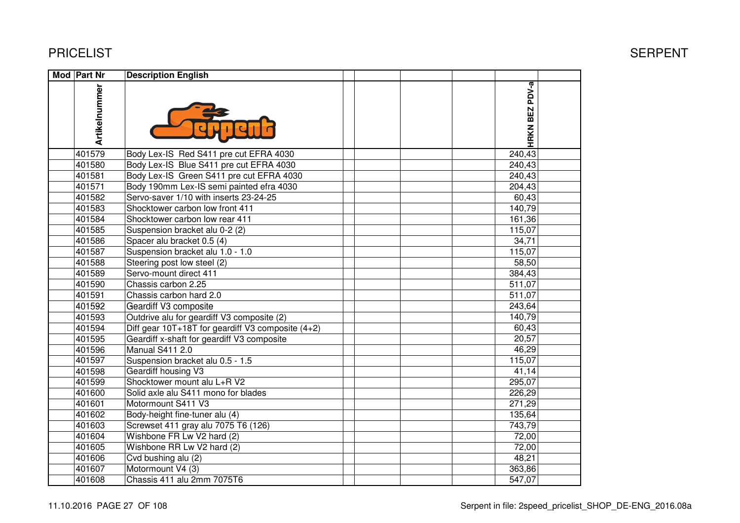| <b>Mod Part Nr</b> |               | <b>Description English</b>                            |  |                |  |
|--------------------|---------------|-------------------------------------------------------|--|----------------|--|
|                    | Artikelnummer |                                                       |  | HRKN BEZ PDV-a |  |
|                    | 401579        | Body Lex-IS Red S411 pre cut EFRA 4030                |  | 240,43         |  |
|                    | 401580        | Body Lex-IS Blue S411 pre cut EFRA 4030               |  | 240,43         |  |
|                    | 401581        | Body Lex-IS Green S411 pre cut EFRA 4030              |  | 240,43         |  |
|                    | 401571        | Body 190mm Lex-IS semi painted efra 4030              |  | 204,43         |  |
|                    | 401582        | Servo-saver 1/10 with inserts 23-24-25                |  | 60,43          |  |
|                    | 401583        | Shocktower carbon low front 411                       |  | 140,79         |  |
|                    | 401584        | Shocktower carbon low rear 411                        |  | 161,36         |  |
|                    | 401585        | Suspension bracket alu 0-2 (2)                        |  | 115,07         |  |
|                    | 401586        | Spacer alu bracket 0.5 (4)                            |  | 34,71          |  |
|                    | 401587        | Suspension bracket alu 1.0 - 1.0                      |  | 115,07         |  |
|                    | 401588        | Steering post low steel (2)                           |  | 58,50          |  |
|                    | 401589        | Servo-mount direct 411                                |  | 384,43         |  |
|                    | 401590        | Chassis carbon 2.25                                   |  | 511,07         |  |
|                    | 401591        | Chassis carbon hard 2.0                               |  | 511,07         |  |
|                    | 401592        | Geardiff V3 composite                                 |  | 243,64         |  |
|                    | 401593        | Outdrive alu for geardiff V3 composite (2)            |  | 140,79         |  |
|                    | 401594        | Diff gear $10T+18T$ for geardiff V3 composite $(4+2)$ |  | 60,43          |  |
|                    | 401595        | Geardiff x-shaft for geardiff V3 composite            |  | 20,57          |  |
|                    | 401596        | <b>Manual S411 2.0</b>                                |  | 46,29          |  |
|                    | 401597        | Suspension bracket alu 0.5 - 1.5                      |  | 115,07         |  |
|                    | 401598        | Geardiff housing V3                                   |  | 41,14          |  |
|                    | 401599        | Shocktower mount alu L+R V2                           |  | 295,07         |  |
|                    | 401600        | Solid axle alu S411 mono for blades                   |  | 226,29         |  |
|                    | 401601        | Motormount S411 V3                                    |  | 271,29         |  |
|                    | 401602        | Body-height fine-tuner alu (4)                        |  | 135,64         |  |
|                    | 401603        | Screwset 411 gray alu 7075 T6 (126)                   |  | 743,79         |  |
|                    | 401604        | Wishbone FR Lw V2 hard (2)                            |  | 72,00          |  |
|                    | 401605        | Wishbone RR Lw V2 hard (2)                            |  | 72,00          |  |
|                    | 401606        | Cvd bushing alu (2)                                   |  | 48,21          |  |
|                    | 401607        | Motormount V4 (3)                                     |  | 363,86         |  |
|                    | 401608        | Chassis 411 alu 2mm 7075T6                            |  | 547,07         |  |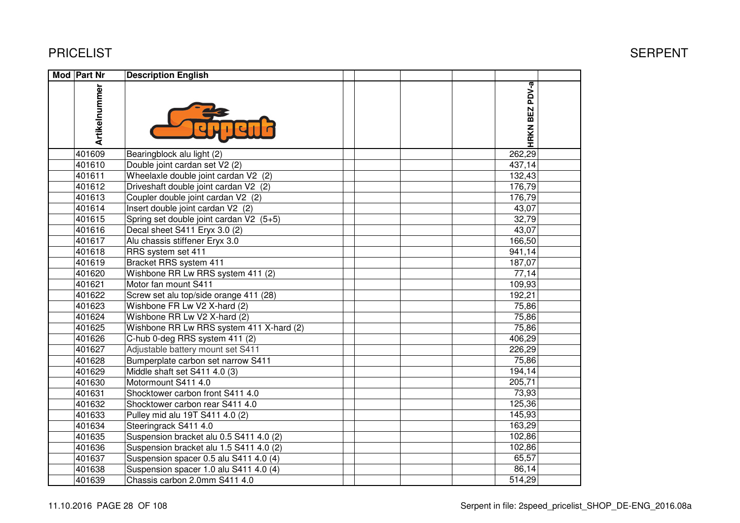| <b>Mod Part Nr</b> | <b>Description English</b>               |                |  |
|--------------------|------------------------------------------|----------------|--|
| Artikelnummer      |                                          | HRKN BEZ PDV-a |  |
| 401609             | Bearingblock alu light (2)               | 262,29         |  |
| 401610             | Double joint cardan set V2 (2)           | 437,14         |  |
| 401611             | Wheelaxle double joint cardan V2 (2)     | 132,43         |  |
| 401612             | Driveshaft double joint cardan V2 (2)    | 176,79         |  |
| 401613             | Coupler double joint cardan V2 (2)       | 176,79         |  |
| 401614             | Insert double joint cardan V2 (2)        | 43,07          |  |
| 401615             | Spring set double joint cardan V2 (5+5)  | 32,79          |  |
| 401616             | Decal sheet S411 Eryx 3.0 (2)            | 43,07          |  |
| 401617             | Alu chassis stiffener Eryx 3.0           | 166,50         |  |
| 401618             | RRS system set 411                       | 941,14         |  |
| 401619             | Bracket RRS system 411                   | 187,07         |  |
| 401620             | Wishbone RR Lw RRS system 411 (2)        | 77,14          |  |
| 401621             | Motor fan mount S411                     | 109,93         |  |
| 401622             | Screw set alu top/side orange 411 (28)   | 192,21         |  |
| 401623             | Wishbone FR Lw V2 X-hard (2)             | 75,86          |  |
| 401624             | Wishbone RR Lw V2 X-hard (2)             | 75,86          |  |
| 401625             | Wishbone RR Lw RRS system 411 X-hard (2) | 75,86          |  |
| 401626             | C-hub 0-deg RRS system 411 (2)           | 406,29         |  |
| 401627             | Adjustable battery mount set S411        | 226,29         |  |
| 401628             | Bumperplate carbon set narrow S411       | 75,86          |  |
| 401629             | Middle shaft set S411 4.0 (3)            | 194,14         |  |
| 401630             | Motormount S411 4.0                      | 205,71         |  |
| 401631             | Shocktower carbon front S411 4.0         | 73,93          |  |
| 401632             | Shocktower carbon rear S411 4.0          | 125,36         |  |
| 401633             | Pulley mid alu 19T S411 4.0 (2)          | 145,93         |  |
| 401634             | Steeringrack S411 4.0                    | 163,29         |  |
| 401635             | Suspension bracket alu 0.5 S411 4.0 (2)  | 102,86         |  |
| 401636             | Suspension bracket alu 1.5 S411 4.0 (2)  | 102,86         |  |
| 401637             | Suspension spacer 0.5 alu S411 4.0 (4)   | 65,57          |  |
| 401638             | Suspension spacer 1.0 alu S411 4.0 (4)   | 86,14          |  |
| 401639             | Chassis carbon 2.0mm S411 4.0            | 514,29         |  |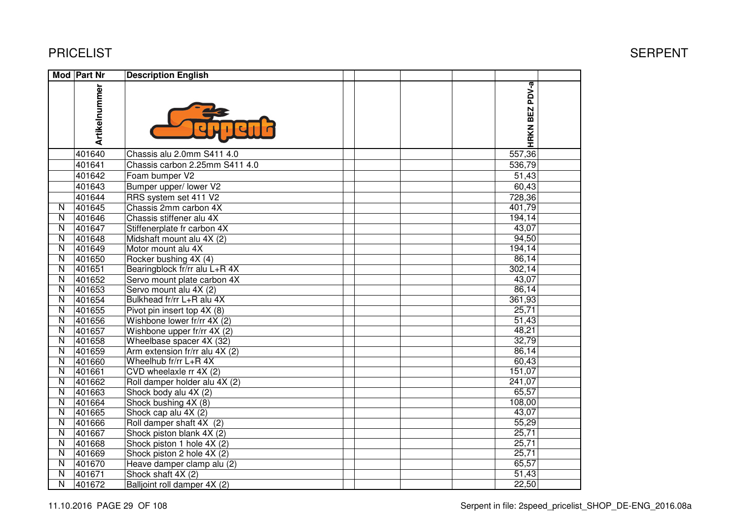|                         | Mod Part Nr   | <b>Description English</b>     |                |  |
|-------------------------|---------------|--------------------------------|----------------|--|
|                         | Artikelnummer |                                | HRKN BEZ PDV-a |  |
|                         | 401640        | Chassis alu 2.0mm S411 4.0     | 557,36         |  |
|                         | 401641        | Chassis carbon 2.25mm S411 4.0 | 536,79         |  |
|                         | 401642        | Foam bumper V2                 | 51,43          |  |
|                         | 401643        | Bumper upper/ lower V2         | 60,43          |  |
|                         | 401644        | RRS system set 411 V2          | 728,36         |  |
| N                       | 401645        | Chassis 2mm carbon 4X          | 401,79         |  |
| $\overline{\mathsf{N}}$ | 401646        | Chassis stiffener alu 4X       | 194,14         |  |
| N                       | 401647        | Stiffenerplate fr carbon 4X    | 43,07          |  |
| $\overline{\mathsf{N}}$ | 401648        | Midshaft mount alu 4X (2)      | 94,50          |  |
| $\overline{\mathsf{N}}$ | 401649        | Motor mount alu 4X             | 194,14         |  |
| $\overline{\mathsf{N}}$ | 401650        | Rocker bushing 4X (4)          | 86,14          |  |
| $\overline{\mathsf{N}}$ | 401651        | Bearingblock fr/rr alu L+R 4X  | 302,14         |  |
| $\overline{\mathsf{N}}$ | 401652        | Servo mount plate carbon 4X    | 43,07          |  |
| N                       | 401653        | Servo mount alu 4X (2)         | 86,14          |  |
| N                       | 401654        | Bulkhead fr/rr L+R alu 4X      | 361,93         |  |
| $\mathsf{N}$            | 401655        | Pivot pin insert top 4X (8)    | 25,71          |  |
| N                       | 401656        | Wishbone lower fr/rr 4X (2)    | 51,43          |  |
| $\mathsf{N}$            | 401657        | Wishbone upper fr/rr 4X (2)    | 48,21          |  |
| N                       | 401658        | Wheelbase spacer 4X (32)       | 32,79          |  |
| $\overline{\mathsf{N}}$ | 401659        | Arm extension fr/rr alu 4X (2) | 86,14          |  |
| $\overline{\mathsf{N}}$ | 401660        | Wheelhub fr/rr L+R 4X          | 60,43          |  |
| $\overline{\mathsf{N}}$ | 401661        | CVD wheelaxle rr 4X (2)        | 151,07         |  |
| $\overline{\mathsf{N}}$ | 401662        | Roll damper holder alu 4X (2)  | 241,07         |  |
| $\overline{\mathsf{N}}$ | 401663        | Shock body alu 4X (2)          | 65,57          |  |
| $\overline{\mathsf{N}}$ | 401664        | Shock bushing 4X (8)           | 108,00         |  |
| $\overline{\mathsf{N}}$ | 401665        | Shock cap alu 4X (2)           | 43,07          |  |
| $\overline{\mathsf{N}}$ | 401666        | Roll damper shaft 4X (2)       | 55,29          |  |
| N                       | 401667        | Shock piston blank 4X (2)      | 25,71          |  |
| N                       | 401668        | Shock piston 1 hole 4X (2)     | 25,71          |  |
| N                       | 401669        | Shock piston 2 hole 4X (2)     | 25,71          |  |
| N                       | 401670        | Heave damper clamp alu (2)     | 65,57          |  |
| N                       | 401671        | Shock shaft 4X (2)             | 51,43          |  |
| N                       | 401672        | Balljoint roll damper 4X (2)   | 22,50          |  |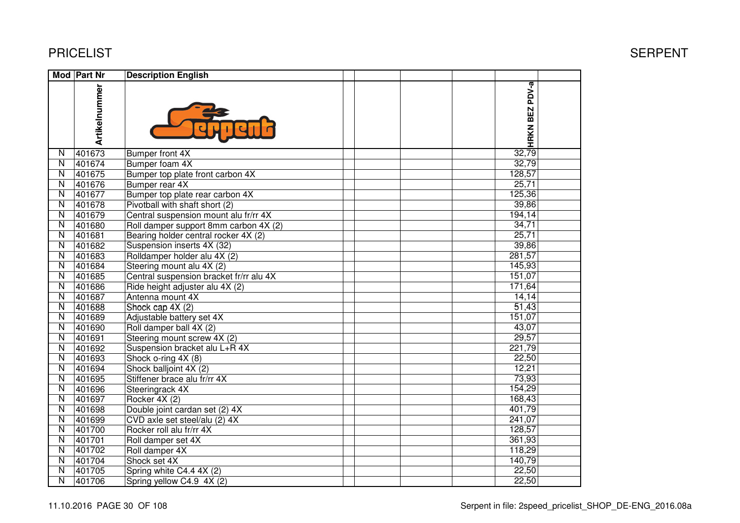|                         | Mod Part Nr   | <b>Description English</b>              |                |  |
|-------------------------|---------------|-----------------------------------------|----------------|--|
|                         | Artikelnummer |                                         | HRKN BEZ PDV-a |  |
| $\overline{N}$          | 401673        | Bumper front 4X                         | 32,79          |  |
| $\overline{\mathsf{N}}$ | 401674        | Bumper foam 4X                          | 32,79          |  |
| $\overline{\mathsf{N}}$ | 401675        | Bumper top plate front carbon 4X        | 128,57         |  |
| $\overline{\mathsf{N}}$ | 401676        | Bumper rear 4X                          | 25,71          |  |
| N                       | 401677        | Bumper top plate rear carbon 4X         | 125,36         |  |
| $\overline{\mathsf{N}}$ | 401678        | Pivotball with shaft short (2)          | 39,86          |  |
| $\overline{\mathsf{N}}$ | 401679        | Central suspension mount alu fr/rr 4X   | 194,14         |  |
| $\overline{\mathsf{N}}$ | 401680        | Roll damper support 8mm carbon 4X (2)   | 34,71          |  |
| $\mathsf{N}$            | 401681        | Bearing holder central rocker 4X (2)    | 25,71          |  |
| $\overline{\mathsf{N}}$ | 401682        | Suspension inserts 4X (32)              | 39,86          |  |
| $\overline{\mathsf{N}}$ | 401683        | Rolldamper holder alu 4X (2)            | 281,57         |  |
| $\overline{\mathsf{N}}$ | 401684        | Steering mount alu 4X (2)               | 145,93         |  |
| $\overline{\mathsf{N}}$ | 401685        | Central suspension bracket fr/rr alu 4X | 151,07         |  |
| $\overline{\mathsf{N}}$ | 401686        | Ride height adjuster alu 4X (2)         | 171,64         |  |
| $\overline{\mathsf{N}}$ | 401687        | Antenna mount 4X                        | 14,14          |  |
| $\overline{\mathsf{N}}$ | 401688        | Shock cap 4X (2)                        | 51,43          |  |
| $\overline{\mathsf{N}}$ | 401689        | Adjustable battery set 4X               | 151,07         |  |
| $\overline{\mathsf{N}}$ | 401690        | Roll damper ball 4X (2)                 | 43,07          |  |
| $\overline{\mathsf{N}}$ | 401691        | Steering mount screw 4X (2)             | 29,57          |  |
| $\overline{\mathsf{N}}$ | 401692        | Suspension bracket alu L+R 4X           | 221,79         |  |
| $\overline{N}$          | 401693        | Shock o-ring 4X (8)                     | 22,50          |  |
| $\overline{N}$          | 401694        | Shock balljoint 4X (2)                  | 12,21          |  |
| $\overline{\mathsf{N}}$ | 401695        | Stiffener brace alu fr/rr 4X            | 73,93          |  |
| $\overline{\mathsf{N}}$ | 401696        | Steeringrack 4X                         | 154,29         |  |
| $\overline{\mathsf{N}}$ | 401697        | Rocker 4X (2)                           | 168,43         |  |
| $\overline{\mathsf{N}}$ | 401698        | Double joint cardan set (2) 4X          | 401,79         |  |
| $\overline{\mathsf{N}}$ | 401699        | CVD axle set steel/alu (2) 4X           | 241,07         |  |
| $\overline{N}$          | 401700        | Rocker roll alu fr/rr 4X                | 128,57         |  |
| $\overline{\mathsf{N}}$ | 401701        | Roll damper set 4X                      | 361,93         |  |
| $\overline{\mathsf{N}}$ | 401702        | Roll damper 4X                          | 118,29         |  |
| $\overline{\mathsf{N}}$ | 401704        | Shock set 4X                            | 140,79         |  |
| $\overline{N}$          | 401705        | Spring white C4.4 4X (2)                | 22,50          |  |
| N                       | 401706        | Spring yellow C4.9 4X (2)               | 22,50          |  |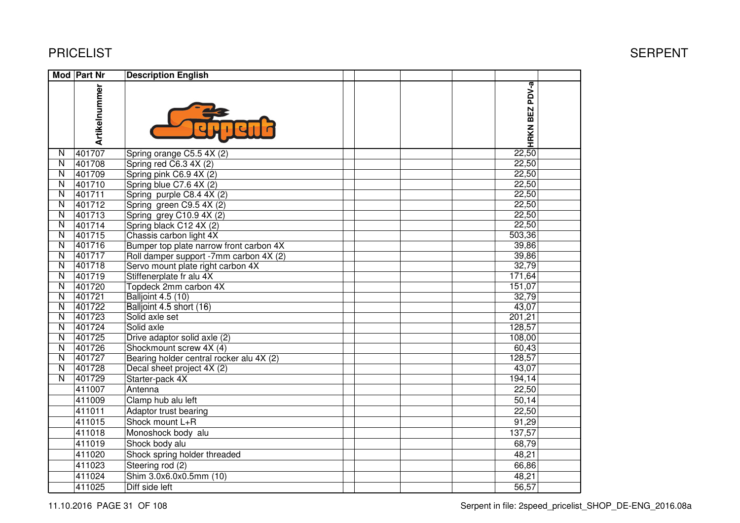| HRKN BEZ PDV-a<br>Artikelnummer<br>22,50<br>401707<br>N<br>Spring orange C5.5 $4\overline{X(2)}$<br>22,50<br>$\overline{\mathsf{N}}$<br>401708<br>Spring red C6.3 4X (2)<br>$\overline{\mathsf{N}}$<br>401709<br>22,50<br>Spring pink C6.9 4X (2)<br>$\overline{\mathsf{N}}$<br>401710<br>22,50<br>Spring blue C7.6 4X (2)<br>$\overline{\mathsf{N}}$<br>401711<br>22,50<br>Spring purple C8.4 4X (2)<br>401712<br>22,50<br>$\overline{\mathsf{N}}$<br>Spring green C9.5 4X (2)<br>401713<br>22,50<br>$\overline{\mathsf{N}}$<br>Spring grey C10.9 4X (2)<br>401714<br>22,50<br>$\mathsf{N}$<br>Spring black C12 4X (2)<br>$\overline{\mathsf{N}}$<br>401715<br>503,36<br>Chassis carbon light 4X<br>401716<br>39,86<br>$\overline{\mathsf{N}}$<br>Bumper top plate narrow front carbon 4X<br>401717<br>39,86<br>$\overline{\mathsf{N}}$<br>Roll damper support -7mm carbon 4X (2)<br>401718<br>32,79<br>$\overline{\mathsf{N}}$<br>Servo mount plate right carbon 4X<br>401719<br>$\overline{N}$<br>171,64<br>Stiffenerplate fr alu 4X<br>$\overline{N}$<br>401720<br>151,07<br>Topdeck 2mm carbon 4X<br>$\overline{\mathsf{N}}$<br>401721<br>32,79<br><b>Balljoint 4.5 (10)</b><br>401722<br>Balljoint 4.5 short (16)<br>43,07<br>N<br>401723<br>Solid axle set<br>201,21<br>$\overline{\mathsf{N}}$<br>401724<br>128,57<br>$\overline{\mathsf{N}}$<br>Solid axle<br>401725<br>Drive adaptor solid axle (2)<br>108,00<br>$\overline{\mathsf{N}}$<br>401726<br>$\overline{\mathsf{N}}$<br>Shockmount screw 4X (4)<br>60,43<br>401727<br>Bearing holder central rocker alu 4X (2)<br>128,57<br>$\overline{\mathsf{N}}$<br>401728<br>$\overline{\mathsf{N}}$<br>Decal sheet project 4X (2)<br>43,07<br>401729<br>$\overline{\mathsf{N}}$<br>194,14<br>Starter-pack 4X<br>Antenna<br>411007<br>22,50<br>411009<br>Clamp hub alu left<br>50,14<br>411011<br>Adaptor trust bearing<br>22,50<br>411015<br>Shock mount L+R<br>91,29<br>411018<br>137,57<br>Monoshock body alu<br>68,79<br>411019<br>Shock body alu<br>411020<br>48,21<br>Shock spring holder threaded<br>66,86<br>411023<br>Steering rod (2)<br>Shim 3.0x6.0x0.5mm (10)<br>411024<br>48,21 | Mod Part Nr | <b>Description English</b> |       |  |
|------------------------------------------------------------------------------------------------------------------------------------------------------------------------------------------------------------------------------------------------------------------------------------------------------------------------------------------------------------------------------------------------------------------------------------------------------------------------------------------------------------------------------------------------------------------------------------------------------------------------------------------------------------------------------------------------------------------------------------------------------------------------------------------------------------------------------------------------------------------------------------------------------------------------------------------------------------------------------------------------------------------------------------------------------------------------------------------------------------------------------------------------------------------------------------------------------------------------------------------------------------------------------------------------------------------------------------------------------------------------------------------------------------------------------------------------------------------------------------------------------------------------------------------------------------------------------------------------------------------------------------------------------------------------------------------------------------------------------------------------------------------------------------------------------------------------------------------------------------------------------------------------------------------------------------------------------------------------------------------------------------------------------------------------------------------------------------------------------------------------------------------------------|-------------|----------------------------|-------|--|
|                                                                                                                                                                                                                                                                                                                                                                                                                                                                                                                                                                                                                                                                                                                                                                                                                                                                                                                                                                                                                                                                                                                                                                                                                                                                                                                                                                                                                                                                                                                                                                                                                                                                                                                                                                                                                                                                                                                                                                                                                                                                                                                                                      |             |                            |       |  |
|                                                                                                                                                                                                                                                                                                                                                                                                                                                                                                                                                                                                                                                                                                                                                                                                                                                                                                                                                                                                                                                                                                                                                                                                                                                                                                                                                                                                                                                                                                                                                                                                                                                                                                                                                                                                                                                                                                                                                                                                                                                                                                                                                      |             |                            |       |  |
|                                                                                                                                                                                                                                                                                                                                                                                                                                                                                                                                                                                                                                                                                                                                                                                                                                                                                                                                                                                                                                                                                                                                                                                                                                                                                                                                                                                                                                                                                                                                                                                                                                                                                                                                                                                                                                                                                                                                                                                                                                                                                                                                                      |             |                            |       |  |
|                                                                                                                                                                                                                                                                                                                                                                                                                                                                                                                                                                                                                                                                                                                                                                                                                                                                                                                                                                                                                                                                                                                                                                                                                                                                                                                                                                                                                                                                                                                                                                                                                                                                                                                                                                                                                                                                                                                                                                                                                                                                                                                                                      |             |                            |       |  |
|                                                                                                                                                                                                                                                                                                                                                                                                                                                                                                                                                                                                                                                                                                                                                                                                                                                                                                                                                                                                                                                                                                                                                                                                                                                                                                                                                                                                                                                                                                                                                                                                                                                                                                                                                                                                                                                                                                                                                                                                                                                                                                                                                      |             |                            |       |  |
|                                                                                                                                                                                                                                                                                                                                                                                                                                                                                                                                                                                                                                                                                                                                                                                                                                                                                                                                                                                                                                                                                                                                                                                                                                                                                                                                                                                                                                                                                                                                                                                                                                                                                                                                                                                                                                                                                                                                                                                                                                                                                                                                                      |             |                            |       |  |
|                                                                                                                                                                                                                                                                                                                                                                                                                                                                                                                                                                                                                                                                                                                                                                                                                                                                                                                                                                                                                                                                                                                                                                                                                                                                                                                                                                                                                                                                                                                                                                                                                                                                                                                                                                                                                                                                                                                                                                                                                                                                                                                                                      |             |                            |       |  |
|                                                                                                                                                                                                                                                                                                                                                                                                                                                                                                                                                                                                                                                                                                                                                                                                                                                                                                                                                                                                                                                                                                                                                                                                                                                                                                                                                                                                                                                                                                                                                                                                                                                                                                                                                                                                                                                                                                                                                                                                                                                                                                                                                      |             |                            |       |  |
|                                                                                                                                                                                                                                                                                                                                                                                                                                                                                                                                                                                                                                                                                                                                                                                                                                                                                                                                                                                                                                                                                                                                                                                                                                                                                                                                                                                                                                                                                                                                                                                                                                                                                                                                                                                                                                                                                                                                                                                                                                                                                                                                                      |             |                            |       |  |
|                                                                                                                                                                                                                                                                                                                                                                                                                                                                                                                                                                                                                                                                                                                                                                                                                                                                                                                                                                                                                                                                                                                                                                                                                                                                                                                                                                                                                                                                                                                                                                                                                                                                                                                                                                                                                                                                                                                                                                                                                                                                                                                                                      |             |                            |       |  |
|                                                                                                                                                                                                                                                                                                                                                                                                                                                                                                                                                                                                                                                                                                                                                                                                                                                                                                                                                                                                                                                                                                                                                                                                                                                                                                                                                                                                                                                                                                                                                                                                                                                                                                                                                                                                                                                                                                                                                                                                                                                                                                                                                      |             |                            |       |  |
|                                                                                                                                                                                                                                                                                                                                                                                                                                                                                                                                                                                                                                                                                                                                                                                                                                                                                                                                                                                                                                                                                                                                                                                                                                                                                                                                                                                                                                                                                                                                                                                                                                                                                                                                                                                                                                                                                                                                                                                                                                                                                                                                                      |             |                            |       |  |
|                                                                                                                                                                                                                                                                                                                                                                                                                                                                                                                                                                                                                                                                                                                                                                                                                                                                                                                                                                                                                                                                                                                                                                                                                                                                                                                                                                                                                                                                                                                                                                                                                                                                                                                                                                                                                                                                                                                                                                                                                                                                                                                                                      |             |                            |       |  |
|                                                                                                                                                                                                                                                                                                                                                                                                                                                                                                                                                                                                                                                                                                                                                                                                                                                                                                                                                                                                                                                                                                                                                                                                                                                                                                                                                                                                                                                                                                                                                                                                                                                                                                                                                                                                                                                                                                                                                                                                                                                                                                                                                      |             |                            |       |  |
|                                                                                                                                                                                                                                                                                                                                                                                                                                                                                                                                                                                                                                                                                                                                                                                                                                                                                                                                                                                                                                                                                                                                                                                                                                                                                                                                                                                                                                                                                                                                                                                                                                                                                                                                                                                                                                                                                                                                                                                                                                                                                                                                                      |             |                            |       |  |
|                                                                                                                                                                                                                                                                                                                                                                                                                                                                                                                                                                                                                                                                                                                                                                                                                                                                                                                                                                                                                                                                                                                                                                                                                                                                                                                                                                                                                                                                                                                                                                                                                                                                                                                                                                                                                                                                                                                                                                                                                                                                                                                                                      |             |                            |       |  |
|                                                                                                                                                                                                                                                                                                                                                                                                                                                                                                                                                                                                                                                                                                                                                                                                                                                                                                                                                                                                                                                                                                                                                                                                                                                                                                                                                                                                                                                                                                                                                                                                                                                                                                                                                                                                                                                                                                                                                                                                                                                                                                                                                      |             |                            |       |  |
|                                                                                                                                                                                                                                                                                                                                                                                                                                                                                                                                                                                                                                                                                                                                                                                                                                                                                                                                                                                                                                                                                                                                                                                                                                                                                                                                                                                                                                                                                                                                                                                                                                                                                                                                                                                                                                                                                                                                                                                                                                                                                                                                                      |             |                            |       |  |
|                                                                                                                                                                                                                                                                                                                                                                                                                                                                                                                                                                                                                                                                                                                                                                                                                                                                                                                                                                                                                                                                                                                                                                                                                                                                                                                                                                                                                                                                                                                                                                                                                                                                                                                                                                                                                                                                                                                                                                                                                                                                                                                                                      |             |                            |       |  |
|                                                                                                                                                                                                                                                                                                                                                                                                                                                                                                                                                                                                                                                                                                                                                                                                                                                                                                                                                                                                                                                                                                                                                                                                                                                                                                                                                                                                                                                                                                                                                                                                                                                                                                                                                                                                                                                                                                                                                                                                                                                                                                                                                      |             |                            |       |  |
|                                                                                                                                                                                                                                                                                                                                                                                                                                                                                                                                                                                                                                                                                                                                                                                                                                                                                                                                                                                                                                                                                                                                                                                                                                                                                                                                                                                                                                                                                                                                                                                                                                                                                                                                                                                                                                                                                                                                                                                                                                                                                                                                                      |             |                            |       |  |
|                                                                                                                                                                                                                                                                                                                                                                                                                                                                                                                                                                                                                                                                                                                                                                                                                                                                                                                                                                                                                                                                                                                                                                                                                                                                                                                                                                                                                                                                                                                                                                                                                                                                                                                                                                                                                                                                                                                                                                                                                                                                                                                                                      |             |                            |       |  |
|                                                                                                                                                                                                                                                                                                                                                                                                                                                                                                                                                                                                                                                                                                                                                                                                                                                                                                                                                                                                                                                                                                                                                                                                                                                                                                                                                                                                                                                                                                                                                                                                                                                                                                                                                                                                                                                                                                                                                                                                                                                                                                                                                      |             |                            |       |  |
|                                                                                                                                                                                                                                                                                                                                                                                                                                                                                                                                                                                                                                                                                                                                                                                                                                                                                                                                                                                                                                                                                                                                                                                                                                                                                                                                                                                                                                                                                                                                                                                                                                                                                                                                                                                                                                                                                                                                                                                                                                                                                                                                                      |             |                            |       |  |
|                                                                                                                                                                                                                                                                                                                                                                                                                                                                                                                                                                                                                                                                                                                                                                                                                                                                                                                                                                                                                                                                                                                                                                                                                                                                                                                                                                                                                                                                                                                                                                                                                                                                                                                                                                                                                                                                                                                                                                                                                                                                                                                                                      |             |                            |       |  |
|                                                                                                                                                                                                                                                                                                                                                                                                                                                                                                                                                                                                                                                                                                                                                                                                                                                                                                                                                                                                                                                                                                                                                                                                                                                                                                                                                                                                                                                                                                                                                                                                                                                                                                                                                                                                                                                                                                                                                                                                                                                                                                                                                      |             |                            |       |  |
|                                                                                                                                                                                                                                                                                                                                                                                                                                                                                                                                                                                                                                                                                                                                                                                                                                                                                                                                                                                                                                                                                                                                                                                                                                                                                                                                                                                                                                                                                                                                                                                                                                                                                                                                                                                                                                                                                                                                                                                                                                                                                                                                                      |             |                            |       |  |
|                                                                                                                                                                                                                                                                                                                                                                                                                                                                                                                                                                                                                                                                                                                                                                                                                                                                                                                                                                                                                                                                                                                                                                                                                                                                                                                                                                                                                                                                                                                                                                                                                                                                                                                                                                                                                                                                                                                                                                                                                                                                                                                                                      |             |                            |       |  |
|                                                                                                                                                                                                                                                                                                                                                                                                                                                                                                                                                                                                                                                                                                                                                                                                                                                                                                                                                                                                                                                                                                                                                                                                                                                                                                                                                                                                                                                                                                                                                                                                                                                                                                                                                                                                                                                                                                                                                                                                                                                                                                                                                      |             |                            |       |  |
|                                                                                                                                                                                                                                                                                                                                                                                                                                                                                                                                                                                                                                                                                                                                                                                                                                                                                                                                                                                                                                                                                                                                                                                                                                                                                                                                                                                                                                                                                                                                                                                                                                                                                                                                                                                                                                                                                                                                                                                                                                                                                                                                                      |             |                            |       |  |
|                                                                                                                                                                                                                                                                                                                                                                                                                                                                                                                                                                                                                                                                                                                                                                                                                                                                                                                                                                                                                                                                                                                                                                                                                                                                                                                                                                                                                                                                                                                                                                                                                                                                                                                                                                                                                                                                                                                                                                                                                                                                                                                                                      |             |                            |       |  |
|                                                                                                                                                                                                                                                                                                                                                                                                                                                                                                                                                                                                                                                                                                                                                                                                                                                                                                                                                                                                                                                                                                                                                                                                                                                                                                                                                                                                                                                                                                                                                                                                                                                                                                                                                                                                                                                                                                                                                                                                                                                                                                                                                      |             |                            |       |  |
|                                                                                                                                                                                                                                                                                                                                                                                                                                                                                                                                                                                                                                                                                                                                                                                                                                                                                                                                                                                                                                                                                                                                                                                                                                                                                                                                                                                                                                                                                                                                                                                                                                                                                                                                                                                                                                                                                                                                                                                                                                                                                                                                                      |             |                            |       |  |
| 411025<br>Diff side left                                                                                                                                                                                                                                                                                                                                                                                                                                                                                                                                                                                                                                                                                                                                                                                                                                                                                                                                                                                                                                                                                                                                                                                                                                                                                                                                                                                                                                                                                                                                                                                                                                                                                                                                                                                                                                                                                                                                                                                                                                                                                                                             |             |                            | 56,57 |  |
|                                                                                                                                                                                                                                                                                                                                                                                                                                                                                                                                                                                                                                                                                                                                                                                                                                                                                                                                                                                                                                                                                                                                                                                                                                                                                                                                                                                                                                                                                                                                                                                                                                                                                                                                                                                                                                                                                                                                                                                                                                                                                                                                                      |             |                            |       |  |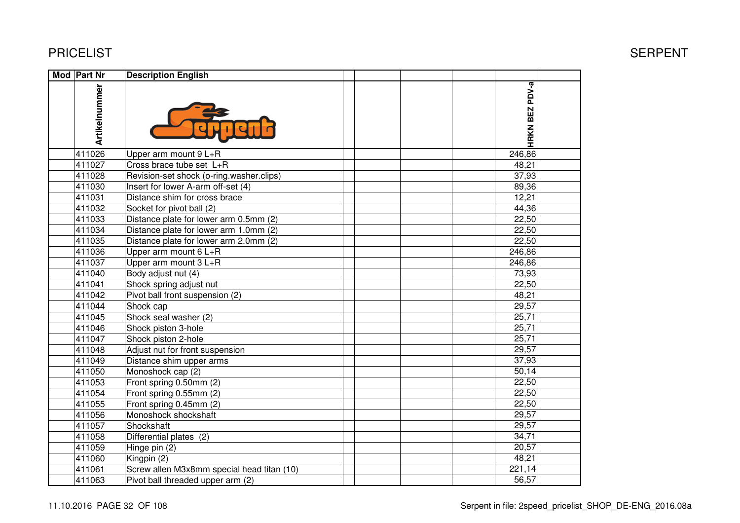| <b>Mod Part Nr</b> | <b>Description English</b>                 |                |  |
|--------------------|--------------------------------------------|----------------|--|
| Artikelnummer      |                                            | HRKN BEZ PDV-a |  |
| 411026             | Upper arm mount 9 L+R                      | 246,86         |  |
| 411027             | Cross brace tube set L+R                   | 48,21          |  |
| 411028             | Revision-set shock (o-ring.washer.clips)   | 37,93          |  |
| 411030             | Insert for lower A-arm off-set (4)         | 89,36          |  |
| 411031             | Distance shim for cross brace              | 12,21          |  |
| 411032             | Socket for pivot ball (2)                  | 44,36          |  |
| 411033             | Distance plate for lower arm 0.5mm (2)     | 22,50          |  |
| 411034             | Distance plate for lower arm 1.0mm (2)     | 22,50          |  |
| 411035             | Distance plate for lower arm 2.0mm (2)     | 22,50          |  |
| 411036             | Upper arm mount 6 L+R                      | 246,86         |  |
| 411037             | Upper arm mount 3 L+R                      | 246,86         |  |
| 411040             | Body adjust nut (4)                        | 73,93          |  |
| 411041             | Shock spring adjust nut                    | 22,50          |  |
| 411042             | Pivot ball front suspension (2)            | 48,21          |  |
| 411044             | Shock cap                                  | 29,57          |  |
| 411045             | Shock seal washer (2)                      | 25,71          |  |
| 411046             | Shock piston 3-hole                        | 25,71          |  |
| 411047             | Shock piston 2-hole                        | 25,71          |  |
| 411048             | Adjust nut for front suspension            | 29,57          |  |
| 411049             | Distance shim upper arms                   | 37,93          |  |
| 411050             | Monoshock cap (2)                          | 50,14          |  |
| 411053             | Front spring 0.50mm (2)                    | 22,50          |  |
| 411054             | Front spring 0.55mm (2)                    | 22,50          |  |
| 411055             | Front spring 0.45mm (2)                    | 22,50          |  |
| 411056             | Monoshock shockshaft                       | 29,57          |  |
| 411057             | Shockshaft                                 | 29,57          |  |
| 411058             | Differential plates (2)                    | 34,71          |  |
| 411059             | Hinge pin (2)                              | 20,57          |  |
| 411060             | Kingpin (2)                                | 48,21          |  |
| 411061             | Screw allen M3x8mm special head titan (10) | 221,14         |  |
| 411063             | Pivot ball threaded upper arm (2)          | 56,57          |  |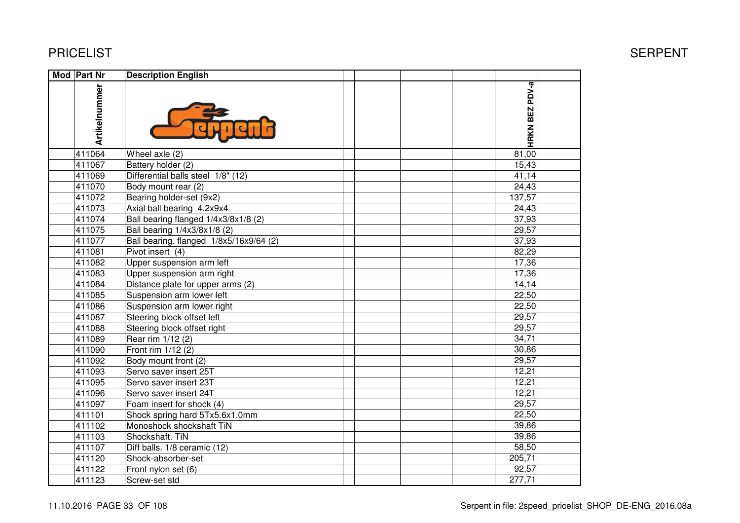# T Example of the state of the state of the state of the state of the SERPENT SERPENT PV-a **HRKN BEZ PDV-a**  $81,00$  $15,43$  $\frac{41,14}{ }$  $^{24,43}$  37,93 29,57 37,93

| Mod Part Nr   | <b>Description English</b>              |                |  |
|---------------|-----------------------------------------|----------------|--|
| Artikelnummer |                                         | HRKN BEZ PDV-a |  |
| 411064        | Wheel axle (2)                          | 81,00          |  |
| 411067        | Battery holder (2)                      | 15,43          |  |
| 411069        | Differential balls steel 1/8" (12)      | 41,14          |  |
| 411070        | Body mount rear (2)                     | 24,43          |  |
| 411072        | Bearing holder-set (9x2)                | 137,57         |  |
| 411073        | Axial ball bearing 4.2x9x4              | 24,43          |  |
| 411074        | Ball bearing flanged 1/4x3/8x1/8 (2)    | 37,93          |  |
| 411075        | Ball bearing 1/4x3/8x1/8 (2)            | 29,57          |  |
| 411077        | Ball bearing. flanged 1/8x5/16x9/64 (2) | 37,93          |  |
| 411081        | Pivot insert (4)                        | 82,29          |  |
| 411082        | Upper suspension arm left               | 17,36          |  |
| 411083        | Upper suspension arm right              | 17,36          |  |
| 411084        | Distance plate for upper arms (2)       | 14,14          |  |
| 411085        | Suspension arm lower left               | 22,50          |  |
| 411086        | Suspension arm lower right              | 22,50          |  |
| 411087        | Steering block offset left              | 29,57          |  |
| 411088        | Steering block offset right             | 29,57          |  |
| 411089        | Rear rim 1/12 (2)                       | 34,71          |  |
| 411090        | Front rim 1/12 (2)                      | 30,86          |  |
| 411092        | Body mount front (2)                    | 29,57          |  |
| 411093        | Servo saver insert 25T                  | 12,21          |  |
| 411095        | Servo saver insert 23T                  | 12,21          |  |
| 411096        | Servo saver insert 24T                  | 12,21          |  |
| 411097        | Foam insert for shock (4)               | 29,57          |  |
| 411101        | Shock spring hard 5Tx5.6x1.0mm          | 22,50          |  |
| 411102        | Monoshock shockshaft TiN                | 39,86          |  |
| 411103        | Shockshaft. TiN                         | 39,86          |  |
| 411107        | Diff balls. 1/8 ceramic (12)            | 58,50          |  |
| 411120        | Shock-absorber-set                      | 205,71         |  |
| 411122        | Front nylon set (6)                     | 92,57          |  |
| 411123        | Screw-set std                           | 277,71         |  |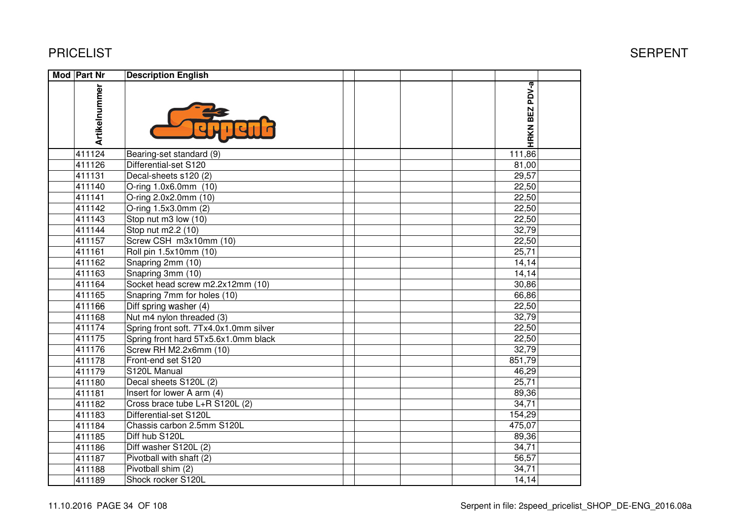| <b>Mod Part Nr</b> | <b>Description English</b>             |  |  |                |  |
|--------------------|----------------------------------------|--|--|----------------|--|
| Artikelnummer      |                                        |  |  | HRKN BEZ PDV-a |  |
| 411124             | Bearing-set standard (9)               |  |  | 111,86         |  |
| 411126             | Differential-set S120                  |  |  | 81,00          |  |
| 411131             | Decal-sheets s120 (2)                  |  |  | 29,57          |  |
| 411140             | O-ring 1.0x6.0mm (10)                  |  |  | 22,50          |  |
| 411141             | O-ring 2.0x2.0mm (10)                  |  |  | 22,50          |  |
| 411142             | O-ring 1.5x3.0mm (2)                   |  |  | 22,50          |  |
| 411143             | Stop nut m3 low (10)                   |  |  | 22,50          |  |
| 411144             | Stop nut m2.2 (10)                     |  |  | 32,79          |  |
| 411157             | Screw CSH m3x10mm (10)                 |  |  | 22,50          |  |
| 411161             | Roll pin 1.5x10mm (10)                 |  |  | 25,71          |  |
| 411162             | Snapring 2mm (10)                      |  |  | 14,14          |  |
| 411163             | Snapring 3mm (10)                      |  |  | 14,14          |  |
| 411164             | Socket head screw m2.2x12mm (10)       |  |  | 30,86          |  |
| 411165             | Snapring 7mm for holes (10)            |  |  | 66,86          |  |
| 411166             | Diff spring washer (4)                 |  |  | 22,50          |  |
| 411168             | Nut m4 nylon threaded (3)              |  |  | 32,79          |  |
| 411174             | Spring front soft. 7Tx4.0x1.0mm silver |  |  | 22,50          |  |
| 411175             | Spring front hard 5Tx5.6x1.0mm black   |  |  | 22,50          |  |
| 411176             | Screw RH M2.2x6mm (10)                 |  |  | 32,79          |  |
| 411178             | Front-end set S120                     |  |  | 851,79         |  |
| 411179             | S120L Manual                           |  |  | 46,29          |  |
| 411180             | Decal sheets S120L (2)                 |  |  | 25,71          |  |
| 411181             | Insert for lower A arm (4)             |  |  | 89,36          |  |
| 411182             | Cross brace tube L+R S120L (2)         |  |  | 34,71          |  |
| 411183             | Differential-set S120L                 |  |  | 154,29         |  |
| 411184             | Chassis carbon 2.5mm S120L             |  |  | 475,07         |  |
| 411185             | Diff hub S120L                         |  |  | 89,36          |  |
| 411186             | Diff washer S120L (2)                  |  |  | 34,71          |  |
| 411187             | Pivotball with shaft (2)               |  |  | 56,57          |  |
| 411188             | Pivotball shim (2)                     |  |  | 34,71          |  |
| 411189             | Shock rocker S120L                     |  |  | 14,14          |  |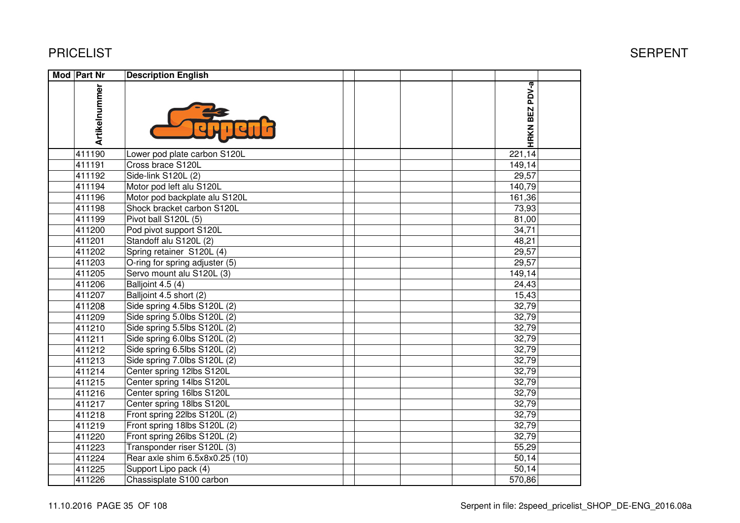| Mod Part Nr   | <b>Description English</b>     |                |  |
|---------------|--------------------------------|----------------|--|
| Artikelnummer |                                | HRKN BEZ PDV-a |  |
| 411190        | Lower pod plate carbon S120L   | 221,14         |  |
| 411191        | Cross brace S120L              | 149,14         |  |
| 411192        | Side-link S120L (2)            | 29,57          |  |
| 411194        | Motor pod left alu S120L       | 140,79         |  |
| 411196        | Motor pod backplate alu S120L  | 161,36         |  |
| 411198        | Shock bracket carbon S120L     | 73,93          |  |
| 411199        | Pivot ball S120L (5)           | 81,00          |  |
| 411200        | Pod pivot support S120L        | 34,71          |  |
| 411201        | Standoff alu S120L (2)         | 48,21          |  |
| 411202        | Spring retainer S120L (4)      | 29,57          |  |
| 411203        | O-ring for spring adjuster (5) | 29,57          |  |
| 411205        | Servo mount alu S120L (3)      | 149,14         |  |
| 411206        | Balljoint 4.5 (4)              | 24,43          |  |
| 411207        | Balljoint 4.5 short (2)        | 15,43          |  |
| 411208        | Side spring 4.5lbs S120L (2)   | 32,79          |  |
| 411209        | Side spring 5.0lbs S120L (2)   | 32,79          |  |
| 411210        | Side spring 5.5lbs S120L (2)   | 32,79          |  |
| 411211        | Side spring 6.0lbs S120L (2)   | 32,79          |  |
| 411212        | Side spring 6.5lbs S120L (2)   | 32,79          |  |
| 411213        | Side spring 7.0lbs S120L (2)   | 32,79          |  |
| 411214        | Center spring 12lbs S120L      | 32,79          |  |
| 411215        | Center spring 14lbs S120L      | 32,79          |  |
| 411216        | Center spring 16lbs S120L      | 32,79          |  |
| 411217        | Center spring 18lbs S120L      | 32,79          |  |
| 411218        | Front spring 22lbs S120L (2)   | 32,79          |  |
| 411219        | Front spring 18lbs S120L (2)   | 32,79          |  |
| 411220        | Front spring 26lbs S120L (2)   | 32,79          |  |
| 411223        | Transponder riser S120L (3)    | 55,29          |  |
| 411224        | Rear axle shim 6.5x8x0.25 (10) | 50,14          |  |
| 411225        | Support Lipo pack (4)          | 50,14          |  |
| 411226        | Chassisplate S100 carbon       | 570,86         |  |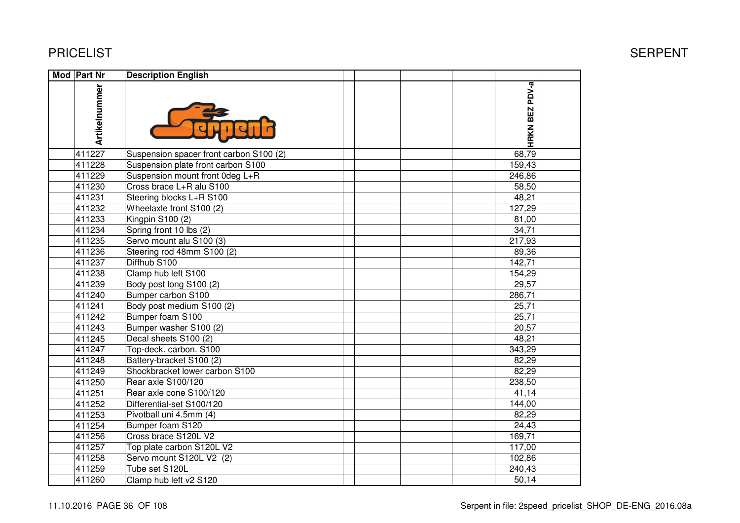| Mod Part Nr   | <b>Description English</b>              |                |  |
|---------------|-----------------------------------------|----------------|--|
| Artikelnummer |                                         | HRKN BEZ PDV-a |  |
| 411227        | Suspension spacer front carbon S100 (2) | 68,79          |  |
| 411228        | Suspension plate front carbon S100      | 159,43         |  |
| 411229        | Suspension mount front 0deg L+R         | 246,86         |  |
| 411230        | Cross brace L+R alu S100                | 58,50          |  |
| 411231        | Steering blocks L+R S100                | 48,21          |  |
| 411232        | Wheelaxle front S100 (2)                | 127,29         |  |
| 411233        | Kingpin S100 (2)                        | 81,00          |  |
| 411234        | Spring front 10 lbs (2)                 | 34,71          |  |
| 411235        | Servo mount alu S100 (3)                | 217,93         |  |
| 411236        | Steering rod 48mm S100 (2)              | 89,36          |  |
| 411237        | Diffhub S100                            | 142,71         |  |
| 411238        | Clamp hub left S100                     | 154,29         |  |
| 411239        | Body post long S100 (2)                 | 29,57          |  |
| 411240        | Bumper carbon S100                      | 286,71         |  |
| 411241        | Body post medium S100 (2)               | 25,71          |  |
| 411242        | Bumper foam S100                        | 25,71          |  |
| 411243        | Bumper washer S100 (2)                  | 20,57          |  |
| 411245        | Decal sheets S100 (2)                   | 48,21          |  |
| 411247        | Top-deck. carbon. S100                  | 343,29         |  |
| 411248        | Battery-bracket S100 (2)                | 82,29          |  |
| 411249        | Shockbracket lower carbon S100          | 82,29          |  |
| 411250        | Rear axle S100/120                      | 238,50         |  |
| 411251        | Rear axle cone S100/120                 | 41,14          |  |
| 411252        | Differential-set S100/120               | 144,00         |  |
| 411253        | Pivotball uni 4.5mm (4)                 | 82,29          |  |
| 411254        | Bumper foam S120                        | 24,43          |  |
| 411256        | Cross brace S120L V2                    | 169,71         |  |
| 411257        | Top plate carbon S120L V2               | 117,00         |  |
| 411258        | Servo mount S120L V2 (2)                | 102,86         |  |
| 411259        | Tube set S120L                          | 240,43         |  |
| 411260        | Clamp hub left v2 S120                  | 50,14          |  |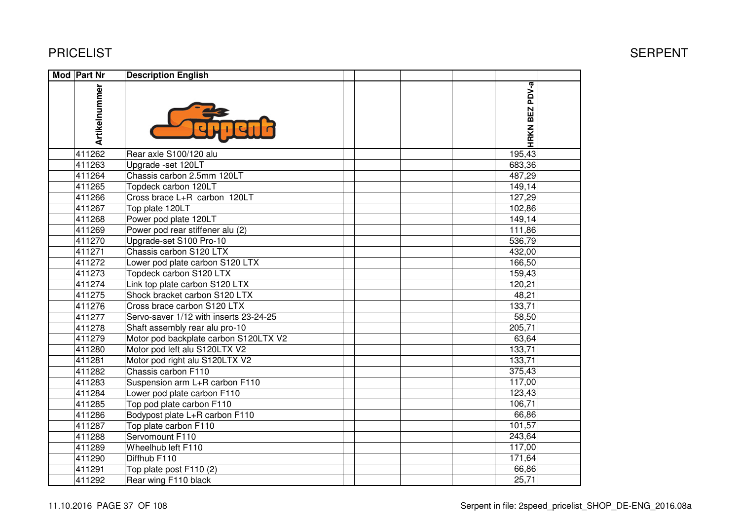| Mod Part Nr   | <b>Description English</b>             |                |  |
|---------------|----------------------------------------|----------------|--|
| Artikelnummer |                                        | HRKN BEZ PDV-a |  |
| 411262        | Rear axle S100/120 alu                 | 195,43         |  |
| 411263        | Upgrade -set 120LT                     | 683,36         |  |
| 411264        | Chassis carbon 2.5mm 120LT             | 487,29         |  |
| 411265        | Topdeck carbon 120LT                   | 149,14         |  |
| 411266        | Cross brace L+R carbon 120LT           | 127,29         |  |
| 411267        | Top plate 120LT                        | 102,86         |  |
| 411268        | Power pod plate 120LT                  | 149,14         |  |
| 411269        | Power pod rear stiffener alu (2)       | 111,86         |  |
| 411270        | Upgrade-set S100 Pro-10                | 536,79         |  |
| 411271        | Chassis carbon S120 LTX                | 432,00         |  |
| 411272        | Lower pod plate carbon S120 LTX        | 166,50         |  |
| 411273        | Topdeck carbon S120 LTX                | 159,43         |  |
| 411274        | Link top plate carbon S120 LTX         | 120,21         |  |
| 411275        | Shock bracket carbon S120 LTX          | 48,21          |  |
| 411276        | Cross brace carbon S120 LTX            | 133,71         |  |
| 411277        | Servo-saver 1/12 with inserts 23-24-25 | 58,50          |  |
| 411278        | Shaft assembly rear alu pro-10         | 205,71         |  |
| 411279        | Motor pod backplate carbon S120LTX V2  | 63,64          |  |
| 411280        | Motor pod left alu S120LTX V2          | 133,71         |  |
| 411281        | Motor pod right alu S120LTX V2         | 133,71         |  |
| 411282        | Chassis carbon F110                    | 375,43         |  |
| 411283        | Suspension arm L+R carbon F110         | 117,00         |  |
| 411284        | Lower pod plate carbon F110            | 123,43         |  |
| 411285        | Top pod plate carbon F110              | 106,71         |  |
| 411286        | Bodypost plate L+R carbon F110         | 66,86          |  |
| 411287        | Top plate carbon F110                  | 101,57         |  |
| 411288        | Servomount F110                        | 243,64         |  |
| 411289        | Wheelhub left F110                     | 117,00         |  |
| 411290        | Diffhub F110                           | 171,64         |  |
| 411291        | Top plate post F110 (2)                | 66,86          |  |
| 411292        | Rear wing F110 black                   | 25,71          |  |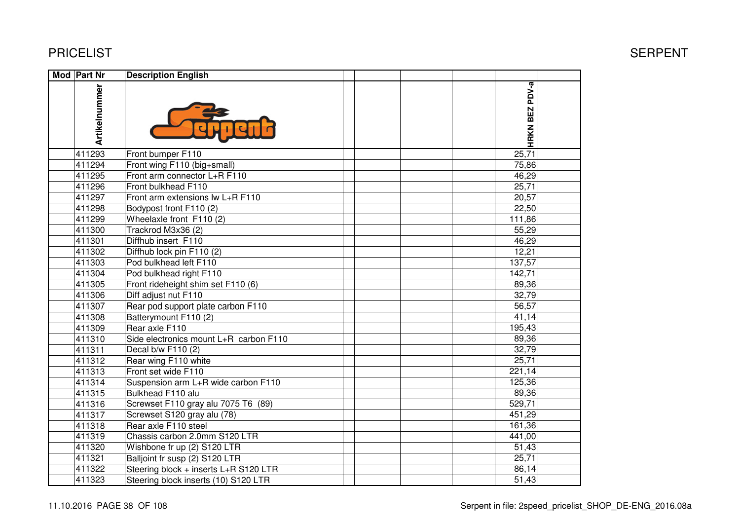| Mod Part Nr   | <b>Description English</b>             |                |  |
|---------------|----------------------------------------|----------------|--|
| Artikelnummer |                                        | HRKN BEZ PDV-a |  |
| 411293        | Front bumper F110                      | 25,71          |  |
| 411294        | Front wing F110 (big+small)            | 75,86          |  |
| 411295        | Front arm connector L+R F110           | 46,29          |  |
| 411296        | Front bulkhead F110                    | 25,71          |  |
| 411297        | Front arm extensions lw L+R F110       | 20,57          |  |
| 411298        | Bodypost front F110 (2)                | 22,50          |  |
| 411299        | Wheelaxle front F110 (2)               | 111,86         |  |
| 411300        | Trackrod M3x36 (2)                     | 55,29          |  |
| 411301        | Diffhub insert F110                    | 46,29          |  |
| 411302        | Diffhub lock pin F110 (2)              | 12,21          |  |
| 411303        | Pod bulkhead left F110                 | 137,57         |  |
| 411304        | Pod bulkhead right F110                | 142,71         |  |
| 411305        | Front rideheight shim set F110 (6)     | 89,36          |  |
| 411306        | Diff adjust nut F110                   | 32,79          |  |
| 411307        | Rear pod support plate carbon F110     | 56,57          |  |
| 411308        | Batterymount F110 (2)                  | 41,14          |  |
| 411309        | Rear axle F110                         | 195,43         |  |
| 411310        | Side electronics mount L+R carbon F110 | 89,36          |  |
| 411311        | Decal b/w F110 (2)                     | 32,79          |  |
| 411312        | Rear wing F110 white                   | 25,71          |  |
| 411313        | Front set wide F110                    | 221,14         |  |
| 411314        | Suspension arm L+R wide carbon F110    | 125,36         |  |
| 411315        | Bulkhead F110 alu                      | 89,36          |  |
| 411316        | Screwset F110 gray alu 7075 T6 (89)    | 529,71         |  |
| 411317        | Screwset S120 gray alu (78)            | 451,29         |  |
| 411318        | Rear axle F110 steel                   | 161,36         |  |
| 411319        | Chassis carbon 2.0mm S120 LTR          | 441,00         |  |
| 411320        | Wishbone fr up (2) S120 LTR            | 51,43          |  |
| 411321        | Balljoint fr susp (2) S120 LTR         | 25,71          |  |
| 411322        | Steering block + inserts L+R S120 LTR  | 86,14          |  |
| 411323        | Steering block inserts (10) S120 LTR   | 51,43          |  |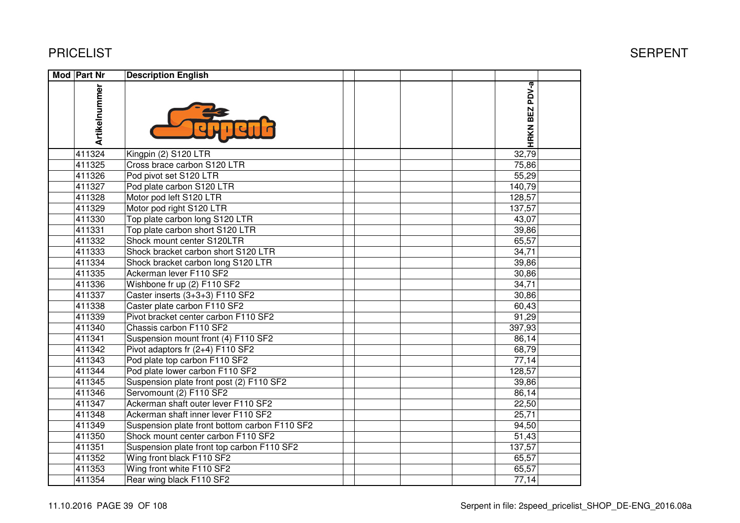| Mod Part Nr   | <b>Description English</b>                    |                |  |
|---------------|-----------------------------------------------|----------------|--|
| Artikelnummer |                                               | HRKN BEZ PDV-a |  |
| 411324        | Kingpin (2) S120 LTR                          | 32,79          |  |
| 411325        | Cross brace carbon S120 LTR                   | 75,86          |  |
| 411326        | Pod pivot set S120 LTR                        | 55,29          |  |
| 411327        | Pod plate carbon S120 LTR                     | 140,79         |  |
| 411328        | Motor pod left S120 LTR                       | 128,57         |  |
| 411329        | Motor pod right S120 LTR                      | 137,57         |  |
| 411330        | Top plate carbon long S120 LTR                | 43,07          |  |
| 411331        | Top plate carbon short S120 LTR               | 39,86          |  |
| 411332        | Shock mount center S120LTR                    | 65,57          |  |
| 411333        | Shock bracket carbon short S120 LTR           | 34,71          |  |
| 411334        | Shock bracket carbon long S120 LTR            | 39,86          |  |
| 411335        | Ackerman lever F110 SF2                       | 30,86          |  |
| 411336        | Wishbone fr up (2) F110 SF2                   | 34,71          |  |
| 411337        | Caster inserts (3+3+3) F110 SF2               | 30,86          |  |
| 411338        | Caster plate carbon F110 SF2                  | 60,43          |  |
| 411339        | Pivot bracket center carbon F110 SF2          | 91,29          |  |
| 411340        | Chassis carbon F110 SF2                       | 397,93         |  |
| 411341        | Suspension mount front (4) F110 SF2           | 86,14          |  |
| 411342        | Pivot adaptors fr (2+4) F110 SF2              | 68,79          |  |
| 411343        | Pod plate top carbon F110 SF2                 | 77,14          |  |
| 411344        | Pod plate lower carbon F110 SF2               | 128,57         |  |
| 411345        | Suspension plate front post (2) F110 SF2      | 39,86          |  |
| 411346        | Servomount (2) F110 SF2                       | 86,14          |  |
| 411347        | Ackerman shaft outer lever F110 SF2           | 22,50          |  |
| 411348        | Ackerman shaft inner lever F110 SF2           | 25,71          |  |
| 411349        | Suspension plate front bottom carbon F110 SF2 | 94,50          |  |
| 411350        | Shock mount center carbon F110 SF2            | 51,43          |  |
| 411351        | Suspension plate front top carbon F110 SF2    | 137,57         |  |
| 411352        | Wing front black F110 SF2                     | 65,57          |  |
| 411353        | Wing front white F110 SF2                     | 65,57          |  |
| 411354        | Rear wing black F110 SF2                      | 77,14          |  |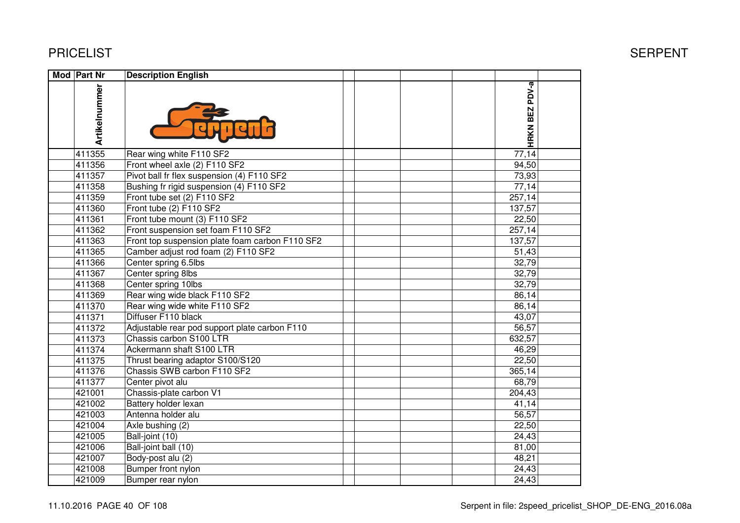| Mod Part Nr   | <b>Description English</b>                      |                |
|---------------|-------------------------------------------------|----------------|
| Artikelnummer |                                                 | HRKN BEZ PDV-a |
| 411355        | Rear wing white F110 SF2                        | 77,14          |
| 411356        | Front wheel axle (2) F110 SF2                   | 94,50          |
| 411357        | Pivot ball fr flex suspension (4) F110 SF2      | 73,93          |
| 411358        | Bushing fr rigid suspension (4) F110 SF2        | 77,14          |
| 411359        | Front tube set (2) F110 SF2                     | 257,14         |
| 411360        | Front tube (2) F110 SF2                         | 137,57         |
| 411361        | Front tube mount (3) F110 SF2                   | 22,50          |
| 411362        | Front suspension set foam F110 SF2              | 257,14         |
| 411363        | Front top suspension plate foam carbon F110 SF2 | 137,57         |
| 411365        | Camber adjust rod foam (2) F110 SF2             | 51,43          |
| 411366        | Center spring 6.5lbs                            | 32,79          |
| 411367        | Center spring 8lbs                              | 32,79          |
| 411368        | Center spring 10lbs                             | 32,79          |
| 411369        | Rear wing wide black F110 SF2                   | 86,14          |
| 411370        | Rear wing wide white F110 SF2                   | 86,14          |
| 411371        | Diffuser F110 black                             | 43,07          |
| 411372        | Adjustable rear pod support plate carbon F110   | 56,57          |
| 411373        | Chassis carbon S100 LTR                         | 632,57         |
| 411374        | Ackermann shaft S100 LTR                        | 46,29          |
| 411375        | Thrust bearing adaptor S100/S120                | 22,50          |
| 411376        | Chassis SWB carbon F110 SF2                     | 365,14         |
| 411377        | Center pivot alu                                | 68,79          |
| 421001        | Chassis-plate carbon V1                         | 204,43         |
| 421002        | Battery holder lexan                            | 41,14          |
| 421003        | Antenna holder alu                              | 56,57          |
| 421004        | Axle bushing (2)                                | 22,50          |
| 421005        | Ball-joint (10)                                 | 24,43          |
| 421006        | Ball-joint ball (10)                            | 81,00          |
| 421007        | Body-post alu (2)                               | 48,21          |
| 421008        | Bumper front nylon                              | 24,43          |
| 421009        | Bumper rear nylon                               | 24,43          |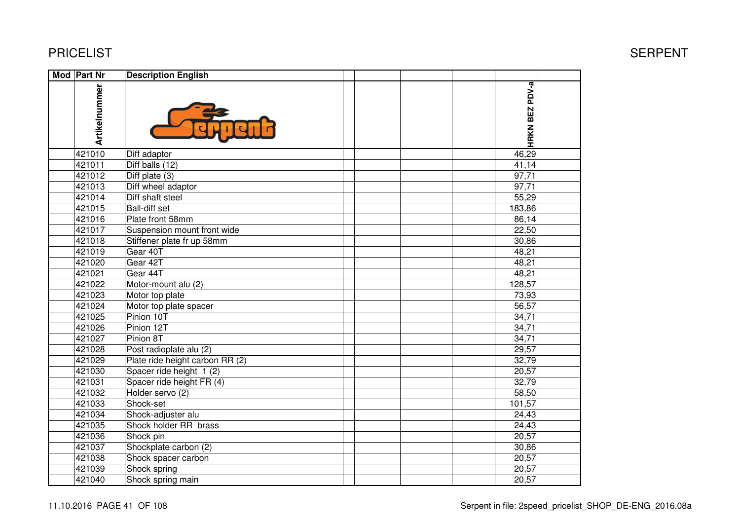| <b>Mod Part Nr</b> | <b>Description English</b>      |  |                |  |
|--------------------|---------------------------------|--|----------------|--|
| Artikelnummer      |                                 |  | HRKN BEZ PDV-a |  |
| 421010             | Diff adaptor                    |  | 46,29          |  |
| 421011             | Diff balls $(12)$               |  | 41,14          |  |
| 421012             | Diff plate $(3)$                |  | 97,71          |  |
| 421013             | Diff wheel adaptor              |  | 97,71          |  |
| 421014             | Diff shaft steel                |  | 55,29          |  |
| 421015             | <b>Ball-diff set</b>            |  | 183,86         |  |
| 421016             | Plate front 58mm                |  | 86,14          |  |
| 421017             | Suspension mount front wide     |  | 22,50          |  |
| 421018             | Stiffener plate fr up 58mm      |  | 30,86          |  |
| 421019             | Gear 40T                        |  | 48,21          |  |
| 421020             | Gear 42T                        |  | 48,21          |  |
| 421021             | Gear 44T                        |  | 48,21          |  |
| 421022             | Motor-mount alu (2)             |  | 128,57         |  |
| 421023             | Motor top plate                 |  | 73,93          |  |
| 421024             | Motor top plate spacer          |  | 56,57          |  |
| 421025             | Pinion 10T                      |  | 34,71          |  |
| 421026             | Pinion 12T                      |  | 34,71          |  |
| 421027             | Pinion 8T                       |  | 34,71          |  |
| 421028             | Post radioplate alu (2)         |  | 29,57          |  |
| 421029             | Plate ride height carbon RR (2) |  | 32,79          |  |
| 421030             | Spacer ride height 1 (2)        |  | 20,57          |  |
| 421031             | Spacer ride height FR (4)       |  | 32,79          |  |
| 421032             | Holder servo (2)                |  | 58,50          |  |
| 421033             | Shock-set                       |  | 101,57         |  |
| 421034             | Shock-adjuster alu              |  | 24,43          |  |
| 421035             | Shock holder RR brass           |  | 24,43          |  |
| 421036             | Shock pin                       |  | 20,57          |  |
| 421037             | Shockplate carbon (2)           |  | 30,86          |  |
| 421038             | Shock spacer carbon             |  | 20,57          |  |
| 421039             | Shock spring                    |  | 20,57          |  |
| 421040             | Shock spring main               |  | 20,57          |  |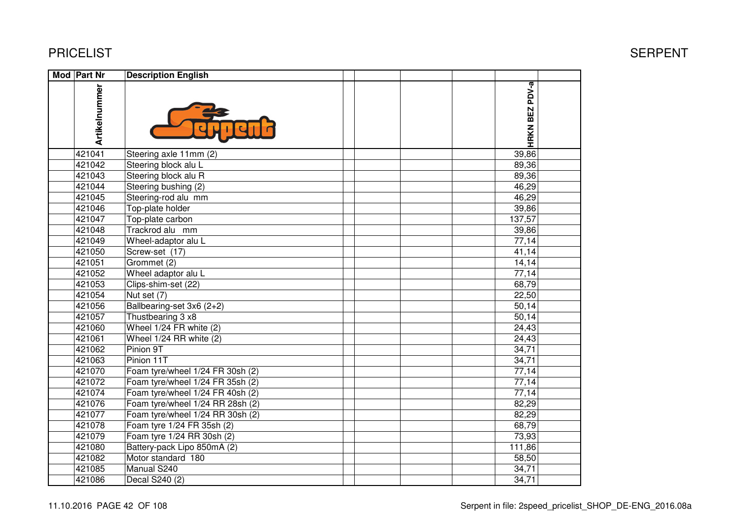| <b>Mod Part Nr</b> | <b>Description English</b>       |                |  |
|--------------------|----------------------------------|----------------|--|
| Artikelnummer      |                                  | HRKN BEZ PDV-a |  |
| 421041             | Steering axle 11mm (2)           | 39,86          |  |
| 421042             | Steering block alu L             | 89,36          |  |
| 421043             | Steering block alu R             | 89,36          |  |
| 421044             | Steering bushing (2)             | 46,29          |  |
| 421045             | Steering-rod alu mm              | 46,29          |  |
| 421046             | Top-plate holder                 | 39,86          |  |
| 421047             | Top-plate carbon                 | 137,57         |  |
| 421048             | Trackrod alu mm                  | 39,86          |  |
| 421049             | Wheel-adaptor alu L              | 77,14          |  |
| 421050             | Screw-set (17)                   | 41,14          |  |
| 421051             | Grommet (2)                      | 14, 14         |  |
| 421052             | Wheel adaptor alu L              | 77,14          |  |
| 421053             | Clips-shim-set (22)              | 68,79          |  |
| 421054             | Nut set (7)                      | 22,50          |  |
| 421056             | Ballbearing-set 3x6 (2+2)        | 50,14          |  |
| 421057             | Thustbearing 3 x8                | 50,14          |  |
| 421060             | Wheel 1/24 FR white (2)          | 24,43          |  |
| 421061             | Wheel 1/24 RR white (2)          | 24,43          |  |
| 421062             | Pinion 9T                        | 34,71          |  |
| 421063             | Pinion 11T                       | 34,71          |  |
| 421070             | Foam tyre/wheel 1/24 FR 30sh (2) | 77,14          |  |
| 421072             | Foam tyre/wheel 1/24 FR 35sh (2) | 77,14          |  |
| 421074             | Foam tyre/wheel 1/24 FR 40sh (2) | 77,14          |  |
| 421076             | Foam tyre/wheel 1/24 RR 28sh (2) | 82,29          |  |
| 421077             | Foam tyre/wheel 1/24 RR 30sh (2) | 82,29          |  |
| 421078             | Foam tyre 1/24 FR 35sh (2)       | 68,79          |  |
| 421079             | Foam tyre 1/24 RR 30sh (2)       | 73,93          |  |
| 421080             | Battery-pack Lipo 850mA (2)      | 111,86         |  |
| 421082             | Motor standard 180               | 58,50          |  |
| 421085             | Manual S240                      | 34,71          |  |
| 421086             | Decal S240 (2)                   | 34,71          |  |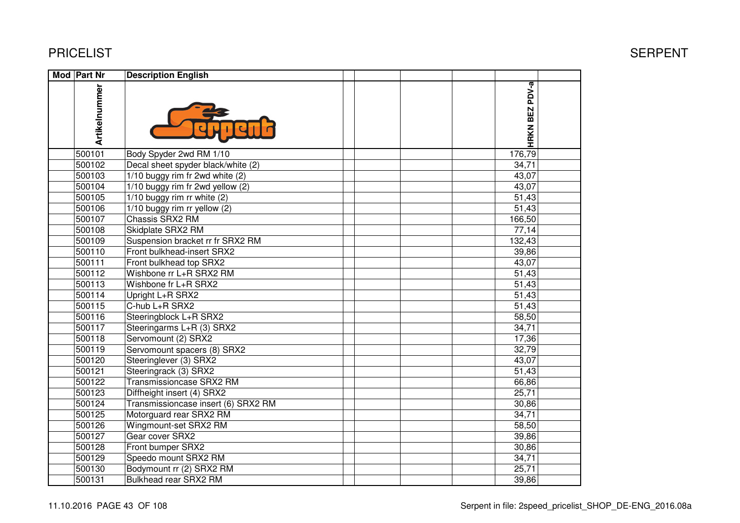| <b>Mod Part Nr</b> | <b>Description English</b>          |                |  |
|--------------------|-------------------------------------|----------------|--|
| Artikelnummer      |                                     | HRKN BEZ PDV-a |  |
| 500101             | Body Spyder 2wd RM 1/10             | 176,79         |  |
| 500102             | Decal sheet spyder black/white (2)  | 34,71          |  |
| 500103             | 1/10 buggy rim fr 2wd white (2)     | 43,07          |  |
| 500104             | 1/10 buggy rim fr 2wd yellow (2)    | 43,07          |  |
| 500105             | $1/10$ buggy rim rr white $(2)$     | 51,43          |  |
| 500106             | 1/10 buggy rim rr yellow (2)        | 51,43          |  |
| 500107             | Chassis SRX2 RM                     | 166,50         |  |
| 500108             | Skidplate SRX2 RM                   | 77,14          |  |
| 500109             | Suspension bracket rr fr SRX2 RM    | 132,43         |  |
| 500110             | Front bulkhead-insert SRX2          | 39,86          |  |
| 500111             | Front bulkhead top SRX2             | 43,07          |  |
| 500112             | Wishbone rr L+R SRX2 RM             | 51,43          |  |
| 500113             | Wishbone fr L+R SRX2                | 51,43          |  |
| 500114             | Upright L+R SRX2                    | 51,43          |  |
| 500115             | C-hub L+R SRX2                      | 51,43          |  |
| 500116             | Steeringblock L+R SRX2              | 58,50          |  |
| 500117             | Steeringarms L+R (3) SRX2           | 34,71          |  |
| 500118             | Servomount (2) SRX2                 | 17,36          |  |
| 500119             | Servomount spacers (8) SRX2         | 32,79          |  |
| 500120             | Steeringlever (3) SRX2              | 43,07          |  |
| 500121             | Steeringrack (3) SRX2               | 51,43          |  |
| 500122             | Transmissioncase SRX2 RM            | 66,86          |  |
| 500123             | Diffheight insert (4) SRX2          | 25,71          |  |
| 500124             | Transmissioncase insert (6) SRX2 RM | 30,86          |  |
| 500125             | Motorguard rear SRX2 RM             | 34,71          |  |
| 500126             | Wingmount-set SRX2 RM               | 58,50          |  |
| 500127             | Gear cover SRX2                     | 39,86          |  |
| 500128             | Front bumper SRX2                   | 30,86          |  |
| 500129             | Speedo mount SRX2 RM                | 34,71          |  |
| 500130             | Bodymount rr (2) SRX2 RM            | 25,71          |  |
| 500131             | Bulkhead rear SRX2 RM               | 39,86          |  |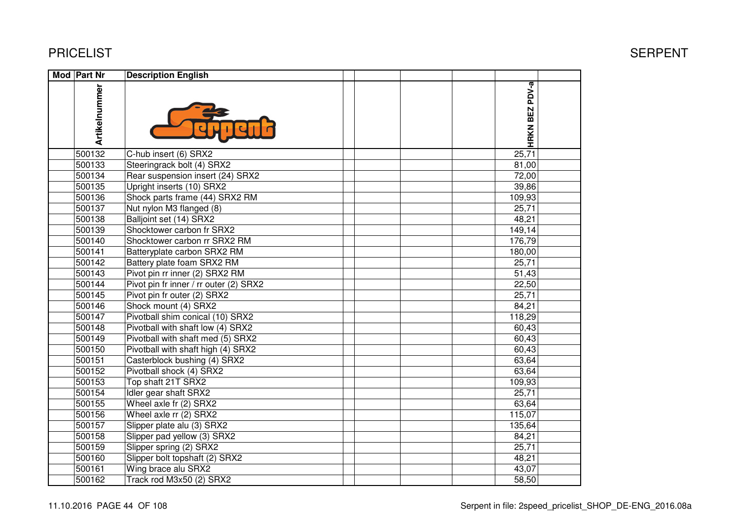| Mod Part Nr   | <b>Description English</b>             |                |  |
|---------------|----------------------------------------|----------------|--|
| Artikelnummer |                                        | HRKN BEZ PDV-a |  |
| 500132        | C-hub insert (6) SRX2                  | 25,71          |  |
| 500133        | Steeringrack bolt (4) SRX2             | 81,00          |  |
| 500134        | Rear suspension insert (24) SRX2       | 72,00          |  |
| 500135        | Upright inserts (10) SRX2              | 39,86          |  |
| 500136        | Shock parts frame (44) SRX2 RM         | 109,93         |  |
| 500137        | Nut nylon M3 flanged (8)               | 25,71          |  |
| 500138        | Balljoint set (14) SRX2                | 48,21          |  |
| 500139        | Shocktower carbon fr SRX2              | 149,14         |  |
| 500140        | Shocktower carbon rr SRX2 RM           | 176,79         |  |
| 500141        | Batteryplate carbon SRX2 RM            | 180,00         |  |
| 500142        | Battery plate foam SRX2 RM             | 25,71          |  |
| 500143        | Pivot pin rr inner (2) SRX2 RM         | 51,43          |  |
| 500144        | Pivot pin fr inner / rr outer (2) SRX2 | 22,50          |  |
| 500145        | Pivot pin fr outer (2) SRX2            | 25,71          |  |
| 500146        | Shock mount (4) SRX2                   | 84,21          |  |
| 500147        | Pivotball shim conical (10) SRX2       | 118,29         |  |
| 500148        | Pivotball with shaft low (4) SRX2      | 60,43          |  |
| 500149        | Pivotball with shaft med (5) SRX2      | 60,43          |  |
| 500150        | Pivotball with shaft high (4) SRX2     | 60,43          |  |
| 500151        | Casterblock bushing (4) SRX2           | 63,64          |  |
| 500152        | Pivotball shock (4) SRX2               | 63,64          |  |
| 500153        | Top shaft 21T SRX2                     | 109,93         |  |
| 500154        | Idler gear shaft SRX2                  | 25,71          |  |
| 500155        | Wheel axle fr (2) SRX2                 | 63,64          |  |
| 500156        | Wheel axle rr (2) SRX2                 | 115,07         |  |
| 500157        | Slipper plate alu (3) SRX2             | 135,64         |  |
| 500158        | Slipper pad yellow (3) SRX2            | 84,21          |  |
| 500159        | Slipper spring (2) SRX2                | 25,71          |  |
| 500160        | Slipper bolt topshaft (2) SRX2         | 48,21          |  |
| 500161        | Wing brace alu SRX2                    | 43,07          |  |
| 500162        | Track rod M3x50 (2) SRX2               | 58,50          |  |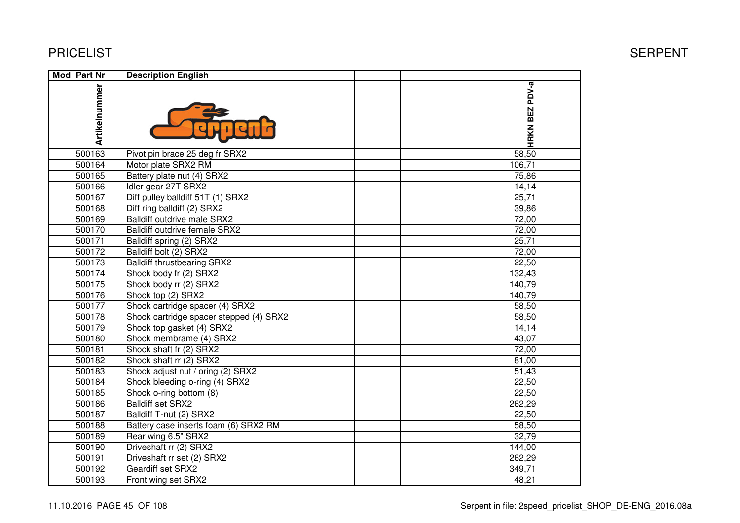| Mod Part Nr   | <b>Description English</b>              |                |  |
|---------------|-----------------------------------------|----------------|--|
| Artikelnummer |                                         | HRKN BEZ PDV-a |  |
| 500163        | Pivot pin brace 25 deg fr SRX2          | 58,50          |  |
| 500164        | Motor plate SRX2 RM                     | 106,71         |  |
| 500165        | Battery plate nut (4) SRX2              | 75,86          |  |
| 500166        | Idler gear 27T SRX2                     | 14,14          |  |
| 500167        | Diff pulley balldiff 51T (1) SRX2       | 25,71          |  |
| 500168        | Diff ring balldiff (2) SRX2             | 39,86          |  |
| 500169        | Balldiff outdrive male SRX2             | 72,00          |  |
| 500170        | Balldiff outdrive female SRX2           | 72,00          |  |
| 500171        | Balldiff spring (2) SRX2                | 25,71          |  |
| 500172        | Balldiff bolt (2) SRX2                  | 72,00          |  |
| 500173        | <b>Balldiff thrustbearing SRX2</b>      | 22,50          |  |
| 500174        | Shock body fr (2) SRX2                  | 132,43         |  |
| 500175        | Shock body rr (2) SRX2                  | 140,79         |  |
| 500176        | Shock top (2) SRX2                      | 140,79         |  |
| 500177        | Shock cartridge spacer (4) SRX2         | 58,50          |  |
| 500178        | Shock cartridge spacer stepped (4) SRX2 | 58,50          |  |
| 500179        | Shock top gasket (4) SRX2               | 14,14          |  |
| 500180        | Shock membrame (4) SRX2                 | 43,07          |  |
| 500181        | Shock shaft fr (2) SRX2                 | 72,00          |  |
| 500182        | Shock shaft rr (2) SRX2                 | 81,00          |  |
| 500183        | Shock adjust nut / oring (2) SRX2       | 51,43          |  |
| 500184        | Shock bleeding o-ring (4) SRX2          | 22,50          |  |
| 500185        | Shock o-ring bottom (8)                 | 22,50          |  |
| 500186        | <b>Balldiff set SRX2</b>                | 262,29         |  |
| 500187        | Balldiff T-nut (2) SRX2                 | 22,50          |  |
| 500188        | Battery case inserts foam (6) SRX2 RM   | 58,50          |  |
| 500189        | Rear wing 6.5" SRX2                     | 32,79          |  |
| 500190        | Driveshaft rr (2) SRX2                  | 144,00         |  |
| 500191        | Driveshaft rr set (2) SRX2              | 262,29         |  |
| 500192        | Geardiff set SRX2                       | 349,71         |  |
| 500193        | Front wing set SRX2                     | 48,21          |  |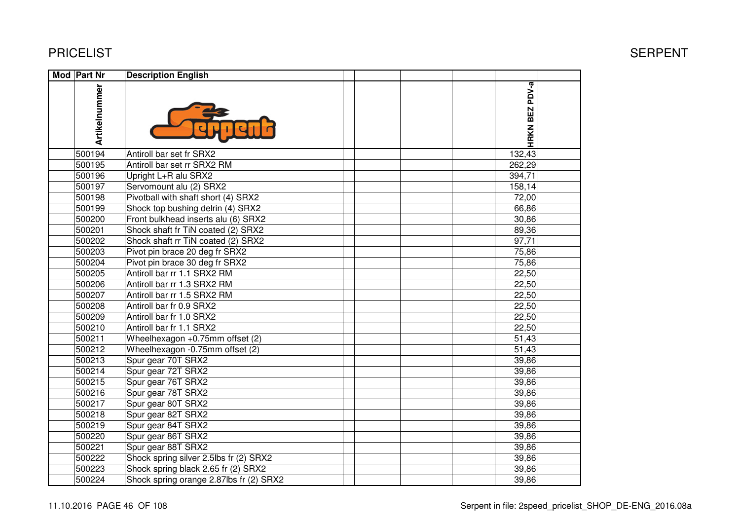| Mod Part Nr   | <b>Description English</b>              |  |                |  |
|---------------|-----------------------------------------|--|----------------|--|
| Artikelnummer |                                         |  | HRKN BEZ PDV-a |  |
| 500194        | Antiroll bar set fr SRX2                |  | 132,43         |  |
| 500195        | Antiroll bar set rr SRX2 RM             |  | 262,29         |  |
| 500196        | Upright L+R alu SRX2                    |  | 394,71         |  |
| 500197        | Servomount alu (2) SRX2                 |  | 158,14         |  |
| 500198        | Pivotball with shaft short (4) SRX2     |  | 72,00          |  |
| 500199        | Shock top bushing delrin (4) SRX2       |  | 66,86          |  |
| 500200        | Front bulkhead inserts alu (6) SRX2     |  | 30,86          |  |
| 500201        | Shock shaft fr TiN coated (2) SRX2      |  | 89,36          |  |
| 500202        | Shock shaft rr TiN coated (2) SRX2      |  | 97,71          |  |
| 500203        | Pivot pin brace 20 deg fr SRX2          |  | 75,86          |  |
| 500204        | Pivot pin brace 30 deg fr SRX2          |  | 75,86          |  |
| 500205        | Antiroll bar rr 1.1 SRX2 RM             |  | 22,50          |  |
| 500206        | Antiroll bar rr 1.3 SRX2 RM             |  | 22,50          |  |
| 500207        | Antiroll bar rr 1.5 SRX2 RM             |  | 22,50          |  |
| 500208        | Antiroll bar fr 0.9 SRX2                |  | 22,50          |  |
| 500209        | Antiroll bar fr 1.0 SRX2                |  | 22,50          |  |
| 500210        | Antiroll bar fr 1.1 SRX2                |  | 22,50          |  |
| 500211        | Wheelhexagon +0.75mm offset (2)         |  | 51,43          |  |
| 500212        | Wheelhexagon -0.75mm offset (2)         |  | 51,43          |  |
| 500213        | Spur gear 70T SRX2                      |  | 39,86          |  |
| 500214        | Spur gear 72T SRX2                      |  | 39,86          |  |
| 500215        | Spur gear 76T SRX2                      |  | 39,86          |  |
| 500216        | Spur gear 78T SRX2                      |  | 39,86          |  |
| 500217        | Spur gear 80T SRX2                      |  | 39,86          |  |
| 500218        | Spur gear 82T SRX2                      |  | 39,86          |  |
| 500219        | Spur gear 84T SRX2                      |  | 39,86          |  |
| 500220        | Spur gear 86T SRX2                      |  | 39,86          |  |
| 500221        | Spur gear 88T SRX2                      |  | 39,86          |  |
| 500222        | Shock spring silver 2.5lbs fr (2) SRX2  |  | 39,86          |  |
| 500223        | Shock spring black 2.65 fr (2) SRX2     |  | 39,86          |  |
| 500224        | Shock spring orange 2.87lbs fr (2) SRX2 |  | 39,86          |  |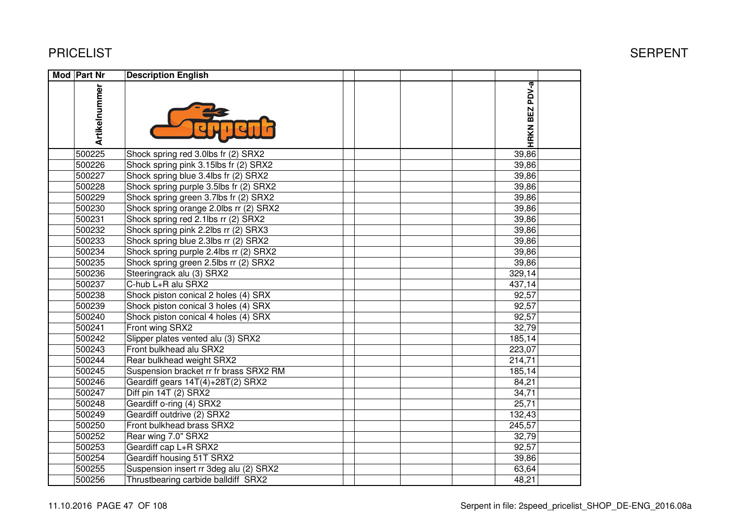| Mod Part Nr   | <b>Description English</b>             |                |  |
|---------------|----------------------------------------|----------------|--|
| Artikelnummer |                                        | HRKN BEZ PDV-a |  |
| 500225        | Shock spring red 3.0lbs fr (2) SRX2    | 39,86          |  |
| 500226        | Shock spring pink 3.15lbs fr (2) SRX2  | 39,86          |  |
| 500227        | Shock spring blue 3.4lbs fr (2) SRX2   | 39,86          |  |
| 500228        | Shock spring purple 3.5lbs fr (2) SRX2 | 39,86          |  |
| 500229        | Shock spring green 3.7lbs fr (2) SRX2  | 39,86          |  |
| 500230        | Shock spring orange 2.0lbs rr (2) SRX2 | 39,86          |  |
| 500231        | Shock spring red 2.1lbs rr (2) SRX2    | 39,86          |  |
| 500232        | Shock spring pink 2.2lbs rr (2) SRX3   | 39,86          |  |
| 500233        | Shock spring blue 2.3lbs rr (2) SRX2   | 39,86          |  |
| 500234        | Shock spring purple 2.4lbs rr (2) SRX2 | 39,86          |  |
| 500235        | Shock spring green 2.5lbs rr (2) SRX2  | 39,86          |  |
| 500236        | Steeringrack alu (3) SRX2              | 329,14         |  |
| 500237        | C-hub L+R alu SRX2                     | 437,14         |  |
| 500238        | Shock piston conical 2 holes (4) SRX   | 92,57          |  |
| 500239        | Shock piston conical 3 holes (4) SRX   | 92,57          |  |
| 500240        | Shock piston conical 4 holes (4) SRX   | 92,57          |  |
| 500241        | Front wing SRX2                        | 32,79          |  |
| 500242        | Slipper plates vented alu (3) SRX2     | 185,14         |  |
| 500243        | Front bulkhead alu SRX2                | 223,07         |  |
| 500244        | Rear bulkhead weight SRX2              | 214,71         |  |
| 500245        | Suspension bracket rr fr brass SRX2 RM | 185,14         |  |
| 500246        | Geardiff gears 14T(4)+28T(2) SRX2      | 84,21          |  |
| 500247        | Diff pin 14T (2) SRX2                  | 34,71          |  |
| 500248        | Geardiff o-ring (4) SRX2               | 25,71          |  |
| 500249        | Geardiff outdrive (2) SRX2             | 132,43         |  |
| 500250        | Front bulkhead brass SRX2              | 245,57         |  |
| 500252        | Rear wing 7.0" SRX2                    | 32,79          |  |
| 500253        | Geardiff cap L+R SRX2                  | 92,57          |  |
| 500254        | Geardiff housing 51T SRX2              | 39,86          |  |
| 500255        | Suspension insert rr 3deg alu (2) SRX2 | 63,64          |  |
| 500256        | Thrustbearing carbide balldiff SRX2    | 48,21          |  |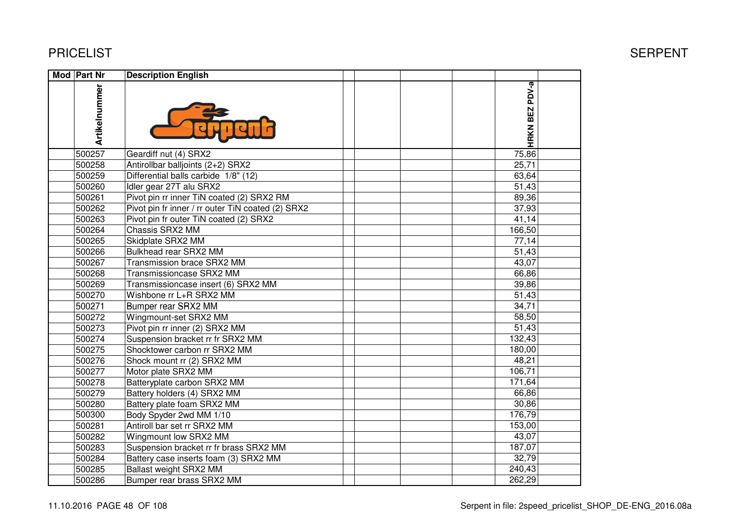| <b>Mod Part Nr</b> | <b>Description English</b>                        |                |
|--------------------|---------------------------------------------------|----------------|
| Artikelnummer      |                                                   | HRKN BEZ PDV-a |
| 500257             | Geardiff nut (4) SRX2                             | 75,86          |
| 500258             | Antirollbar balljoints (2+2) SRX2                 | 25,71          |
| 500259             | Differential balls carbide 1/8" (12)              | 63,64          |
| 500260             | Idler gear 27T alu SRX2                           | 51,43          |
| 500261             | Pivot pin rr inner TiN coated (2) SRX2 RM         | 89,36          |
| 500262             | Pivot pin fr inner / rr outer TiN coated (2) SRX2 | 37,93          |
| 500263             | Pivot pin fr outer TiN coated (2) SRX2            | 41,14          |
| 500264             | Chassis SRX2 MM                                   | 166,50         |
| 500265             | Skidplate SRX2 MM                                 | 77,14          |
| 500266             | Bulkhead rear SRX2 MM                             | 51,43          |
| 500267             | Transmission brace SRX2 MM                        | 43,07          |
| 500268             | Transmissioncase SRX2 MM                          | 66,86          |
| 500269             | Transmissioncase insert (6) SRX2 MM               | 39,86          |
| 500270             | Wishbone rr L+R SRX2 MM                           | 51,43          |
| 500271             | Bumper rear SRX2 MM                               | 34,71          |
| 500272             | Wingmount-set SRX2 MM                             | 58,50          |
| 500273             | Pivot pin rr inner (2) SRX2 MM                    | 51,43          |
| 500274             | Suspension bracket rr fr SRX2 MM                  | 132,43         |
| 500275             | Shocktower carbon rr SRX2 MM                      | 180,00         |
| 500276             | Shock mount rr (2) SRX2 MM                        | 48,21          |
| 500277             | Motor plate SRX2 MM                               | 106,71         |
| 500278             | Batteryplate carbon SRX2 MM                       | 171,64         |
| 500279             | Battery holders (4) SRX2 MM                       | 66,86          |
| 500280             | Battery plate foam SRX2 MM                        | 30,86          |
| 500300             | Body Spyder 2wd MM 1/10                           | 176,79         |
| 500281             | Antiroll bar set rr SRX2 MM                       | 153,00         |
| 500282             | Wingmount low SRX2 MM                             | 43,07          |
| 500283             | Suspension bracket rr fr brass SRX2 MM            | 187,07         |
| 500284             | Battery case inserts foam (3) SRX2 MM             | 32,79          |
| 500285             | Ballast weight SRX2 MM                            | 240,43         |
| 500286             | Bumper rear brass SRX2 MM                         | 262,29         |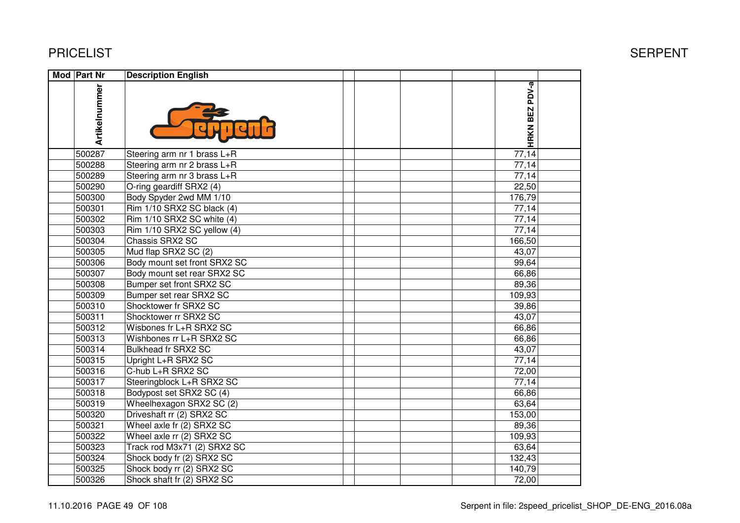| Mod Part Nr   | <b>Description English</b>   |                       |
|---------------|------------------------------|-----------------------|
| Artikelnummer |                              | <b>HRKN BEZ PDV-a</b> |
| 500287        | Steering arm nr 1 brass L+R  | 77,14                 |
| 500288        | Steering arm nr 2 brass L+R  | 77,14                 |
| 500289        | Steering arm nr 3 brass L+R  | 77,14                 |
| 500290        | O-ring geardiff SRX2 (4)     | 22,50                 |
| 500300        | Body Spyder 2wd MM 1/10      | 176,79                |
| 500301        | Rim 1/10 SRX2 SC black (4)   | 77,14                 |
| 500302        | Rim 1/10 SRX2 SC white (4)   | 77,14                 |
| 500303        | Rim 1/10 SRX2 SC yellow (4)  | 77,14                 |
| 500304        | Chassis SRX2 SC              | 166,50                |
| 500305        | Mud flap SRX2 SC (2)         | 43,07                 |
| 500306        | Body mount set front SRX2 SC | 99,64                 |
| 500307        | Body mount set rear SRX2 SC  | 66,86                 |
| 500308        | Bumper set front SRX2 SC     | 89,36                 |
| 500309        | Bumper set rear SRX2 SC      | 109,93                |
| 500310        | Shocktower fr SRX2 SC        | 39,86                 |
| 500311        | Shocktower rr SRX2 SC        | 43,07                 |
| 500312        | Wisbones fr L+R SRX2 SC      | 66,86                 |
| 500313        | Wishbones rr L+R SRX2 SC     | 66,86                 |
| 500314        | Bulkhead fr SRX2 SC          | 43,07                 |
| 500315        | Upright L+R SRX2 SC          | 77,14                 |
| 500316        | C-hub L+R SRX2 SC            | 72,00                 |
| 500317        | Steeringblock L+R SRX2 SC    | 77,14                 |
| 500318        | Bodypost set SRX2 SC (4)     | 66,86                 |
| 500319        | Wheelhexagon SRX2 SC (2)     | 63,64                 |
| 500320        | Driveshaft rr (2) SRX2 SC    | 153,00                |
| 500321        | Wheel axle fr (2) SRX2 SC    | 89,36                 |
| 500322        | Wheel axle rr (2) SRX2 SC    | 109,93                |
| 500323        | Track rod M3x71 (2) SRX2 SC  | 63,64                 |
| 500324        | Shock body fr (2) SRX2 SC    | 132,43                |
| 500325        | Shock body rr (2) SRX2 SC    | 140,79                |
| 500326        | Shock shaft fr (2) SRX2 SC   | 72,00                 |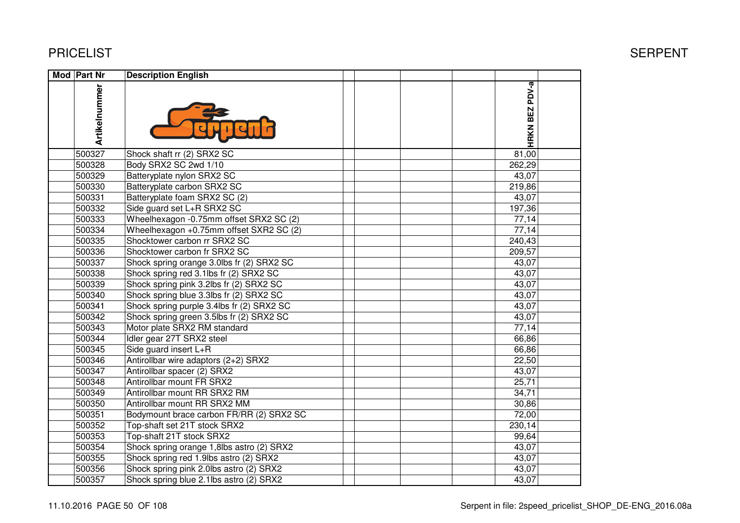| Mod Part Nr   | <b>Description English</b>                |                |  |
|---------------|-------------------------------------------|----------------|--|
| Artikelnummer |                                           | HRKN BEZ PDV-a |  |
| 500327        | Shock shaft rr (2) SRX2 SC                | 81,00          |  |
| 500328        | Body SRX2 SC 2wd 1/10                     | 262,29         |  |
| 500329        | Batteryplate nylon SRX2 SC                | 43,07          |  |
| 500330        | Batteryplate carbon SRX2 SC               | 219,86         |  |
| 500331        | Batteryplate foam SRX2 SC (2)             | 43,07          |  |
| 500332        | Side guard set L+R SRX2 SC                | 197,36         |  |
| 500333        | Wheelhexagon -0.75mm offset SRX2 SC (2)   | 77,14          |  |
| 500334        | Wheelhexagon +0.75mm offset SXR2 SC (2)   | 77,14          |  |
| 500335        | Shocktower carbon rr SRX2 SC              | 240,43         |  |
| 500336        | Shocktower carbon fr SRX2 SC              | 209,57         |  |
| 500337        | Shock spring orange 3.0lbs fr (2) SRX2 SC | 43,07          |  |
| 500338        | Shock spring red 3.1lbs fr (2) SRX2 SC    | 43,07          |  |
| 500339        | Shock spring pink 3.2lbs fr (2) SRX2 SC   | 43,07          |  |
| 500340        | Shock spring blue 3.3lbs fr (2) SRX2 SC   | 43,07          |  |
| 500341        | Shock spring purple 3.4lbs fr (2) SRX2 SC | 43,07          |  |
| 500342        | Shock spring green 3.5lbs fr (2) SRX2 SC  | 43,07          |  |
| 500343        | Motor plate SRX2 RM standard              | 77,14          |  |
| 500344        | Idler gear 27T SRX2 steel                 | 66,86          |  |
| 500345        | Side guard insert L+R                     | 66,86          |  |
| 500346        | Antirollbar wire adaptors (2+2) SRX2      | 22,50          |  |
| 500347        | Antirollbar spacer (2) SRX2               | 43,07          |  |
| 500348        | Antirollbar mount FR SRX2                 | 25,71          |  |
| 500349        | Antirollbar mount RR SRX2 RM              | 34,71          |  |
| 500350        | Antirollbar mount RR SRX2 MM              | 30,86          |  |
| 500351        | Bodymount brace carbon FR/RR (2) SRX2 SC  | 72,00          |  |
| 500352        | Top-shaft set 21T stock SRX2              | 230,14         |  |
| 500353        | Top-shaft 21T stock SRX2                  | 99,64          |  |
| 500354        | Shock spring orange 1,8lbs astro (2) SRX2 | 43,07          |  |
| 500355        | Shock spring red 1.9lbs astro (2) SRX2    | 43,07          |  |
| 500356        | Shock spring pink 2.0lbs astro (2) SRX2   | 43,07          |  |
| 500357        | Shock spring blue 2.1lbs astro (2) SRX2   | 43,07          |  |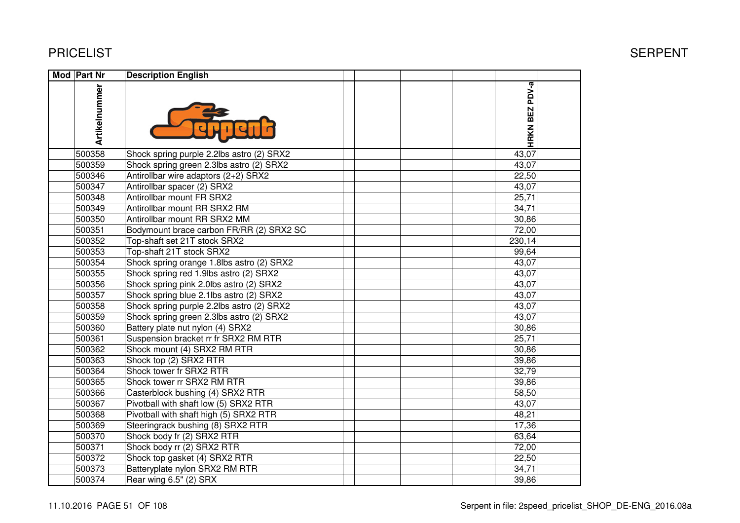| Mod Part Nr   | <b>Description English</b>                |                |  |
|---------------|-------------------------------------------|----------------|--|
| Artikelnummer |                                           | HRKN BEZ PDV-a |  |
| 500358        | Shock spring purple 2.2lbs astro (2) SRX2 | 43,07          |  |
| 500359        | Shock spring green 2.3lbs astro (2) SRX2  | 43,07          |  |
| 500346        | Antirollbar wire adaptors (2+2) SRX2      | 22,50          |  |
| 500347        | Antirollbar spacer (2) SRX2               | 43,07          |  |
| 500348        | Antirollbar mount FR SRX2                 | 25,71          |  |
| 500349        | Antirollbar mount RR SRX2 RM              | 34,71          |  |
| 500350        | Antirollbar mount RR SRX2 MM              | 30,86          |  |
| 500351        | Bodymount brace carbon FR/RR (2) SRX2 SC  | 72,00          |  |
| 500352        | Top-shaft set 21T stock SRX2              | 230,14         |  |
| 500353        | Top-shaft 21T stock SRX2                  | 99,64          |  |
| 500354        | Shock spring orange 1.8lbs astro (2) SRX2 | 43,07          |  |
| 500355        | Shock spring red 1.9lbs astro (2) SRX2    | 43,07          |  |
| 500356        | Shock spring pink 2.0lbs astro (2) SRX2   | 43,07          |  |
| 500357        | Shock spring blue 2.1lbs astro (2) SRX2   | 43,07          |  |
| 500358        | Shock spring purple 2.2lbs astro (2) SRX2 | 43,07          |  |
| 500359        | Shock spring green 2.3lbs astro (2) SRX2  | 43,07          |  |
| 500360        | Battery plate nut nylon (4) SRX2          | 30,86          |  |
| 500361        | Suspension bracket rr fr SRX2 RM RTR      | 25,71          |  |
| 500362        | Shock mount (4) SRX2 RM RTR               | 30,86          |  |
| 500363        | Shock top (2) SRX2 RTR                    | 39,86          |  |
| 500364        | Shock tower fr SRX2 RTR                   | 32,79          |  |
| 500365        | Shock tower rr SRX2 RM RTR                | 39,86          |  |
| 500366        | Casterblock bushing (4) SRX2 RTR          | 58,50          |  |
| 500367        | Pivotball with shaft low (5) SRX2 RTR     | 43,07          |  |
| 500368        | Pivotball with shaft high (5) SRX2 RTR    | 48,21          |  |
| 500369        | Steeringrack bushing (8) SRX2 RTR         | 17,36          |  |
| 500370        | Shock body fr (2) SRX2 RTR                | 63,64          |  |
| 500371        | Shock body rr (2) SRX2 RTR                | 72,00          |  |
| 500372        | Shock top gasket (4) SRX2 RTR             | 22,50          |  |
| 500373        | Batteryplate nylon SRX2 RM RTR            | 34,71          |  |
| 500374        | Rear wing 6.5" (2) SRX                    | 39,86          |  |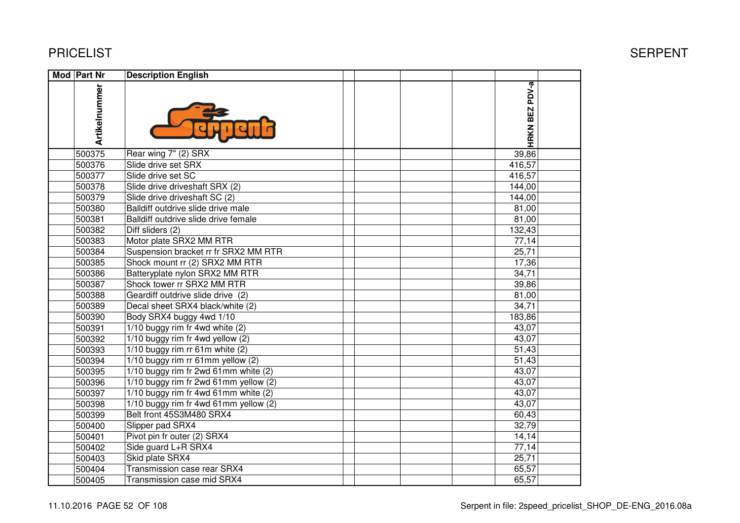| <b>Mod Part Nr</b> | <b>Description English</b>            |                |  |
|--------------------|---------------------------------------|----------------|--|
|                    | Artikelnummer                         | HRKN BEZ PDV-a |  |
| 500375             | Rear wing 7" (2) SRX                  | 39,86          |  |
| 500376             | Slide drive set SRX                   | 416,57         |  |
| 500377             | Slide drive set SC                    | 416,57         |  |
| 500378             | Slide drive driveshaft SRX (2)        | 144,00         |  |
| 500379             | Slide drive driveshaft SC (2)         | 144,00         |  |
| 500380             | Balldiff outdrive slide drive male    | 81,00          |  |
| 500381             | Balldiff outdrive slide drive female  | 81,00          |  |
| 500382             | Diff sliders (2)                      | 132,43         |  |
| 500383             | Motor plate SRX2 MM RTR               | 77,14          |  |
| 500384             | Suspension bracket rr fr SRX2 MM RTR  | 25,71          |  |
| 500385             | Shock mount rr (2) SRX2 MM RTR        | 17,36          |  |
| 500386             | Batteryplate nylon SRX2 MM RTR        | 34,71          |  |
| 500387             | Shock tower rr SRX2 MM RTR            | 39,86          |  |
| 500388             | Geardiff outdrive slide drive (2)     | 81,00          |  |
| 500389             | Decal sheet SRX4 black/white (2)      | 34,71          |  |
| 500390             | Body SRX4 buggy 4wd 1/10              | 183,86         |  |
| 500391             | 1/10 buggy rim fr 4wd white (2)       | 43,07          |  |
| 500392             | 1/10 buggy rim fr 4wd yellow (2)      | 43,07          |  |
| 500393             | $1/10$ buggy rim rr 61m white (2)     | 51,43          |  |
| 500394             | 1/10 buggy rim rr 61mm yellow (2)     | 51,43          |  |
| 500395             | 1/10 buggy rim fr 2wd 61mm white (2)  | 43,07          |  |
| 500396             | 1/10 buggy rim fr 2wd 61mm yellow (2) | 43,07          |  |
| 500397             | 1/10 buggy rim fr 4wd 61mm white (2)  | 43,07          |  |
| 500398             | 1/10 buggy rim fr 4wd 61mm yellow (2) | 43,07          |  |
| 500399             | Belt front 45S3M480 SRX4              | 60,43          |  |
| 500400             | Slipper pad SRX4                      | 32,79          |  |
| 500401             | Pivot pin fr outer (2) SRX4           | 14,14          |  |
| 500402             | Side guard L+R SRX4                   | 77,14          |  |
| 500403             | Skid plate SRX4                       | 25,71          |  |
| 500404             | Transmission case rear SRX4           | 65,57          |  |
| 500405             | Transmission case mid SRX4            | 65,57          |  |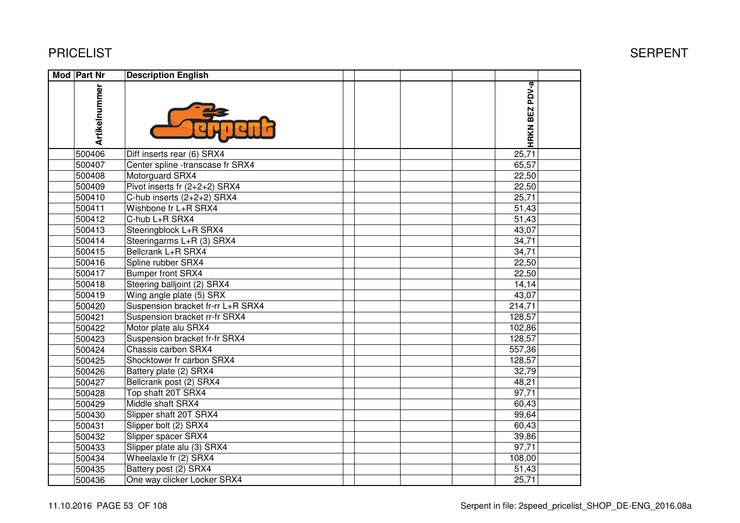| Mod Part Nr   | <b>Description English</b>        |                |  |
|---------------|-----------------------------------|----------------|--|
| Artikelnummer |                                   | HRKN BEZ PDV-a |  |
| 500406        | Diff inserts rear (6) SRX4        | 25,71          |  |
| 500407        | Center spline -transcase fr SRX4  | 65,57          |  |
| 500408        | Motorguard SRX4                   | 22,50          |  |
| 500409        | Pivot inserts fr (2+2+2) SRX4     | 22,50          |  |
| 500410        | C-hub inserts (2+2+2) SRX4        | 25,71          |  |
| 500411        | Wishbone fr L+R SRX4              | 51,43          |  |
| 500412        | C-hub L+R SRX4                    | 51,43          |  |
| 500413        | Steeringblock L+R SRX4            | 43,07          |  |
| 500414        | Steeringarms L+R (3) SRX4         | 34,71          |  |
| 500415        | Bellcrank L+R SRX4                | 34,71          |  |
| 500416        | Spline rubber SRX4                | 22,50          |  |
| 500417        | Bumper front SRX4                 | 22,50          |  |
| 500418        | Steering balljoint (2) SRX4       | 14,14          |  |
| 500419        | Wing angle plate (5) SRX          | 43,07          |  |
| 500420        | Suspension bracket fr-rr L+R SRX4 | 214,71         |  |
| 500421        | Suspension bracket rr-fr SRX4     | 128,57         |  |
| 500422        | Motor plate alu SRX4              | 102,86         |  |
| 500423        | Suspension bracket fr-fr SRX4     | 128,57         |  |
| 500424        | Chassis carbon SRX4               | 557,36         |  |
| 500425        | Shocktower fr carbon SRX4         | 128,57         |  |
| 500426        | Battery plate (2) SRX4            | 32,79          |  |
| 500427        | Bellcrank post (2) SRX4           | 48,21          |  |
| 500428        | Top shaft 20T SRX4                | 97,71          |  |
| 500429        | Middle shaft SRX4                 | 60,43          |  |
| 500430        | Slipper shaft 20T SRX4            | 99,64          |  |
| 500431        | Slipper bolt (2) SRX4             | 60,43          |  |
| 500432        | Slipper spacer SRX4               | 39,86          |  |
| 500433        | Slipper plate alu (3) SRX4        | 97,71          |  |
| 500434        | Wheelaxle fr (2) SRX4             | 108,00         |  |
| 500435        | Battery post (2) SRX4             | 51,43          |  |
| 500436        | One way clicker Locker SRX4       | 25,71          |  |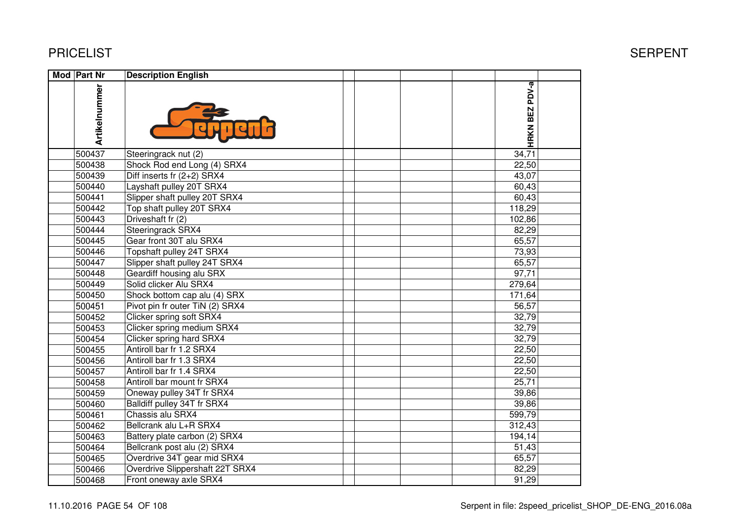| Mod Part Nr   | <b>Description English</b>      |                |  |
|---------------|---------------------------------|----------------|--|
| Artikelnummer |                                 | HRKN BEZ PDV-a |  |
| 500437        | Steeringrack nut (2)            | 34,71          |  |
| 500438        | Shock Rod end Long (4) SRX4     | 22,50          |  |
| 500439        | Diff inserts fr (2+2) SRX4      | 43,07          |  |
| 500440        | Layshaft pulley 20T SRX4        | 60,43          |  |
| 500441        | Slipper shaft pulley 20T SRX4   | 60,43          |  |
| 500442        | Top shaft pulley 20T SRX4       | 118,29         |  |
| 500443        | Driveshaft fr (2)               | 102,86         |  |
| 500444        | Steeringrack SRX4               | 82,29          |  |
| 500445        | Gear front 30T alu SRX4         | 65,57          |  |
| 500446        | Topshaft pulley 24T SRX4        | 73,93          |  |
| 500447        | Slipper shaft pulley 24T SRX4   | 65,57          |  |
| 500448        | Geardiff housing alu SRX        | 97,71          |  |
| 500449        | Solid clicker Alu SRX4          | 279,64         |  |
| 500450        | Shock bottom cap alu (4) SRX    | 171,64         |  |
| 500451        | Pivot pin fr outer TiN (2) SRX4 | 56,57          |  |
| 500452        | Clicker spring soft SRX4        | 32,79          |  |
| 500453        | Clicker spring medium SRX4      | 32,79          |  |
| 500454        | Clicker spring hard SRX4        | 32,79          |  |
| 500455        | Antiroll bar fr 1.2 SRX4        | 22,50          |  |
| 500456        | Antiroll bar fr 1.3 SRX4        | 22,50          |  |
| 500457        | Antiroll bar fr 1.4 SRX4        | 22,50          |  |
| 500458        | Antiroll bar mount fr SRX4      | 25,71          |  |
| 500459        | Oneway pulley 34T fr SRX4       | 39,86          |  |
| 500460        | Balldiff pulley 34T fr SRX4     | 39,86          |  |
| 500461        | Chassis alu SRX4                | 599,79         |  |
| 500462        | Bellcrank alu L+R SRX4          | 312,43         |  |
| 500463        | Battery plate carbon (2) SRX4   | 194,14         |  |
| 500464        | Bellcrank post alu (2) SRX4     | 51,43          |  |
| 500465        | Overdrive 34T gear mid SRX4     | 65,57          |  |
| 500466        | Overdrive Slippershaft 22T SRX4 | 82,29          |  |
| 500468        | Front oneway axle SRX4          | 91,29          |  |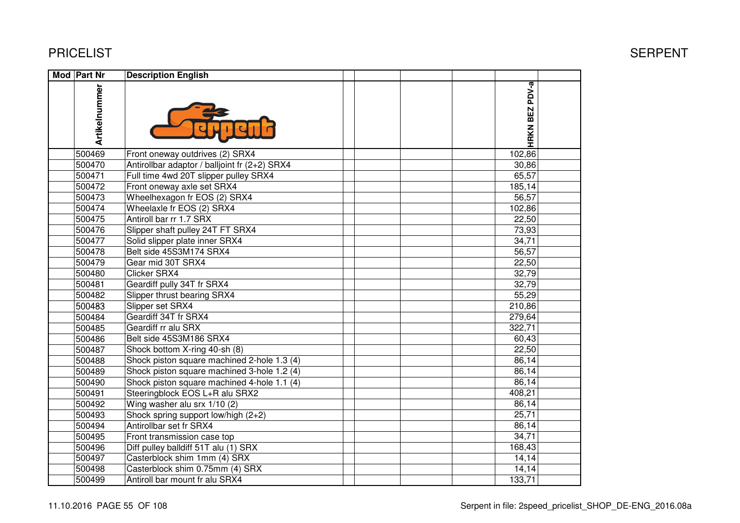| <b>Mod Part Nr</b> | <b>Description English</b>                    |                |  |
|--------------------|-----------------------------------------------|----------------|--|
| Artikelnummer      |                                               | HRKN BEZ PDV-a |  |
| 500469             | Front oneway outdrives (2) SRX4               | 102,86         |  |
| 500470             | Antirollbar adaptor / balljoint fr (2+2) SRX4 | 30,86          |  |
| 500471             | Full time 4wd 20T slipper pulley SRX4         | 65,57          |  |
| 500472             | Front oneway axle set SRX4                    | 185, 14        |  |
| 500473             | Wheelhexagon fr EOS (2) SRX4                  | 56,57          |  |
| 500474             | Wheelaxle fr EOS (2) SRX4                     | 102,86         |  |
| 500475             | Antiroll bar rr 1.7 SRX                       | 22,50          |  |
| 500476             | Slipper shaft pulley 24T FT SRX4              | 73,93          |  |
| 500477             | Solid slipper plate inner SRX4                | 34,71          |  |
| 500478             | Belt side 45S3M174 SRX4                       | 56,57          |  |
| 500479             | Gear mid 30T SRX4                             | 22,50          |  |
| 500480             | Clicker SRX4                                  | 32,79          |  |
| 500481             | Geardiff pully 34T fr SRX4                    | 32,79          |  |
| 500482             | Slipper thrust bearing SRX4                   | 55,29          |  |
| 500483             | Slipper set SRX4                              | 210,86         |  |
| 500484             | Geardiff 34T fr SRX4                          | 279,64         |  |
| 500485             | Geardiff rr alu SRX                           | 322,71         |  |
| 500486             | Belt side 45S3M186 SRX4                       | 60,43          |  |
| 500487             | Shock bottom X-ring 40-sh (8)                 | 22,50          |  |
| 500488             | Shock piston square machined 2-hole 1.3 (4)   | 86,14          |  |
| 500489             | Shock piston square machined 3-hole 1.2 (4)   | 86,14          |  |
| 500490             | Shock piston square machined 4-hole 1.1 (4)   | 86,14          |  |
| 500491             | Steeringblock EOS L+R alu SRX2                | 408,21         |  |
| 500492             | Wing washer alu srx 1/10 (2)                  | 86,14          |  |
| 500493             | Shock spring support low/high (2+2)           | 25,71          |  |
| 500494             | Antirollbar set fr SRX4                       | 86,14          |  |
| 500495             | Front transmission case top                   | 34,71          |  |
| 500496             | Diff pulley balldiff 51T alu (1) SRX          | 168,43         |  |
| 500497             | Casterblock shim 1mm (4) SRX                  | 14,14          |  |
| 500498             | Casterblock shim 0.75mm (4) SRX               | 14,14          |  |
| 500499             | Antiroll bar mount fr alu SRX4                | 133,71         |  |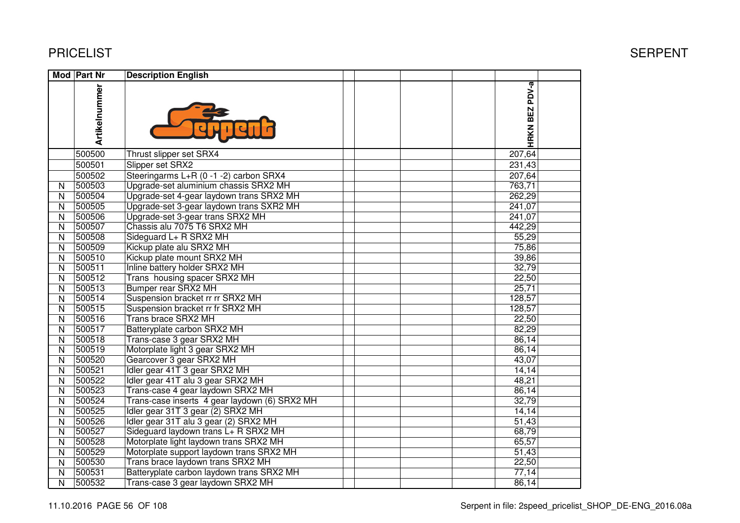|              | Mod Part Nr   | <b>Description English</b>                    |  |                |  |
|--------------|---------------|-----------------------------------------------|--|----------------|--|
|              | Artikelnummer |                                               |  | HRKN BEZ PDV-a |  |
|              | 500500        | Thrust slipper set SRX4                       |  | 207,64         |  |
|              | 500501        | Slipper set SRX2                              |  | 231,43         |  |
|              | 500502        | Steeringarms L+R (0-1-2) carbon SRX4          |  | 207,64         |  |
| N            | 500503        | Upgrade-set aluminium chassis SRX2 MH         |  | 763,71         |  |
| N            | 500504        | Upgrade-set 4-gear laydown trans SRX2 MH      |  | 262,29         |  |
| N            | 500505        | Upgrade-set 3-gear laydown trans SXR2 MH      |  | 241,07         |  |
| N            | 500506        | Upgrade-set 3-gear trans SRX2 MH              |  | 241,07         |  |
| N            | 500507        | Chassis alu 7075 T6 SRX2 MH                   |  | 442,29         |  |
| N            | 500508        | Sideguard L+ R SRX2 MH                        |  | 55,29          |  |
| N            | 500509        | Kickup plate alu SRX2 MH                      |  | 75,86          |  |
| N            | 500510        | Kickup plate mount SRX2 MH                    |  | 39,86          |  |
| N            | 500511        | Inline battery holder SRX2 MH                 |  | 32,79          |  |
| N            | 500512        | Trans housing spacer SRX2 MH                  |  | 22,50          |  |
| N            | 500513        | <b>Bumper rear SRX2 MH</b>                    |  | 25,71          |  |
| N            | 500514        | Suspension bracket rr rr SRX2 MH              |  | 128,57         |  |
| $\mathsf{N}$ | 500515        | Suspension bracket rr fr SRX2 MH              |  | 128,57         |  |
| N            | 500516        | Trans brace SRX2 MH                           |  | 22,50          |  |
| $\mathsf{N}$ | 500517        | Batteryplate carbon SRX2 MH                   |  | 82,29          |  |
| N            | 500518        | Trans-case 3 gear SRX2 MH                     |  | 86,14          |  |
| N            | 500519        | Motorplate light 3 gear SRX2 MH               |  | 86,14          |  |
| $\mathsf{N}$ | 500520        | Gearcover 3 gear SRX2 MH                      |  | 43,07          |  |
| N            | 500521        | Idler gear 41T 3 gear SRX2 MH                 |  | 14,14          |  |
| N            | 500522        | Idler gear 41T alu 3 gear SRX2 MH             |  | 48,21          |  |
| N            | 500523        | Trans-case 4 gear laydown SRX2 MH             |  | 86,14          |  |
| N            | 500524        | Trans-case inserts 4 gear laydown (6) SRX2 MH |  | 32,79          |  |
| N            | 500525        | Idler gear 31T 3 gear (2) SRX2 MH             |  | 14,14          |  |
| N            | 500526        | Idler gear 31T alu 3 gear (2) SRX2 MH         |  | 51,43          |  |
| N            | 500527        | Sideguard laydown trans L+ R SRX2 MH          |  | 68,79          |  |
| N            | 500528        | Motorplate light laydown trans SRX2 MH        |  | 65,57          |  |
| N            | 500529        | Motorplate support laydown trans SRX2 MH      |  | 51,43          |  |
| N            | 500530        | Trans brace laydown trans SRX2 MH             |  | 22,50          |  |
| N            | 500531        | Batteryplate carbon laydown trans SRX2 MH     |  | 77,14          |  |
| N            | 500532        | Trans-case 3 gear laydown SRX2 MH             |  | 86,14          |  |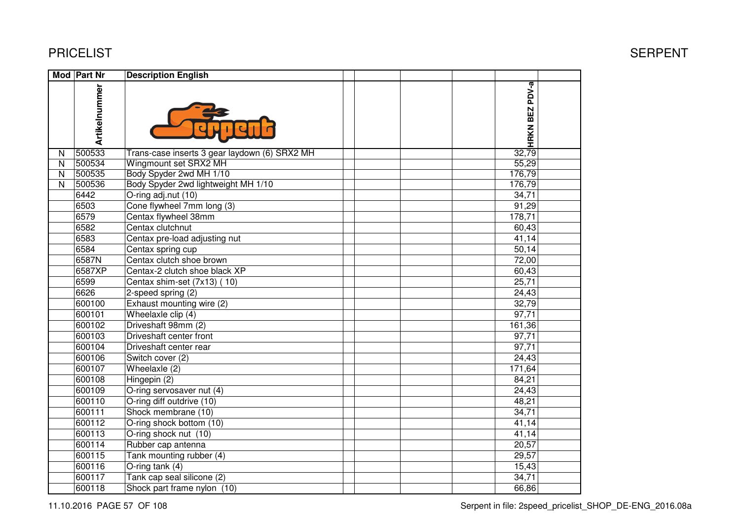600117 Tank cap seal silicone (2)

600118 Shock part frame nylon (10)

|   | <b>PRICELIST</b> |                                               |  |        | <b>SERPENT</b> |
|---|------------------|-----------------------------------------------|--|--------|----------------|
|   | Mod Part Nr      | <b>Description English</b>                    |  |        |                |
|   | Artikelnummer    |                                               |  |        |                |
| N | 500533           | Trans-case inserts 3 gear laydown (6) SRX2 MH |  |        |                |
| N | 500534           | Wingmount set SRX2 MH                         |  | 55,29  |                |
| N | 500535           | Body Spyder 2wd MH 1/10                       |  | 176,79 |                |
| N | 500536           | Body Spyder 2wd lightweight MH 1/10           |  | 176,79 |                |
|   | 6442             | O-ring adj.nut (10)                           |  | 34,71  |                |
|   | 6503             | Cone flywheel 7mm long (3)                    |  | 91,29  |                |
|   | 6579             | Centax flywheel 38mm                          |  | 178,71 |                |
|   | 6582             | Centax clutchnut                              |  | 60,43  |                |
|   | 6583             | Centax pre-load adjusting nut                 |  | 41,14  |                |
|   | 6584             | Centax spring cup                             |  | 50,14  |                |
|   | 6587N            | Centax clutch shoe brown                      |  | 72,00  |                |
|   | 6587XP           | Centax-2 clutch shoe black XP                 |  | 60,43  |                |
|   | 6599             | Centax shim-set (7x13) (10)                   |  | 25,71  |                |
|   | 6626             | 2-speed spring (2)                            |  | 24,43  |                |
|   | 600100           | Exhaust mounting wire (2)                     |  | 32,79  |                |
|   | 600101           | Wheelaxle clip (4)                            |  | 97,71  |                |
|   | 600102           | Driveshaft 98mm (2)                           |  | 161,36 |                |
|   | 600103           | Driveshaft center front                       |  | 97,71  |                |
|   | 600104           | Driveshaft center rear                        |  | 97,71  |                |
|   | 600106           | Switch cover (2)                              |  | 24,43  |                |
|   | 600107           | Wheelaxle (2)                                 |  | 171,64 |                |
|   | 600108           | Hingepin (2)                                  |  | 84,21  |                |
|   | 600109           | O-ring servosaver nut (4)                     |  | 24,43  |                |
|   | 600110           | O-ring diff outdrive (10)                     |  | 48,21  |                |
|   | 600111           | Shock membrane (10)                           |  | 34,71  |                |
|   | 600112           | O-ring shock bottom (10)                      |  | 41,14  |                |
|   | 600113           | O-ring shock nut (10)                         |  | 41,14  |                |
|   | 600114           | Rubber cap antenna                            |  | 20,57  |                |
|   | 600115           | Tank mounting rubber (4)                      |  | 29,57  |                |
|   | 600116           | O-ring tank (4)                               |  | 15,43  |                |

 $\overline{3}$ ,  $\overline{3}$ ,  $\overline{3}$ ,  $\overline{3}$ ,  $\overline{3}$ ,  $\overline{3}$ ,  $\overline{3}$ ,  $\overline{3}$ ,  $\overline{3}$ ,  $\overline{3}$ ,  $\overline{3}$ ,  $\overline{3}$ ,  $\overline{3}$ ,  $\overline{3}$ ,  $\overline{3}$ ,  $\overline{3}$ ,  $\overline{3}$ ,  $\overline{3}$ ,  $\overline{3}$ ,  $\overline{3}$ ,  $\overline{3}$ ,  $\overline{3}$ ,

 $\overline{\phantom{a}}$ ,  $\overline{\phantom{a}}$ ,  $\overline{\phantom{a}}$ ,  $\overline{\phantom{a}}$ ,  $\overline{\phantom{a}}$ ,  $\overline{\phantom{a}}$ ,  $\overline{\phantom{a}}$ ,  $\overline{\phantom{a}}$ ,  $\overline{\phantom{a}}$ ,  $\overline{\phantom{a}}$ ,  $\overline{\phantom{a}}$ ,  $\overline{\phantom{a}}$ ,  $\overline{\phantom{a}}$ ,  $\overline{\phantom{a}}$ ,  $\overline{\phantom{a}}$ ,  $\overline{\phantom{a}}$ ,  $\overline{\phantom{a}}$ ,

 $34,71$ 

66,86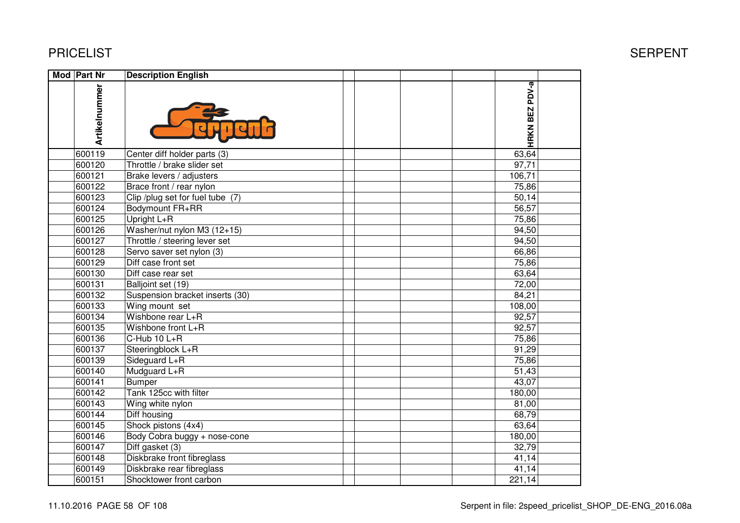| <b>Mod Part Nr</b> | <b>Description English</b>       |                |  |
|--------------------|----------------------------------|----------------|--|
| Artikelnummer      |                                  | HRKN BEZ PDV-a |  |
| 600119             | Center diff holder parts (3)     | 63,64          |  |
| 600120             | Throttle / brake slider set      | 97,71          |  |
| 600121             | Brake levers / adjusters         | 106,71         |  |
| 600122             | Brace front / rear nylon         | 75,86          |  |
| 600123             | Clip /plug set for fuel tube (7) | 50,14          |  |
| 600124             | Bodymount FR+RR                  | 56,57          |  |
| 600125             | Upright L+R                      | 75,86          |  |
| 600126             | Washer/nut nylon M3 (12+15)      | 94,50          |  |
| 600127             | Throttle / steering lever set    | 94,50          |  |
| 600128             | Servo saver set nylon (3)        | 66,86          |  |
| 600129             | Diff case front set              | 75,86          |  |
| 600130             | Diff case rear set               | 63,64          |  |
| 600131             | Balljoint set (19)               | 72,00          |  |
| 600132             | Suspension bracket inserts (30)  | 84,21          |  |
| 600133             | Wing mount set                   | 108,00         |  |
| 600134             | Wishbone rear L+R                | 92,57          |  |
| 600135             | Wishbone front L+R               | 92,57          |  |
| 600136             | C-Hub 10 L+R                     | 75,86          |  |
| 600137             | Steeringblock L+R                | 91,29          |  |
| 600139             | Sideguard L+R                    | 75,86          |  |
| 600140             | Mudguard L+R                     | 51,43          |  |
| 600141             | <b>Bumper</b>                    | 43,07          |  |
| 600142             | Tank 125cc with filter           | 180,00         |  |
| 600143             | Wing white nylon                 | 81,00          |  |
| 600144             | Diff housing                     | 68,79          |  |
| 600145             | Shock pistons (4x4)              | 63,64          |  |
| 600146             | Body Cobra buggy + nose-cone     | 180,00         |  |
| 600147             | Diff gasket (3)                  | 32,79          |  |
| 600148             | Diskbrake front fibreglass       | 41,14          |  |
| 600149             | Diskbrake rear fibreglass        | 41,14          |  |
| 600151             | Shocktower front carbon          | 221,14         |  |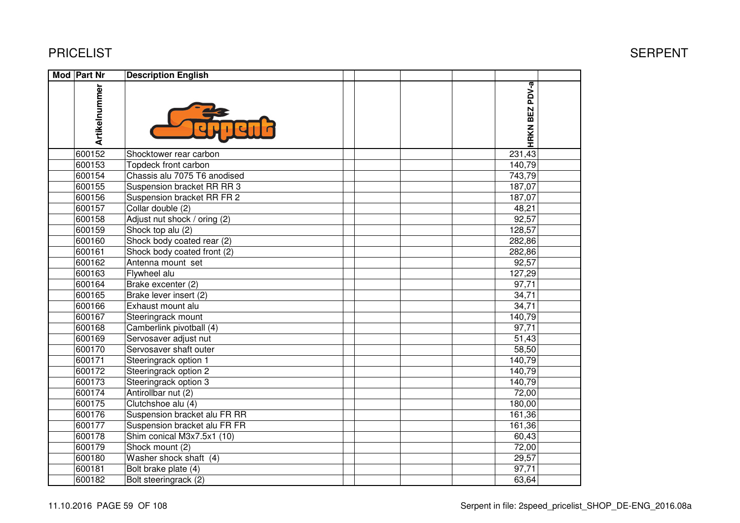| Mod Part Nr   | <b>Description English</b>   |                |  |
|---------------|------------------------------|----------------|--|
| Artikelnummer |                              | HRKN BEZ PDV-a |  |
| 600152        | Shocktower rear carbon       | 231,43         |  |
| 600153        | Topdeck front carbon         | 140,79         |  |
| 600154        | Chassis alu 7075 T6 anodised | 743,79         |  |
| 600155        | Suspension bracket RR RR 3   | 187,07         |  |
| 600156        | Suspension bracket RR FR 2   | 187,07         |  |
| 600157        | Collar double (2)            | 48,21          |  |
| 600158        | Adjust nut shock / oring (2) | 92,57          |  |
| 600159        | Shock top alu (2)            | 128,57         |  |
| 600160        | Shock body coated rear (2)   | 282,86         |  |
| 600161        | Shock body coated front (2)  | 282,86         |  |
| 600162        | Antenna mount set            | 92,57          |  |
| 600163        | Flywheel alu                 | 127,29         |  |
| 600164        | Brake excenter (2)           | 97,71          |  |
| 600165        | Brake lever insert (2)       | 34,71          |  |
| 600166        | Exhaust mount alu            | 34,71          |  |
| 600167        | Steeringrack mount           | 140,79         |  |
| 600168        | Camberlink pivotball (4)     | 97,71          |  |
| 600169        | Servosaver adjust nut        | 51,43          |  |
| 600170        | Servosaver shaft outer       | 58,50          |  |
| 600171        | Steeringrack option 1        | 140,79         |  |
| 600172        | Steeringrack option 2        | 140,79         |  |
| 600173        | Steeringrack option 3        | 140,79         |  |
| 600174        | Antirollbar nut (2)          | 72,00          |  |
| 600175        | Clutchshoe alu (4)           | 180,00         |  |
| 600176        | Suspension bracket alu FR RR | 161,36         |  |
| 600177        | Suspension bracket alu FR FR | 161,36         |  |
| 600178        | Shim conical M3x7.5x1 (10)   | 60,43          |  |
| 600179        | Shock mount (2)              | 72,00          |  |
| 600180        | Washer shock shaft (4)       | 29,57          |  |
| 600181        | Bolt brake plate (4)         | 97,71          |  |
| 600182        | Bolt steeringrack (2)        | 63,64          |  |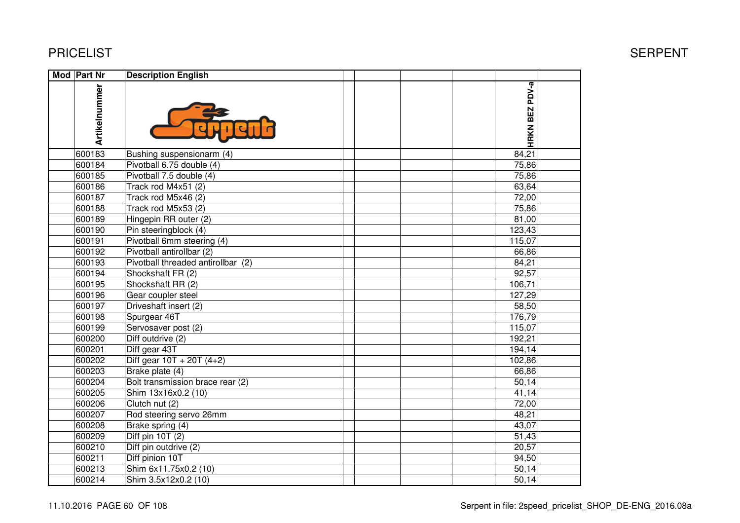| Mod Part Nr   | <b>Description English</b>             |                |  |
|---------------|----------------------------------------|----------------|--|
| Artikelnummer |                                        | HRKN BEZ PDV-a |  |
| 600183        | Bushing suspensionarm (4)              | 84,21          |  |
| 600184        | Pivotball 6.75 double (4)              | 75,86          |  |
| 600185        | Pivotball 7.5 double (4)               | 75,86          |  |
| 600186        | Track rod M4x51 (2)                    | 63,64          |  |
| 600187        | Track rod M5x46 (2)                    | 72,00          |  |
| 600188        | Track rod M5x53 (2)                    | 75,86          |  |
| 600189        | Hingepin RR outer (2)                  | 81,00          |  |
| 600190        | Pin steeringblock (4)                  | 123,43         |  |
| 600191        | Pivotball 6mm steering (4)             | 115,07         |  |
| 600192        | Pivotball antirollbar (2)              | 66,86          |  |
| 600193        | Pivotball threaded antirollbar (2)     | 84,21          |  |
| 600194        | Shockshaft FR (2)                      | 92,57          |  |
| 600195        | Shockshaft RR (2)                      | 106,71         |  |
| 600196        | Gear coupler steel                     | 127,29         |  |
| 600197        | Driveshaft insert (2)                  | 58,50          |  |
| 600198        | Spurgear 46T                           | 176,79         |  |
| 600199        | Servosaver post (2)                    | 115,07         |  |
| 600200        | Diff outdrive (2)                      | 192,21         |  |
| 600201        | Diff gear 43T                          | 194,14         |  |
| 600202        | $\overline{Diff}$ gear 10T + 20T (4+2) | 102,86         |  |
| 600203        | Brake plate (4)                        | 66,86          |  |
| 600204        | Bolt transmission brace rear (2)       | 50,14          |  |
| 600205        | Shim 13x16x0.2 (10)                    | 41,14          |  |
| 600206        | Clutch nut (2)                         | 72,00          |  |
| 600207        | Rod steering servo 26mm                | 48,21          |  |
| 600208        | Brake spring (4)                       | 43,07          |  |
| 600209        | Diff pin 10T (2)                       | 51,43          |  |
| 600210        | Diff pin outdrive (2)                  | 20,57          |  |
| 600211        | Diff pinion 10T                        | 94,50          |  |
| 600213        | Shim 6x11.75x0.2 (10)                  | 50,14          |  |
| 600214        | Shim 3.5x12x0.2 (10)                   | 50,14          |  |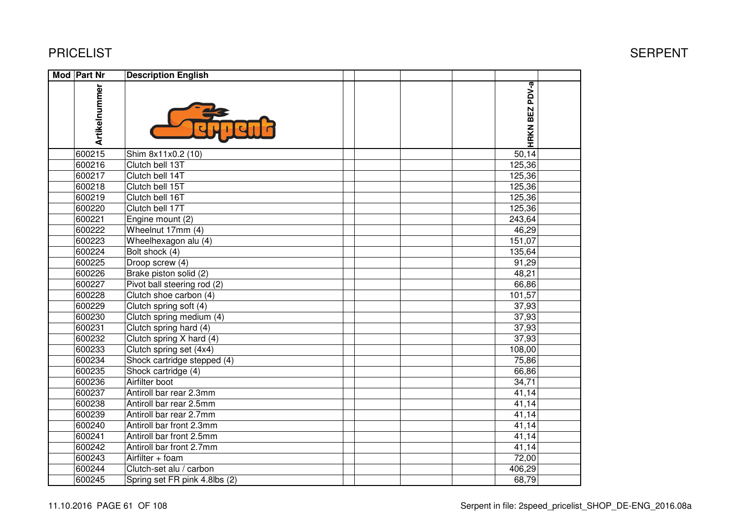### PRICELIST

| Mod Part Nr   | <b>Description English</b>                |                |  |
|---------------|-------------------------------------------|----------------|--|
| Artikelnummer |                                           | HRKN BEZ PDV-a |  |
| 600215        | Shim 8x11x0.2 (10)                        | 50,14          |  |
| 600216        | Clutch bell 13T                           | 125,36         |  |
| 600217        | Clutch bell 14T                           | 125,36         |  |
| 600218        | Clutch bell 15T                           | 125,36         |  |
| 600219        | Clutch bell 16T                           | 125,36         |  |
| 600220        | Clutch bell 17T                           | 125,36         |  |
| 600221        | Engine mount (2)                          | 243,64         |  |
| 600222        | Wheelnut 17mm (4)                         | 46,29          |  |
| 600223        | $\overline{\text{W}}$ heelhexagon alu (4) | 151,07         |  |
| 600224        | Bolt shock (4)                            | 135,64         |  |
| 600225        | Droop screw (4)                           | 91,29          |  |
| 600226        | Brake piston solid (2)                    | 48,21          |  |
| 600227        | Pivot ball steering rod (2)               | 66,86          |  |
| 600228        | Clutch shoe carbon (4)                    | 101,57         |  |
| 600229        | Clutch spring soft (4)                    | 37,93          |  |
| 600230        | Clutch spring medium (4)                  | 37,93          |  |
| 600231        | Clutch spring hard (4)                    | 37,93          |  |
| 600232        | Clutch spring X hard (4)                  | 37,93          |  |
| 600233        | Clutch spring set (4x4)                   | 108,00         |  |
| 600234        | Shock cartridge stepped (4)               | 75,86          |  |
| 600235        | Shock cartridge (4)                       | 66,86          |  |
| 600236        | Airfilter boot                            | 34,71          |  |
| 600237        | Antiroll bar rear 2.3mm                   | 41,14          |  |
| 600238        | Antiroll bar rear 2.5mm                   | 41,14          |  |
| 600239        | Antiroll bar rear 2.7mm                   | 41,14          |  |
| 600240        | Antiroll bar front 2.3mm                  | 41,14          |  |
| 600241        | Antiroll bar front 2.5mm                  | 41,14          |  |
| 600242        | Antiroll bar front 2.7mm                  | 41,14          |  |
| 600243        | Airfilter + foam                          | 72,00          |  |
| 600244        | Clutch-set alu / carbon                   | 406,29         |  |
| 600245        | Spring set FR pink 4.8lbs (2)             | 68,79          |  |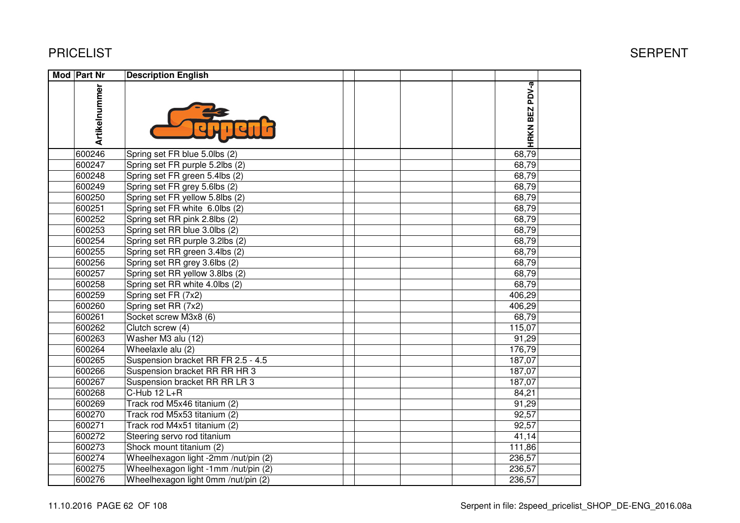| Mod Part Nr   | <b>Description English</b>           |                       |  |
|---------------|--------------------------------------|-----------------------|--|
| Artikelnummer |                                      | <b>HRKN BEZ PDV-a</b> |  |
| 600246        | Spring set FR blue 5.0lbs (2)        | 68,79                 |  |
| 600247        | Spring set FR purple 5.2lbs (2)      | 68,79                 |  |
| 600248        | Spring set FR green 5.4lbs (2)       | 68,79                 |  |
| 600249        | Spring set FR grey 5.6lbs (2)        | 68,79                 |  |
| 600250        | Spring set FR yellow 5.8lbs (2)      | 68,79                 |  |
| 600251        | Spring set FR white 6.0lbs (2)       | 68,79                 |  |
| 600252        | Spring set RR pink 2.8lbs (2)        | 68,79                 |  |
| 600253        | Spring set RR blue 3.0lbs (2)        | 68,79                 |  |
| 600254        | Spring set RR purple 3.2lbs (2)      | 68,79                 |  |
| 600255        | Spring set RR green 3.4lbs (2)       | 68,79                 |  |
| 600256        | Spring set RR grey 3.6lbs (2)        | 68,79                 |  |
| 600257        | Spring set RR yellow 3.8lbs (2)      | 68,79                 |  |
| 600258        | Spring set RR white 4.0lbs (2)       | 68,79                 |  |
| 600259        | Spring set FR (7x2)                  | 406,29                |  |
| 600260        | Spring set RR (7x2)                  | 406,29                |  |
| 600261        | Socket screw M3x8 (6)                | 68,79                 |  |
| 600262        | Clutch screw (4)                     | 115,07                |  |
| 600263        | Washer M3 alu (12)                   | 91,29                 |  |
| 600264        | Wheelaxle alu (2)                    | 176,79                |  |
| 600265        | Suspension bracket RR FR 2.5 - 4.5   | 187,07                |  |
| 600266        | Suspension bracket RR RR HR 3        | 187,07                |  |
| 600267        | Suspension bracket RR RR LR 3        | 187,07                |  |
| 600268        | C-Hub 12 L+R                         | 84,21                 |  |
| 600269        | Track rod M5x46 titanium (2)         | 91,29                 |  |
| 600270        | Track rod M5x53 titanium (2)         | 92,57                 |  |
| 600271        | Track rod M4x51 titanium (2)         | 92,57                 |  |
| 600272        | Steering servo rod titanium          | 41,14                 |  |
| 600273        | Shock mount titanium (2)             | 111,86                |  |
| 600274        | Wheelhexagon light -2mm /nut/pin (2) | 236,57                |  |
| 600275        | Wheelhexagon light -1mm /nut/pin (2) | 236,57                |  |
| 600276        | Wheelhexagon light 0mm /nut/pin (2)  | 236,57                |  |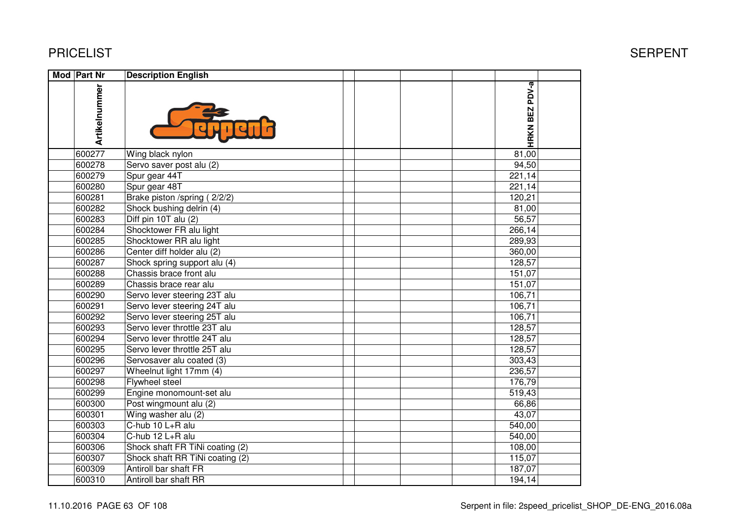| Mod Part Nr   | <b>Description English</b>      |                |  |
|---------------|---------------------------------|----------------|--|
| Artikelnummer |                                 | HRKN BEZ PDV-a |  |
| 600277        | Wing black nylon                | 81,00          |  |
| 600278        | Servo saver post alu (2)        | 94,50          |  |
| 600279        | Spur gear 44T                   | 221,14         |  |
| 600280        | Spur gear 48T                   | 221,14         |  |
| 600281        | Brake piston /spring (2/2/2)    | 120,21         |  |
| 600282        | Shock bushing delrin (4)        | 81,00          |  |
| 600283        | Diff pin 10T alu (2)            | 56,57          |  |
| 600284        | Shocktower FR alu light         | 266,14         |  |
| 600285        | Shocktower RR alu light         | 289,93         |  |
| 600286        | Center diff holder alu (2)      | 360,00         |  |
| 600287        | Shock spring support alu (4)    | 128,57         |  |
| 600288        | Chassis brace front alu         | 151,07         |  |
| 600289        | Chassis brace rear alu          | 151,07         |  |
| 600290        | Servo lever steering 23T alu    | 106,71         |  |
| 600291        | Servo lever steering 24T alu    | 106,71         |  |
| 600292        | Servo lever steering 25T alu    | 106,71         |  |
| 600293        | Servo lever throttle 23T alu    | 128,57         |  |
| 600294        | Servo lever throttle 24T alu    | 128,57         |  |
| 600295        | Servo lever throttle 25T alu    | 128,57         |  |
| 600296        | Servosaver alu coated (3)       | 303,43         |  |
| 600297        | Wheelnut light 17mm (4)         | 236,57         |  |
| 600298        | Flywheel steel                  | 176,79         |  |
| 600299        | Engine monomount-set alu        | 519,43         |  |
| 600300        | Post wingmount alu (2)          | 66,86          |  |
| 600301        | Wing washer alu (2)             | 43,07          |  |
| 600303        | C-hub 10 L+R alu                | 540,00         |  |
| 600304        | C-hub 12 L+R alu                | 540,00         |  |
| 600306        | Shock shaft FR TiNi coating (2) | 108,00         |  |
| 600307        | Shock shaft RR TiNi coating (2) | 115,07         |  |
| 600309        | Antiroll bar shaft FR           | 187,07         |  |
| 600310        | Antiroll bar shaft RR           | 194,14         |  |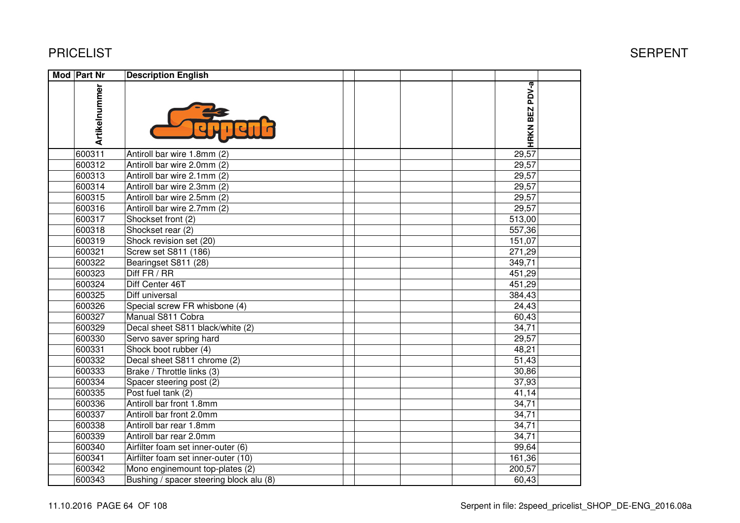| Mod Part Nr |               | <b>Description English</b>              |  |                |  |
|-------------|---------------|-----------------------------------------|--|----------------|--|
|             | Artikelnummer |                                         |  | HRKN BEZ PDV-a |  |
|             | 600311        | Antiroll bar wire 1.8mm (2)             |  | 29,57          |  |
|             | 600312        | Antiroll bar wire 2.0mm (2)             |  | 29,57          |  |
|             | 600313        | Antiroll bar wire 2.1mm (2)             |  | 29,57          |  |
|             | 600314        | Antiroll bar wire 2.3mm (2)             |  | 29,57          |  |
|             | 600315        | Antiroll bar wire 2.5mm (2)             |  | 29,57          |  |
|             | 600316        | Antiroll bar wire 2.7mm (2)             |  | 29,57          |  |
|             | 600317        | Shockset front (2)                      |  | 513,00         |  |
|             | 600318        | Shockset rear (2)                       |  | 557,36         |  |
|             | 600319        | Shock revision set (20)                 |  | 151,07         |  |
|             | 600321        | Screw set S811 (186)                    |  | 271,29         |  |
|             | 600322        | Bearingset S811 (28)                    |  | 349,71         |  |
|             | 600323        | Diff FR / RR                            |  | 451,29         |  |
|             | 600324        | Diff Center 46T                         |  | 451,29         |  |
|             | 600325        | Diff universal                          |  | 384,43         |  |
|             | 600326        | Special screw FR whisbone (4)           |  | 24,43          |  |
|             | 600327        | Manual S811 Cobra                       |  | 60,43          |  |
|             | 600329        | Decal sheet S811 black/white (2)        |  | 34,71          |  |
|             | 600330        | Servo saver spring hard                 |  | 29,57          |  |
|             | 600331        | Shock boot rubber (4)                   |  | 48,21          |  |
|             | 600332        | Decal sheet S811 chrome (2)             |  | 51,43          |  |
|             | 600333        | Brake / Throttle links (3)              |  | 30,86          |  |
|             | 600334        | Spacer steering post (2)                |  | 37,93          |  |
|             | 600335        | Post fuel tank (2)                      |  | 41,14          |  |
|             | 600336        | Antiroll bar front 1.8mm                |  | 34,71          |  |
|             | 600337        | Antiroll bar front 2.0mm                |  | 34,71          |  |
|             | 600338        | Antiroll bar rear 1.8mm                 |  | 34,71          |  |
|             | 600339        | Antiroll bar rear 2.0mm                 |  | 34,71          |  |
|             | 600340        | Airfilter foam set inner-outer (6)      |  | 99,64          |  |
|             | 600341        | Airfilter foam set inner-outer (10)     |  | 161,36         |  |
|             | 600342        | Mono enginemount top-plates (2)         |  | 200,57         |  |
|             | 600343        | Bushing / spacer steering block alu (8) |  | 60,43          |  |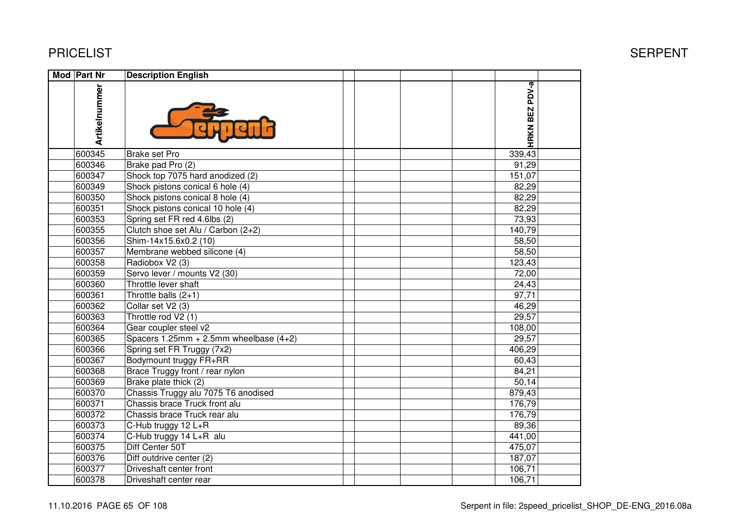| Mod Part Nr   | <b>Description English</b>               |                |  |
|---------------|------------------------------------------|----------------|--|
| Artikelnummer |                                          | HRKN BEZ PDV-a |  |
| 600345        | <b>Brake set Pro</b>                     | 339,43         |  |
| 600346        | Brake pad Pro (2)                        | 91,29          |  |
| 600347        | Shock top 7075 hard anodized (2)         | 151,07         |  |
| 600349        | Shock pistons conical 6 hole (4)         | 82,29          |  |
| 600350        | Shock pistons conical 8 hole (4)         | 82,29          |  |
| 600351        | Shock pistons conical 10 hole (4)        | 82,29          |  |
| 600353        | Spring set FR red 4.6lbs (2)             | 73,93          |  |
| 600355        | Clutch shoe set Alu / Carbon (2+2)       | 140,79         |  |
| 600356        | Shim-14x15.6x0.2 (10)                    | 58,50          |  |
| 600357        | Membrane webbed silicone (4)             | 58,50          |  |
| 600358        | Radiobox V2 (3)                          | 123,43         |  |
| 600359        | Servo lever / mounts V2 (30)             | 72,00          |  |
| 600360        | Throttle lever shaft                     | 24,43          |  |
| 600361        | Throttle balls $(2+1)$                   | 97,71          |  |
| 600362        | Collar set V2 (3)                        | 46,29          |  |
| 600363        | Throttle rod V2 (1)                      | 29,57          |  |
| 600364        | Gear coupler steel v2                    | 108,00         |  |
| 600365        | Spacers 1.25mm + 2.5mm wheelbase $(4+2)$ | 29,57          |  |
| 600366        | Spring set FR Truggy (7x2)               | 406,29         |  |
| 600367        | Bodymount truggy FR+RR                   | 60,43          |  |
| 600368        | Brace Truggy front / rear nylon          | 84,21          |  |
| 600369        | Brake plate thick (2)                    | 50,14          |  |
| 600370        | Chassis Truggy alu 7075 T6 anodised      | 879,43         |  |
| 600371        | Chassis brace Truck front alu            | 176,79         |  |
| 600372        | Chassis brace Truck rear alu             | 176,79         |  |
| 600373        | C-Hub truggy 12 L+R                      | 89,36          |  |
| 600374        | C-Hub truggy 14 L+R alu                  | 441,00         |  |
| 600375        | Diff Center 50T                          | 475,07         |  |
| 600376        | Diff outdrive center (2)                 | 187,07         |  |
| 600377        | Driveshaft center front                  | 106,71         |  |
| 600378        | Driveshaft center rear                   | 106,71         |  |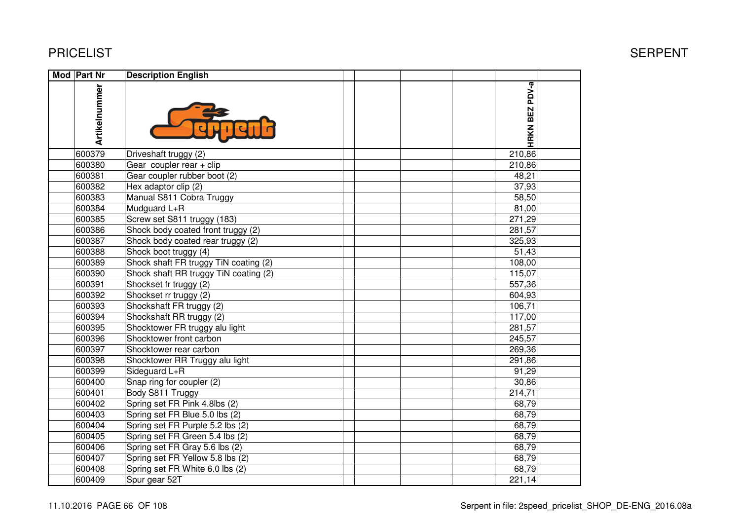| Mod Part Nr   | <b>Description English</b>            |                |  |
|---------------|---------------------------------------|----------------|--|
| Artikelnummer |                                       | HRKN BEZ PDV-a |  |
| 600379        | Driveshaft truggy (2)                 | 210,86         |  |
| 600380        | Gear coupler rear $+$ clip            | 210,86         |  |
| 600381        | Gear coupler rubber boot (2)          | 48,21          |  |
| 600382        | Hex adaptor clip (2)                  | 37,93          |  |
| 600383        | Manual S811 Cobra Truggy              | 58,50          |  |
| 600384        | Mudguard L+R                          | 81,00          |  |
| 600385        | Screw set S811 truggy (183)           | 271,29         |  |
| 600386        | Shock body coated front truggy (2)    | 281,57         |  |
| 600387        | Shock body coated rear truggy (2)     | 325,93         |  |
| 600388        | Shock boot truggy (4)                 | 51,43          |  |
| 600389        | Shock shaft FR truggy TiN coating (2) | 108,00         |  |
| 600390        | Shock shaft RR truggy TiN coating (2) | 115,07         |  |
| 600391        | Shockset fr truggy (2)                | 557,36         |  |
| 600392        | Shockset rr truggy (2)                | 604,93         |  |
| 600393        | Shockshaft FR truggy (2)              | 106,71         |  |
| 600394        | Shockshaft RR truggy (2)              | 117,00         |  |
| 600395        | Shocktower FR truggy alu light        | 281,57         |  |
| 600396        | Shocktower front carbon               | 245,57         |  |
| 600397        | Shocktower rear carbon                | 269,36         |  |
| 600398        | Shocktower RR Truggy alu light        | 291,86         |  |
| 600399        | Sideguard L+R                         | 91,29          |  |
| 600400        | Snap ring for coupler (2)             | 30,86          |  |
| 600401        | Body S811 Truggy                      | 214,71         |  |
| 600402        | Spring set FR Pink 4.8lbs (2)         | 68,79          |  |
| 600403        | Spring set FR Blue 5.0 lbs (2)        | 68,79          |  |
| 600404        | Spring set FR Purple 5.2 lbs (2)      | 68,79          |  |
| 600405        | Spring set FR Green 5.4 lbs (2)       | 68,79          |  |
| 600406        | Spring set FR Gray 5.6 lbs (2)        | 68,79          |  |
| 600407        | Spring set FR Yellow 5.8 lbs (2)      | 68,79          |  |
| 600408        | Spring set FR White 6.0 lbs (2)       | 68,79          |  |
| 600409        | Spur gear 52T                         | 221,14         |  |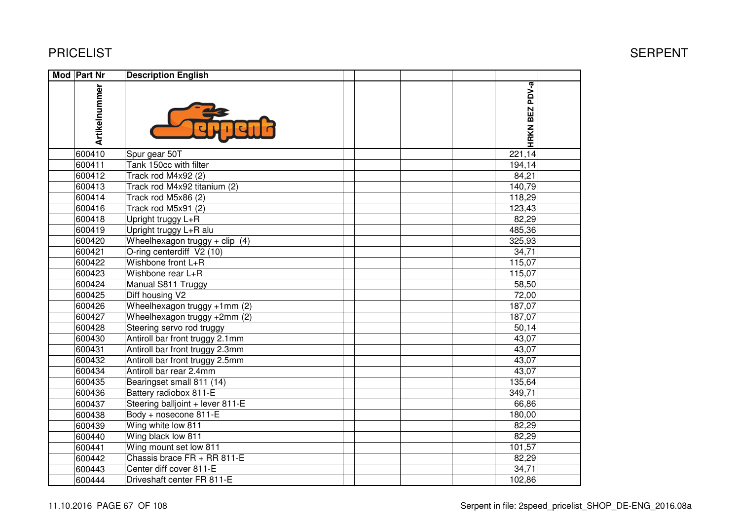| <b>Mod Part Nr</b> | <b>Description English</b>       |                |  |
|--------------------|----------------------------------|----------------|--|
| Artikelnummer      |                                  | HRKN BEZ PDV-a |  |
| 600410             | Spur gear 50T                    | 221,14         |  |
| 600411             | Tank 150cc with filter           | 194,14         |  |
| 600412             | Track rod M4x92 (2)              | 84,21          |  |
| 600413             | Track rod M4x92 titanium (2)     | 140,79         |  |
| 600414             | Track rod M5x86 (2)              | 118,29         |  |
| 600416             | Track rod M5x91 (2)              | 123,43         |  |
| 600418             | Upright truggy L+R               | 82,29          |  |
| 600419             | Upright truggy L+R alu           | 485,36         |  |
| 600420             | Wheelhexagon truggy + clip $(4)$ | 325,93         |  |
| 600421             | O-ring centerdiff V2 (10)        | 34,71          |  |
| 600422             | Wishbone front L+R               | 115,07         |  |
| 600423             | Wishbone rear L+R                | 115,07         |  |
| 600424             | Manual S811 Truggy               | 58,50          |  |
| 600425             | Diff housing V2                  | 72,00          |  |
| 600426             | Wheelhexagon truggy +1mm (2)     | 187,07         |  |
| 600427             | Wheelhexagon truggy +2mm (2)     | 187,07         |  |
| 600428             | Steering servo rod truggy        | 50,14          |  |
| 600430             | Antiroll bar front truggy 2.1mm  | 43,07          |  |
| 600431             | Antiroll bar front truggy 2.3mm  | 43,07          |  |
| 600432             | Antiroll bar front truggy 2.5mm  | 43,07          |  |
| 600434             | Antiroll bar rear 2.4mm          | 43,07          |  |
| 600435             | Bearingset small 811 (14)        | 135,64         |  |
| 600436             | Battery radiobox 811-E           | 349,71         |  |
| 600437             | Steering balljoint + lever 811-E | 66,86          |  |
| 600438             | Body + nosecone 811-E            | 180,00         |  |
| 600439             | Wing white low 811               | 82,29          |  |
| 600440             | Wing black low 811               | 82,29          |  |
| 600441             | Wing mount set low 811           | 101,57         |  |
| 600442             | Chassis brace FR + RR 811-E      | 82,29          |  |
| 600443             | Center diff cover 811-E          | 34,71          |  |
| 600444             | Driveshaft center FR 811-E       | 102,86         |  |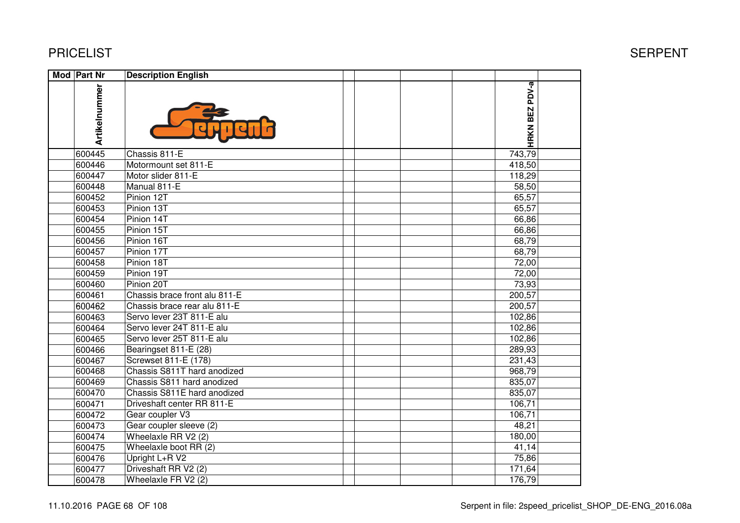| Mod Part Nr   | <b>Description English</b>    |  |                |  |
|---------------|-------------------------------|--|----------------|--|
| Artikelnummer |                               |  | HRKN BEZ PDV-a |  |
| 600445        | Chassis 811-E                 |  | 743,79         |  |
| 600446        | Motormount set 811-E          |  | 418,50         |  |
| 600447        | Motor slider 811-E            |  | 118,29         |  |
| 600448        | Manual 811-E                  |  | 58,50          |  |
| 600452        | Pinion 12T                    |  | 65,57          |  |
| 600453        | Pinion 13T                    |  | 65,57          |  |
| 600454        | Pinion 14T                    |  | 66,86          |  |
| 600455        | Pinion 15T                    |  | 66,86          |  |
| 600456        | Pinion 16T                    |  | 68,79          |  |
| 600457        | Pinion 17T                    |  | 68,79          |  |
| 600458        | Pinion 18T                    |  | 72,00          |  |
| 600459        | Pinion 19T                    |  | 72,00          |  |
| 600460        | Pinion 20T                    |  | 73,93          |  |
| 600461        | Chassis brace front alu 811-E |  | 200,57         |  |
| 600462        | Chassis brace rear alu 811-E  |  | 200,57         |  |
| 600463        | Servo lever 23T 811-E alu     |  | 102,86         |  |
| 600464        | Servo lever 24T 811-E alu     |  | 102,86         |  |
| 600465        | Servo lever 25T 811-E alu     |  | 102,86         |  |
| 600466        | Bearingset 811-E (28)         |  | 289,93         |  |
| 600467        | Screwset 811-E (178)          |  | 231,43         |  |
| 600468        | Chassis S811T hard anodized   |  | 968,79         |  |
| 600469        | Chassis S811 hard anodized    |  | 835,07         |  |
| 600470        | Chassis S811E hard anodized   |  | 835,07         |  |
| 600471        | Driveshaft center RR 811-E    |  | 106,71         |  |
| 600472        | Gear coupler V3               |  | 106,71         |  |
| 600473        | Gear coupler sleeve (2)       |  | 48,21          |  |
| 600474        | Wheelaxle RR V2 (2)           |  | 180,00         |  |
| 600475        | Wheelaxle boot RR (2)         |  | 41,14          |  |
| 600476        | Upright L+R V2                |  | 75,86          |  |
| 600477        | Driveshaft RR V2 (2)          |  | 171,64         |  |
| 600478        | Wheelaxle FR V2 (2)           |  | 176,79         |  |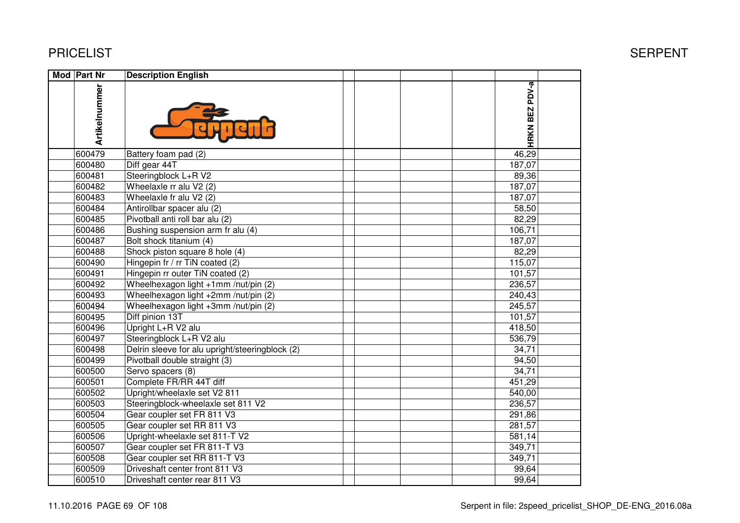| <b>Mod Part Nr</b> | <b>Description English</b>                      |                |  |
|--------------------|-------------------------------------------------|----------------|--|
| Artikelnummer      |                                                 | HRKN BEZ PDV-a |  |
| 600479             | Battery foam pad (2)                            | 46,29          |  |
| 600480             | Diff gear 44T                                   | 187,07         |  |
| 600481             | Steeringblock L+R V2                            | 89,36          |  |
| 600482             | Wheelaxle rr alu V2 (2)                         | 187,07         |  |
| 600483             | Wheelaxle fr alu V2 (2)                         | 187,07         |  |
| 600484             | Antirollbar spacer alu (2)                      | 58,50          |  |
| 600485             | Pivotball anti roll bar alu (2)                 | 82,29          |  |
| 600486             | Bushing suspension arm fr alu (4)               | 106,71         |  |
| 600487             | Bolt shock titanium (4)                         | 187,07         |  |
| 600488             | Shock piston square 8 hole (4)                  | 82,29          |  |
| 600490             | Hingepin fr / rr TiN coated (2)                 | 115,07         |  |
| 600491             | Hingepin rr outer TiN coated (2)                | 101,57         |  |
| 600492             | Wheelhexagon light +1mm /nut/pin (2)            | 236,57         |  |
| 600493             | Wheelhexagon light +2mm /nut/pin (2)            | 240,43         |  |
| 600494             | Wheelhexagon light +3mm /nut/pin (2)            | 245,57         |  |
| 600495             | Diff pinion 13T                                 | 101,57         |  |
| 600496             | Upright L+R V2 alu                              | 418,50         |  |
| 600497             | Steeringblock L+R V2 alu                        | 536,79         |  |
| 600498             | Delrin sleeve for alu upright/steeringblock (2) | 34,71          |  |
| 600499             | Pivotball double straight (3)                   | 94,50          |  |
| 600500             | Servo spacers (8)                               | 34,71          |  |
| 600501             | Complete FR/RR 44T diff                         | 451,29         |  |
| 600502             | Upright/wheelaxle set V2 811                    | 540,00         |  |
| 600503             | Steeringblock-wheelaxle set 811 V2              | 236,57         |  |
| 600504             | Gear coupler set FR 811 V3                      | 291,86         |  |
| 600505             | Gear coupler set RR 811 V3                      | 281,57         |  |
| 600506             | Upright-wheelaxle set 811-T V2                  | 581,14         |  |
| 600507             | Gear coupler set FR 811-T V3                    | 349,71         |  |
| 600508             | Gear coupler set RR 811-T V3                    | 349,71         |  |
| 600509             | Driveshaft center front 811 V3                  | 99,64          |  |
| 600510             | Driveshaft center rear 811 V3                   | 99,64          |  |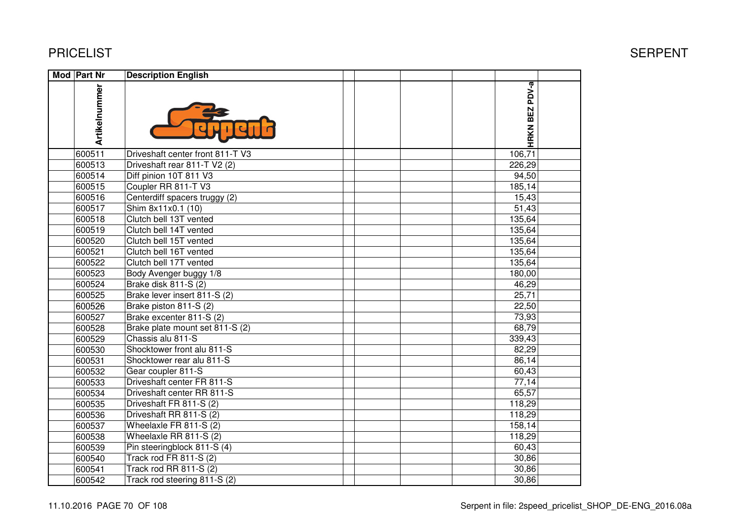| Mod Part Nr   | <b>Description English</b>       |  |  |                |  |
|---------------|----------------------------------|--|--|----------------|--|
| Artikelnummer |                                  |  |  | HRKN BEZ PDV-a |  |
| 600511        | Driveshaft center front 811-T V3 |  |  | 106,71         |  |
| 600513        | Driveshaft rear 811-T V2 (2)     |  |  | 226,29         |  |
| 600514        | Diff pinion 10T 811 V3           |  |  | 94,50          |  |
| 600515        | Coupler RR 811-T V3              |  |  | 185,14         |  |
| 600516        | Centerdiff spacers truggy (2)    |  |  | 15,43          |  |
| 600517        | Shim 8x11x0.1 (10)               |  |  | 51,43          |  |
| 600518        | Clutch bell 13T vented           |  |  | 135,64         |  |
| 600519        | Clutch bell 14T vented           |  |  | 135,64         |  |
| 600520        | Clutch bell 15T vented           |  |  | 135,64         |  |
| 600521        | Clutch bell 16T vented           |  |  | 135,64         |  |
| 600522        | Clutch bell 17T vented           |  |  | 135,64         |  |
| 600523        | Body Avenger buggy 1/8           |  |  | 180,00         |  |
| 600524        | Brake disk 811-S (2)             |  |  | 46,29          |  |
| 600525        | Brake lever insert 811-S (2)     |  |  | 25,71          |  |
| 600526        | Brake piston 811-S (2)           |  |  | 22,50          |  |
| 600527        | Brake excenter 811-S (2)         |  |  | 73,93          |  |
| 600528        | Brake plate mount set 811-S (2)  |  |  | 68,79          |  |
| 600529        | Chassis alu 811-S                |  |  | 339,43         |  |
| 600530        | Shocktower front alu 811-S       |  |  | 82,29          |  |
| 600531        | Shocktower rear alu 811-S        |  |  | 86,14          |  |
| 600532        | Gear coupler 811-S               |  |  | 60,43          |  |
| 600533        | Driveshaft center FR 811-S       |  |  | 77,14          |  |
| 600534        | Driveshaft center RR 811-S       |  |  | 65,57          |  |
| 600535        | Driveshaft FR 811-S (2)          |  |  | 118,29         |  |
| 600536        | Driveshaft RR 811-S (2)          |  |  | 118,29         |  |
| 600537        | Wheelaxle FR 811-S (2)           |  |  | 158,14         |  |
| 600538        | Wheelaxle RR 811-S (2)           |  |  | 118,29         |  |
| 600539        | Pin steeringblock 811-S (4)      |  |  | 60,43          |  |
| 600540        | Track rod FR 811-S (2)           |  |  | 30,86          |  |
| 600541        | Track rod RR 811-S (2)           |  |  | 30,86          |  |
| 600542        | Track rod steering 811-S (2)     |  |  | 30,86          |  |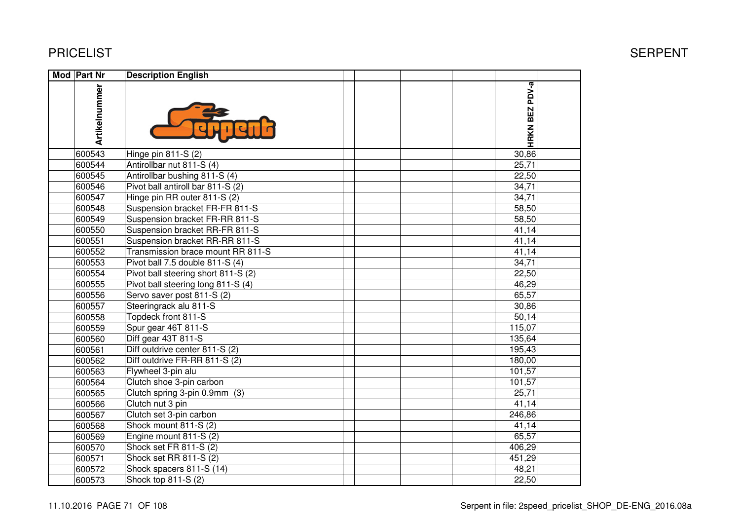| <b>Mod Part Nr</b> | <b>Description English</b>          |                |  |
|--------------------|-------------------------------------|----------------|--|
| Artikelnummer      |                                     | HRKN BEZ PDV-a |  |
| 600543             | Hinge pin 811-S (2)                 | 30,86          |  |
| 600544             | Antirollbar nut 811-S (4)           | 25,71          |  |
| 600545             | Antirollbar bushing 811-S (4)       | 22,50          |  |
| 600546             | Pivot ball antiroll bar 811-S (2)   | 34,71          |  |
| 600547             | Hinge pin RR outer 811-S (2)        | 34,71          |  |
| 600548             | Suspension bracket FR-FR 811-S      | 58,50          |  |
| 600549             | Suspension bracket FR-RR 811-S      | 58,50          |  |
| 600550             | Suspension bracket RR-FR 811-S      | 41,14          |  |
| 600551             | Suspension bracket RR-RR 811-S      | 41,14          |  |
| 600552             | Transmission brace mount RR 811-S   | 41,14          |  |
| 600553             | Pivot ball 7.5 double 811-S (4)     | 34,71          |  |
| 600554             | Pivot ball steering short 811-S (2) | 22,50          |  |
| 600555             | Pivot ball steering long 811-S (4)  | 46,29          |  |
| 600556             | Servo saver post 811-S (2)          | 65,57          |  |
| 600557             | Steeringrack alu 811-S              | 30,86          |  |
| 600558             | Topdeck front 811-S                 | 50,14          |  |
| 600559             | Spur gear 46T 811-S                 | 115,07         |  |
| 600560             | Diff gear 43T 811-S                 | 135,64         |  |
| 600561             | Diff outdrive center 811-S (2)      | 195,43         |  |
| 600562             | Diff outdrive FR-RR 811-S (2)       | 180,00         |  |
| 600563             | Flywheel 3-pin alu                  | 101,57         |  |
| 600564             | Clutch shoe 3-pin carbon            | 101,57         |  |
| 600565             | Clutch spring 3-pin 0.9mm (3)       | 25,71          |  |
| 600566             | Clutch nut 3 pin                    | 41,14          |  |
| 600567             | Clutch set 3-pin carbon             | 246,86         |  |
| 600568             | Shock mount 811-S (2)               | 41,14          |  |
| 600569             | Engine mount 811-S (2)              | 65,57          |  |
| 600570             | Shock set FR 811-S (2)              | 406,29         |  |
| 600571             | Shock set RR 811-S (2)              | 451,29         |  |
| 600572             | Shock spacers 811-S (14)            | 48,21          |  |
| 600573             | Shock top 811-S (2)                 | 22,50          |  |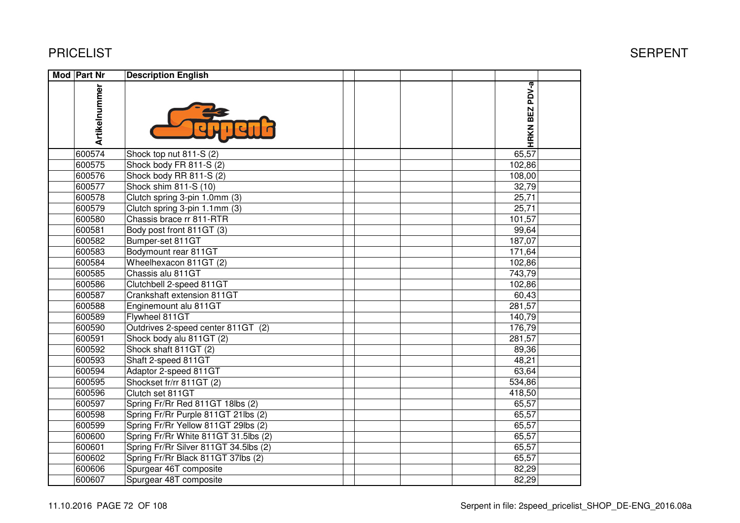| Mod Part Nr   | <b>Description English</b>            |  |  |                          |  |
|---------------|---------------------------------------|--|--|--------------------------|--|
| Artikelnummer |                                       |  |  | PDV-a<br><b>HRKN BEZ</b> |  |
| 600574        | Shock top nut 811-S (2)               |  |  | 65,57                    |  |
| 600575        | Shock body FR 811-S (2)               |  |  | 102,86                   |  |
| 600576        | Shock body RR 811-S (2)               |  |  | 108,00                   |  |
| 600577        | Shock shim 811-S (10)                 |  |  | 32,79                    |  |
| 600578        | Clutch spring 3-pin 1.0mm (3)         |  |  | 25,71                    |  |
| 600579        | Clutch spring 3-pin 1.1mm (3)         |  |  | 25,71                    |  |
| 600580        | Chassis brace rr 811-RTR              |  |  | 101,57                   |  |
| 600581        | Body post front 811GT (3)             |  |  | 99,64                    |  |
| 600582        | Bumper-set 811GT                      |  |  | 187,07                   |  |
| 600583        | Bodymount rear 811GT                  |  |  | 171,64                   |  |
| 600584        | Wheelhexacon 811GT (2)                |  |  | 102,86                   |  |
| 600585        | Chassis alu 811GT                     |  |  | 743,79                   |  |
| 600586        | Clutchbell 2-speed 811GT              |  |  | 102,86                   |  |
| 600587        | Crankshaft extension 811GT            |  |  | 60,43                    |  |
| 600588        | Enginemount alu 811GT                 |  |  | 281,57                   |  |
| 600589        | Flywheel 811GT                        |  |  | 140,79                   |  |
| 600590        | Outdrives 2-speed center 811GT (2)    |  |  | 176,79                   |  |
| 600591        | Shock body alu 811GT (2)              |  |  | 281,57                   |  |
| 600592        | Shock shaft 811GT (2)                 |  |  | 89,36                    |  |
| 600593        | Shaft 2-speed 811GT                   |  |  | 48,21                    |  |
| 600594        | Adaptor 2-speed 811GT                 |  |  | 63,64                    |  |
| 600595        | Shockset fr/rr 811GT (2)              |  |  | 534,86                   |  |
| 600596        | Clutch set 811GT                      |  |  | 418,50                   |  |
| 600597        | Spring Fr/Rr Red 811GT 18lbs (2)      |  |  | 65,57                    |  |
| 600598        | Spring Fr/Rr Purple 811GT 21lbs (2)   |  |  | 65,57                    |  |
| 600599        | Spring Fr/Rr Yellow 811GT 29lbs (2)   |  |  | 65,57                    |  |
| 600600        | Spring Fr/Rr White 811GT 31.5lbs (2)  |  |  | 65,57                    |  |
| 600601        | Spring Fr/Rr Silver 811GT 34.5lbs (2) |  |  | 65,57                    |  |
| 600602        | Spring Fr/Rr Black 811GT 37lbs (2)    |  |  | 65,57                    |  |
| 600606        | Spurgear 46T composite                |  |  | 82,29                    |  |
| 600607        | Spurgear 48T composite                |  |  | 82,29                    |  |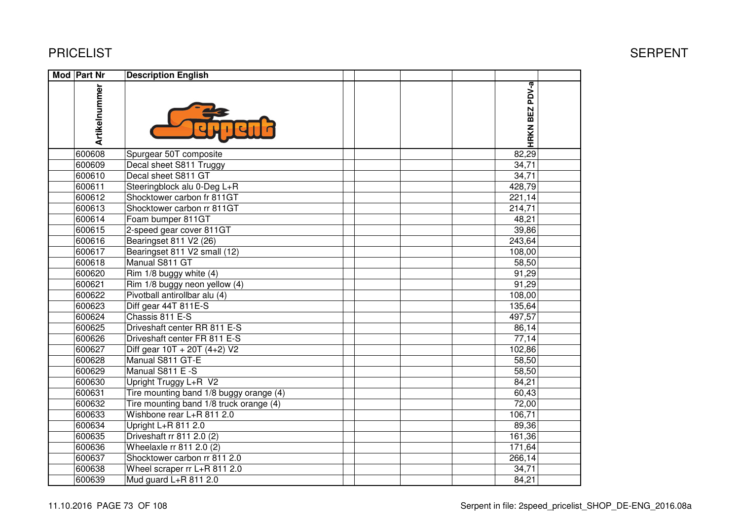| Mod Part Nr   | <b>Description English</b>              |                |  |
|---------------|-----------------------------------------|----------------|--|
| Artikelnummer |                                         | HRKN BEZ PDV-a |  |
| 600608        | Spurgear 50T composite                  | 82,29          |  |
| 600609        | Decal sheet S811 Truggy                 | 34,71          |  |
| 600610        | Decal sheet S811 GT                     | 34,71          |  |
| 600611        | Steeringblock alu 0-Deg L+R             | 428,79         |  |
| 600612        | Shocktower carbon fr 811GT              | 221,14         |  |
| 600613        | Shocktower carbon rr 811GT              | 214,71         |  |
| 600614        | Foam bumper 811GT                       | 48,21          |  |
| 600615        | 2-speed gear cover 811GT                | 39,86          |  |
| 600616        | Bearingset 811 V2 (26)                  | 243,64         |  |
| 600617        | Bearingset 811 V2 small (12)            | 108,00         |  |
| 600618        | Manual S811 GT                          | 58,50          |  |
| 600620        | $\overline{R}$ im 1/8 buggy white (4)   | 91,29          |  |
| 600621        | Rim 1/8 buggy neon yellow (4)           | 91,29          |  |
| 600622        | Pivotball antirollbar alu (4)           | 108,00         |  |
| 600623        | Diff gear 44T 811E-S                    | 135,64         |  |
| 600624        | Chassis 811 E-S                         | 497,57         |  |
| 600625        | Driveshaft center RR 811 E-S            | 86,14          |  |
| 600626        | Driveshaft center FR 811 E-S            | 77,14          |  |
| 600627        | Diff gear $10T + 20T (4+2) V2$          | 102,86         |  |
| 600628        | Manual S811 GT-E                        | 58,50          |  |
| 600629        | Manual S811 E-S                         | 58,50          |  |
| 600630        | Upright Truggy L+R V2                   | 84,21          |  |
| 600631        | Tire mounting band 1/8 buggy orange (4) | 60,43          |  |
| 600632        | Tire mounting band 1/8 truck orange (4) | 72,00          |  |
| 600633        | Wishbone rear L+R 811 2.0               | 106,71         |  |
| 600634        | Upright L+R 811 2.0                     | 89,36          |  |
| 600635        | Driveshaft rr 811 2.0 (2)               | 161,36         |  |
| 600636        | Wheelaxle rr 811 2.0 (2)                | 171,64         |  |
| 600637        | Shocktower carbon rr 811 2.0            | 266,14         |  |
| 600638        | Wheel scraper rr L+R 811 2.0            | 34,71          |  |
| 600639        | Mud guard L+R 811 2.0                   | 84,21          |  |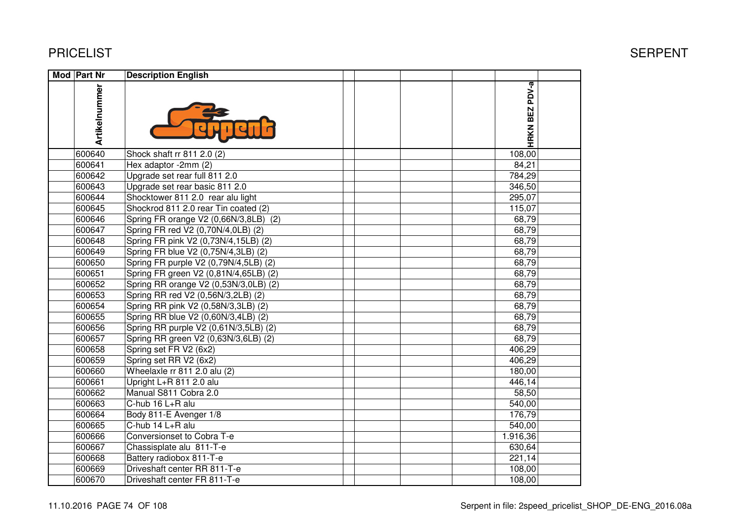| Mod Part Nr   | <b>Description English</b>            |                |  |
|---------------|---------------------------------------|----------------|--|
| Artikelnummer |                                       | HRKN BEZ PDV-a |  |
| 600640        | Shock shaft rr 811 2.0 (2)            | 108,00         |  |
| 600641        | Hex adaptor -2mm (2)                  | 84,21          |  |
| 600642        | Upgrade set rear full 811 2.0         | 784,29         |  |
| 600643        | Upgrade set rear basic 811 2.0        | 346,50         |  |
| 600644        | Shocktower 811 2.0 rear alu light     | 295,07         |  |
| 600645        | Shockrod 811 2.0 rear Tin coated (2)  | 115,07         |  |
| 600646        | Spring FR orange V2 (0,66N/3,8LB) (2) | 68,79          |  |
| 600647        | Spring FR red V2 (0,70N/4,0LB) (2)    | 68,79          |  |
| 600648        | Spring FR pink V2 (0,73N/4,15LB) (2)  | 68,79          |  |
| 600649        | Spring FR blue V2 (0,75N/4,3LB) (2)   | 68,79          |  |
| 600650        | Spring FR purple V2 (0,79N/4,5LB) (2) | 68,79          |  |
| 600651        | Spring FR green V2 (0,81N/4,65LB) (2) | 68,79          |  |
| 600652        | Spring RR orange V2 (0,53N/3,0LB) (2) | 68,79          |  |
| 600653        | Spring RR red V2 (0,56N/3,2LB) (2)    | 68,79          |  |
| 600654        | Spring RR pink V2 (0,58N/3,3LB) (2)   | 68,79          |  |
| 600655        | Spring RR blue V2 (0,60N/3,4LB) (2)   | 68,79          |  |
| 600656        | Spring RR purple V2 (0,61N/3,5LB) (2) | 68,79          |  |
| 600657        | Spring RR green V2 (0,63N/3,6LB) (2)  | 68,79          |  |
| 600658        | Spring set FR V2 (6x2)                | 406,29         |  |
| 600659        | Spring set RR V2 (6x2)                | 406,29         |  |
| 600660        | Wheelaxle rr 811 2.0 alu (2)          | 180,00         |  |
| 600661        | Upright L+R 811 2.0 alu               | 446,14         |  |
| 600662        | Manual S811 Cobra 2.0                 | 58,50          |  |
| 600663        | C-hub 16 L+R alu                      | 540,00         |  |
| 600664        | Body 811-E Avenger 1/8                | 176,79         |  |
| 600665        | C-hub 14 L+R alu                      | 540,00         |  |
| 600666        | Conversionset to Cobra T-e            | 1.916,36       |  |
| 600667        | Chassisplate alu 811-T-e              | 630,64         |  |
| 600668        | Battery radiobox 811-T-e              | 221,14         |  |
| 600669        | Driveshaft center RR 811-T-e          | 108,00         |  |
| 600670        | Driveshaft center FR 811-T-e          | 108,00         |  |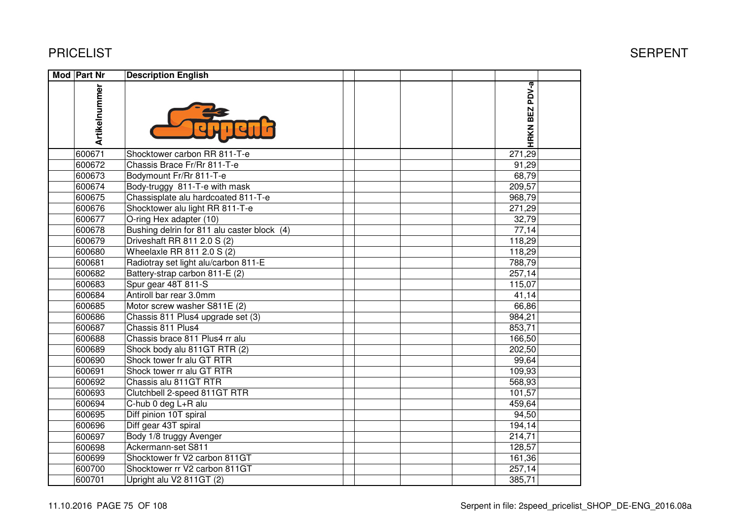| Mod Part Nr   | <b>Description English</b>                  |                |  |
|---------------|---------------------------------------------|----------------|--|
| Artikelnummer |                                             | HRKN BEZ PDV-a |  |
| 600671        | Shocktower carbon RR 811-T-e                | 271,29         |  |
| 600672        | Chassis Brace Fr/Rr 811-T-e                 | 91,29          |  |
| 600673        | Bodymount Fr/Rr 811-T-e                     | 68,79          |  |
| 600674        | Body-truggy 811-T-e with mask               | 209,57         |  |
| 600675        | Chassisplate alu hardcoated 811-T-e         | 968,79         |  |
| 600676        | Shocktower alu light RR 811-T-e             | 271,29         |  |
| 600677        | O-ring Hex adapter (10)                     | 32,79          |  |
| 600678        | Bushing delrin for 811 alu caster block (4) | 77,14          |  |
| 600679        | Driveshaft RR 811 2.0 S (2)                 | 118,29         |  |
| 600680        | Wheelaxle RR 811 2.0 S (2)                  | 118,29         |  |
| 600681        | Radiotray set light alu/carbon 811-E        | 788,79         |  |
| 600682        | Battery-strap carbon 811-E (2)              | 257,14         |  |
| 600683        | Spur gear 48T 811-S                         | 115,07         |  |
| 600684        | Antiroll bar rear 3.0mm                     | 41,14          |  |
| 600685        | Motor screw washer S811E (2)                | 66,86          |  |
| 600686        | Chassis 811 Plus4 upgrade set (3)           | 984,21         |  |
| 600687        | Chassis 811 Plus4                           | 853,71         |  |
| 600688        | Chassis brace 811 Plus4 rr alu              | 166,50         |  |
| 600689        | Shock body alu 811GT RTR (2)                | 202,50         |  |
| 600690        | Shock tower fr alu GT RTR                   | 99,64          |  |
| 600691        | Shock tower rr alu GT RTR                   | 109,93         |  |
| 600692        | Chassis alu 811GT RTR                       | 568,93         |  |
| 600693        | Clutchbell 2-speed 811GT RTR                | 101,57         |  |
| 600694        | C-hub 0 deg L+R alu                         | 459,64         |  |
| 600695        | Diff pinion 10T spiral                      | 94,50          |  |
| 600696        | Diff gear 43T spiral                        | 194,14         |  |
| 600697        | Body 1/8 truggy Avenger                     | 214,71         |  |
| 600698        | Ackermann-set S811                          | 128,57         |  |
| 600699        | Shocktower fr V2 carbon 811GT               | 161,36         |  |
| 600700        | Shocktower rr V2 carbon 811GT               | 257,14         |  |
| 600701        | Upright alu V2 811GT (2)                    | 385,71         |  |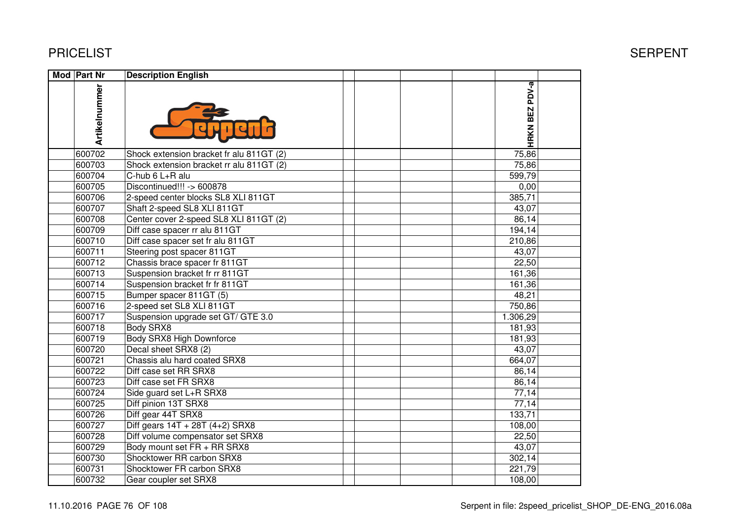600731 Shocktower FR carbon SRX8

600732 Gear coupler set SRX8

| <b>PRICELIST</b> |                                          |                | <b>SERPENT</b> |
|------------------|------------------------------------------|----------------|----------------|
| Mod Part Nr      | <b>Description English</b>               |                |                |
| Artikelnummer    |                                          | HRKN BEZ PDV-a |                |
| 600702           | Shock extension bracket fr alu 811GT (2) | 75,86          |                |
| 600703           | Shock extension bracket rr alu 811GT (2) | 75,86          |                |
| 600704           | C-hub 6 L+R alu                          | 599,79         |                |
| 600705           | Discontinued!!! -> 600878                | 0,00           |                |
| 600706           | 2-speed center blocks SL8 XLI 811GT      | 385,71         |                |
| 600707           | Shaft 2-speed SL8 XLI 811GT              | 43,07          |                |
| 600708           | Center cover 2-speed SL8 XLI 811GT (2)   | 86,14          |                |
| 600709           | Diff case spacer rr alu 811GT            | 194, 14        |                |
| 600710           | Diff case spacer set fr alu 811GT        | 210,86         |                |
| 600711           | Steering post spacer 811GT               | 43,07          |                |
| 600712           | Chassis brace spacer fr 811GT            | 22,50          |                |
| 600713           | Suspension bracket fr rr 811GT           | 161,36         |                |
| 600714           | Suspension bracket fr fr 811GT           | 161,36         |                |
| 600715           | Bumper spacer 811GT (5)                  | 48,21          |                |
| 600716           | 2-speed set SL8 XLI 811GT                | 750,86         |                |
| 600717           | Suspension upgrade set GT/ GTE 3.0       | 1.306,29       |                |
| 600718           | Body SRX8                                | 181,93         |                |
| 600719           | <b>Body SRX8 High Downforce</b>          | 181,93         |                |
| 600720           | Decal sheet SRX8 (2)                     | 43,07          |                |
| 600721           | Chassis alu hard coated SRX8             | 664,07         |                |
| 600722           | Diff case set RR SRX8                    | 86,14          |                |
| 600723           | Diff case set FR SRX8                    | 86,14          |                |
| 600724           | Side guard set L+R SRX8                  | 77,14          |                |
| 600725           | Diff pinion 13T SRX8                     | 77,14          |                |
| 600726           | Diff gear 44T SRX8                       | 133,71         |                |
| 600727           | Diff gears $14T + 28T (4+2)$ SRX8        | 108,00         |                |
| 600728           | Diff volume compensator set SRX8         | 22,50          |                |
| 600729           | Body mount set FR + RR SRX8              | 43,07          |                |
| 600730           | Shocktower RR carbon SRX8                | 302,14         |                |

21,74 34,50 277,23 221,79

10,59 16,59 16,59 16,59 16,59 16,59 16,59 16,59 16,59 16,59 16,59 16,59 16,59 16,59 16,59 16,59 16,59 16,59 16

108,00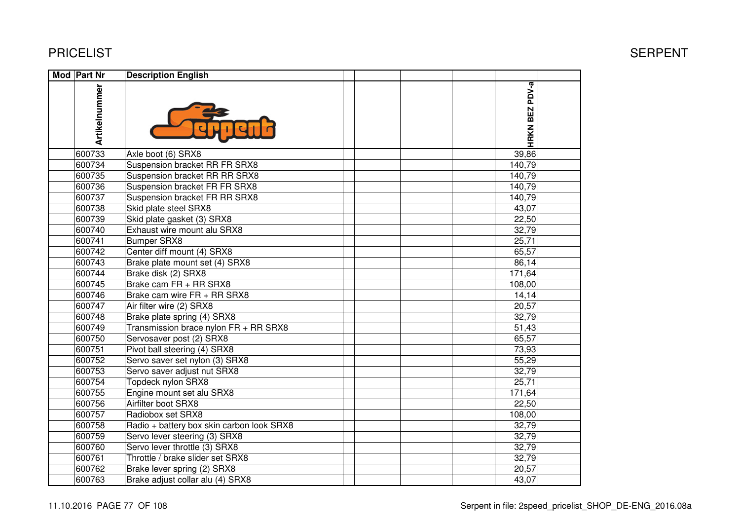| <b>Mod Part Nr</b> | <b>Description English</b>                |                |  |
|--------------------|-------------------------------------------|----------------|--|
| Artikelnummer      |                                           | HRKN BEZ PDV-a |  |
| 600733             | Axle boot (6) SRX8                        | 39,86          |  |
| 600734             | Suspension bracket RR FR SRX8             | 140,79         |  |
| 600735             | Suspension bracket RR RR SRX8             | 140,79         |  |
| 600736             | Suspension bracket FR FR SRX8             | 140,79         |  |
| 600737             | Suspension bracket FR RR SRX8             | 140,79         |  |
| 600738             | Skid plate steel SRX8                     | 43,07          |  |
| 600739             | Skid plate gasket (3) SRX8                | 22,50          |  |
| 600740             | Exhaust wire mount alu SRX8               | 32,79          |  |
| 600741             | <b>Bumper SRX8</b>                        | 25,71          |  |
| 600742             | Center diff mount (4) SRX8                | 65,57          |  |
| 600743             | Brake plate mount set (4) SRX8            | 86,14          |  |
| 600744             | Brake disk (2) SRX8                       | 171,64         |  |
| 600745             | Brake cam FR + RR SRX8                    | 108,00         |  |
| 600746             | Brake cam wire FR + RR SRX8               | 14,14          |  |
| 600747             | Air filter wire (2) SRX8                  | 20,57          |  |
| 600748             | Brake plate spring (4) SRX8               | 32,79          |  |
| 600749             | Transmission brace nylon FR + RR SRX8     | 51,43          |  |
| 600750             | Servosaver post (2) SRX8                  | 65,57          |  |
| 600751             | Pivot ball steering (4) SRX8              | 73,93          |  |
| 600752             | Servo saver set nylon (3) SRX8            | 55,29          |  |
| 600753             | Servo saver adjust nut SRX8               | 32,79          |  |
| 600754             | Topdeck nylon SRX8                        | 25,71          |  |
| 600755             | Engine mount set alu SRX8                 | 171,64         |  |
| 600756             | Airfilter boot SRX8                       | 22,50          |  |
| 600757             | Radiobox set SRX8                         | 108,00         |  |
| 600758             | Radio + battery box skin carbon look SRX8 | 32,79          |  |
| 600759             | Servo lever steering (3) SRX8             | 32,79          |  |
| 600760             | Servo lever throttle (3) SRX8             | 32,79          |  |
| 600761             | Throttle / brake slider set SRX8          | 32,79          |  |
| 600762             | Brake lever spring (2) SRX8               | 20,57          |  |
| 600763             | Brake adjust collar alu (4) SRX8          | 43,07          |  |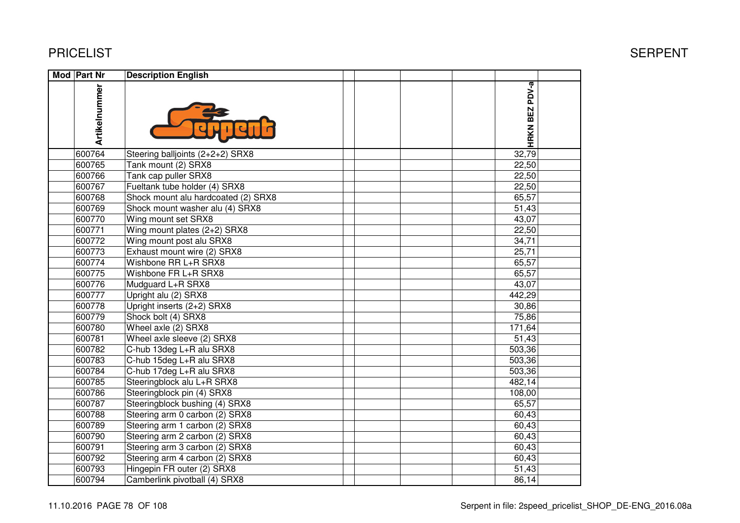| <b>Mod Part Nr</b> | <b>Description English</b>          |                |  |
|--------------------|-------------------------------------|----------------|--|
| Artikelnummer      |                                     | HRKN BEZ PDV-a |  |
| 600764             | Steering balljoints (2+2+2) SRX8    | 32,79          |  |
| 600765             | Tank mount (2) SRX8                 | 22,50          |  |
| 600766             | Tank cap puller SRX8                | 22,50          |  |
| 600767             | Fueltank tube holder (4) SRX8       | 22,50          |  |
| 600768             | Shock mount alu hardcoated (2) SRX8 | 65,57          |  |
| 600769             | Shock mount washer alu (4) SRX8     | 51,43          |  |
| 600770             | Wing mount set SRX8                 | 43,07          |  |
| 600771             | Wing mount plates (2+2) SRX8        | 22,50          |  |
| 600772             | Wing mount post alu SRX8            | 34,71          |  |
| 600773             | Exhaust mount wire (2) SRX8         | 25,71          |  |
| 600774             | Wishbone RR L+R SRX8                | 65,57          |  |
| 600775             | Wishbone FR L+R SRX8                | 65,57          |  |
| 600776             | Mudguard L+R SRX8                   | 43,07          |  |
| 600777             | Upright alu (2) SRX8                | 442,29         |  |
| 600778             | Upright inserts (2+2) SRX8          | 30,86          |  |
| 600779             | Shock bolt (4) SRX8                 | 75,86          |  |
| 600780             | Wheel axle (2) SRX8                 | 171,64         |  |
| 600781             | Wheel axle sleeve (2) SRX8          | 51,43          |  |
| 600782             | C-hub 13deg L+R alu SRX8            | 503,36         |  |
| 600783             | C-hub 15deg L+R alu SRX8            | 503,36         |  |
| 600784             | C-hub 17deg L+R alu SRX8            | 503,36         |  |
| 600785             | Steeringblock alu L+R SRX8          | 482,14         |  |
| 600786             | Steeringblock pin (4) SRX8          | 108,00         |  |
| 600787             | Steeringblock bushing (4) SRX8      | 65,57          |  |
| 600788             | Steering arm 0 carbon (2) SRX8      | 60,43          |  |
| 600789             | Steering arm 1 carbon (2) SRX8      | 60,43          |  |
| 600790             | Steering arm 2 carbon (2) SRX8      | 60,43          |  |
| 600791             | Steering arm 3 carbon (2) SRX8      | 60,43          |  |
| 600792             | Steering arm 4 carbon (2) SRX8      | 60,43          |  |
| 600793             | Hingepin FR outer (2) SRX8          | 51,43          |  |
| 600794             | Camberlink pivotball (4) SRX8       | 86,14          |  |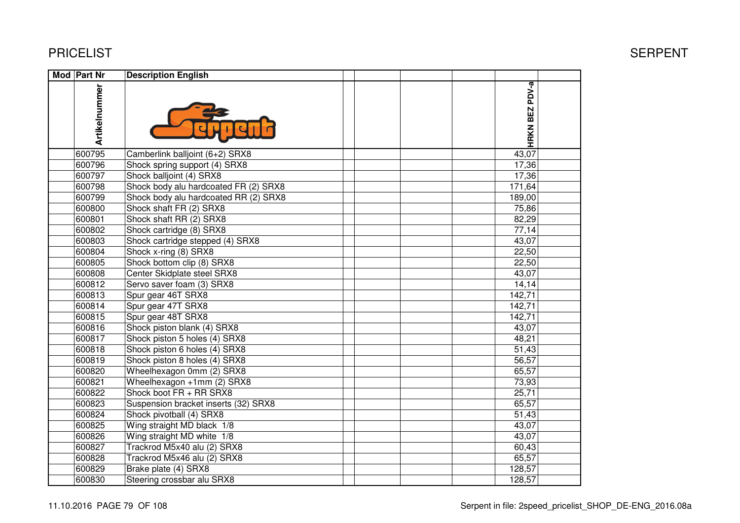| <b>Mod Part Nr</b> | <b>Description English</b>            |                |  |
|--------------------|---------------------------------------|----------------|--|
| Artikelnummer      |                                       | HRKN BEZ PDV-a |  |
| 600795             | Camberlink balljoint (6+2) SRX8       | 43,07          |  |
| 600796             | Shock spring support (4) SRX8         | 17,36          |  |
| 600797             | Shock balljoint (4) SRX8              | 17,36          |  |
| 600798             | Shock body alu hardcoated FR (2) SRX8 | 171,64         |  |
| 600799             | Shock body alu hardcoated RR (2) SRX8 | 189,00         |  |
| 600800             | Shock shaft FR (2) SRX8               | 75,86          |  |
| 600801             | Shock shaft RR (2) SRX8               | 82,29          |  |
| 600802             | Shock cartridge (8) SRX8              | 77,14          |  |
| 600803             | Shock cartridge stepped (4) SRX8      | 43,07          |  |
| 600804             | Shock x-ring (8) SRX8                 | 22,50          |  |
| 600805             | Shock bottom clip (8) SRX8            | 22,50          |  |
| 600808             | Center Skidplate steel SRX8           | 43,07          |  |
| 600812             | Servo saver foam (3) SRX8             | 14,14          |  |
| 600813             | Spur gear 46T SRX8                    | 142,71         |  |
| 600814             | Spur gear 47T SRX8                    | 142,71         |  |
| 600815             | Spur gear 48T SRX8                    | 142,71         |  |
| 600816             | Shock piston blank (4) SRX8           | 43,07          |  |
| 600817             | Shock piston 5 holes (4) SRX8         | 48,21          |  |
| 600818             | Shock piston 6 holes (4) SRX8         | 51,43          |  |
| 600819             | Shock piston 8 holes (4) SRX8         | 56,57          |  |
| 600820             | Wheelhexagon 0mm (2) SRX8             | 65,57          |  |
| 600821             | Wheelhexagon +1mm (2) SRX8            | 73,93          |  |
| 600822             | Shock boot FR + RR SRX8               | 25,71          |  |
| 600823             | Suspension bracket inserts (32) SRX8  | 65,57          |  |
| 600824             | Shock pivotball (4) SRX8              | 51,43          |  |
| 600825             | Wing straight MD black 1/8            | 43,07          |  |
| 600826             | Wing straight MD white 1/8            | 43,07          |  |
| 600827             | Trackrod M5x40 alu (2) SRX8           | 60,43          |  |
| 600828             | Trackrod M5x46 alu (2) SRX8           | 65,57          |  |
| 600829             | Brake plate (4) SRX8                  | 128,57         |  |
| 600830             | Steering crossbar alu SRX8            | 128,57         |  |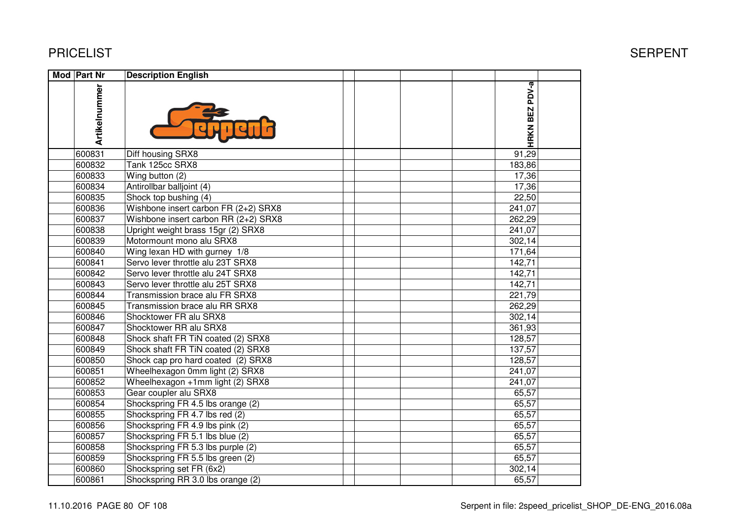| Mod Part Nr   | <b>Description English</b>            |                |  |
|---------------|---------------------------------------|----------------|--|
| Artikelnummer |                                       | HRKN BEZ PDV-a |  |
| 600831        | Diff housing SRX8                     | 91,29          |  |
| 600832        | Tank 125cc SRX8                       | 183,86         |  |
| 600833        | Wing button (2)                       | 17,36          |  |
| 600834        | Antirollbar balljoint (4)             | 17,36          |  |
| 600835        | Shock top bushing (4)                 | 22,50          |  |
| 600836        | Wishbone insert carbon FR (2+2) SRX8  | 241,07         |  |
| 600837        | Wishbone insert carbon RR (2+2) SRX8  | 262,29         |  |
| 600838        | Upright weight brass 15gr (2) SRX8    | 241,07         |  |
| 600839        | Motormount mono alu SRX8              | 302,14         |  |
| 600840        | Wing lexan HD with gurney 1/8         | 171,64         |  |
| 600841        | Servo lever throttle alu 23T SRX8     | 142,71         |  |
| 600842        | Servo lever throttle alu 24T SRX8     | 142,71         |  |
| 600843        | Servo lever throttle alu 25T SRX8     | 142,71         |  |
| 600844        | <b>Transmission brace alu FR SRX8</b> | 221,79         |  |
| 600845        | <b>Transmission brace alu RR SRX8</b> | 262,29         |  |
| 600846        | Shocktower FR alu SRX8                | 302,14         |  |
| 600847        | Shocktower RR alu SRX8                | 361,93         |  |
| 600848        | Shock shaft FR TiN coated (2) SRX8    | 128,57         |  |
| 600849        | Shock shaft FR TiN coated (2) SRX8    | 137,57         |  |
| 600850        | Shock cap pro hard coated (2) SRX8    | 128,57         |  |
| 600851        | Wheelhexagon 0mm light (2) SRX8       | 241,07         |  |
| 600852        | Wheelhexagon +1mm light (2) SRX8      | 241,07         |  |
| 600853        | Gear coupler alu SRX8                 | 65,57          |  |
| 600854        | Shockspring FR 4.5 lbs orange (2)     | 65,57          |  |
| 600855        | Shockspring FR 4.7 lbs red (2)        | 65,57          |  |
| 600856        | Shockspring FR 4.9 lbs pink (2)       | 65,57          |  |
| 600857        | Shockspring FR 5.1 lbs blue (2)       | 65,57          |  |
| 600858        | Shockspring FR 5.3 lbs purple (2)     | 65,57          |  |
| 600859        | Shockspring FR 5.5 lbs green (2)      | 65,57          |  |
| 600860        | Shockspring set FR (6x2)              | 302,14         |  |
| 600861        | Shockspring RR 3.0 lbs orange (2)     | 65,57          |  |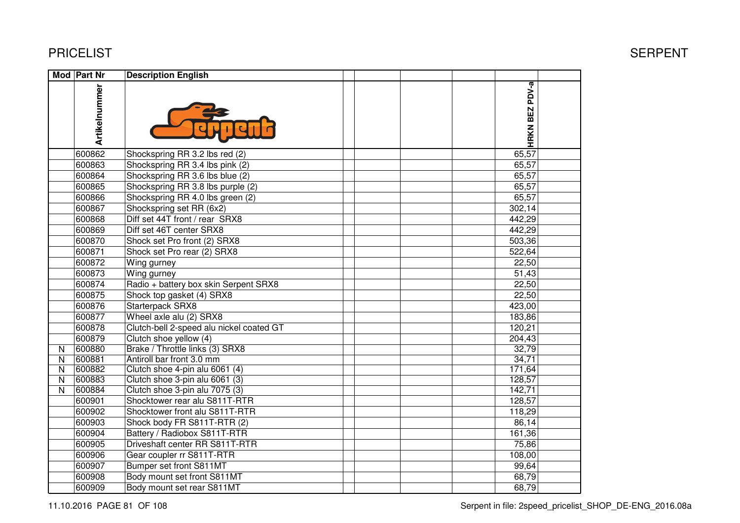|              | Mod Part Nr   | <b>Description English</b>               |                |  |
|--------------|---------------|------------------------------------------|----------------|--|
|              | Artikelnummer |                                          | HRKN BEZ PDV-a |  |
|              | 600862        | Shockspring RR 3.2 lbs red (2)           | 65,57          |  |
|              | 600863        | Shockspring RR 3.4 lbs pink (2)          | 65,57          |  |
|              | 600864        | Shockspring RR 3.6 lbs blue (2)          | 65,57          |  |
|              | 600865        | Shockspring RR 3.8 lbs purple (2)        | 65,57          |  |
|              | 600866        | Shockspring RR 4.0 lbs green (2)         | 65,57          |  |
|              | 600867        | Shockspring set RR (6x2)                 | 302,14         |  |
|              | 600868        | Diff set 44T front / rear SRX8           | 442,29         |  |
|              | 600869        | Diff set 46T center SRX8                 | 442,29         |  |
|              | 600870        | Shock set Pro front (2) SRX8             | 503,36         |  |
|              | 600871        | Shock set Pro rear (2) SRX8              | 522,64         |  |
|              | 600872        | Wing gurney                              | 22,50          |  |
|              | 600873        | Wing gurney                              | 51,43          |  |
|              | 600874        | Radio + battery box skin Serpent SRX8    | 22,50          |  |
|              | 600875        | Shock top gasket (4) SRX8                | 22,50          |  |
|              | 600876        | Starterpack SRX8                         | 423,00         |  |
|              | 600877        | Wheel axle alu (2) SRX8                  | 183,86         |  |
|              | 600878        | Clutch-bell 2-speed alu nickel coated GT | 120,21         |  |
|              | 600879        | Clutch shoe yellow (4)                   | 204,43         |  |
| $\mathsf{N}$ | 600880        | Brake / Throttle links (3) SRX8          | 32,79          |  |
| N            | 600881        | Antiroll bar front 3.0 mm                | 34,71          |  |
| N            | 600882        | Clutch shoe 4-pin alu 6061 (4)           | 171,64         |  |
| $\mathsf{N}$ | 600883        | Clutch shoe 3-pin alu 6061 (3)           | 128,57         |  |
| $\mathsf{N}$ | 600884        | Clutch shoe 3-pin alu 7075 (3)           | 142,71         |  |
|              | 600901        | Shocktower rear alu S811T-RTR            | 128,57         |  |
|              | 600902        | Shocktower front alu S811T-RTR           | 118,29         |  |
|              | 600903        | Shock body FR S811T-RTR (2)              | 86,14          |  |
|              | 600904        | Battery / Radiobox S811T-RTR             | 161,36         |  |
|              | 600905        | Driveshaft center RR S811T-RTR           | 75,86          |  |
|              | 600906        | Gear coupler rr S811T-RTR                | 108,00         |  |
|              | 600907        | Bumper set front S811MT                  | 99,64          |  |
|              | 600908        | Body mount set front S811MT              | 68,79          |  |
|              | 600909        | Body mount set rear S811MT               | 68,79          |  |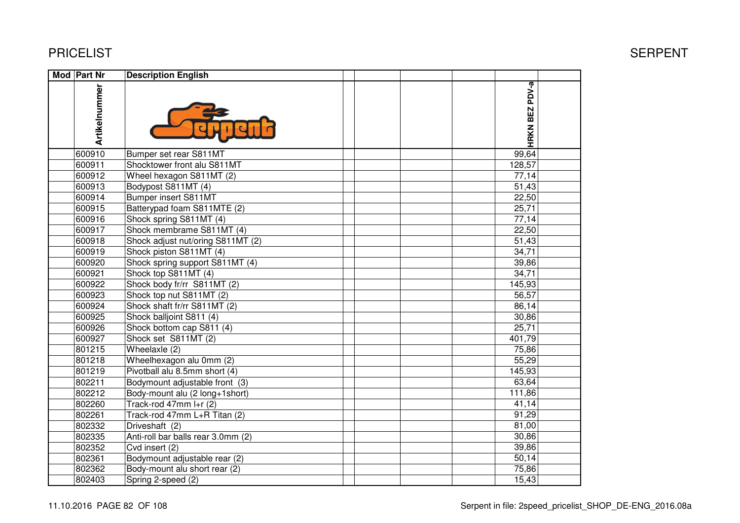| <b>Mod Part Nr</b> | <b>Description English</b>         |                |  |
|--------------------|------------------------------------|----------------|--|
| Artikelnummer      |                                    | HRKN BEZ PDV-a |  |
| 600910             | Bumper set rear S811MT             | 99,64          |  |
| 600911             | Shocktower front alu S811MT        | 128,57         |  |
| 600912             | Wheel hexagon S811MT (2)           | 77,14          |  |
| 600913             | Bodypost S811MT (4)                | 51,43          |  |
| 600914             | <b>Bumper insert S811MT</b>        | 22,50          |  |
| 600915             | Batterypad foam S811MTE (2)        | 25,71          |  |
| 600916             | Shock spring S811MT (4)            | 77,14          |  |
| 600917             | Shock membrame S811MT (4)          | 22,50          |  |
| 600918             | Shock adjust nut/oring S811MT (2)  | 51,43          |  |
| 600919             | Shock piston S811MT (4)            | 34,71          |  |
| 600920             | Shock spring support S811MT (4)    | 39,86          |  |
| 600921             | Shock top S811MT (4)               | 34,71          |  |
| 600922             | Shock body fr/rr S811MT (2)        | 145,93         |  |
| 600923             | Shock top nut S811MT (2)           | 56,57          |  |
| 600924             | Shock shaft fr/rr S811MT (2)       | 86,14          |  |
| 600925             | Shock balljoint S811 (4)           | 30,86          |  |
| 600926             | Shock bottom cap S811 (4)          | 25,71          |  |
| 600927             | Shock set S811MT (2)               | 401,79         |  |
| 801215             | Wheelaxle (2)                      | 75,86          |  |
| 801218             | Wheelhexagon alu 0mm (2)           | 55,29          |  |
| 801219             | Pivotball alu 8.5mm short (4)      | 145,93         |  |
| 802211             | Bodymount adjustable front (3)     | 63,64          |  |
| 802212             | Body-mount alu (2 long+1short)     | 111,86         |  |
| 802260             | Track-rod 47mm I+r (2)             | 41,14          |  |
| 802261             | Track-rod 47mm L+R Titan (2)       | 91,29          |  |
| 802332             | Driveshaft (2)                     | 81,00          |  |
| 802335             | Anti-roll bar balls rear 3.0mm (2) | 30,86          |  |
| 802352             | Cvd insert (2)                     | 39,86          |  |
| 802361             | Bodymount adjustable rear (2)      | 50,14          |  |
| 802362             | Body-mount alu short rear (2)      | 75,86          |  |
| 802403             | Spring 2-speed (2)                 | 15,43          |  |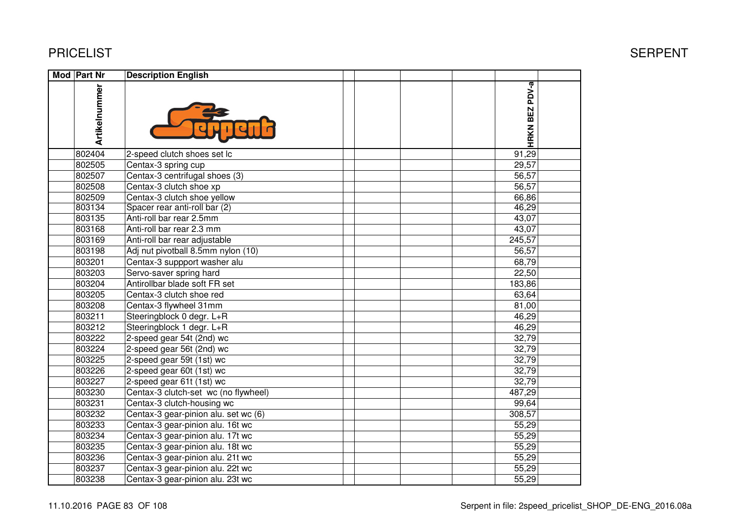| Mod Part Nr |               | <b>Description English</b>           |                |  |
|-------------|---------------|--------------------------------------|----------------|--|
|             | Artikelnummer |                                      | HRKN BEZ PDV-a |  |
|             | 802404        | 2-speed clutch shoes set lc          | 91,29          |  |
|             | 802505        | Centax-3 spring cup                  | 29,57          |  |
|             | 802507        | Centax-3 centrifugal shoes (3)       | 56,57          |  |
|             | 802508        | Centax-3 clutch shoe xp              | 56,57          |  |
|             | 802509        | Centax-3 clutch shoe yellow          | 66,86          |  |
|             | 803134        | Spacer rear anti-roll bar (2)        | 46,29          |  |
|             | 803135        | Anti-roll bar rear 2.5mm             | 43,07          |  |
|             | 803168        | Anti-roll bar rear 2.3 mm            | 43,07          |  |
|             | 803169        | Anti-roll bar rear adjustable        | 245,57         |  |
|             | 803198        | Adj nut pivotball 8.5mm nylon (10)   | 56,57          |  |
|             | 803201        | Centax-3 suppport washer alu         | 68,79          |  |
|             | 803203        | Servo-saver spring hard              | 22,50          |  |
|             | 803204        | Antirollbar blade soft FR set        | 183,86         |  |
|             | 803205        | Centax-3 clutch shoe red             | 63,64          |  |
|             | 803208        | Centax-3 flywheel 31mm               | 81,00          |  |
|             | 803211        | Steeringblock 0 degr. L+R            | 46,29          |  |
|             | 803212        | Steeringblock 1 degr. L+R            | 46,29          |  |
|             | 803222        | 2-speed gear 54t (2nd) wc            | 32,79          |  |
|             | 803224        | 2-speed gear 56t (2nd) wc            | 32,79          |  |
|             | 803225        | 2-speed gear 59t (1st) wc            | 32,79          |  |
|             | 803226        | 2-speed gear 60t (1st) wc            | 32,79          |  |
|             | 803227        | 2-speed gear 61t (1st) wc            | 32,79          |  |
|             | 803230        | Centax-3 clutch-set wc (no flywheel) | 487,29         |  |
|             | 803231        | Centax-3 clutch-housing wc           | 99,64          |  |
|             | 803232        | Centax-3 gear-pinion alu. set wc (6) | 308,57         |  |
|             | 803233        | Centax-3 gear-pinion alu. 16t wc     | 55,29          |  |
|             | 803234        | Centax-3 gear-pinion alu. 17t wc     | 55,29          |  |
|             | 803235        | Centax-3 gear-pinion alu. 18t wc     | 55,29          |  |
|             | 803236        | Centax-3 gear-pinion alu. 21t wc     | 55,29          |  |
|             | 803237        | Centax-3 gear-pinion alu. 22t wc     | 55,29          |  |
|             | 803238        | Centax-3 gear-pinion alu. 23t wc     | 55,29          |  |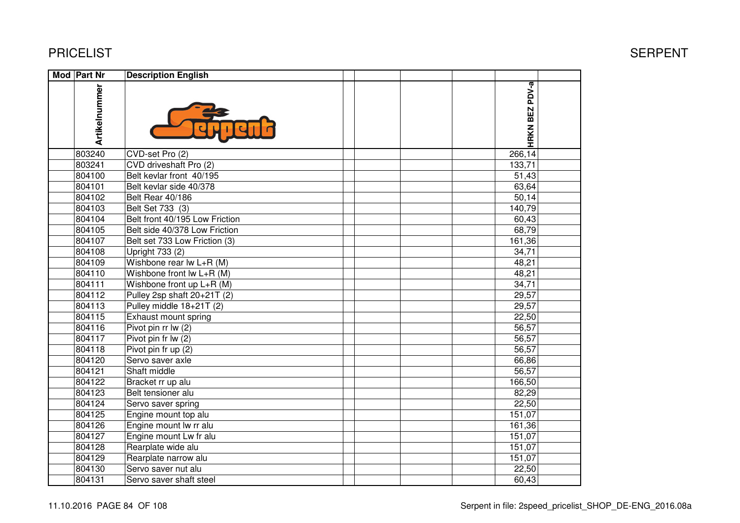| <b>Mod Part Nr</b> | <b>Description English</b>     |                |  |
|--------------------|--------------------------------|----------------|--|
| Artikelnummer      |                                | HRKN BEZ PDV-a |  |
| 803240             | CVD-set Pro (2)                | 266,14         |  |
| 803241             | CVD driveshaft Pro (2)         | 133,71         |  |
| 804100             | Belt kevlar front 40/195       | 51,43          |  |
| 804101             | Belt kevlar side 40/378        | 63,64          |  |
| 804102             | <b>Belt Rear 40/186</b>        | 50,14          |  |
| 804103             | Belt Set 733 (3)               | 140,79         |  |
| 804104             | Belt front 40/195 Low Friction | 60,43          |  |
| 804105             | Belt side 40/378 Low Friction  | 68,79          |  |
| 804107             | Belt set 733 Low Friction (3)  | 161,36         |  |
| 804108             | Upright 733 (2)                | 34,71          |  |
| 804109             | Wishbone rear lw L+R (M)       | 48,21          |  |
| 804110             | Wishbone front lw L+R (M)      | 48,21          |  |
| 804111             | Wishbone front up L+R (M)      | 34,71          |  |
| 804112             | Pulley 2sp shaft 20+21T (2)    | 29,57          |  |
| 804113             | Pulley middle 18+21T (2)       | 29,57          |  |
| 804115             | Exhaust mount spring           | 22,50          |  |
| 804116             | Pivot pin rr lw (2)            | 56,57          |  |
| 804117             | Pivot pin fr lw (2)            | 56,57          |  |
| 804118             | Pivot pin fr up (2)            | 56,57          |  |
| 804120             | Servo saver axle               | 66,86          |  |
| 804121             | Shaft middle                   | 56,57          |  |
| 804122             | Bracket rr up alu              | 166,50         |  |
| 804123             | Belt tensioner alu             | 82,29          |  |
| 804124             | Servo saver spring             | 22,50          |  |
| 804125             | Engine mount top alu           | 151,07         |  |
| 804126             | Engine mount lw rr alu         | 161,36         |  |
| 804127             | Engine mount Lw fr alu         | 151,07         |  |
| 804128             | Rearplate wide alu             | 151,07         |  |
| 804129             | Rearplate narrow alu           | 151,07         |  |
| 804130             | Servo saver nut alu            | 22,50          |  |
| 804131             | Servo saver shaft steel        | 60,43          |  |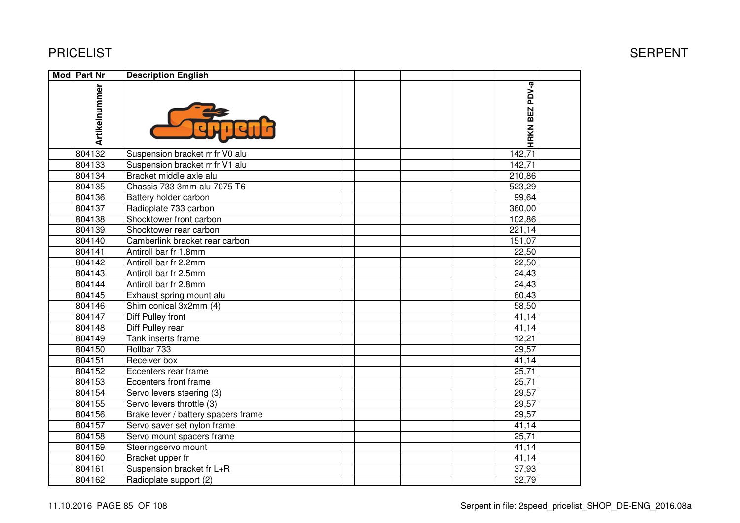| Mod Part Nr   | <b>Description English</b>          |                |  |
|---------------|-------------------------------------|----------------|--|
| Artikelnummer |                                     | HRKN BEZ PDV-a |  |
| 804132        | Suspension bracket rr fr V0 alu     | 142,71         |  |
| 804133        | Suspension bracket rr fr V1 alu     | 142,71         |  |
| 804134        | Bracket middle axle alu             | 210,86         |  |
| 804135        | Chassis 733 3mm alu 7075 T6         | 523,29         |  |
| 804136        | Battery holder carbon               | 99,64          |  |
| 804137        | Radioplate 733 carbon               | 360,00         |  |
| 804138        | Shocktower front carbon             | 102,86         |  |
| 804139        | Shocktower rear carbon              | 221,14         |  |
| 804140        | Camberlink bracket rear carbon      | 151,07         |  |
| 804141        | Antiroll bar fr 1.8mm               | 22,50          |  |
| 804142        | Antiroll bar fr 2.2mm               | 22,50          |  |
| 804143        | Antiroll bar fr 2.5mm               | 24,43          |  |
| 804144        | Antiroll bar fr 2.8mm               | 24,43          |  |
| 804145        | Exhaust spring mount alu            | 60,43          |  |
| 804146        | Shim conical 3x2mm (4)              | 58,50          |  |
| 804147        | Diff Pulley front                   | 41,14          |  |
| 804148        | Diff Pulley rear                    | 41,14          |  |
| 804149        | Tank inserts frame                  | 12,21          |  |
| 804150        | Rollbar 733                         | 29,57          |  |
| 804151        | Receiver box                        | 41,14          |  |
| 804152        | Eccenters rear frame                | 25,71          |  |
| 804153        | Eccenters front frame               | 25,71          |  |
| 804154        | Servo levers steering (3)           | 29,57          |  |
| 804155        | Servo levers throttle (3)           | 29,57          |  |
| 804156        | Brake lever / battery spacers frame | 29,57          |  |
| 804157        | Servo saver set nylon frame         | 41,14          |  |
| 804158        | Servo mount spacers frame           | 25,71          |  |
| 804159        | Steeringservo mount                 | 41,14          |  |
| 804160        | Bracket upper fr                    | 41,14          |  |
| 804161        | Suspension bracket fr L+R           | 37,93          |  |
| 804162        | Radioplate support (2)              | 32,79          |  |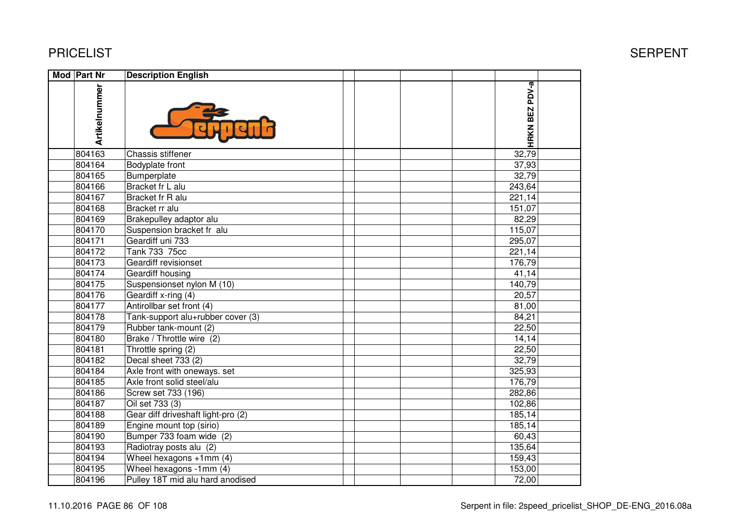| Mod Part Nr   | <b>Description English</b>         |                       |  |
|---------------|------------------------------------|-----------------------|--|
| Artikelnummer |                                    | <b>HRKN BEZ PDV-a</b> |  |
| 804163        | Chassis stiffener                  | 32,79                 |  |
| 804164        | Bodyplate front                    | 37,93                 |  |
| 804165        | Bumperplate                        | 32,79                 |  |
| 804166        | Bracket fr L alu                   | 243,64                |  |
| 804167        | Bracket fr R alu                   | 221,14                |  |
| 804168        | Bracket rr alu                     | 151,07                |  |
| 804169        | Brakepulley adaptor alu            | 82,29                 |  |
| 804170        | Suspension bracket fr alu          | 115,07                |  |
| 804171        | Geardiff uni 733                   | 295,07                |  |
| 804172        | Tank 733 75cc                      | 221,14                |  |
| 804173        | Geardiff revisionset               | 176,79                |  |
| 804174        | Geardiff housing                   | 41,14                 |  |
| 804175        | Suspensionset nylon M (10)         | 140,79                |  |
| 804176        | Geardiff x-ring (4)                | 20,57                 |  |
| 804177        | Antirollbar set front (4)          | 81,00                 |  |
| 804178        | Tank-support alu+rubber cover (3)  | 84,21                 |  |
| 804179        | Rubber tank-mount (2)              | 22,50                 |  |
| 804180        | Brake / Throttle wire (2)          | 14,14                 |  |
| 804181        | Throttle spring (2)                | 22,50                 |  |
| 804182        | Decal sheet 733 (2)                | 32,79                 |  |
| 804184        | Axle front with oneways. set       | 325,93                |  |
| 804185        | Axle front solid steel/alu         | 176,79                |  |
| 804186        | Screw set 733 (196)                | 282,86                |  |
| 804187        | Oil set 733 (3)                    | 102,86                |  |
| 804188        | Gear diff driveshaft light-pro (2) | 185,14                |  |
| 804189        | Engine mount top (sirio)           | 185,14                |  |
| 804190        | Bumper 733 foam wide (2)           | 60,43                 |  |
| 804193        | Radiotray posts alu (2)            | 135,64                |  |
| 804194        | Wheel hexagons +1mm (4)            | 159,43                |  |
| 804195        | Wheel hexagons -1mm (4)            | 153,00                |  |
| 804196        | Pulley 18T mid alu hard anodised   | 72,00                 |  |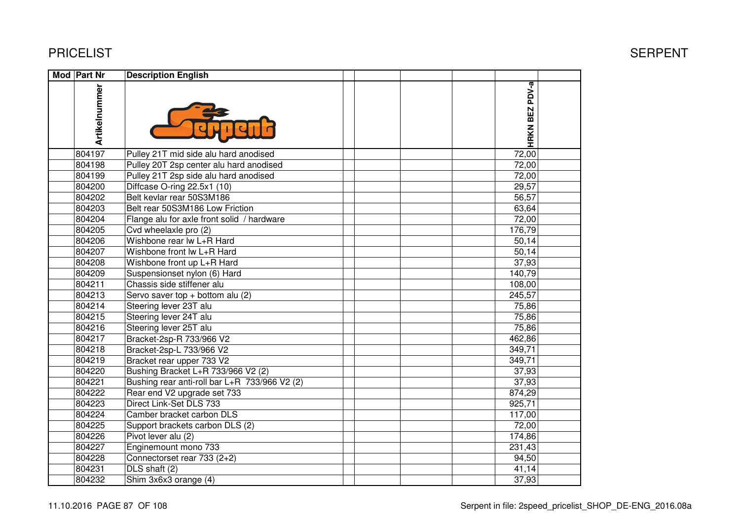| <b>Mod Part Nr</b> | <b>Description English</b>                    |                |  |
|--------------------|-----------------------------------------------|----------------|--|
| Artikelnummer      |                                               | HRKN BEZ PDV-a |  |
| 804197             | Pulley 21T mid side alu hard anodised         | 72,00          |  |
| 804198             | Pulley 20T 2sp center alu hard anodised       | 72,00          |  |
| 804199             | Pulley 21T 2sp side alu hard anodised         | 72,00          |  |
| 804200             | Diffcase O-ring 22.5x1 (10)                   | 29,57          |  |
| 804202             | Belt kevlar rear 50S3M186                     | 56,57          |  |
| 804203             | Belt rear 50S3M186 Low Friction               | 63,64          |  |
| 804204             | Flange alu for axle front solid / hardware    | 72,00          |  |
| 804205             | Cvd wheelaxle pro (2)                         | 176,79         |  |
| 804206             | Wishbone rear lw L+R Hard                     | 50,14          |  |
| 804207             | Wishbone front lw L+R Hard                    | 50,14          |  |
| 804208             | Wishbone front up L+R Hard                    | 37,93          |  |
| 804209             | Suspensionset nylon (6) Hard                  | 140,79         |  |
| 804211             | Chassis side stiffener alu                    | 108,00         |  |
| 804213             | Servo saver top + bottom alu $(2)$            | 245,57         |  |
| 804214             | Steering lever 23T alu                        | 75,86          |  |
| 804215             | Steering lever 24T alu                        | 75,86          |  |
| 804216             | Steering lever 25T alu                        | 75,86          |  |
| 804217             | Bracket-2sp-R 733/966 V2                      | 462,86         |  |
| 804218             | Bracket-2sp-L 733/966 V2                      | 349,71         |  |
| 804219             | Bracket rear upper 733 V2                     | 349,71         |  |
| 804220             | Bushing Bracket L+R 733/966 V2 (2)            | 37,93          |  |
| 804221             | Bushing rear anti-roll bar L+R 733/966 V2 (2) | 37,93          |  |
| 804222             | Rear end V2 upgrade set 733                   | 874,29         |  |
| 804223             | Direct Link-Set DLS 733                       | 925,71         |  |
| 804224             | Camber bracket carbon DLS                     | 117,00         |  |
| 804225             | Support brackets carbon DLS (2)               | 72,00          |  |
| 804226             | Pivot lever alu (2)                           | 174,86         |  |
| 804227             | Enginemount mono 733                          | 231,43         |  |
| 804228             | Connectorset rear 733 (2+2)                   | 94,50          |  |
| 804231             | $\overline{DL}S$ shaft (2)                    | 41,14          |  |
| 804232             | Shim 3x6x3 orange (4)                         | 37,93          |  |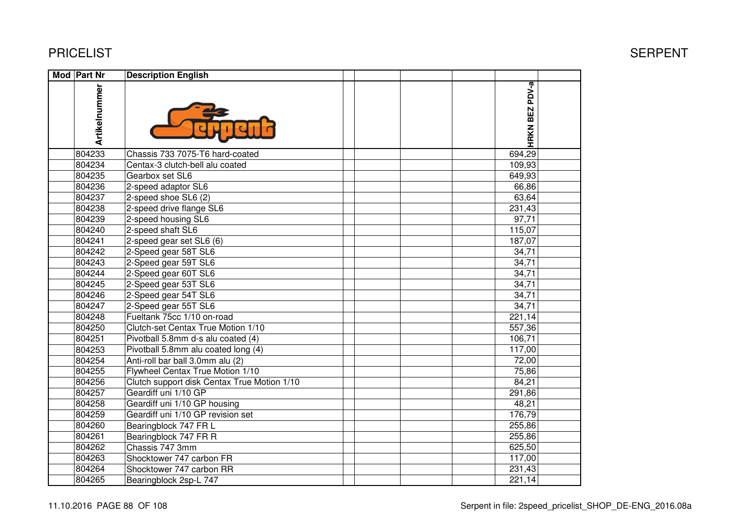| Mod Part Nr   | <b>Description English</b>                  |                |  |
|---------------|---------------------------------------------|----------------|--|
| Artikelnummer |                                             | HRKN BEZ PDV-a |  |
| 804233        | Chassis 733 7075-T6 hard-coated             | 694,29         |  |
| 804234        | Centax-3 clutch-bell alu coated             | 109,93         |  |
| 804235        | Gearbox set SL6                             | 649,93         |  |
| 804236        | 2-speed adaptor SL6                         | 66,86          |  |
| 804237        | 2-speed shoe SL6 (2)                        | 63,64          |  |
| 804238        | 2-speed drive flange SL6                    | 231,43         |  |
| 804239        | 2-speed housing SL6                         | 97,71          |  |
| 804240        | 2-speed shaft SL6                           | 115,07         |  |
| 804241        | $2$ -speed gear set SL6 (6)                 | 187,07         |  |
| 804242        | 2-Speed gear 58T SL6                        | 34,71          |  |
| 804243        | 2-Speed gear 59T SL6                        | 34,71          |  |
| 804244        | 2-Speed gear 60T SL6                        | 34,71          |  |
| 804245        | 2-Speed gear 53T SL6                        | 34,71          |  |
| 804246        | 2-Speed gear 54T SL6                        | 34,71          |  |
| 804247        | 2-Speed gear 55T SL6                        | 34,71          |  |
| 804248        | Fueltank 75cc 1/10 on-road                  | 221,14         |  |
| 804250        | Clutch-set Centax True Motion 1/10          | 557,36         |  |
| 804251        | Pivotball 5.8mm d-s alu coated (4)          | 106,71         |  |
| 804253        | Pivotball 5.8mm alu coated long (4)         | 117,00         |  |
| 804254        | Anti-roll bar ball 3.0mm alu (2)            | 72,00          |  |
| 804255        | Flywheel Centax True Motion 1/10            | 75,86          |  |
| 804256        | Clutch support disk Centax True Motion 1/10 | 84,21          |  |
| 804257        | Geardiff uni 1/10 GP                        | 291,86         |  |
| 804258        | Geardiff uni 1/10 GP housing                | 48,21          |  |
| 804259        | Geardiff uni 1/10 GP revision set           | 176,79         |  |
| 804260        | Bearingblock 747 FR L                       | 255,86         |  |
| 804261        | Bearingblock 747 FR R                       | 255,86         |  |
| 804262        | Chassis 747 3mm                             | 625,50         |  |
| 804263        | Shocktower 747 carbon FR                    | 117,00         |  |
| 804264        | Shocktower 747 carbon RR                    | 231,43         |  |
| 804265        | Bearingblock 2sp-L 747                      | 221,14         |  |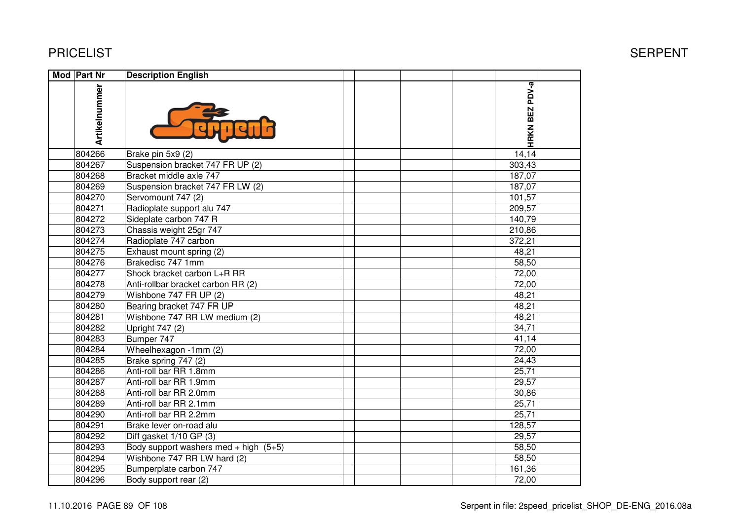| Mod Part Nr   | <b>Description English</b>              |                |  |
|---------------|-----------------------------------------|----------------|--|
| Artikelnummer |                                         | HRKN BEZ PDV-a |  |
| 804266        | Brake pin 5x9 (2)                       | 14,14          |  |
| 804267        | Suspension bracket 747 FR UP (2)        | 303,43         |  |
| 804268        | Bracket middle axle 747                 | 187,07         |  |
| 804269        | Suspension bracket 747 FR LW (2)        | 187,07         |  |
| 804270        | Servomount 747 (2)                      | 101,57         |  |
| 804271        | Radioplate support alu 747              | 209,57         |  |
| 804272        | Sideplate carbon 747 R                  | 140,79         |  |
| 804273        | Chassis weight 25gr 747                 | 210,86         |  |
| 804274        | Radioplate 747 carbon                   | 372,21         |  |
| 804275        | Exhaust mount spring (2)                | 48,21          |  |
| 804276        | Brakedisc 747 1mm                       | 58,50          |  |
| 804277        | Shock bracket carbon L+R RR             | 72,00          |  |
| 804278        | Anti-rollbar bracket carbon RR (2)      | 72,00          |  |
| 804279        | Wishbone 747 FR UP (2)                  | 48,21          |  |
| 804280        | Bearing bracket 747 FR UP               | 48,21          |  |
| 804281        | Wishbone 747 RR LW medium (2)           | 48,21          |  |
| 804282        | Upright 747 (2)                         | 34,71          |  |
| 804283        | Bumper 747                              | 41,14          |  |
| 804284        | Wheelhexagon -1mm (2)                   | 72,00          |  |
| 804285        | Brake spring 747 (2)                    | 24,43          |  |
| 804286        | Anti-roll bar RR 1.8mm                  | 25,71          |  |
| 804287        | Anti-roll bar RR 1.9mm                  | 29,57          |  |
| 804288        | Anti-roll bar RR 2.0mm                  | 30,86          |  |
| 804289        | Anti-roll bar RR 2.1mm                  | 25,71          |  |
| 804290        | Anti-roll bar RR 2.2mm                  | 25,71          |  |
| 804291        | Brake lever on-road alu                 | 128,57         |  |
| 804292        | Diff gasket 1/10 GP (3)                 | 29,57          |  |
| 804293        | Body support washers med + high $(5+5)$ | 58,50          |  |
| 804294        | Wishbone 747 RR LW hard (2)             | 58,50          |  |
| 804295        | Bumperplate carbon 747                  | 161,36         |  |
| 804296        | Body support rear (2)                   | 72,00          |  |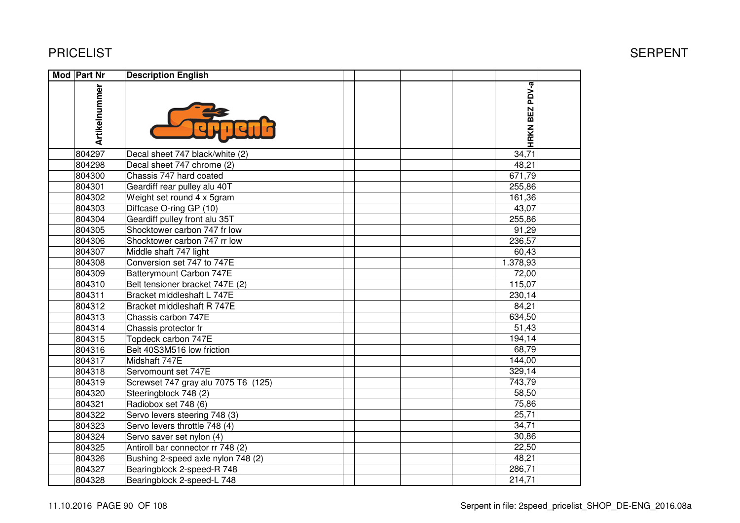| Mod Part Nr   | <b>Description English</b>          |                |  |
|---------------|-------------------------------------|----------------|--|
| Artikelnummer |                                     | HRKN BEZ PDV-a |  |
| 804297        | Decal sheet 747 black/white (2)     | 34,71          |  |
| 804298        | Decal sheet 747 chrome (2)          | 48,21          |  |
| 804300        | Chassis 747 hard coated             | 671,79         |  |
| 804301        | Geardiff rear pulley alu 40T        | 255,86         |  |
| 804302        | Weight set round 4 x 5gram          | 161,36         |  |
| 804303        | Diffcase O-ring GP (10)             | 43,07          |  |
| 804304        | Geardiff pulley front alu 35T       | 255,86         |  |
| 804305        | Shocktower carbon 747 fr low        | 91,29          |  |
| 804306        | Shocktower carbon 747 rr low        | 236,57         |  |
| 804307        | Middle shaft 747 light              | 60,43          |  |
| 804308        | Conversion set 747 to 747E          | 1.378,93       |  |
| 804309        | Batterymount Carbon 747E            | 72,00          |  |
| 804310        | Belt tensioner bracket 747E (2)     | 115,07         |  |
| 804311        | Bracket middleshaft L 747E          | 230,14         |  |
| 804312        | Bracket middleshaft R 747E          | 84,21          |  |
| 804313        | Chassis carbon 747E                 | 634,50         |  |
| 804314        | Chassis protector fr                | 51,43          |  |
| 804315        | Topdeck carbon 747E                 | 194,14         |  |
| 804316        | Belt 40S3M516 low friction          | 68,79          |  |
| 804317        | Midshaft 747E                       | 144,00         |  |
| 804318        | Servomount set 747E                 | 329,14         |  |
| 804319        | Screwset 747 gray alu 7075 T6 (125) | 743,79         |  |
| 804320        | Steeringblock 748 (2)               | 58,50          |  |
| 804321        | Radiobox set 748 (6)                | 75,86          |  |
| 804322        | Servo levers steering 748 (3)       | 25,71          |  |
| 804323        | Servo levers throttle 748 (4)       | 34,71          |  |
| 804324        | Servo saver set nylon (4)           | 30,86          |  |
| 804325        | Antiroll bar connector rr 748 (2)   | 22,50          |  |
| 804326        | Bushing 2-speed axle nylon 748 (2)  | 48,21          |  |
| 804327        | Bearingblock 2-speed-R 748          | 286,71         |  |
| 804328        | Bearingblock 2-speed-L 748          | 214,71         |  |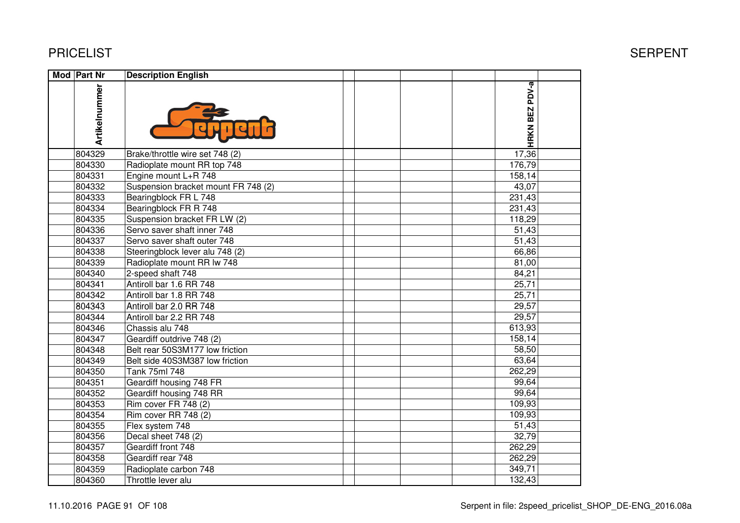| <b>Mod Part Nr</b> | <b>Description English</b>          |                |  |
|--------------------|-------------------------------------|----------------|--|
| Artikelnummer      |                                     | HRKN BEZ PDV-a |  |
| 804329             | Brake/throttle wire set 748 (2)     | 17,36          |  |
| 804330             | Radioplate mount RR top 748         | 176,79         |  |
| 804331             | Engine mount L+R 748                | 158,14         |  |
| 804332             | Suspension bracket mount FR 748 (2) | 43,07          |  |
| 804333             | Bearingblock FR L 748               | 231,43         |  |
| 804334             | Bearingblock FR R 748               | 231,43         |  |
| 804335             | Suspension bracket FR LW (2)        | 118,29         |  |
| 804336             | Servo saver shaft inner 748         | 51,43          |  |
| 804337             | Servo saver shaft outer 748         | 51,43          |  |
| 804338             | Steeringblock lever alu 748 (2)     | 66,86          |  |
| 804339             | Radioplate mount RR Iw 748          | 81,00          |  |
| 804340             | 2-speed shaft 748                   | 84,21          |  |
| 804341             | Antiroll bar 1.6 RR 748             | 25,71          |  |
| 804342             | Antiroll bar 1.8 RR 748             | 25,71          |  |
| 804343             | Antiroll bar 2.0 RR 748             | 29,57          |  |
| 804344             | Antiroll bar 2.2 RR 748             | 29,57          |  |
| 804346             | Chassis alu 748                     | 613,93         |  |
| 804347             | Geardiff outdrive 748 (2)           | 158,14         |  |
| 804348             | Belt rear 50S3M177 low friction     | 58,50          |  |
| 804349             | Belt side 40S3M387 low friction     | 63,64          |  |
| 804350             | Tank 75ml 748                       | 262,29         |  |
| 804351             | Geardiff housing 748 FR             | 99,64          |  |
| 804352             | Geardiff housing 748 RR             | 99,64          |  |
| 804353             | Rim cover FR 748 (2)                | 109,93         |  |
| 804354             | Rim cover RR 748 (2)                | 109,93         |  |
| 804355             | Flex system 748                     | 51,43          |  |
| 804356             | Decal sheet 748 (2)                 | 32,79          |  |
| 804357             | Geardiff front 748                  | 262,29         |  |
| 804358             | Geardiff rear 748                   | 262,29         |  |
| 804359             | Radioplate carbon 748               | 349,71         |  |
| 804360             | Throttle lever alu                  | 132,43         |  |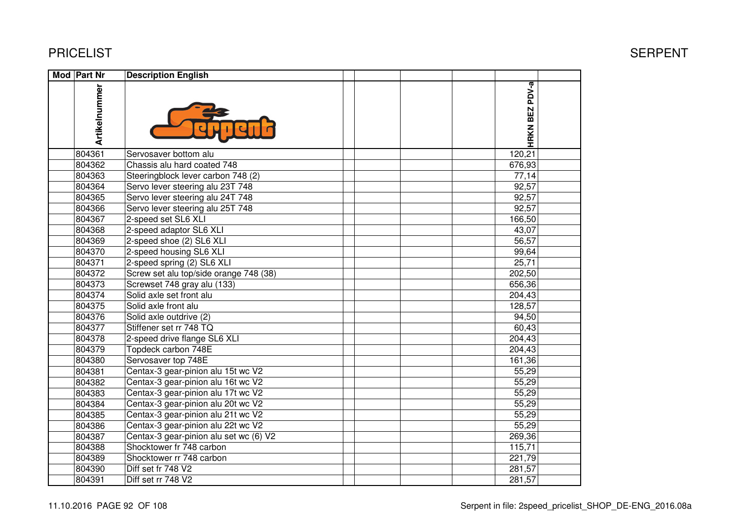| Mod Part Nr   | <b>Description English</b>             |                |  |
|---------------|----------------------------------------|----------------|--|
| Artikelnummer |                                        | HRKN BEZ PDV-a |  |
| 804361        | Servosaver bottom alu                  | 120,21         |  |
| 804362        | Chassis alu hard coated 748            | 676,93         |  |
| 804363        | Steeringblock lever carbon 748 (2)     | 77,14          |  |
| 804364        | Servo lever steering alu 23T 748       | 92,57          |  |
| 804365        | Servo lever steering alu 24T 748       | 92,57          |  |
| 804366        | Servo lever steering alu 25T 748       | 92,57          |  |
| 804367        | 2-speed set SL6 XLI                    | 166,50         |  |
| 804368        | 2-speed adaptor SL6 XLI                | 43,07          |  |
| 804369        | 2-speed shoe (2) SL6 XLI               | 56,57          |  |
| 804370        | 2-speed housing SL6 XLI                | 99,64          |  |
| 804371        | 2-speed spring (2) SL6 XLI             | 25,71          |  |
| 804372        | Screw set alu top/side orange 748 (38) | 202,50         |  |
| 804373        | Screwset 748 gray alu (133)            | 656,36         |  |
| 804374        | Solid axle set front alu               | 204,43         |  |
| 804375        | Solid axle front alu                   | 128,57         |  |
| 804376        | Solid axle outdrive (2)                | 94,50          |  |
| 804377        | Stiffener set rr 748 TQ                | 60,43          |  |
| 804378        | 2-speed drive flange SL6 XLI           | 204,43         |  |
| 804379        | Topdeck carbon 748E                    | 204,43         |  |
| 804380        | Servosaver top 748E                    | 161,36         |  |
| 804381        | Centax-3 gear-pinion alu 15t wc V2     | 55,29          |  |
| 804382        | Centax-3 gear-pinion alu 16t wc V2     | 55,29          |  |
| 804383        | Centax-3 gear-pinion alu 17t wc V2     | 55,29          |  |
| 804384        | Centax-3 gear-pinion alu 20t wc V2     | 55,29          |  |
| 804385        | Centax-3 gear-pinion alu 21t wc V2     | 55,29          |  |
| 804386        | Centax-3 gear-pinion alu 22t wc V2     | 55,29          |  |
| 804387        | Centax-3 gear-pinion alu set wc (6) V2 | 269,36         |  |
| 804388        | Shocktower fr 748 carbon               | 115,71         |  |
| 804389        | Shocktower rr 748 carbon               | 221,79         |  |
| 804390        | Diff set fr 748 V2                     | 281,57         |  |
| 804391        | Diff set rr 748 V2                     | 281,57         |  |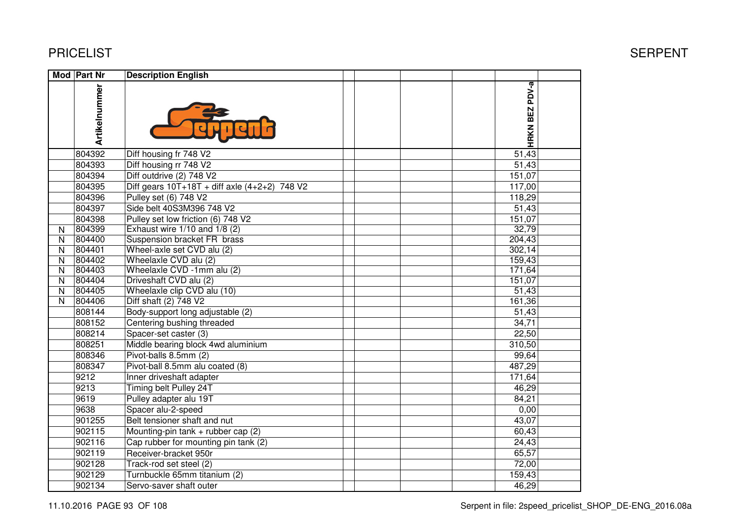|                         | Mod Part Nr   | <b>Description English</b>                        |                |  |
|-------------------------|---------------|---------------------------------------------------|----------------|--|
|                         | Artikelnummer |                                                   | HRKN BEZ PDV-a |  |
|                         | 804392        | Diff housing fr 748 V2                            | 51,43          |  |
|                         | 804393        | Diff housing rr 748 V2                            | 51,43          |  |
|                         | 804394        | Diff outdrive (2) 748 V2                          | 151,07         |  |
|                         | 804395        | Diff gears $10T+18T +$ diff axle $(4+2+2)$ 748 V2 | 117,00         |  |
|                         | 804396        | Pulley set (6) 748 V2                             | 118,29         |  |
|                         | 804397        | Side belt 40S3M396 748 V2                         | 51,43          |  |
|                         | 804398        | Pulley set low friction (6) 748 V2                | 151,07         |  |
| N                       | 804399        | Exhaust wire $1/10$ and $1/8$ (2)                 | 32,79          |  |
| N                       | 804400        | Suspension bracket FR brass                       | 204,43         |  |
| N                       | 804401        | Wheel-axle set CVD alu (2)                        | 302,14         |  |
| N                       | 804402        | Wheelaxle CVD alu (2)                             | 159,43         |  |
| N                       | 804403        | Wheelaxle CVD -1mm alu (2)                        | 171,64         |  |
| $\mathsf{N}$            | 804404        | Driveshaft CVD alu (2)                            | 151,07         |  |
| $\mathsf{N}$            | 804405        | Wheelaxle clip CVD alu (10)                       | 51,43          |  |
| $\overline{\mathsf{N}}$ | 804406        | Diff shaft (2) 748 V2                             | 161,36         |  |
|                         | 808144        | Body-support long adjustable (2)                  | 51,43          |  |
|                         | 808152        | Centering bushing threaded                        | 34,71          |  |
|                         | 808214        | Spacer-set caster (3)                             | 22,50          |  |
|                         | 808251        | Middle bearing block 4wd aluminium                | 310,50         |  |
|                         | 808346        | Pivot-balls 8.5mm (2)                             | 99,64          |  |
|                         | 808347        | Pivot-ball 8.5mm alu coated (8)                   | 487,29         |  |
|                         | 9212          | Inner driveshaft adapter                          | 171,64         |  |
|                         | 9213          | Timing belt Pulley 24T                            | 46,29          |  |
|                         | 9619          | Pulley adapter alu 19T                            | 84,21          |  |
|                         | 9638          | Spacer alu-2-speed                                | 0,00           |  |
|                         | 901255        | Belt tensioner shaft and nut                      | 43,07          |  |
|                         | 902115        | Mounting-pin tank $+$ rubber cap (2)              | 60,43          |  |
|                         | 902116        | Cap rubber for mounting pin tank (2)              | 24,43          |  |
|                         | 902119        | Receiver-bracket 950r                             | 65,57          |  |
|                         | 902128        | Track-rod set steel (2)                           | 72,00          |  |
|                         | 902129        | Turnbuckle 65mm titanium (2)                      | 159,43         |  |
|                         | 902134        | Servo-saver shaft outer                           | 46,29          |  |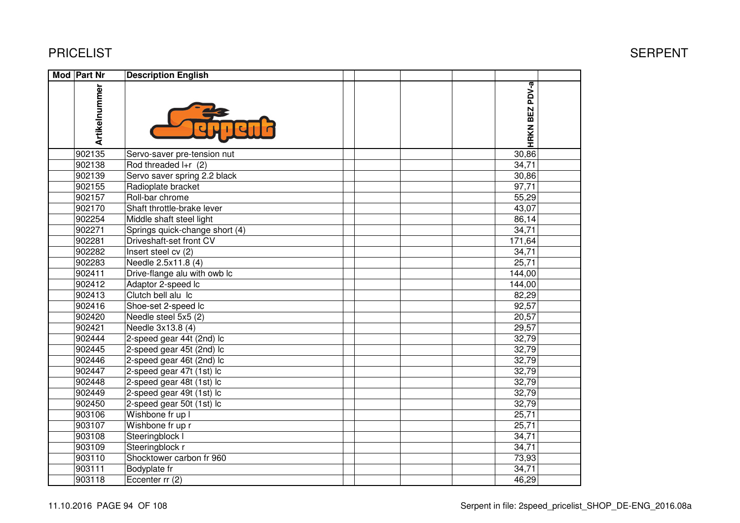| <b>Mod</b> Part Nr | <b>Description English</b>     |                |  |
|--------------------|--------------------------------|----------------|--|
| Artikelnummer      |                                | HRKN BEZ PDV-a |  |
| 902135             | Servo-saver pre-tension nut    | 30,86          |  |
| 902138             | Rod threaded $I + r$ (2)       | 34,71          |  |
| 902139             | Servo saver spring 2.2 black   | 30,86          |  |
| 902155             | Radioplate bracket             | 97,71          |  |
| 902157             | Roll-bar chrome                | 55,29          |  |
| 902170             | Shaft throttle-brake lever     | 43,07          |  |
| 902254             | Middle shaft steel light       | 86,14          |  |
| 902271             | Springs quick-change short (4) | 34,71          |  |
| 902281             | Driveshaft-set front CV        | 171,64         |  |
| 902282             | Insert steel cv (2)            | 34,71          |  |
| 902283             | Needle 2.5x11.8 (4)            | 25,71          |  |
| 902411             | Drive-flange alu with owb Ic   | 144,00         |  |
| 902412             | Adaptor 2-speed lc             | 144,00         |  |
| 902413             | Clutch bell alu Ic             | 82,29          |  |
| 902416             | Shoe-set 2-speed lc            | 92,57          |  |
| 902420             | Needle steel 5x5 (2)           | 20,57          |  |
| 902421             | Needle 3x13.8 (4)              | 29,57          |  |
| 902444             | 2-speed gear 44t (2nd) lc      | 32,79          |  |
| 902445             | 2-speed gear 45t (2nd) lc      | 32,79          |  |
| 902446             | 2-speed gear 46t (2nd) lc      | 32,79          |  |
| 902447             | 2-speed gear 47t (1st) lc      | 32,79          |  |
| 902448             | 2-speed gear 48t (1st) lc      | 32,79          |  |
| 902449             | 2-speed gear 49t (1st) lc      | 32,79          |  |
| 902450             | 2-speed gear 50t (1st) lc      | 32,79          |  |
| 903106             | Wishbone fr up I               | 25,71          |  |
| 903107             | Wishbone fr up r               | 25,71          |  |
| 903108             | Steeringblock I                | 34,71          |  |
| 903109             | Steeringblock r                | 34,71          |  |
| 903110             | Shocktower carbon fr 960       | 73,93          |  |
| 903111             | Bodyplate fr                   | 34,71          |  |
| 903118             | Eccenter rr (2)                | 46,29          |  |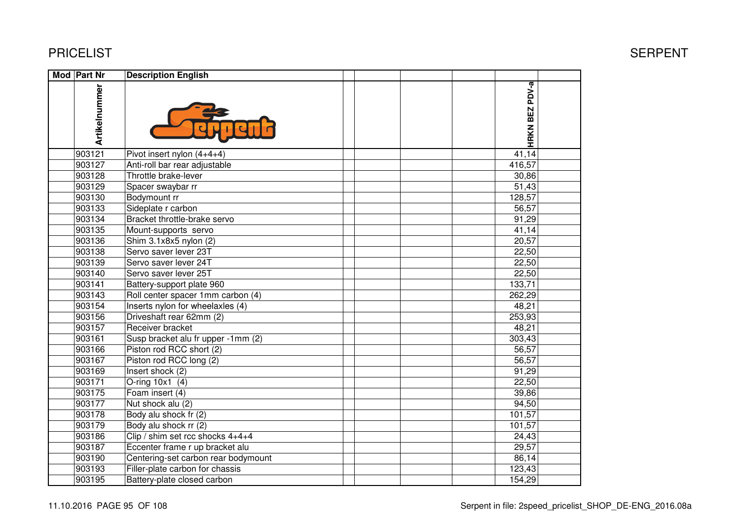| Mod Part Nr |               | <b>Description English</b>          |                |  |
|-------------|---------------|-------------------------------------|----------------|--|
|             | Artikelnummer |                                     | HRKN BEZ PDV-a |  |
|             | 903121        | Pivot insert nylon $(4+4+4)$        | 41,14          |  |
|             | 903127        | Anti-roll bar rear adjustable       | 416,57         |  |
|             | 903128        | Throttle brake-lever                | 30,86          |  |
|             | 903129        | Spacer swaybar rr                   | 51,43          |  |
|             | 903130        | Bodymount rr                        | 128,57         |  |
|             | 903133        | Sideplate r carbon                  | 56,57          |  |
|             | 903134        | Bracket throttle-brake servo        | 91,29          |  |
|             | 903135        | Mount-supports servo                | 41,14          |  |
|             | 903136        | Shim 3.1x8x5 nylon (2)              | 20,57          |  |
|             | 903138        | Servo saver lever 23T               | 22,50          |  |
|             | 903139        | Servo saver lever 24T               | 22,50          |  |
|             | 903140        | Servo saver lever 25T               | 22,50          |  |
|             | 903141        | Battery-support plate 960           | 133,71         |  |
|             | 903143        | Roll center spacer 1mm carbon (4)   | 262,29         |  |
|             | 903154        | Inserts nylon for wheelaxles (4)    | 48,21          |  |
|             | 903156        | Driveshaft rear 62mm (2)            | 253,93         |  |
|             | 903157        | Receiver bracket                    | 48,21          |  |
|             | 903161        | Susp bracket alu fr upper -1mm (2)  | 303,43         |  |
|             | 903166        | Piston rod RCC short (2)            | 56,57          |  |
|             | 903167        | Piston rod RCC long (2)             | 56,57          |  |
|             | 903169        | Insert shock (2)                    | 91,29          |  |
|             | 903171        | O-ring 10x1 (4)                     | 22,50          |  |
|             | 903175        | Foam insert (4)                     | 39,86          |  |
|             | 903177        | Nut shock alu (2)                   | 94,50          |  |
|             | 903178        | Body alu shock fr (2)               | 101,57         |  |
|             | 903179        | Body alu shock rr (2)               | 101,57         |  |
|             | 903186        | Clip / shim set rcc shocks 4+4+4    | 24,43          |  |
|             | 903187        | Eccenter frame r up bracket alu     | 29,57          |  |
|             | 903190        | Centering-set carbon rear bodymount | 86,14          |  |
|             | 903193        | Filler-plate carbon for chassis     | 123,43         |  |
|             | 903195        | Battery-plate closed carbon         | 154,29         |  |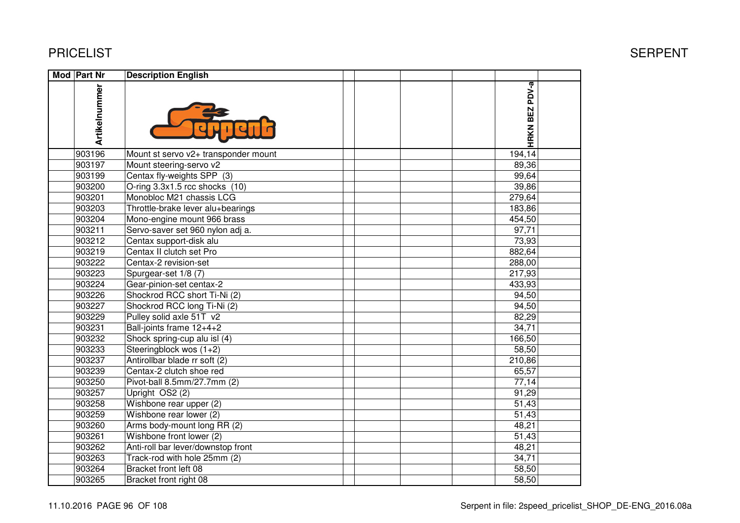| <b>Mod Part Nr</b> | <b>Description English</b>           |                       |
|--------------------|--------------------------------------|-----------------------|
| Artikelnummer      |                                      | <b>HRKN BEZ PDV-a</b> |
| 903196             | Mount st servo v2+ transponder mount | 194,14                |
| 903197             | Mount steering-servo v2              | 89,36                 |
| 903199             | Centax fly-weights SPP (3)           | 99,64                 |
| 903200             | O-ring 3.3x1.5 rcc shocks (10)       | 39,86                 |
| 903201             | Monobloc M21 chassis LCG             | 279,64                |
| 903203             | Throttle-brake lever alu+bearings    | 183,86                |
| 903204             | Mono-engine mount 966 brass          | 454,50                |
| 903211             | Servo-saver set 960 nylon adj a.     | 97,71                 |
| 903212             | Centax support-disk alu              | 73,93                 |
| 903219             | Centax II clutch set Pro             | 882,64                |
| 903222             | Centax-2 revision-set                | 288,00                |
| 903223             | Spurgear-set 1/8 (7)                 | 217,93                |
| 903224             | Gear-pinion-set centax-2             | 433,93                |
| 903226             | Shockrod RCC short Ti-Ni (2)         | 94,50                 |
| 903227             | Shockrod RCC long Ti-Ni (2)          | 94,50                 |
| 903229             | Pulley solid axle 51T v2             | 82,29                 |
| 903231             | Ball-joints frame 12+4+2             | 34,71                 |
| 903232             | Shock spring-cup alu isl (4)         | 166,50                |
| 903233             | Steeringblock wos (1+2)              | 58,50                 |
| 903237             | Antirollbar blade rr soft (2)        | 210,86                |
| 903239             | Centax-2 clutch shoe red             | 65,57                 |
| 903250             | Pivot-ball 8.5mm/27.7mm (2)          | 77,14                 |
| 903257             | Upright OS2 (2)                      | 91,29                 |
| 903258             | Wishbone rear upper (2)              | 51,43                 |
| 903259             | Wishbone rear lower (2)              | 51,43                 |
| 903260             | Arms body-mount long RR (2)          | 48,21                 |
| 903261             | Wishbone front lower (2)             | 51,43                 |
| 903262             | Anti-roll bar lever/downstop front   | 48,21                 |
| 903263             | Track-rod with hole 25mm (2)         | 34,71                 |
| 903264             | Bracket front left 08                | 58,50                 |
| 903265             | Bracket front right 08               | 58,50                 |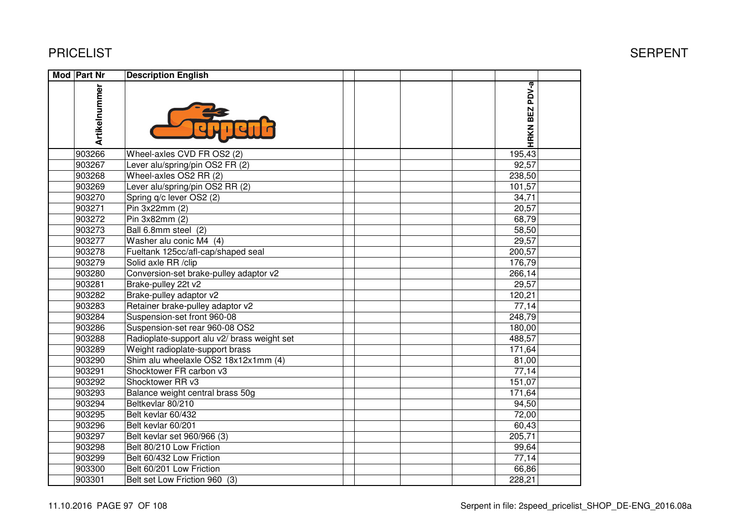| Mod Part Nr   | <b>Description English</b>                  |                |  |
|---------------|---------------------------------------------|----------------|--|
| Artikelnummer |                                             | HRKN BEZ PDV-a |  |
| 903266        | Wheel-axles CVD FR OS2 (2)                  | 195,43         |  |
| 903267        | Lever alu/spring/pin OS2 FR (2)             | 92,57          |  |
| 903268        | Wheel-axles OS2 RR (2)                      | 238,50         |  |
| 903269        | Lever alu/spring/pin OS2 RR (2)             | 101,57         |  |
| 903270        | Spring q/c lever OS2 (2)                    | 34,71          |  |
| 903271        | Pin 3x22mm (2)                              | 20,57          |  |
| 903272        | Pin 3x82mm (2)                              | 68,79          |  |
| 903273        | Ball 6.8mm steel (2)                        | 58,50          |  |
| 903277        | Washer alu conic M4 (4)                     | 29,57          |  |
| 903278        | Fueltank 125cc/afl-cap/shaped seal          | 200,57         |  |
| 903279        | Solid axle RR /clip                         | 176,79         |  |
| 903280        | Conversion-set brake-pulley adaptor v2      | 266,14         |  |
| 903281        | Brake-pulley 22t v2                         | 29,57          |  |
| 903282        | Brake-pulley adaptor v2                     | 120,21         |  |
| 903283        | Retainer brake-pulley adaptor v2            | 77,14          |  |
| 903284        | Suspension-set front 960-08                 | 248,79         |  |
| 903286        | Suspension-set rear 960-08 OS2              | 180,00         |  |
| 903288        | Radioplate-support alu v2/ brass weight set | 488,57         |  |
| 903289        | Weight radioplate-support brass             | 171,64         |  |
| 903290        | Shim alu wheelaxle OS2 18x12x1mm (4)        | 81,00          |  |
| 903291        | Shocktower FR carbon v3                     | 77,14          |  |
| 903292        | Shocktower RR v3                            | 151,07         |  |
| 903293        | Balance weight central brass 50g            | 171,64         |  |
| 903294        | Beltkevlar 80/210                           | 94,50          |  |
| 903295        | Belt kevlar 60/432                          | 72,00          |  |
| 903296        | Belt kevlar 60/201                          | 60,43          |  |
| 903297        | Belt kevlar set 960/966 (3)                 | 205,71         |  |
| 903298        | Belt 80/210 Low Friction                    | 99,64          |  |
| 903299        | Belt 60/432 Low Friction                    | 77,14          |  |
| 903300        | Belt 60/201 Low Friction                    | 66,86          |  |
| 903301        | Belt set Low Friction 960 (3)               | 228,21         |  |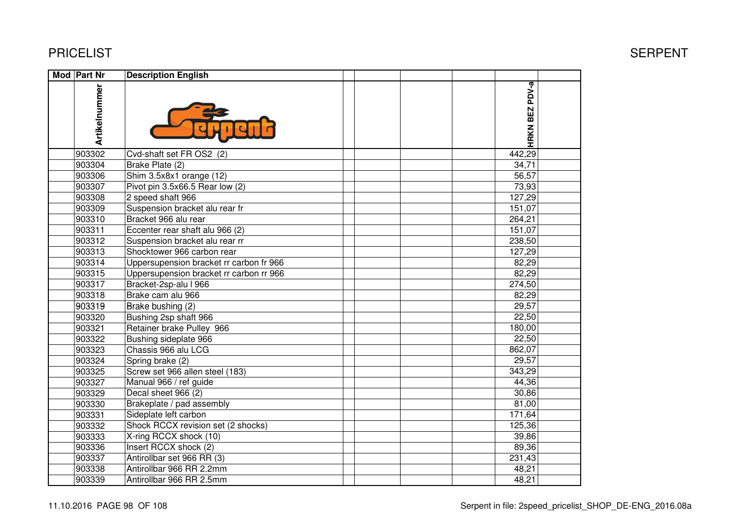| <b>Mod Part Nr</b> | <b>Description English</b>              |                |  |
|--------------------|-----------------------------------------|----------------|--|
| Artikelnummer      |                                         | HRKN BEZ PDV-a |  |
| 903302             | Cvd-shaft set FR OS2 (2)                | 442,29         |  |
| 903304             | Brake Plate (2)                         | 34,71          |  |
| 903306             | Shim 3.5x8x1 orange (12)                | 56,57          |  |
| 903307             | Pivot pin 3.5x66.5 Rear low (2)         | 73,93          |  |
| 903308             | 2 speed shaft 966                       | 127,29         |  |
| 903309             | Suspension bracket alu rear fr          | 151,07         |  |
| 903310             | Bracket 966 alu rear                    | 264,21         |  |
| 903311             | Eccenter rear shaft alu 966 (2)         | 151,07         |  |
| 903312             | Suspension bracket alu rear rr          | 238,50         |  |
| 903313             | Shocktower 966 carbon rear              | 127,29         |  |
| 903314             | Uppersupension bracket rr carbon fr 966 | 82,29          |  |
| 903315             | Uppersupension bracket rr carbon rr 966 | 82,29          |  |
| 903317             | Bracket-2sp-alu I 966                   | 274,50         |  |
| 903318             | Brake cam alu 966                       | 82,29          |  |
| 903319             | Brake bushing (2)                       | 29,57          |  |
| 903320             | Bushing 2sp shaft 966                   | 22,50          |  |
| 903321             | Retainer brake Pulley 966               | 180,00         |  |
| 903322             | Bushing sideplate 966                   | 22,50          |  |
| 903323             | Chassis 966 alu LCG                     | 862,07         |  |
| 903324             | Spring brake (2)                        | 29,57          |  |
| 903325             | Screw set 966 allen steel (183)         | 343,29         |  |
| 903327             | Manual 966 / ref guide                  | 44,36          |  |
| 903329             | Decal sheet 966 (2)                     | 30,86          |  |
| 903330             | Brakeplate / pad assembly               | 81,00          |  |
| 903331             | Sideplate left carbon                   | 171,64         |  |
| 903332             | Shock RCCX revision set (2 shocks)      | 125,36         |  |
| 903333             | X-ring RCCX shock (10)                  | 39,86          |  |
| 903336             | Insert RCCX shock (2)                   | 89,36          |  |
| 903337             | Antirollbar set 966 RR (3)              | 231,43         |  |
| 903338             | Antirollbar 966 RR 2.2mm                | 48,21          |  |
| 903339             | Antirollbar 966 RR 2.5mm                | 48,21          |  |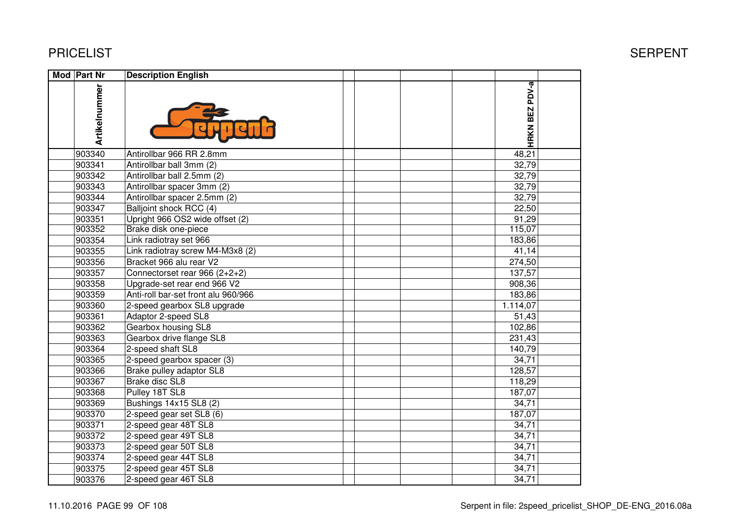| Mod Part Nr   | <b>Description English</b>          |                |  |
|---------------|-------------------------------------|----------------|--|
| Artikelnummer |                                     | HRKN BEZ PDV-a |  |
| 903340        | Antirollbar 966 RR 2.8mm            | 48,21          |  |
| 903341        | Antirollbar ball 3mm (2)            | 32,79          |  |
| 903342        | Antirollbar ball 2.5mm (2)          | 32,79          |  |
| 903343        | Antirollbar spacer 3mm (2)          | 32,79          |  |
| 903344        | Antirollbar spacer 2.5mm (2)        | 32,79          |  |
| 903347        | Balljoint shock RCC (4)             | 22,50          |  |
| 903351        | Upright 966 OS2 wide offset (2)     | 91,29          |  |
| 903352        | Brake disk one-piece                | 115,07         |  |
| 903354        | Link radiotray set 966              | 183,86         |  |
| 903355        | Link radiotray screw M4-M3x8 (2)    | 41,14          |  |
| 903356        | Bracket 966 alu rear V2             | 274,50         |  |
| 903357        | Connectorset rear 966 (2+2+2)       | 137,57         |  |
| 903358        | Upgrade-set rear end 966 V2         | 908,36         |  |
| 903359        | Anti-roll bar-set front alu 960/966 | 183,86         |  |
| 903360        | 2-speed gearbox SL8 upgrade         | 1.114,07       |  |
| 903361        | Adaptor 2-speed SL8                 | 51,43          |  |
| 903362        | Gearbox housing SL8                 | 102,86         |  |
| 903363        | Gearbox drive flange SL8            | 231,43         |  |
| 903364        | 2-speed shaft SL8                   | 140,79         |  |
| 903365        | 2-speed gearbox spacer (3)          | 34,71          |  |
| 903366        | Brake pulley adaptor SL8            | 128,57         |  |
| 903367        | <b>Brake disc SL8</b>               | 118,29         |  |
| 903368        | Pulley 18T SL8                      | 187,07         |  |
| 903369        | Bushings 14x15 SL8 (2)              | 34,71          |  |
| 903370        | 2-speed gear set SL8 (6)            | 187,07         |  |
| 903371        | 2-speed gear 48T SL8                | 34,71          |  |
| 903372        | 2-speed gear 49T SL8                | 34,71          |  |
| 903373        | 2-speed gear 50T SL8                | 34,71          |  |
| 903374        | 2-speed gear 44T SL8                | 34,71          |  |
| 903375        | 2-speed gear 45T SL8                | 34,71          |  |
| 903376        | 2-speed gear 46T SL8                | 34,71          |  |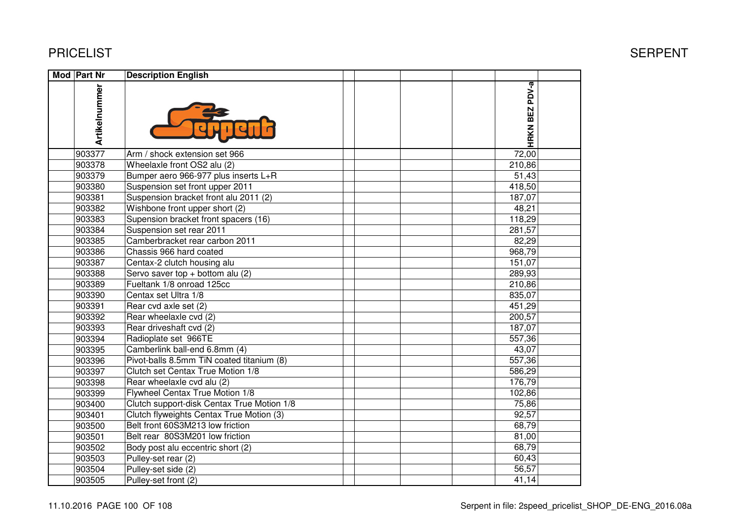| <b>Mod Part Nr</b> | <b>Description English</b>                 |                |  |
|--------------------|--------------------------------------------|----------------|--|
| Artikelnummer      |                                            | HRKN BEZ PDV-a |  |
| 903377             | Arm / shock extension set 966              | 72,00          |  |
| 903378             | Wheelaxle front OS2 alu (2)                | 210,86         |  |
| 903379             | Bumper aero 966-977 plus inserts L+R       | 51,43          |  |
| 903380             | Suspension set front upper 2011            | 418,50         |  |
| 903381             | Suspension bracket front alu 2011 (2)      | 187,07         |  |
| 903382             | Wishbone front upper short (2)             | 48,21          |  |
| 903383             | Supension bracket front spacers (16)       | 118,29         |  |
| 903384             | Suspension set rear 2011                   | 281,57         |  |
| 903385             | Camberbracket rear carbon 2011             | 82,29          |  |
| 903386             | Chassis 966 hard coated                    | 968,79         |  |
| 903387             | Centax-2 clutch housing alu                | 151,07         |  |
| 903388             | Servo saver top $+$ bottom alu (2)         | 289,93         |  |
| 903389             | Fueltank 1/8 onroad 125cc                  | 210,86         |  |
| 903390             | Centax set Ultra 1/8                       | 835,07         |  |
| 903391             | Rear cvd axle set (2)                      | 451,29         |  |
| 903392             | Rear wheelaxle cvd (2)                     | 200,57         |  |
| 903393             | Rear driveshaft cvd (2)                    | 187,07         |  |
| 903394             | Radioplate set 966TE                       | 557,36         |  |
| 903395             | Camberlink ball-end 6.8mm (4)              | 43,07          |  |
| 903396             | Pivot-balls 8.5mm TiN coated titanium (8)  | 557,36         |  |
| 903397             | Clutch set Centax True Motion 1/8          | 586,29         |  |
| 903398             | Rear wheelaxle cvd alu (2)                 | 176,79         |  |
| 903399             | Flywheel Centax True Motion 1/8            | 102,86         |  |
| 903400             | Clutch support-disk Centax True Motion 1/8 | 75,86          |  |
| 903401             | Clutch flyweights Centax True Motion (3)   | 92,57          |  |
| 903500             | Belt front 60S3M213 low friction           | 68,79          |  |
| 903501             | Belt rear 80S3M201 low friction            | 81,00          |  |
| 903502             | Body post alu eccentric short (2)          | 68,79          |  |
| 903503             | Pulley-set rear (2)                        | 60,43          |  |
| 903504             | Pulley-set side (2)                        | 56,57          |  |
| 903505             | Pulley-set front (2)                       | 41,14          |  |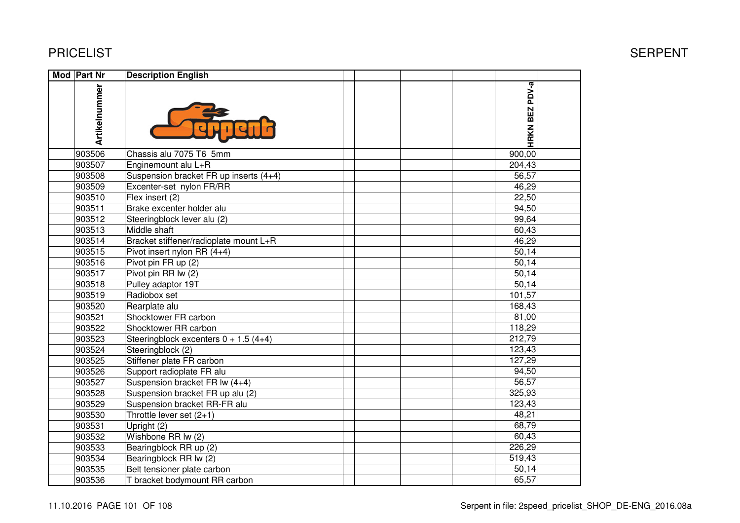| PRICELIST |  |
|-----------|--|
|-----------|--|

| Mod Part Nr |               | <b>Description English</b>             |                             |  |
|-------------|---------------|----------------------------------------|-----------------------------|--|
|             | Artikelnummer |                                        | PDV-a<br>BEZ<br><b>HRKN</b> |  |
|             | 903506        | Chassis alu 7075 T6 5mm                | 900,00                      |  |
|             | 903507        | Enginemount alu L+R                    | 204,43                      |  |
|             | 903508        | Suspension bracket FR up inserts (4+4) | 56,57                       |  |
|             | 903509        | Excenter-set nylon FR/RR               | 46,29                       |  |
|             | 903510        | Flex insert (2)                        | 22,50                       |  |
|             | 903511        | Brake excenter holder alu              | 94,50                       |  |
|             | 903512        | Steeringblock lever alu (2)            | 99,64                       |  |
|             | 903513        | Middle shaft                           | 60,43                       |  |
|             | 903514        | Bracket stiffener/radioplate mount L+R | 46,29                       |  |
|             | 903515        | Pivot insert nylon RR (4+4)            | 50,14                       |  |
|             | 903516        | Pivot pin FR up (2)                    | 50,14                       |  |
|             | 903517        | Pivot pin RR lw (2)                    | 50,14                       |  |
|             | 903518        | Pulley adaptor 19T                     | 50,14                       |  |
|             | 903519        | Radiobox set                           | 101,57                      |  |
|             | 903520        | Rearplate alu                          | 168,43                      |  |
|             | 903521        | Shocktower FR carbon                   | 81,00                       |  |
|             | 903522        | Shocktower RR carbon                   | 118,29                      |  |
|             | 903523        | Steeringblock excenters $0 + 1.5(4+4)$ | 212,79                      |  |
|             | 903524        | Steeringblock (2)                      | 123,43                      |  |
|             | 903525        | Stiffener plate FR carbon              | 127,29                      |  |
|             | 903526        | Support radioplate FR alu              | 94,50                       |  |
|             | 903527        | Suspension bracket FR lw (4+4)         | 56,57                       |  |
|             | 903528        | Suspension bracket FR up alu (2)       | 325,93                      |  |
|             | 903529        | Suspension bracket RR-FR alu           | 123,43                      |  |
|             | 903530        | Throttle lever set (2+1)               | 48,21                       |  |
|             | 903531        | Upright (2)                            | 68,79                       |  |
|             | 903532        | Wishbone RR Iw (2)                     | 60,43                       |  |
|             | 903533        | Bearingblock RR up (2)                 | 226,29                      |  |
|             | 903534        | Bearingblock RR lw (2)                 | 519,43                      |  |
|             | 903535        | Belt tensioner plate carbon            | 50,14                       |  |
|             | 903536        | T bracket bodymount RR carbon          | 65,57                       |  |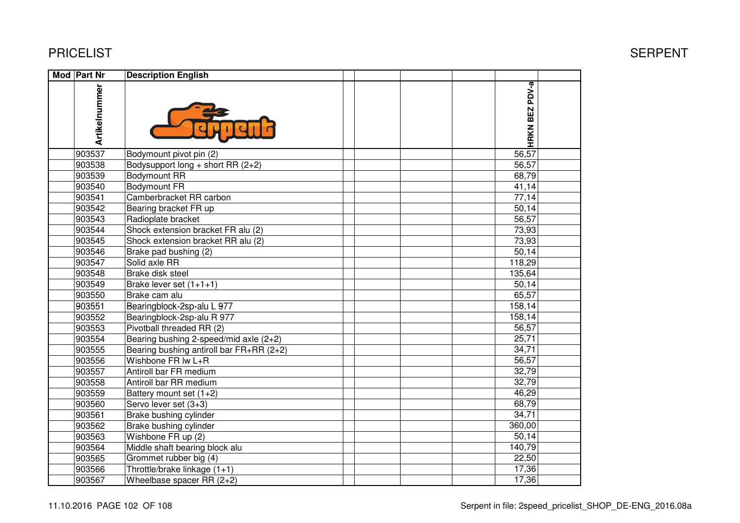| Mod Part Nr   | <b>Description English</b>               |                |  |
|---------------|------------------------------------------|----------------|--|
| Artikelnummer |                                          | HRKN BEZ PDV-a |  |
| 903537        | Bodymount pivot pin (2)                  | 56,57          |  |
| 903538        | Bodysupport long + short RR $(2+2)$      | 56,57          |  |
| 903539        | <b>Bodymount RR</b>                      | 68,79          |  |
| 903540        | <b>Bodymount FR</b>                      | 41,14          |  |
| 903541        | Camberbracket RR carbon                  | 77,14          |  |
| 903542        | Bearing bracket FR up                    | 50,14          |  |
| 903543        | Radioplate bracket                       | 56,57          |  |
| 903544        | Shock extension bracket FR alu (2)       | 73,93          |  |
| 903545        | Shock extension bracket RR alu (2)       | 73,93          |  |
| 903546        | Brake pad bushing (2)                    | 50,14          |  |
| 903547        | Solid axle RR                            | 118,29         |  |
| 903548        | Brake disk steel                         | 135,64         |  |
| 903549        | Brake lever set $(1+1+1)$                | 50,14          |  |
| 903550        | Brake cam alu                            | 65,57          |  |
| 903551        | Bearingblock-2sp-alu L 977               | 158,14         |  |
| 903552        | Bearingblock-2sp-alu R 977               | 158,14         |  |
| 903553        | Pivotball threaded RR (2)                | 56,57          |  |
| 903554        | Bearing bushing 2-speed/mid axle (2+2)   | 25,71          |  |
| 903555        | Bearing bushing antiroll bar FR+RR (2+2) | 34,71          |  |
| 903556        | Wishbone FR Iw L+R                       | 56,57          |  |
| 903557        | Antiroll bar FR medium                   | 32,79          |  |
| 903558        | Antiroll bar RR medium                   | 32,79          |  |
| 903559        | Battery mount set (1+2)                  | 46,29          |  |
| 903560        | Servo lever set (3+3)                    | 68,79          |  |
| 903561        | Brake bushing cylinder                   | 34,71          |  |
| 903562        | Brake bushing cylinder                   | 360,00         |  |
| 903563        | Wishbone FR up (2)                       | 50,14          |  |
| 903564        | Middle shaft bearing block alu           | 140,79         |  |
| 903565        | Grommet rubber big (4)                   | 22,50          |  |
| 903566        | Throttle/brake linkage (1+1)             | 17,36          |  |
| 903567        | Wheelbase spacer RR $(2+2)$              | 17,36          |  |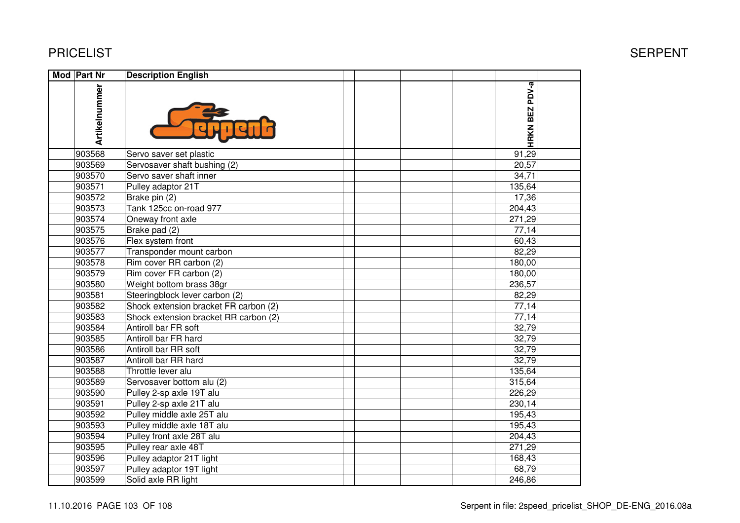| Mod Part Nr |               | <b>Description English</b>            |                |  |
|-------------|---------------|---------------------------------------|----------------|--|
|             | Artikelnummer |                                       | HRKN BEZ PDV-a |  |
|             | 903568        | Servo saver set plastic               | 91,29          |  |
|             | 903569        | Servosaver shaft bushing (2)          | 20,57          |  |
|             | 903570        | Servo saver shaft inner               | 34,71          |  |
|             | 903571        | Pulley adaptor 21T                    | 135,64         |  |
|             | 903572        | Brake pin (2)                         | 17,36          |  |
|             | 903573        | Tank 125cc on-road 977                | 204,43         |  |
|             | 903574        | Oneway front axle                     | 271,29         |  |
|             | 903575        | Brake pad (2)                         | 77,14          |  |
|             | 903576        | Flex system front                     | 60,43          |  |
|             | 903577        | Transponder mount carbon              | 82,29          |  |
|             | 903578        | Rim cover RR carbon (2)               | 180,00         |  |
|             | 903579        | Rim cover FR carbon (2)               | 180,00         |  |
|             | 903580        | Weight bottom brass 38gr              | 236,57         |  |
|             | 903581        | Steeringblock lever carbon (2)        | 82,29          |  |
|             | 903582        | Shock extension bracket FR carbon (2) | 77,14          |  |
|             | 903583        | Shock extension bracket RR carbon (2) | 77,14          |  |
|             | 903584        | Antiroll bar FR soft                  | 32,79          |  |
|             | 903585        | Antiroll bar FR hard                  | 32,79          |  |
|             | 903586        | Antiroll bar RR soft                  | 32,79          |  |
|             | 903587        | Antiroll bar RR hard                  | 32,79          |  |
|             | 903588        | Throttle lever alu                    | 135,64         |  |
|             | 903589        | Servosaver bottom alu (2)             | 315,64         |  |
|             | 903590        | Pulley 2-sp axle 19T alu              | 226,29         |  |
|             | 903591        | Pulley 2-sp axle 21T alu              | 230,14         |  |
|             | 903592        | Pulley middle axle 25T alu            | 195,43         |  |
|             | 903593        | Pulley middle axle 18T alu            | 195,43         |  |
|             | 903594        | Pulley front axle 28T alu             | 204,43         |  |
|             | 903595        | Pulley rear axle 48T                  | 271,29         |  |
|             | 903596        | Pulley adaptor 21T light              | 168,43         |  |
|             | 903597        | Pulley adaptor 19T light              | 68,79          |  |
|             | 903599        | Solid axle RR light                   | 246,86         |  |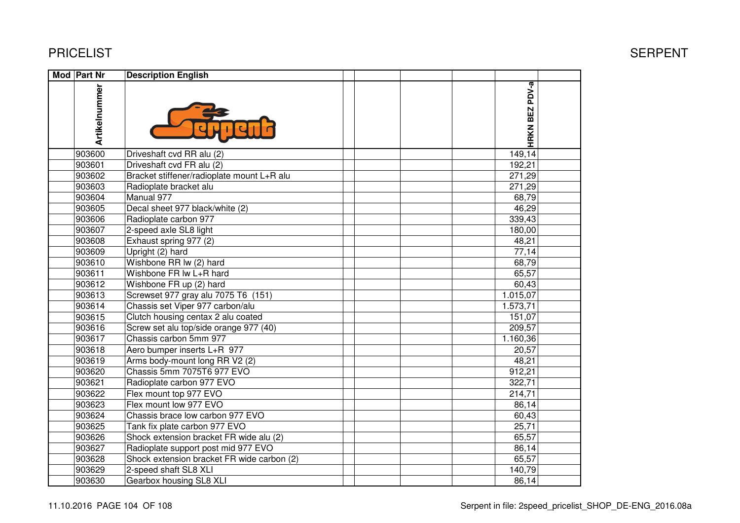| Mod Part Nr |               | <b>Description English</b>                 |                |  |
|-------------|---------------|--------------------------------------------|----------------|--|
|             | Artikelnummer |                                            | HRKN BEZ PDV-a |  |
|             | 903600        | Driveshaft cvd RR alu (2)                  | 149, 14        |  |
|             | 903601        | Driveshaft cvd FR alu (2)                  | 192,21         |  |
|             | 903602        | Bracket stiffener/radioplate mount L+R alu | 271,29         |  |
|             | 903603        | Radioplate bracket alu                     | 271,29         |  |
|             | 903604        | Manual 977                                 | 68,79          |  |
|             | 903605        | Decal sheet 977 black/white (2)            | 46,29          |  |
|             | 903606        | Radioplate carbon 977                      | 339,43         |  |
|             | 903607        | 2-speed axle SL8 light                     | 180,00         |  |
|             | 903608        | Exhaust spring 977 (2)                     | 48,21          |  |
|             | 903609        | Upright (2) hard                           | 77,14          |  |
|             | 903610        | Wishbone RR lw (2) hard                    | 68,79          |  |
|             | 903611        | Wishbone FR Iw L+R hard                    | 65,57          |  |
|             | 903612        | Wishbone FR up (2) hard                    | 60,43          |  |
|             | 903613        | Screwset 977 gray alu 7075 T6 (151)        | 1.015,07       |  |
|             | 903614        | Chassis set Viper 977 carbon/alu           | 1.573,71       |  |
|             | 903615        | Clutch housing centax 2 alu coated         | 151,07         |  |
|             | 903616        | Screw set alu top/side orange 977 (40)     | 209,57         |  |
|             | 903617        | Chassis carbon 5mm 977                     | 1.160,36       |  |
|             | 903618        | Aero bumper inserts L+R 977                | 20,57          |  |
|             | 903619        | Arms body-mount long RR V2 (2)             | 48,21          |  |
|             | 903620        | Chassis 5mm 7075T6 977 EVO                 | 912,21         |  |
|             | 903621        | Radioplate carbon 977 EVO                  | 322,71         |  |
|             | 903622        | Flex mount top 977 EVO                     | 214,71         |  |
|             | 903623        | Flex mount low 977 EVO                     | 86,14          |  |
|             | 903624        | Chassis brace low carbon 977 EVO           | 60,43          |  |
|             | 903625        | Tank fix plate carbon 977 EVO              | 25,71          |  |
|             | 903626        | Shock extension bracket FR wide alu (2)    | 65,57          |  |
|             | 903627        | Radioplate support post mid 977 EVO        | 86,14          |  |
|             | 903628        | Shock extension bracket FR wide carbon (2) | 65,57          |  |
|             | 903629        | 2-speed shaft SL8 XLI                      | 140,79         |  |
|             | 903630        | Gearbox housing SL8 XLI                    | 86,14          |  |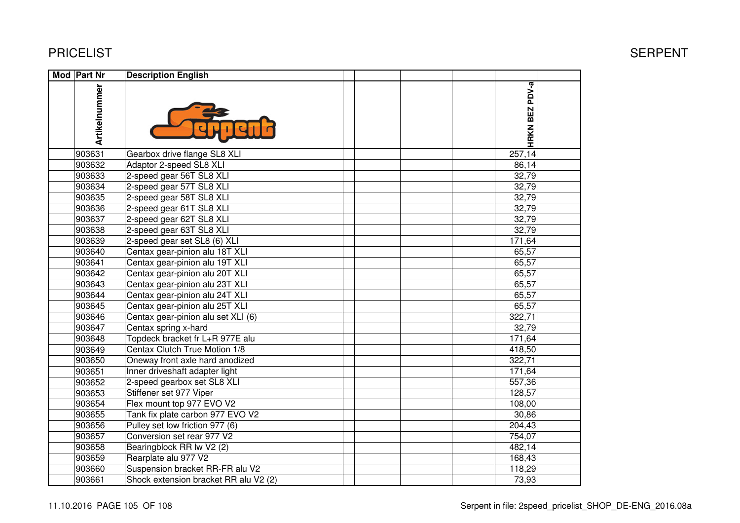| Mod Part Nr   | <b>Description English</b>            |  |                          |  |
|---------------|---------------------------------------|--|--------------------------|--|
| Artikelnummer |                                       |  | PDV-a<br><b>HRKN BEZ</b> |  |
| 903631        | Gearbox drive flange SL8 XLI          |  | 257,14                   |  |
| 903632        | Adaptor 2-speed SL8 XLI               |  | 86,14                    |  |
| 903633        | 2-speed gear 56T SL8 XLI              |  | 32,79                    |  |
| 903634        | 2-speed gear 57T SL8 XLI              |  | 32,79                    |  |
| 903635        | 2-speed gear 58T SL8 XLI              |  | 32,79                    |  |
| 903636        | 2-speed gear 61T SL8 XLI              |  | 32,79                    |  |
| 903637        | 2-speed gear 62T SL8 XLI              |  | 32,79                    |  |
| 903638        | 2-speed gear 63T SL8 XLI              |  | 32,79                    |  |
| 903639        | 2-speed gear set SL8 (6) XLI          |  | 171,64                   |  |
| 903640        | Centax gear-pinion alu 18T XLI        |  | 65,57                    |  |
| 903641        | Centax gear-pinion alu 19T XLI        |  | 65,57                    |  |
| 903642        | Centax gear-pinion alu 20T XLI        |  | 65,57                    |  |
| 903643        | Centax gear-pinion alu 23T XLI        |  | 65,57                    |  |
| 903644        | Centax gear-pinion alu 24T XLI        |  | 65,57                    |  |
| 903645        | Centax gear-pinion alu 25T XLI        |  | 65,57                    |  |
| 903646        | Centax gear-pinion alu set XLI (6)    |  | 322,71                   |  |
| 903647        | Centax spring x-hard                  |  | 32,79                    |  |
| 903648        | Topdeck bracket fr L+R 977E alu       |  | 171,64                   |  |
| 903649        | Centax Clutch True Motion 1/8         |  | 418,50                   |  |
| 903650        | Oneway front axle hard anodized       |  | 322,71                   |  |
| 903651        | Inner driveshaft adapter light        |  | 171,64                   |  |
| 903652        | 2-speed gearbox set SL8 XLI           |  | 557,36                   |  |
| 903653        | Stiffener set 977 Viper               |  | 128,57                   |  |
| 903654        | Flex mount top 977 EVO V2             |  | 108,00                   |  |
| 903655        | Tank fix plate carbon 977 EVO V2      |  | 30,86                    |  |
| 903656        | Pulley set low friction 977 (6)       |  | 204,43                   |  |
| 903657        | Conversion set rear 977 V2            |  | 754,07                   |  |
| 903658        | Bearingblock RR lw V2 (2)             |  | 482,14                   |  |
| 903659        | Rearplate alu 977 V2                  |  | 168,43                   |  |
| 903660        | Suspension bracket RR-FR alu V2       |  | 118,29                   |  |
| 903661        | Shock extension bracket RR alu V2 (2) |  | 73,93                    |  |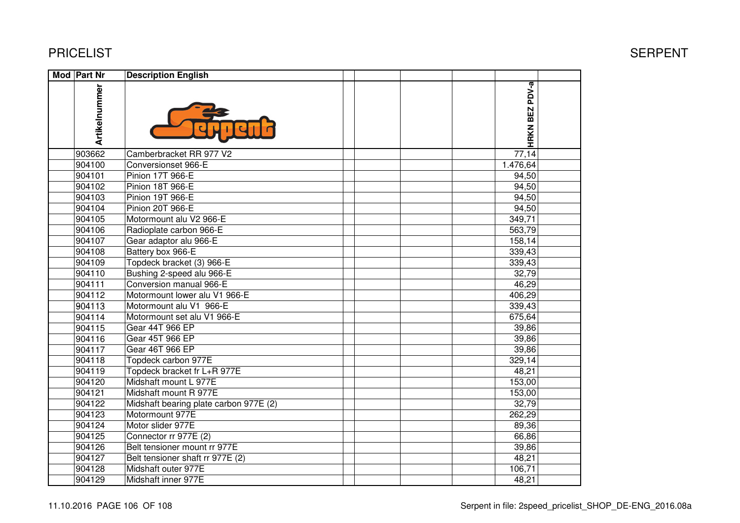| Mod Part Nr   | <b>Description English</b>             |                |  |
|---------------|----------------------------------------|----------------|--|
| Artikelnummer |                                        | HRKN BEZ PDV-a |  |
| 903662        | Camberbracket RR 977 V2                | 77,14          |  |
| 904100        | Conversionset 966-E                    | 1.476,64       |  |
| 904101        | Pinion 17T 966-E                       | 94,50          |  |
| 904102        | <b>Pinion 18T 966-E</b>                | 94,50          |  |
| 904103        | Pinion 19T 966-E                       | 94,50          |  |
| 904104        | Pinion 20T 966-E                       | 94,50          |  |
| 904105        | Motormount alu V2 966-E                | 349,71         |  |
| 904106        | Radioplate carbon 966-E                | 563,79         |  |
| 904107        | Gear adaptor alu 966-E                 | 158,14         |  |
| 904108        | Battery box 966-E                      | 339,43         |  |
| 904109        | Topdeck bracket (3) 966-E              | 339,43         |  |
| 904110        | Bushing 2-speed alu 966-E              | 32,79          |  |
| 904111        | Conversion manual 966-E                | 46,29          |  |
| 904112        | Motormount lower alu V1 966-E          | 406,29         |  |
| 904113        | Motormount alu V1 966-E                | 339,43         |  |
| 904114        | Motormount set alu V1 966-E            | 675,64         |  |
| 904115        | Gear 44T 966 EP                        | 39,86          |  |
| 904116        | Gear 45T 966 EP                        | 39,86          |  |
| 904117        | Gear 46T 966 EP                        | 39,86          |  |
| 904118        | Topdeck carbon 977E                    | 329,14         |  |
| 904119        | Topdeck bracket fr L+R 977E            | 48,21          |  |
| 904120        | Midshaft mount L 977E                  | 153,00         |  |
| 904121        | Midshaft mount R 977E                  | 153,00         |  |
| 904122        | Midshaft bearing plate carbon 977E (2) | 32,79          |  |
| 904123        | Motormount 977E                        | 262,29         |  |
| 904124        | Motor slider 977E                      | 89,36          |  |
| 904125        | Connector rr 977E (2)                  | 66,86          |  |
| 904126        | Belt tensioner mount rr 977E           | 39,86          |  |
| 904127        | Belt tensioner shaft rr 977E (2)       | 48,21          |  |
| 904128        | Midshaft outer 977E                    | 106,71         |  |
| 904129        | Midshaft inner 977E                    | 48,21          |  |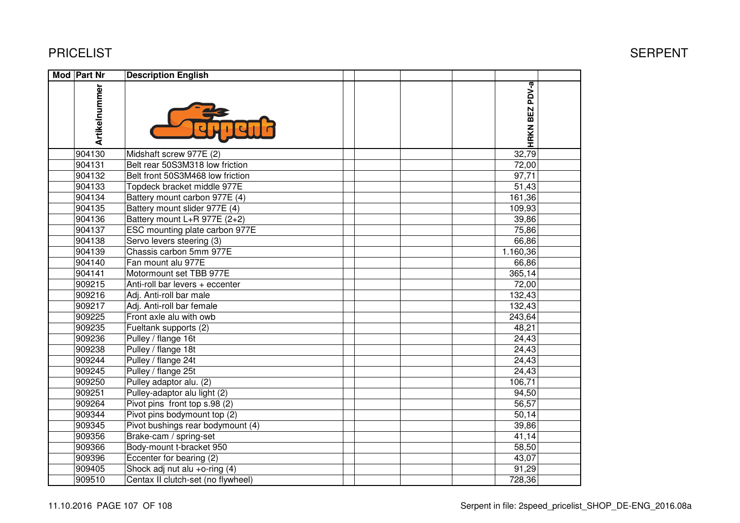| <b>Mod Part Nr</b> | <b>Description English</b>         |                |  |
|--------------------|------------------------------------|----------------|--|
| Artikelnummer      |                                    | HRKN BEZ PDV-a |  |
| 904130             | Midshaft screw 977E (2)            | 32,79          |  |
| 904131             | Belt rear 50S3M318 low friction    | 72,00          |  |
| 904132             | Belt front 50S3M468 low friction   | 97,71          |  |
| 904133             | Topdeck bracket middle 977E        | 51,43          |  |
| 904134             | Battery mount carbon 977E (4)      | 161,36         |  |
| 904135             | Battery mount slider 977E (4)      | 109,93         |  |
| 904136             | Battery mount L+R 977E (2+2)       | 39,86          |  |
| 904137             | ESC mounting plate carbon 977E     | 75,86          |  |
| 904138             | Servo levers steering (3)          | 66,86          |  |
| 904139             | Chassis carbon 5mm 977E            | 1.160,36       |  |
| 904140             | Fan mount alu 977E                 | 66,86          |  |
| 904141             | Motormount set TBB 977E            | 365,14         |  |
| 909215             | Anti-roll bar levers $+$ eccenter  | 72,00          |  |
| 909216             | Adj. Anti-roll bar male            | 132,43         |  |
| 909217             | Adj. Anti-roll bar female          | 132,43         |  |
| 909225             | Front axle alu with owb            | 243,64         |  |
| 909235             | Fueltank supports (2)              | 48,21          |  |
| 909236             | Pulley / flange 16t                | 24,43          |  |
| 909238             | Pulley / flange 18t                | 24,43          |  |
| 909244             | Pulley / flange 24t                | 24,43          |  |
| 909245             | Pulley / flange 25t                | 24,43          |  |
| 909250             | Pulley adaptor alu. (2)            | 106,71         |  |
| 909251             | Pulley-adaptor alu light (2)       | 94,50          |  |
| 909264             | Pivot pins front top s.98 (2)      | 56,57          |  |
| 909344             | Pivot pins bodymount top (2)       | 50,14          |  |
| 909345             | Pivot bushings rear bodymount (4)  | 39,86          |  |
| 909356             | Brake-cam / spring-set             | 41,14          |  |
| 909366             | Body-mount t-bracket 950           | 58,50          |  |
| 909396             | Eccenter for bearing (2)           | 43,07          |  |
| 909405             | Shock adj nut alu +o-ring (4)      | 91,29          |  |
| 909510             | Centax II clutch-set (no flywheel) | 728,36         |  |